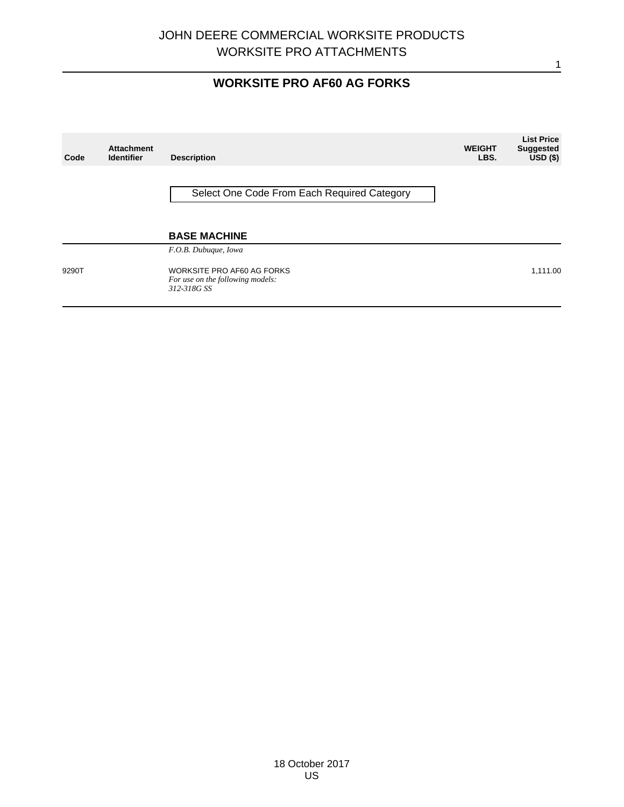# **WORKSITE PRO AF60 AG FORKS**

| Code  | <b>Attachment</b><br><b>Identifier</b> | <b>Description</b>                                                            | <b>WEIGHT</b><br>LBS. | <b>List Price</b><br><b>Suggested</b><br>$\overline{USD}$ (\$) |
|-------|----------------------------------------|-------------------------------------------------------------------------------|-----------------------|----------------------------------------------------------------|
|       |                                        | Select One Code From Each Required Category                                   |                       |                                                                |
|       |                                        | <b>BASE MACHINE</b><br>F.O.B. Dubuque, Iowa                                   |                       |                                                                |
| 9290T |                                        | WORKSITE PRO AF60 AG FORKS<br>For use on the following models:<br>312-318G SS |                       | 1,111.00                                                       |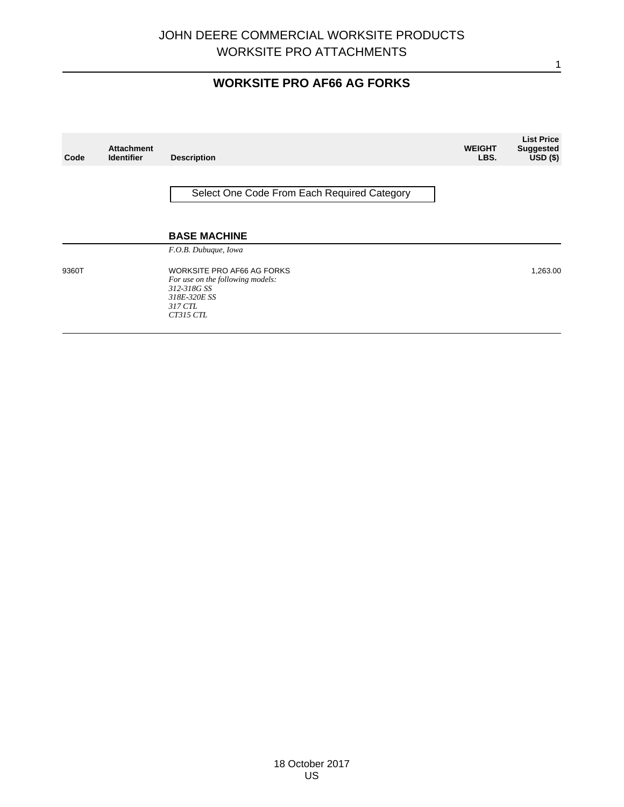# **WORKSITE PRO AF66 AG FORKS**

| Code  | <b>Attachment</b><br><b>Identifier</b> | <b>Description</b>                                                                                                    | <b>WEIGHT</b><br>LBS. | <b>List Price</b><br><b>Suggested</b><br>$USD($ \$) |
|-------|----------------------------------------|-----------------------------------------------------------------------------------------------------------------------|-----------------------|-----------------------------------------------------|
|       |                                        | Select One Code From Each Required Category                                                                           |                       |                                                     |
|       |                                        | <b>BASE MACHINE</b><br>F.O.B. Dubuque, Iowa                                                                           |                       |                                                     |
| 9360T |                                        | WORKSITE PRO AF66 AG FORKS<br>For use on the following models:<br>312-318G SS<br>318E-320E SS<br>317 CTL<br>CT315 CTL |                       | 1,263.00                                            |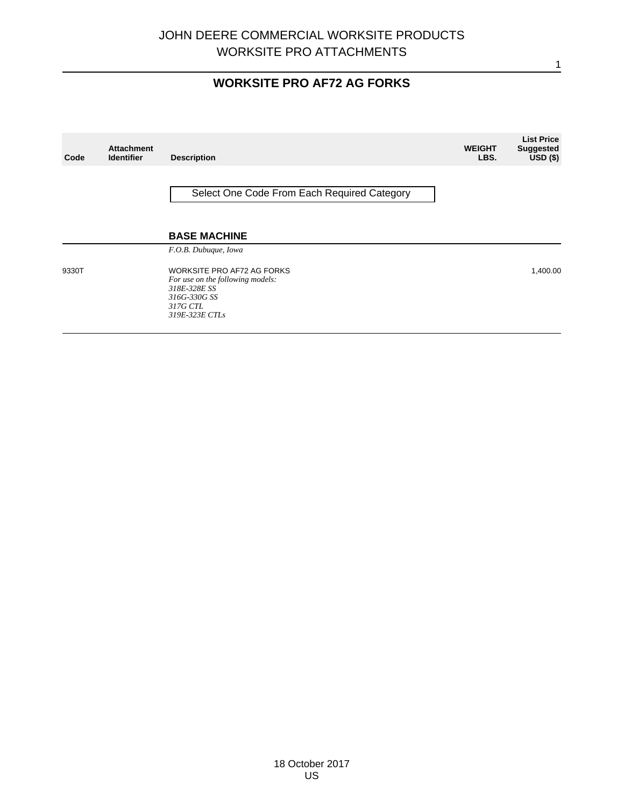# **WORKSITE PRO AF72 AG FORKS**

| Code  | <b>Attachment</b><br><b>Identifier</b> | <b>Description</b>                                                                                                           | <b>WEIGHT</b><br>LBS. | <b>List Price</b><br><b>Suggested</b><br>$USD($ \$) |
|-------|----------------------------------------|------------------------------------------------------------------------------------------------------------------------------|-----------------------|-----------------------------------------------------|
|       |                                        | Select One Code From Each Required Category                                                                                  |                       |                                                     |
|       |                                        | <b>BASE MACHINE</b><br>F.O.B. Dubuque, Iowa                                                                                  |                       |                                                     |
| 9330T |                                        | WORKSITE PRO AF72 AG FORKS<br>For use on the following models:<br>318E-328E SS<br>316G-330G SS<br>317G CTL<br>319E-323E CTLs |                       | 1,400.00                                            |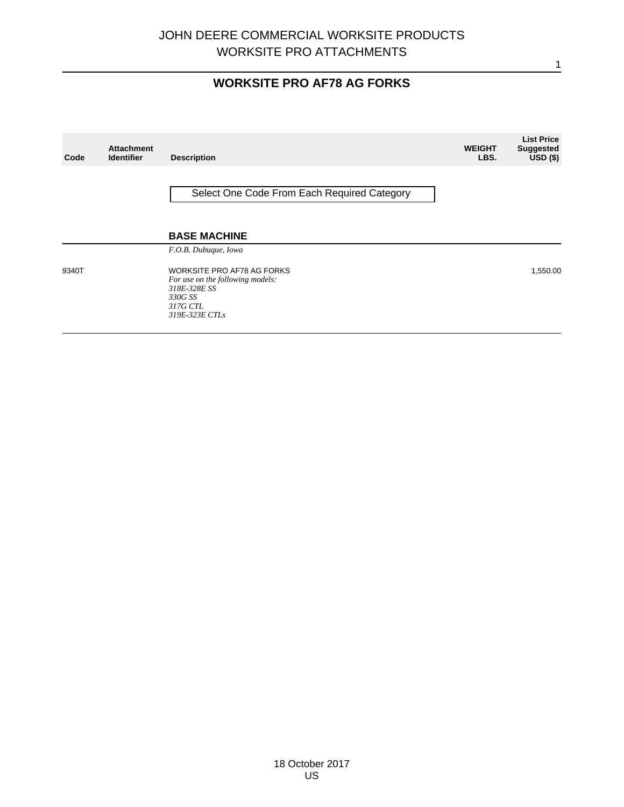# **WORKSITE PRO AF78 AG FORKS**

| Code  | <b>Attachment</b><br><b>Identifier</b> | <b>Description</b>                                                                                                      | <b>WEIGHT</b><br>LBS. | <b>List Price</b><br><b>Suggested</b><br>$USD($ \$) |
|-------|----------------------------------------|-------------------------------------------------------------------------------------------------------------------------|-----------------------|-----------------------------------------------------|
|       |                                        | Select One Code From Each Required Category                                                                             |                       |                                                     |
|       |                                        | <b>BASE MACHINE</b><br>F.O.B. Dubuque, Iowa                                                                             |                       |                                                     |
| 9340T |                                        | WORKSITE PRO AF78 AG FORKS<br>For use on the following models:<br>318E-328E SS<br>330G SS<br>317G CTL<br>319E-323E CTLs |                       | 1,550.00                                            |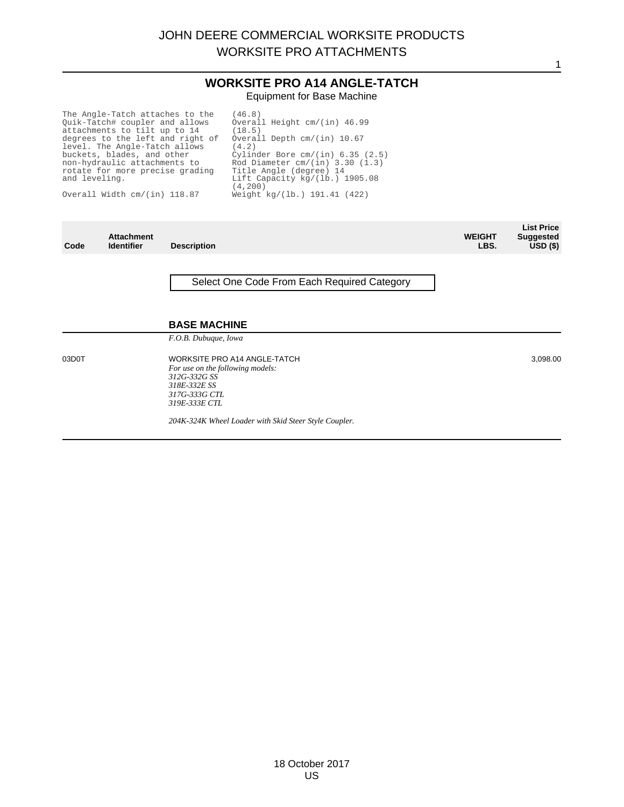1

#### **WORKSITE PRO A14 ANGLE-TATCH** Equipment for Base Machine

The Angle-Tatch attaches to the Quik-Tatch# coupler and allows attachments to tilt up to 14 degrees to the left and right of level. The Angle-Tatch allows buckets, blades, and other non-hydraulic attachments to rotate for more precise grading and leveling.

Overall Width cm/(in) 118.87

(46.8) Overall Height cm/(in) 46.99 (18.5) Overall Depth cm/(in) 10.67 (4.2) Cylinder Bore cm/(in) 6.35 (2.5) Rod Diameter cm/(in) 3.30 (1.3) Title Angle (degree) 14 Lift Capacity kg/(lb.) 1905.08 (4,200) Weight kg/(lb.) 191.41 (422)

| Code  | <b>Attachment</b><br><b>Identifier</b> | <b>Description</b>                                                                                                                        | <b>WEIGHT</b><br>LBS. | <b>List Price</b><br><b>Suggested</b><br>$USD($ \$) |
|-------|----------------------------------------|-------------------------------------------------------------------------------------------------------------------------------------------|-----------------------|-----------------------------------------------------|
|       |                                        | Select One Code From Each Required Category<br><b>BASE MACHINE</b>                                                                        |                       |                                                     |
|       |                                        | F.O.B. Dubuque, Iowa                                                                                                                      |                       |                                                     |
| 03D0T |                                        | <b>WORKSITE PRO A14 ANGLE-TATCH</b><br>For use on the following models:<br>312G-332G SS<br>318E-332E SS<br>317G-333G CTL<br>319E-333E CTL |                       | 3,098.00                                            |
|       |                                        | 204K-324K Wheel Loader with Skid Steer Style Coupler.                                                                                     |                       |                                                     |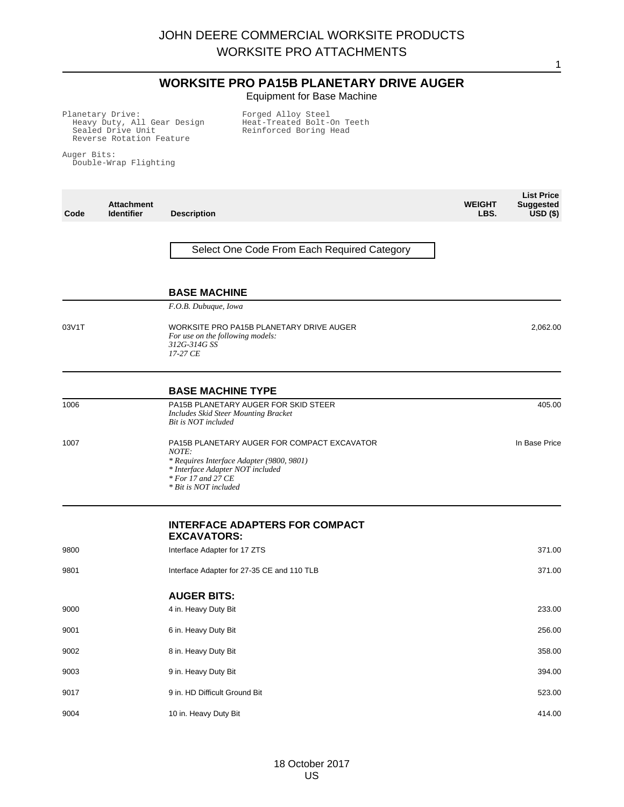#### **WORKSITE PRO PA15B PLANETARY DRIVE AUGER** Equipment for Base Machine

1

Planetary Drive: Heavy Duty, All Gear Design Sealed Drive Unit Reverse Rotation Feature

Forged Alloy Steel Heat-Treated Bolt-On Teeth Reinforced Boring Head

Auger Bits: Double-Wrap Flighting

| Code  | <b>Attachment</b><br><b>Identifier</b> | <b>Description</b>                                                                                                                                                                   | <b>WEIGHT</b><br>LBS. | <b>List Price</b><br><b>Suggested</b><br>$USD($ \$) |
|-------|----------------------------------------|--------------------------------------------------------------------------------------------------------------------------------------------------------------------------------------|-----------------------|-----------------------------------------------------|
|       |                                        | Select One Code From Each Required Category                                                                                                                                          |                       |                                                     |
|       |                                        | <b>BASE MACHINE</b>                                                                                                                                                                  |                       |                                                     |
|       |                                        | F.O.B. Dubuque, Iowa                                                                                                                                                                 |                       |                                                     |
| 03V1T |                                        | WORKSITE PRO PA15B PLANETARY DRIVE AUGER<br>For use on the following models:<br>312G-314G SS<br>17-27 CE                                                                             |                       | 2,062.00                                            |
|       |                                        | <b>BASE MACHINE TYPE</b>                                                                                                                                                             |                       |                                                     |
| 1006  |                                        | PA15B PLANETARY AUGER FOR SKID STEER<br>Includes Skid Steer Mounting Bracket<br>Bit is NOT included                                                                                  |                       | 405.00                                              |
| 1007  |                                        | PA15B PLANETARY AUGER FOR COMPACT EXCAVATOR<br>NOTE:<br>* Requires Interface Adapter (9800, 9801)<br>* Interface Adapter NOT included<br>* For 17 and 27 CE<br>* Bit is NOT included |                       | In Base Price                                       |
|       |                                        | <b>INTERFACE ADAPTERS FOR COMPACT</b><br><b>EXCAVATORS:</b>                                                                                                                          |                       |                                                     |
| 9800  |                                        | Interface Adapter for 17 ZTS                                                                                                                                                         |                       | 371.00                                              |
| 9801  |                                        | Interface Adapter for 27-35 CE and 110 TLB                                                                                                                                           |                       | 371.00                                              |
|       |                                        | <b>AUGER BITS:</b>                                                                                                                                                                   |                       |                                                     |
| 9000  |                                        | 4 in. Heavy Duty Bit                                                                                                                                                                 |                       | 233.00                                              |
| 9001  |                                        | 6 in. Heavy Duty Bit                                                                                                                                                                 |                       | 256.00                                              |
| 9002  |                                        | 8 in. Heavy Duty Bit                                                                                                                                                                 |                       | 358.00                                              |
| 9003  |                                        | 9 in. Heavy Duty Bit                                                                                                                                                                 |                       | 394.00                                              |
| 9017  |                                        | 9 in. HD Difficult Ground Bit                                                                                                                                                        |                       | 523.00                                              |
| 9004  |                                        | 10 in. Heavy Duty Bit                                                                                                                                                                |                       | 414.00                                              |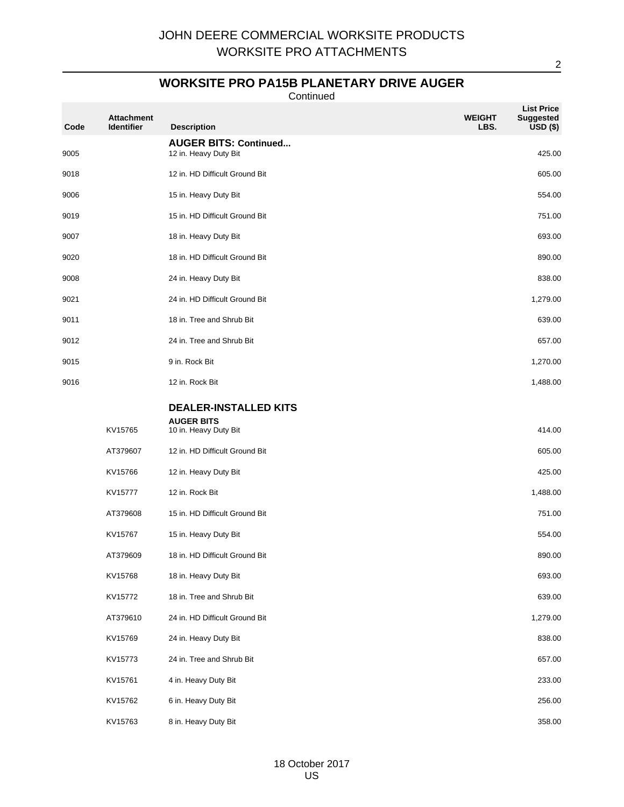### **WORKSITE PRO PA15B PLANETARY DRIVE AUGER**

Continued

| Code | <b>Attachment</b><br><b>Identifier</b> | <b>Description</b>                                    | <b>WEIGHT</b><br>LBS. | <b>List Price</b><br><b>Suggested</b><br>$\overline{USD}$ (\$) |
|------|----------------------------------------|-------------------------------------------------------|-----------------------|----------------------------------------------------------------|
| 9005 |                                        | <b>AUGER BITS: Continued</b><br>12 in. Heavy Duty Bit |                       | 425.00                                                         |
| 9018 |                                        | 12 in. HD Difficult Ground Bit                        |                       | 605.00                                                         |
| 9006 |                                        | 15 in. Heavy Duty Bit                                 |                       | 554.00                                                         |
| 9019 |                                        | 15 in. HD Difficult Ground Bit                        |                       | 751.00                                                         |
| 9007 |                                        | 18 in. Heavy Duty Bit                                 |                       | 693.00                                                         |
| 9020 |                                        | 18 in. HD Difficult Ground Bit                        |                       | 890.00                                                         |
| 9008 |                                        | 24 in. Heavy Duty Bit                                 |                       | 838.00                                                         |
| 9021 |                                        | 24 in. HD Difficult Ground Bit                        |                       | 1,279.00                                                       |
| 9011 |                                        | 18 in. Tree and Shrub Bit                             |                       | 639.00                                                         |
| 9012 |                                        | 24 in. Tree and Shrub Bit                             |                       | 657.00                                                         |
| 9015 |                                        | 9 in. Rock Bit                                        |                       | 1,270.00                                                       |
| 9016 |                                        | 12 in. Rock Bit                                       |                       | 1,488.00                                                       |
|      |                                        | <b>DEALER-INSTALLED KITS</b>                          |                       |                                                                |
|      | KV15765                                | <b>AUGER BITS</b><br>10 in. Heavy Duty Bit            |                       | 414.00                                                         |
|      | AT379607                               | 12 in. HD Difficult Ground Bit                        |                       | 605.00                                                         |
|      | KV15766                                | 12 in. Heavy Duty Bit                                 |                       | 425.00                                                         |
|      | KV15777                                | 12 in. Rock Bit                                       |                       | 1,488.00                                                       |
|      | AT379608                               | 15 in. HD Difficult Ground Bit                        |                       | 751.00                                                         |
|      | KV15767                                | 15 in. Heavy Duty Bit                                 |                       | 554.00                                                         |
|      | AT379609                               | 18 in. HD Difficult Ground Bit                        |                       | 890.00                                                         |
|      | KV15768                                | 18 in. Heavy Duty Bit                                 |                       | 693.00                                                         |
|      | KV15772                                | 18 in. Tree and Shrub Bit                             |                       | 639.00                                                         |
|      | AT379610                               | 24 in. HD Difficult Ground Bit                        |                       | 1,279.00                                                       |
|      | KV15769                                | 24 in. Heavy Duty Bit                                 |                       | 838.00                                                         |
|      | KV15773                                | 24 in. Tree and Shrub Bit                             |                       | 657.00                                                         |
|      | KV15761                                | 4 in. Heavy Duty Bit                                  |                       | 233.00                                                         |
|      | KV15762                                | 6 in. Heavy Duty Bit                                  |                       | 256.00                                                         |
|      | KV15763                                | 8 in. Heavy Duty Bit                                  |                       | 358.00                                                         |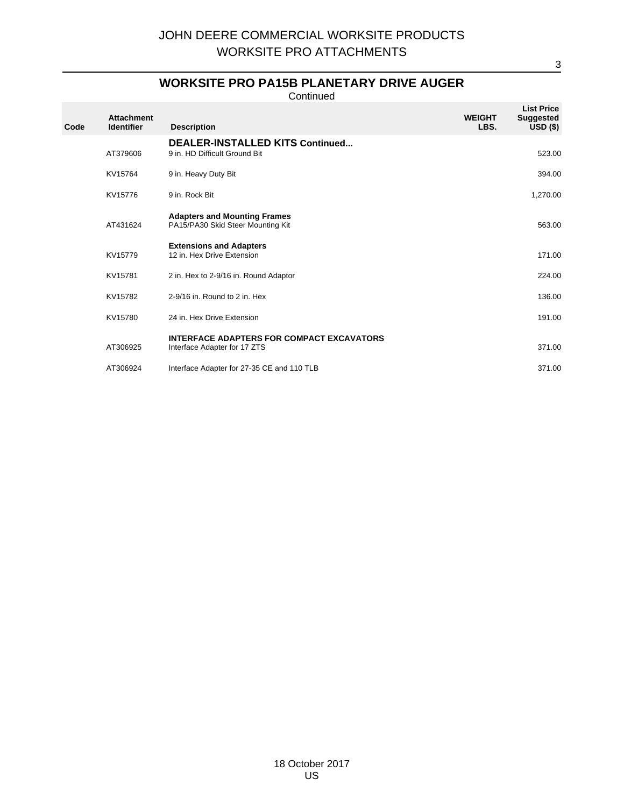### **WORKSITE PRO PA15B PLANETARY DRIVE AUGER**

Continued

| Code | <b>Attachment</b><br><b>Identifier</b> | <b>Description</b>                                                               | <b>WEIGHT</b><br>LBS. | <b>List Price</b><br><b>Suggested</b><br>USD <sub>(</sub> ) |
|------|----------------------------------------|----------------------------------------------------------------------------------|-----------------------|-------------------------------------------------------------|
|      | AT379606                               | <b>DEALER-INSTALLED KITS Continued</b><br>9 in. HD Difficult Ground Bit          |                       | 523.00                                                      |
|      | KV15764                                | 9 in. Heavy Duty Bit                                                             |                       | 394.00                                                      |
|      | KV15776                                | 9 in. Rock Bit                                                                   |                       | 1,270.00                                                    |
|      | AT431624                               | <b>Adapters and Mounting Frames</b><br>PA15/PA30 Skid Steer Mounting Kit         |                       | 563.00                                                      |
|      | KV15779                                | <b>Extensions and Adapters</b><br>12 in. Hex Drive Extension                     |                       | 171.00                                                      |
|      | KV15781                                | 2 in. Hex to 2-9/16 in. Round Adaptor                                            |                       | 224.00                                                      |
|      | KV15782                                | 2-9/16 in. Round to 2 in. Hex                                                    |                       | 136.00                                                      |
|      | KV15780                                | 24 in. Hex Drive Extension                                                       |                       | 191.00                                                      |
|      | AT306925                               | <b>INTERFACE ADAPTERS FOR COMPACT EXCAVATORS</b><br>Interface Adapter for 17 ZTS |                       | 371.00                                                      |
|      | AT306924                               | Interface Adapter for 27-35 CE and 110 TLB                                       |                       | 371.00                                                      |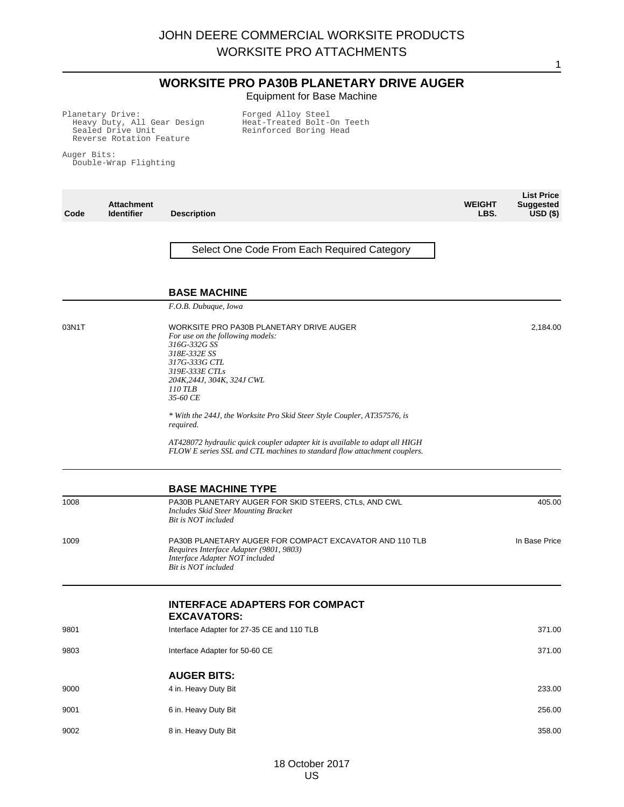#### **WORKSITE PRO PA30B PLANETARY DRIVE AUGER** Equipment for Base Machine

1

Planetary Drive: Heavy Duty, All Gear Design Sealed Drive Unit Reverse Rotation Feature

Forged Alloy Steel Heat-Treated Bolt-On Teeth Reinforced Boring Head

Auger Bits: Double-Wrap Flighting

**Code Attachment Identifier Description WEIGHT LBS. List Price Suggested USD (\$)** Select One Code From Each Required Category **BASE MACHINE** *F.O.B. Dubuque, Iowa* 03N1T WORKSITE PRO PA30B PLANETARY DRIVE AUGER *For use on the following models: 316G-332G SS 318E-332E SS 317G-333G CTL 319E-333E CTLs 204K,244J, 304K, 324J CWL 110 TLB 35-60 CE \* With the 244J, the Worksite Pro Skid Steer Style Coupler, AT357576, is required. AT428072 hydraulic quick coupler adapter kit is available to adapt all HIGH FLOW E series SSL and CTL machines to standard flow attachment couplers.* 2,184.00 **BASE MACHINE TYPE** 1008 PA30B PLANETARY AUGER FOR SKID STEERS, CTLs, AND CWL *Includes Skid Steer Mounting Bracket Bit is NOT included* 405.00 1009 PA30B PLANETARY AUGER FOR COMPACT EXCAVATOR AND 110 TLB *Requires Interface Adapter (9801, 9803) Interface Adapter NOT included Bit is NOT included* In Base Price **INTERFACE ADAPTERS FOR COMPACT EXCAVATORS:** 9801 **Interface Adapter for 27-35 CE and 110 TLB** 371.00 9803 **Interface Adapter for 50-60 CE** 371.00 **AUGER BITS:** ed a set of the state of the state of the state of the state of the state of the state of the state of the state of the state of the state of the state of the state of the state of the state of the state of the state of th 9001 6 in. Heavy Duty Bit 256.00 9002 8 in. Heavy Duty Bit 358.00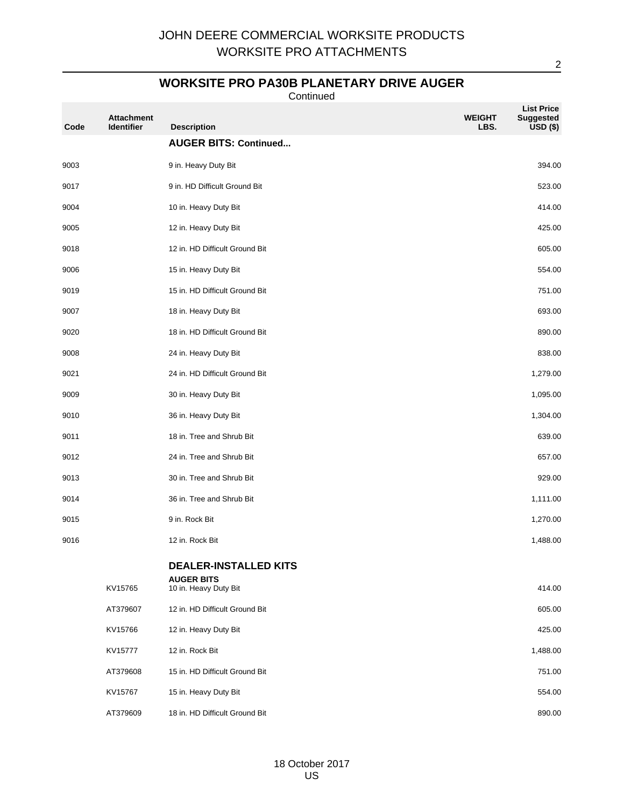### **WORKSITE PRO PA30B PLANETARY DRIVE AUGER**

Continued

| Code | <b>Attachment</b><br>Identifier | <b>Description</b>                                | <b>WEIGHT</b><br>LBS. | <b>List Price</b><br><b>Suggested</b><br>USD <sub>(</sub> ) |
|------|---------------------------------|---------------------------------------------------|-----------------------|-------------------------------------------------------------|
|      |                                 | <b>AUGER BITS: Continued</b>                      |                       |                                                             |
| 9003 |                                 | 9 in. Heavy Duty Bit                              |                       | 394.00                                                      |
| 9017 |                                 | 9 in. HD Difficult Ground Bit                     |                       | 523.00                                                      |
| 9004 |                                 | 10 in. Heavy Duty Bit                             |                       | 414.00                                                      |
| 9005 |                                 | 12 in. Heavy Duty Bit                             |                       | 425.00                                                      |
| 9018 |                                 | 12 in. HD Difficult Ground Bit                    |                       | 605.00                                                      |
| 9006 |                                 | 15 in. Heavy Duty Bit                             |                       | 554.00                                                      |
| 9019 |                                 | 15 in. HD Difficult Ground Bit                    |                       | 751.00                                                      |
| 9007 |                                 | 18 in. Heavy Duty Bit                             |                       | 693.00                                                      |
| 9020 |                                 | 18 in. HD Difficult Ground Bit                    |                       | 890.00                                                      |
| 9008 |                                 | 24 in. Heavy Duty Bit                             |                       | 838.00                                                      |
| 9021 |                                 | 24 in. HD Difficult Ground Bit                    |                       | 1,279.00                                                    |
| 9009 |                                 | 30 in. Heavy Duty Bit                             |                       | 1,095.00                                                    |
| 9010 |                                 | 36 in. Heavy Duty Bit                             |                       | 1,304.00                                                    |
| 9011 |                                 | 18 in. Tree and Shrub Bit                         |                       | 639.00                                                      |
| 9012 |                                 | 24 in. Tree and Shrub Bit                         |                       | 657.00                                                      |
| 9013 |                                 | 30 in. Tree and Shrub Bit                         |                       | 929.00                                                      |
| 9014 |                                 | 36 in. Tree and Shrub Bit                         |                       | 1,111.00                                                    |
| 9015 |                                 | 9 in. Rock Bit                                    |                       | 1,270.00                                                    |
| 9016 |                                 | 12 in. Rock Bit                                   |                       | 1,488.00                                                    |
|      |                                 | <b>DEALER-INSTALLED KITS</b><br><b>AUGER BITS</b> |                       |                                                             |
|      | KV15765                         | 10 in. Heavy Duty Bit                             |                       | 414.00                                                      |
|      | AT379607                        | 12 in. HD Difficult Ground Bit                    |                       | 605.00                                                      |
|      | KV15766                         | 12 in. Heavy Duty Bit                             |                       | 425.00                                                      |
|      | KV15777                         | 12 in. Rock Bit                                   |                       | 1,488.00                                                    |
|      | AT379608                        | 15 in. HD Difficult Ground Bit                    |                       | 751.00                                                      |
|      | KV15767                         | 15 in. Heavy Duty Bit                             |                       | 554.00                                                      |
|      | AT379609                        | 18 in. HD Difficult Ground Bit                    |                       | 890.00                                                      |

18 October 2017 US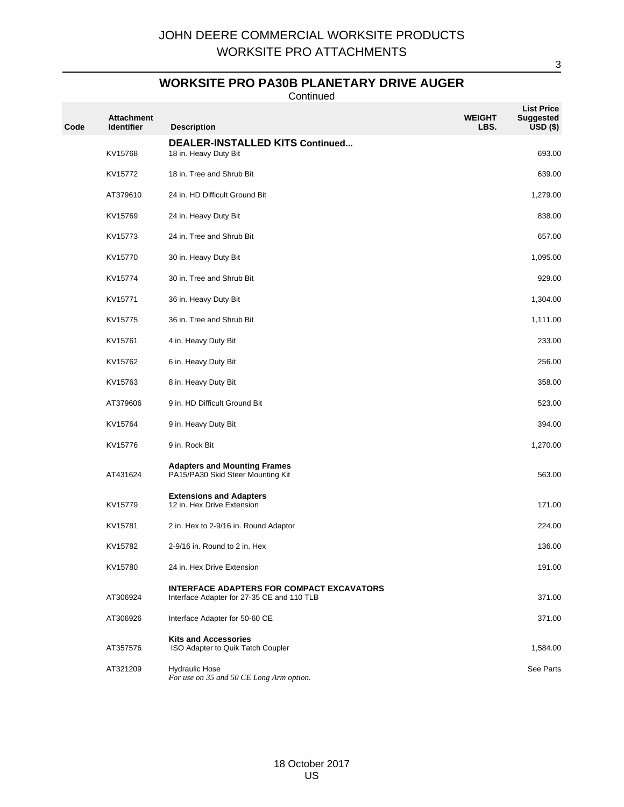### **WORKSITE PRO PA30B PLANETARY DRIVE AUGER**

Continued

| Code | <b>Attachment</b><br><b>Identifier</b> | <b>Description</b>                                                                             | WEIGHT<br>LBS. | <b>List Price</b><br><b>Suggested</b><br>USD <sub>(</sub> ) |
|------|----------------------------------------|------------------------------------------------------------------------------------------------|----------------|-------------------------------------------------------------|
|      |                                        | <b>DEALER-INSTALLED KITS Continued</b>                                                         |                |                                                             |
|      | KV15768                                | 18 in. Heavy Duty Bit                                                                          |                | 693.00                                                      |
|      | KV15772                                | 18 in. Tree and Shrub Bit                                                                      |                | 639.00                                                      |
|      | AT379610                               | 24 in. HD Difficult Ground Bit                                                                 |                | 1,279.00                                                    |
|      | KV15769                                | 24 in. Heavy Duty Bit                                                                          |                | 838.00                                                      |
|      | KV15773                                | 24 in. Tree and Shrub Bit                                                                      |                | 657.00                                                      |
|      | KV15770                                | 30 in. Heavy Duty Bit                                                                          |                | 1,095.00                                                    |
|      | KV15774                                | 30 in. Tree and Shrub Bit                                                                      |                | 929.00                                                      |
|      | KV15771                                | 36 in. Heavy Duty Bit                                                                          |                | 1,304.00                                                    |
|      | KV15775                                | 36 in. Tree and Shrub Bit                                                                      |                | 1,111.00                                                    |
|      | KV15761                                | 4 in. Heavy Duty Bit                                                                           |                | 233.00                                                      |
|      | KV15762                                | 6 in. Heavy Duty Bit                                                                           |                | 256.00                                                      |
|      | KV15763                                | 8 in. Heavy Duty Bit                                                                           |                | 358.00                                                      |
|      | AT379606                               | 9 in. HD Difficult Ground Bit                                                                  |                | 523.00                                                      |
|      | KV15764                                | 9 in. Heavy Duty Bit                                                                           |                | 394.00                                                      |
|      | KV15776                                | 9 in. Rock Bit                                                                                 |                | 1,270.00                                                    |
|      | AT431624                               | <b>Adapters and Mounting Frames</b><br>PA15/PA30 Skid Steer Mounting Kit                       |                | 563.00                                                      |
|      | KV15779                                | <b>Extensions and Adapters</b><br>12 in. Hex Drive Extension                                   |                | 171.00                                                      |
|      | KV15781                                | 2 in. Hex to 2-9/16 in. Round Adaptor                                                          |                | 224.00                                                      |
|      | KV15782                                | 2-9/16 in. Round to 2 in. Hex                                                                  |                | 136.00                                                      |
|      | KV15780                                | 24 in. Hex Drive Extension                                                                     |                | 191.00                                                      |
|      | AT306924                               | <b>INTERFACE ADAPTERS FOR COMPACT EXCAVATORS</b><br>Interface Adapter for 27-35 CE and 110 TLB |                | 371.00                                                      |
|      | AT306926                               | Interface Adapter for 50-60 CE                                                                 |                | 371.00                                                      |
|      | AT357576                               | <b>Kits and Accessories</b><br>ISO Adapter to Quik Tatch Coupler                               |                | 1,584.00                                                    |
|      | AT321209                               | <b>Hydraulic Hose</b><br>For use on 35 and 50 CE Long Arm option.                              |                | See Parts                                                   |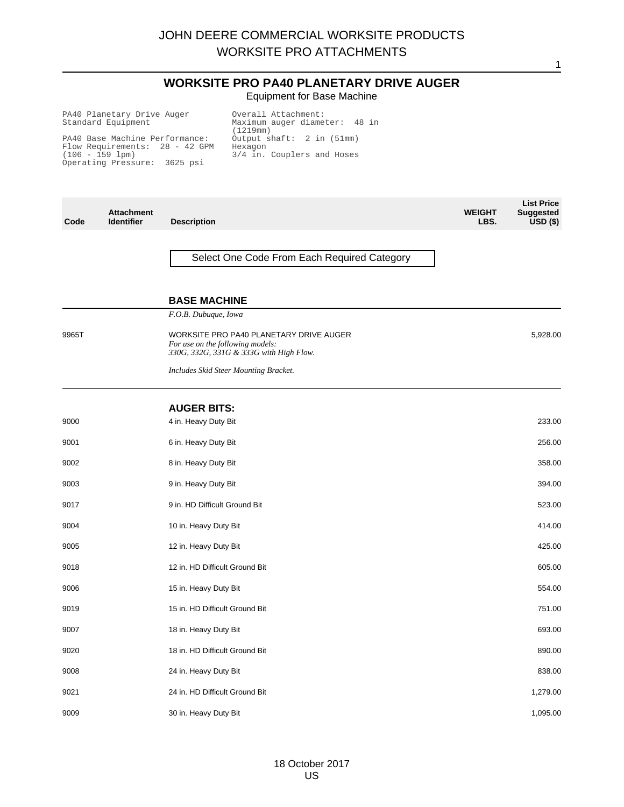### **WORKSITE PRO PA40 PLANETARY DRIVE AUGER** Equipment for Base Machine

| PA40 Planetary Drive Auger     | Overall Attachment:           |
|--------------------------------|-------------------------------|
| Standard Equipment             | Maximum auger diameter: 48 in |
|                                | (1219mm)                      |
| PA40 Base Machine Performance: | Output shaft: 2 in (51mm)     |
| Flow Requirements: 28 - 42 GPM | Hexagon                       |
| $(106 - 159$ lpm)              | 3/4 in. Couplers and Hoses    |
| Operating Pressure: 3625 psi   |                               |
|                                |                               |

| Code  | <b>Attachment</b><br><b>Identifier</b> | <b>Description</b>                                                                                                     | <b>WEIGHT</b><br>LBS. | <b>List Price</b><br><b>Suggested</b><br>$USD($ \$) |
|-------|----------------------------------------|------------------------------------------------------------------------------------------------------------------------|-----------------------|-----------------------------------------------------|
|       |                                        | Select One Code From Each Required Category                                                                            |                       |                                                     |
|       |                                        | <b>BASE MACHINE</b>                                                                                                    |                       |                                                     |
|       |                                        | F.O.B. Dubuque, Iowa                                                                                                   |                       |                                                     |
| 9965T |                                        | WORKSITE PRO PA40 PLANETARY DRIVE AUGER<br>For use on the following models:<br>330G, 332G, 331G & 333G with High Flow. |                       | 5,928.00                                            |
|       |                                        | <b>Includes Skid Steer Mounting Bracket.</b>                                                                           |                       |                                                     |
|       |                                        | <b>AUGER BITS:</b>                                                                                                     |                       |                                                     |
| 9000  |                                        | 4 in. Heavy Duty Bit                                                                                                   |                       | 233.00                                              |
| 9001  |                                        | 6 in. Heavy Duty Bit                                                                                                   |                       | 256.00                                              |
| 9002  |                                        | 8 in. Heavy Duty Bit                                                                                                   |                       | 358.00                                              |
| 9003  |                                        | 9 in. Heavy Duty Bit                                                                                                   |                       | 394.00                                              |
| 9017  |                                        | 9 in. HD Difficult Ground Bit                                                                                          |                       | 523.00                                              |
| 9004  |                                        | 10 in. Heavy Duty Bit                                                                                                  |                       | 414.00                                              |
| 9005  |                                        | 12 in. Heavy Duty Bit                                                                                                  |                       | 425.00                                              |
| 9018  |                                        | 12 in. HD Difficult Ground Bit                                                                                         |                       | 605.00                                              |
| 9006  |                                        | 15 in. Heavy Duty Bit                                                                                                  |                       | 554.00                                              |
| 9019  |                                        | 15 in. HD Difficult Ground Bit                                                                                         |                       | 751.00                                              |
| 9007  |                                        | 18 in. Heavy Duty Bit                                                                                                  |                       | 693.00                                              |
| 9020  |                                        | 18 in. HD Difficult Ground Bit                                                                                         |                       | 890.00                                              |
| 9008  |                                        | 24 in. Heavy Duty Bit                                                                                                  |                       | 838.00                                              |
| 9021  |                                        | 24 in. HD Difficult Ground Bit                                                                                         |                       | 1,279.00                                            |
| 9009  |                                        | 30 in. Heavy Duty Bit                                                                                                  |                       | 1,095.00                                            |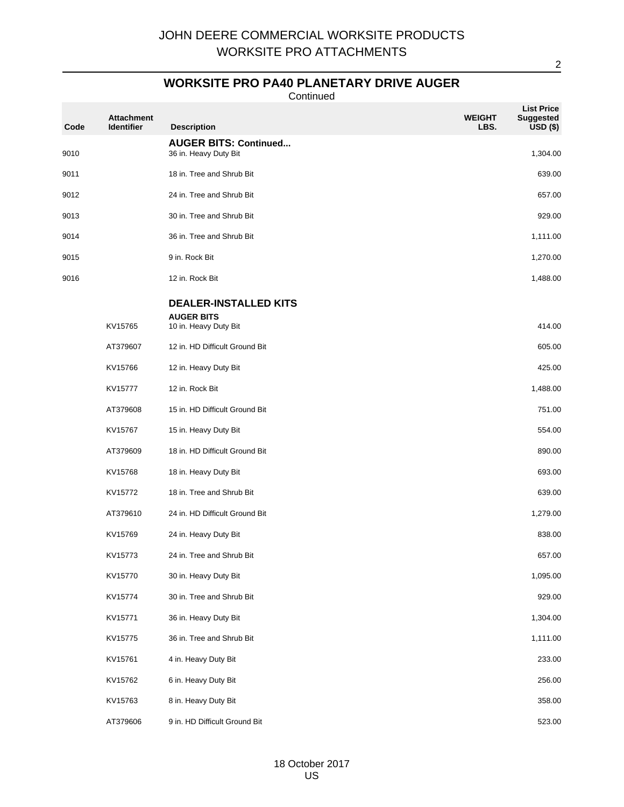### **WORKSITE PRO PA40 PLANETARY DRIVE AUGER**

Continued

| Code | <b>Attachment</b><br><b>Identifier</b> | <b>Description</b>                                    | <b>WEIGHT</b><br>LBS. | <b>List Price</b><br><b>Suggested</b><br>$USD($ \$) |
|------|----------------------------------------|-------------------------------------------------------|-----------------------|-----------------------------------------------------|
| 9010 |                                        | <b>AUGER BITS: Continued</b><br>36 in. Heavy Duty Bit |                       | 1,304.00                                            |
| 9011 |                                        | 18 in. Tree and Shrub Bit                             |                       | 639.00                                              |
| 9012 |                                        | 24 in. Tree and Shrub Bit                             |                       | 657.00                                              |
| 9013 |                                        | 30 in. Tree and Shrub Bit                             |                       | 929.00                                              |
| 9014 |                                        | 36 in. Tree and Shrub Bit                             |                       | 1,111.00                                            |
| 9015 |                                        | 9 in. Rock Bit                                        |                       | 1,270.00                                            |
| 9016 |                                        | 12 in. Rock Bit                                       |                       | 1,488.00                                            |
|      |                                        | <b>DEALER-INSTALLED KITS</b>                          |                       |                                                     |
|      | KV15765                                | <b>AUGER BITS</b><br>10 in. Heavy Duty Bit            |                       | 414.00                                              |
|      | AT379607                               | 12 in. HD Difficult Ground Bit                        |                       | 605.00                                              |
|      | KV15766                                | 12 in. Heavy Duty Bit                                 |                       | 425.00                                              |
|      | KV15777                                | 12 in. Rock Bit                                       |                       | 1,488.00                                            |
|      | AT379608                               | 15 in. HD Difficult Ground Bit                        |                       | 751.00                                              |
|      | KV15767                                | 15 in. Heavy Duty Bit                                 |                       | 554.00                                              |
|      | AT379609                               | 18 in. HD Difficult Ground Bit                        |                       | 890.00                                              |
|      | KV15768                                | 18 in. Heavy Duty Bit                                 |                       | 693.00                                              |
|      | KV15772                                | 18 in. Tree and Shrub Bit                             |                       | 639.00                                              |
|      | AT379610                               | 24 in. HD Difficult Ground Bit                        |                       | 1,279.00                                            |
|      | KV15769                                | 24 in. Heavy Duty Bit                                 |                       | 838.00                                              |
|      | KV15773                                | 24 in. Tree and Shrub Bit                             |                       | 657.00                                              |
|      | KV15770                                | 30 in. Heavy Duty Bit                                 |                       | 1,095.00                                            |
|      | KV15774                                | 30 in. Tree and Shrub Bit                             |                       | 929.00                                              |
|      | KV15771                                | 36 in. Heavy Duty Bit                                 |                       | 1,304.00                                            |
|      | KV15775                                | 36 in. Tree and Shrub Bit                             |                       | 1,111.00                                            |
|      | KV15761                                |                                                       |                       | 233.00                                              |
|      | KV15762                                | 4 in. Heavy Duty Bit<br>6 in. Heavy Duty Bit          |                       | 256.00                                              |
|      |                                        |                                                       |                       | 358.00                                              |
|      | KV15763<br>AT379606                    | 8 in. Heavy Duty Bit<br>9 in. HD Difficult Ground Bit |                       | 523.00                                              |
|      |                                        |                                                       |                       |                                                     |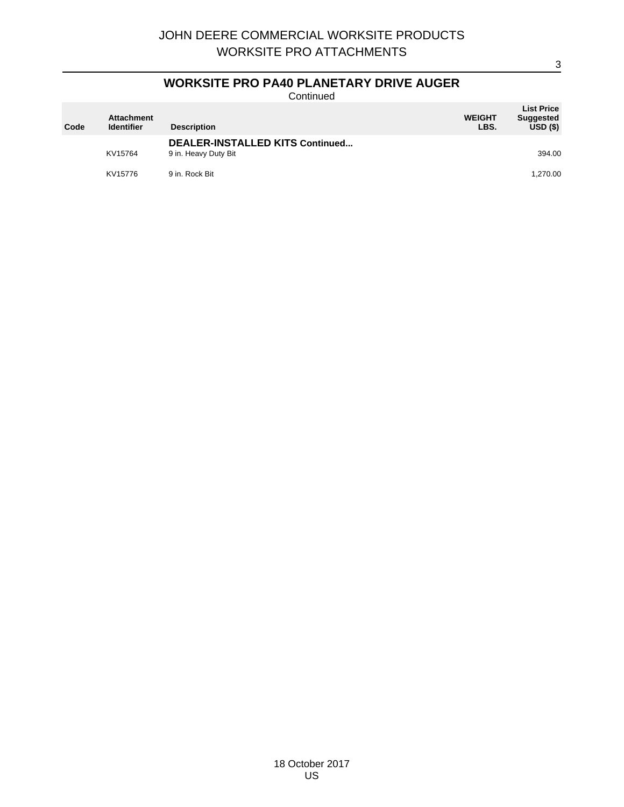### **WORKSITE PRO PA40 PLANETARY DRIVE AUGER**

**Continued** 

| Code | <b>Attachment</b><br><b>Identifier</b> | <b>Description</b>                                      | <b>WEIGHT</b><br>LBS. | <b>List Price</b><br><b>Suggested</b><br>USD(S) |
|------|----------------------------------------|---------------------------------------------------------|-----------------------|-------------------------------------------------|
|      | KV15764                                | DEALER-INSTALLED KITS Continued<br>9 in. Heavy Duty Bit |                       | 394.00                                          |
|      | KV15776                                | 9 in, Rock Bit                                          |                       | 1,270.00                                        |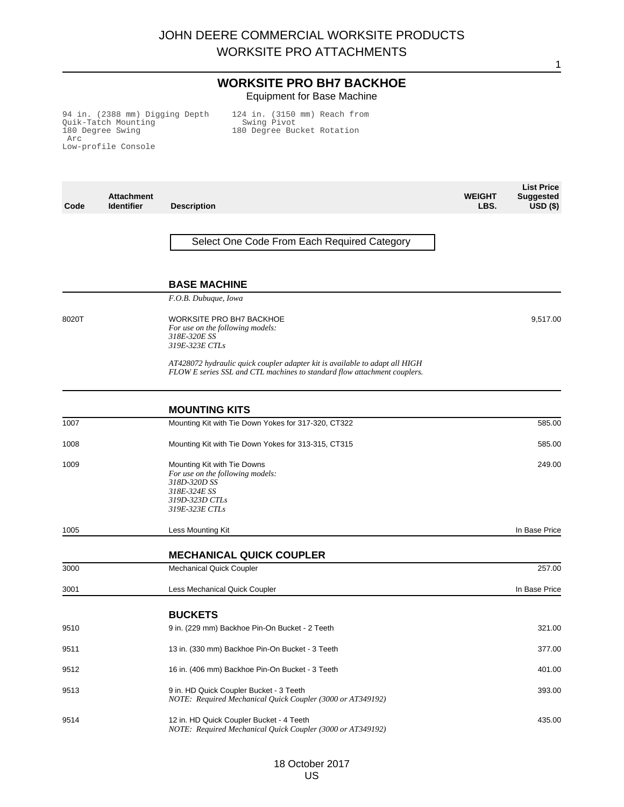#### **WORKSITE PRO BH7 BACKHOE** Equipment for Base Machine

94 in. (2388 mm) Digging Depth Quik-Tatch Mounting 180 Degree Swing Arc Low-profile Console

124 in. (3150 mm) Reach from Swing Pivot 180 Degree Bucket Rotation

**Code Attachment Description WEIGHT LBS. List Price Suggested USD (\$)** Select One Code From Each Required Category **BASE MACHINE** *F.O.B. Dubuque, Iowa* 8020T WORKSITE PRO BH7 BACKHOE *For use on the following models: 318E-320E SS 319E-323E CTLs AT428072 hydraulic quick coupler adapter kit is available to adapt all HIGH FLOW E series SSL and CTL machines to standard flow attachment couplers.* 9,517.00 **MOUNTING KITS** 1007 Mounting Kit with Tie Down Yokes for 317-320, CT322 585.00 1008 Mounting Kit with Tie Down Yokes for 313-315, CT315 585.00 1009 Mounting Kit with Tie Downs *For use on the following models: 318D-320D SS 318E-324E SS 319D-323D CTLs 319E-323E CTLs* 249.00 1005 **1005** Less Mounting Kit **Community Community Community Community Community Community Community Community Community Community Community Community Community Community Community Community Community Community Community C MECHANICAL QUICK COUPLER** 3000 Mechanical Quick Coupler 257.00 3001 Less Mechanical Quick Coupler In Base Price

### **BUCKETS**

|      | <b>BUCKEIS</b>                                                                                         |        |
|------|--------------------------------------------------------------------------------------------------------|--------|
| 9510 | 9 in. (229 mm) Backhoe Pin-On Bucket - 2 Teeth                                                         | 321.00 |
| 9511 | 13 in. (330 mm) Backhoe Pin-On Bucket - 3 Teeth                                                        | 377.00 |
| 9512 | 16 in. (406 mm) Backhoe Pin-On Bucket - 3 Teeth                                                        | 401.00 |
| 9513 | 9 in. HD Quick Coupler Bucket - 3 Teeth<br>NOTE: Required Mechanical Ouick Coupler (3000 or AT349192)  | 393.00 |
| 9514 | 12 in. HD Quick Coupler Bucket - 4 Teeth<br>NOTE: Required Mechanical Quick Coupler (3000 or AT349192) | 435.00 |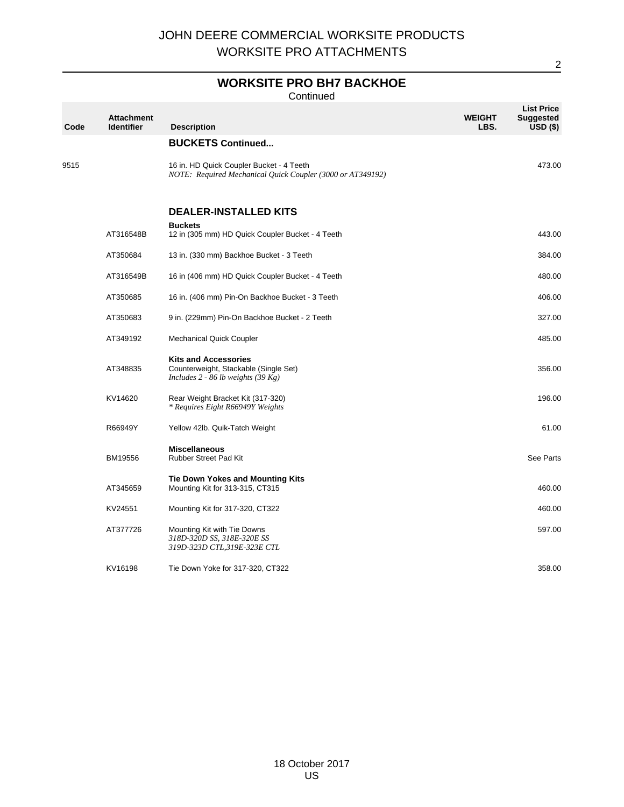# **WORKSITE PRO BH7 BACKHOE**

Continued

| Code | <b>Attachment</b><br><b>Identifier</b> | <b>Description</b>                                                                                           | <b>WEIGHT</b><br>LBS. | <b>List Price</b><br><b>Suggested</b><br>$USD($ \$) |
|------|----------------------------------------|--------------------------------------------------------------------------------------------------------------|-----------------------|-----------------------------------------------------|
|      |                                        | <b>BUCKETS Continued</b>                                                                                     |                       |                                                     |
| 9515 |                                        | 16 in. HD Quick Coupler Bucket - 4 Teeth<br>NOTE: Required Mechanical Quick Coupler (3000 or AT349192)       |                       | 473.00                                              |
|      |                                        | <b>DEALER-INSTALLED KITS</b>                                                                                 |                       |                                                     |
|      | AT316548B                              | <b>Buckets</b><br>12 in (305 mm) HD Quick Coupler Bucket - 4 Teeth                                           |                       | 443.00                                              |
|      | AT350684                               | 13 in. (330 mm) Backhoe Bucket - 3 Teeth                                                                     |                       | 384.00                                              |
|      | AT316549B                              | 16 in (406 mm) HD Quick Coupler Bucket - 4 Teeth                                                             |                       | 480.00                                              |
|      | AT350685                               | 16 in. (406 mm) Pin-On Backhoe Bucket - 3 Teeth                                                              |                       | 406.00                                              |
|      | AT350683                               | 9 in. (229mm) Pin-On Backhoe Bucket - 2 Teeth                                                                |                       | 327.00                                              |
|      | AT349192                               | <b>Mechanical Quick Coupler</b>                                                                              |                       | 485.00                                              |
|      | AT348835                               | <b>Kits and Accessories</b><br>Counterweight, Stackable (Single Set)<br>Includes $2 - 86$ lb weights (39 Kg) |                       | 356.00                                              |
|      | KV14620                                | Rear Weight Bracket Kit (317-320)<br>* Requires Eight R66949Y Weights                                        |                       | 196.00                                              |
|      | R66949Y                                | Yellow 42lb. Quik-Tatch Weight                                                                               |                       | 61.00                                               |
|      | BM19556                                | <b>Miscellaneous</b><br><b>Rubber Street Pad Kit</b>                                                         |                       | See Parts                                           |
|      | AT345659                               | <b>Tie Down Yokes and Mounting Kits</b><br>Mounting Kit for 313-315, CT315                                   |                       | 460.00                                              |
|      | KV24551                                | Mounting Kit for 317-320, CT322                                                                              |                       | 460.00                                              |
|      | AT377726                               | Mounting Kit with Tie Downs<br>318D-320D SS, 318E-320E SS<br>319D-323D CTL,319E-323E CTL                     |                       | 597.00                                              |
|      | KV16198                                | Tie Down Yoke for 317-320, CT322                                                                             |                       | 358.00                                              |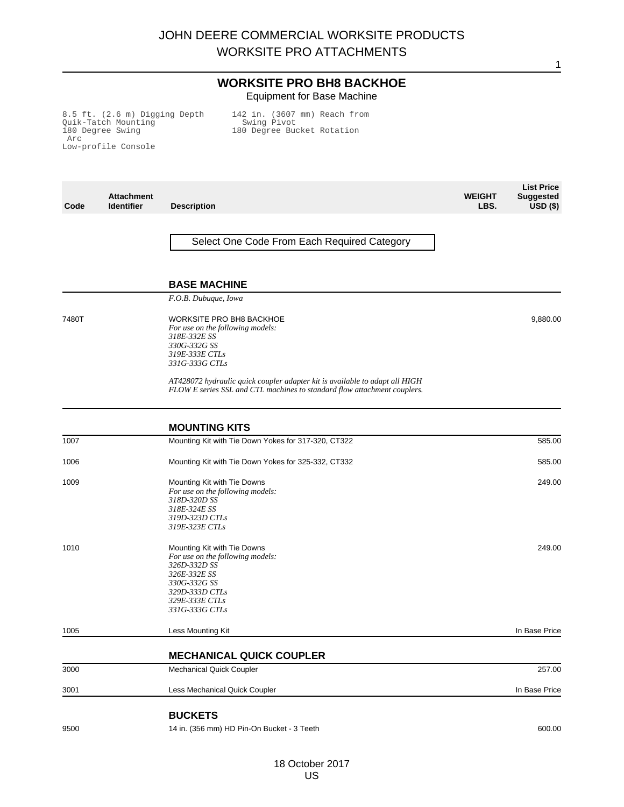#### **WORKSITE PRO BH8 BACKHOE** Equipment for Base Machine

**WEIGHT**

**List Price Suggested**

1

8.5 ft. (2.6 m) Digging Depth Quik-Tatch Mounting 180 Degree Swing Arc Low-profile Console

142 in. (3607 mm) Reach from Swing Pivot 180 Degree Bucket Rotation

**Code Attachment Description LBS. USD (\$)** Select One Code From Each Required Category **BASE MACHINE** *F.O.B. Dubuque, Iowa* 7480T WORKSITE PRO BH8 BACKHOE *For use on the following models: 318E-332E SS 330G-332G SS 319E-333E CTLs 331G-333G CTLs AT428072 hydraulic quick coupler adapter kit is available to adapt all HIGH FLOW E series SSL and CTL machines to standard flow attachment couplers.* 9,880.00 **MOUNTING KITS** 1007 Mounting Kit with Tie Down Yokes for 317-320, CT322 585.00 1006 Mounting Kit with Tie Down Yokes for 325-332, CT332 585.00 1009 Mounting Kit with Tie Downs *For use on the following models: 318D-320D SS 318E-324E SS 319D-323D CTLs 319E-323E CTLs* 249.00 1010 Mounting Kit with Tie Downs *For use on the following models: 326D-332D SS 326E-332E SS 330G-332G SS 329D-333D CTLs 329E-333E CTLs 331G-333G CTLs* 249.00 1005 **1005** Less Mounting Kit In Base Price **Contract Contract Contract Contract Contract Contract Contract Contract Contract Contract Contract Contract Contract Contract Contract Contract Contract Contract Contract Contra MECHANICAL QUICK COUPLER** 3000 Mechanical Quick Coupler 257.00 3001 Less Mechanical Quick Coupler In Base Price **BUCKETS** 9500 14 in. (356 mm) HD Pin-On Bucket - 3 Teeth 600.00 14 in. (356 mm) HD Pin-On Bucket - 3 Teeth 600.00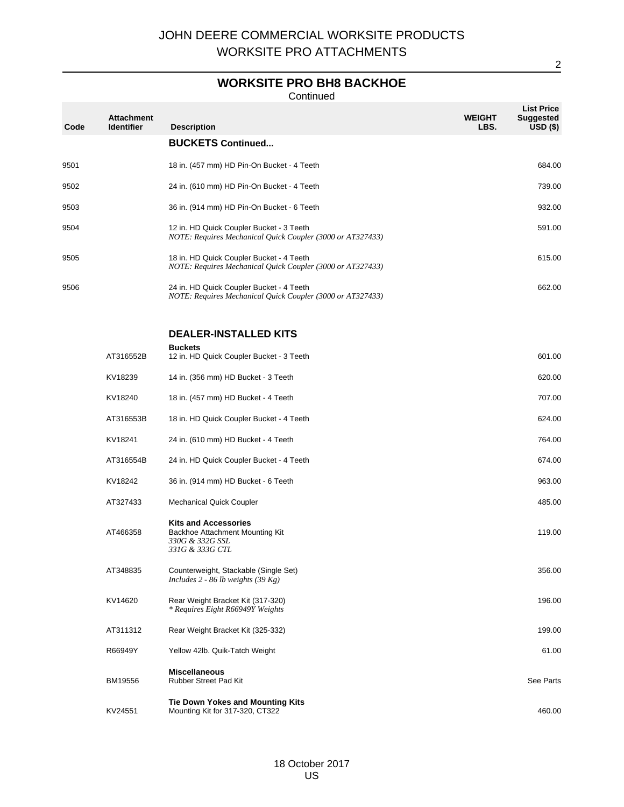# **WORKSITE PRO BH8 BACKHOE**

**Continued** 

| Code | <b>Attachment</b><br><b>Identifier</b> | <b>Description</b>                                                                                     | <b>WEIGHT</b><br>LBS. | <b>List Price</b><br><b>Suggested</b><br>$USD($ \$) |
|------|----------------------------------------|--------------------------------------------------------------------------------------------------------|-----------------------|-----------------------------------------------------|
|      |                                        | <b>BUCKETS Continued</b>                                                                               |                       |                                                     |
| 9501 |                                        | 18 in. (457 mm) HD Pin-On Bucket - 4 Teeth                                                             |                       | 684.00                                              |
| 9502 |                                        | 24 in. (610 mm) HD Pin-On Bucket - 4 Teeth                                                             |                       | 739.00                                              |
| 9503 |                                        | 36 in. (914 mm) HD Pin-On Bucket - 6 Teeth                                                             |                       | 932.00                                              |
| 9504 |                                        | 12 in. HD Quick Coupler Bucket - 3 Teeth<br>NOTE: Requires Mechanical Quick Coupler (3000 or AT327433) |                       | 591.00                                              |
| 9505 |                                        | 18 in. HD Quick Coupler Bucket - 4 Teeth<br>NOTE: Requires Mechanical Quick Coupler (3000 or AT327433) |                       | 615.00                                              |
| 9506 |                                        | 24 in. HD Quick Coupler Bucket - 4 Teeth<br>NOTE: Requires Mechanical Quick Coupler (3000 or AT327433) |                       | 662.00                                              |
|      |                                        | <b>DEALER-INSTALLED KITS</b>                                                                           |                       |                                                     |
|      | AT316552B                              | <b>Buckets</b><br>12 in. HD Quick Coupler Bucket - 3 Teeth                                             |                       | 601.00                                              |
|      | KV18239                                | 14 in. (356 mm) HD Bucket - 3 Teeth                                                                    |                       | 620.00                                              |
|      | KV18240                                | 18 in. (457 mm) HD Bucket - 4 Teeth                                                                    |                       | 707.00                                              |
|      | AT316553B                              | 18 in. HD Quick Coupler Bucket - 4 Teeth                                                               |                       | 624.00                                              |
|      | KV18241                                | 24 in. (610 mm) HD Bucket - 4 Teeth                                                                    |                       | 764.00                                              |
|      | AT316554B                              | 24 in. HD Quick Coupler Bucket - 4 Teeth                                                               |                       | 674.00                                              |
|      | KV18242                                | 36 in. (914 mm) HD Bucket - 6 Teeth                                                                    |                       | 963.00                                              |
|      | AT327433                               | <b>Mechanical Quick Coupler</b>                                                                        |                       | 485.00                                              |
|      | AT466358                               | <b>Kits and Accessories</b><br>Backhoe Attachment Mounting Kit<br>330G & 332G SSL<br>331G & 333G CTL   |                       | 119.00                                              |
|      | AT348835                               | Counterweight, Stackable (Single Set)<br>Includes $2 - 86$ lb weights (39 Kg)                          |                       | 356.00                                              |
|      | KV14620                                | Rear Weight Bracket Kit (317-320)<br>* Requires Eight R66949Y Weights                                  |                       | 196.00                                              |
|      | AT311312                               | Rear Weight Bracket Kit (325-332)                                                                      |                       | 199.00                                              |
|      | R66949Y                                | Yellow 42lb. Quik-Tatch Weight                                                                         |                       | 61.00                                               |
|      | BM19556                                | <b>Miscellaneous</b><br>Rubber Street Pad Kit                                                          |                       | See Parts                                           |
|      | KV24551                                | <b>Tie Down Yokes and Mounting Kits</b><br>Mounting Kit for 317-320, CT322                             |                       | 460.00                                              |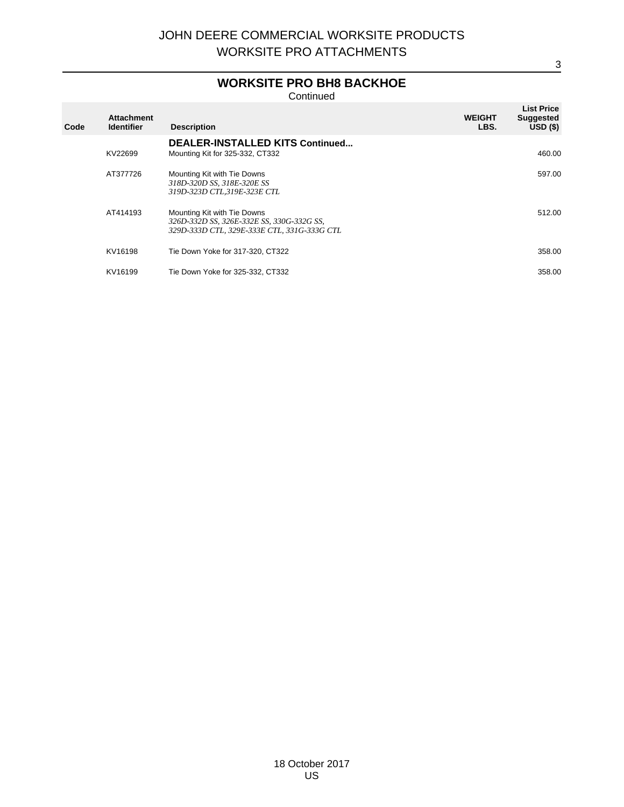# **WORKSITE PRO BH8 BACKHOE**

**Continued** 

| Code | <b>Attachment</b><br><b>Identifier</b> | <b>Description</b>                                                                                                      | <b>WEIGHT</b><br>LBS. | <b>List Price</b><br><b>Suggested</b><br>USD(S) |
|------|----------------------------------------|-------------------------------------------------------------------------------------------------------------------------|-----------------------|-------------------------------------------------|
|      | KV22699                                | <b>DEALER-INSTALLED KITS Continued</b><br>Mounting Kit for 325-332, CT332                                               |                       | 460.00                                          |
|      | AT377726                               | Mounting Kit with Tie Downs<br>318D-320D SS, 318E-320E SS<br>319D-323D CTL,319E-323E CTL                                |                       | 597.00                                          |
|      | AT414193                               | Mounting Kit with Tie Downs<br>326D-332D SS, 326E-332E SS, 330G-332G SS,<br>329D-333D CTL, 329E-333E CTL, 331G-333G CTL |                       | 512.00                                          |
|      | KV16198                                | Tie Down Yoke for 317-320, CT322                                                                                        |                       | 358.00                                          |
|      | KV16199                                | Tie Down Yoke for 325-332, CT332                                                                                        |                       | 358.00                                          |
|      |                                        |                                                                                                                         |                       |                                                 |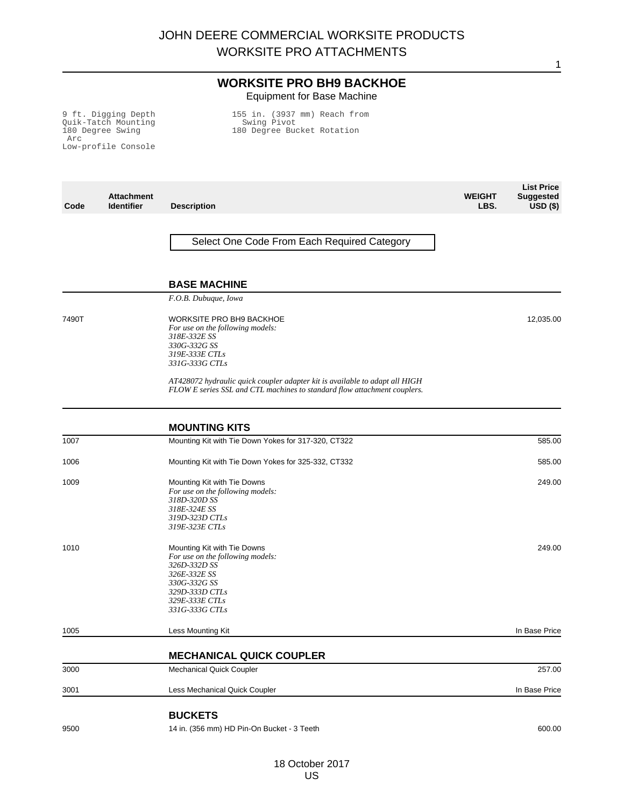### **WORKSITE PRO BH9 BACKHOE** Equipment for Base Machine

9 ft. Digging Depth Quik-Tatch Mounting 180 Degree Swing Arc Low-profile Console 155 in. (3937 mm) Reach from Swing Pivot 180 Degree Bucket Rotation

| Code  | <b>Attachment</b><br><b>Identifier</b> | <b>Description</b>                                                                                                                                                    | <b>WEIGHT</b><br>LBS. | <b>Suggested</b><br>$USD($ \$) |
|-------|----------------------------------------|-----------------------------------------------------------------------------------------------------------------------------------------------------------------------|-----------------------|--------------------------------|
|       |                                        |                                                                                                                                                                       |                       |                                |
|       |                                        | Select One Code From Each Required Category                                                                                                                           |                       |                                |
|       |                                        |                                                                                                                                                                       |                       |                                |
|       |                                        | <b>BASE MACHINE</b>                                                                                                                                                   |                       |                                |
|       |                                        | F.O.B. Dubuque, Iowa                                                                                                                                                  |                       |                                |
| 7490T |                                        | <b>WORKSITE PRO BH9 BACKHOE</b><br>For use on the following models:<br>318E-332E SS<br>330G-332G SS<br>319E-333E CTLs<br>331G-333G CTLs                               |                       | 12,035.00                      |
|       |                                        | AT428072 hydraulic quick coupler adapter kit is available to adapt all HIGH<br>FLOW E series SSL and CTL machines to standard flow attachment couplers.               |                       |                                |
|       |                                        | <b>MOUNTING KITS</b>                                                                                                                                                  |                       |                                |
| 1007  |                                        | Mounting Kit with Tie Down Yokes for 317-320, CT322                                                                                                                   |                       | 585.00                         |
| 1006  |                                        | Mounting Kit with Tie Down Yokes for 325-332, CT332                                                                                                                   |                       | 585.00                         |
| 1009  |                                        | Mounting Kit with Tie Downs<br>For use on the following models:<br>318D-320D SS<br>318E-324E SS<br>319D-323D CTLs<br>319E-323E CTLs                                   |                       | 249.00                         |
| 1010  |                                        | Mounting Kit with Tie Downs<br>For use on the following models:<br>326D-332D SS<br>326E-332E SS<br>330G-332G SS<br>329D-333D CTLs<br>329E-333E CTLs<br>331G-333G CTLs |                       | 249.00                         |
| 1005  |                                        | Less Mounting Kit                                                                                                                                                     |                       | In Base Price                  |
|       |                                        | <b>MECHANICAL QUICK COUPLER</b>                                                                                                                                       |                       |                                |
| 3000  |                                        | Mechanical Quick Coupler                                                                                                                                              |                       | 257.00                         |
| 3001  |                                        | Less Mechanical Quick Coupler                                                                                                                                         |                       | In Base Price                  |
|       |                                        | <b>BUCKETS</b>                                                                                                                                                        |                       |                                |
| 9500  |                                        | 14 in. (356 mm) HD Pin-On Bucket - 3 Teeth                                                                                                                            |                       | 600.00                         |

**List Price**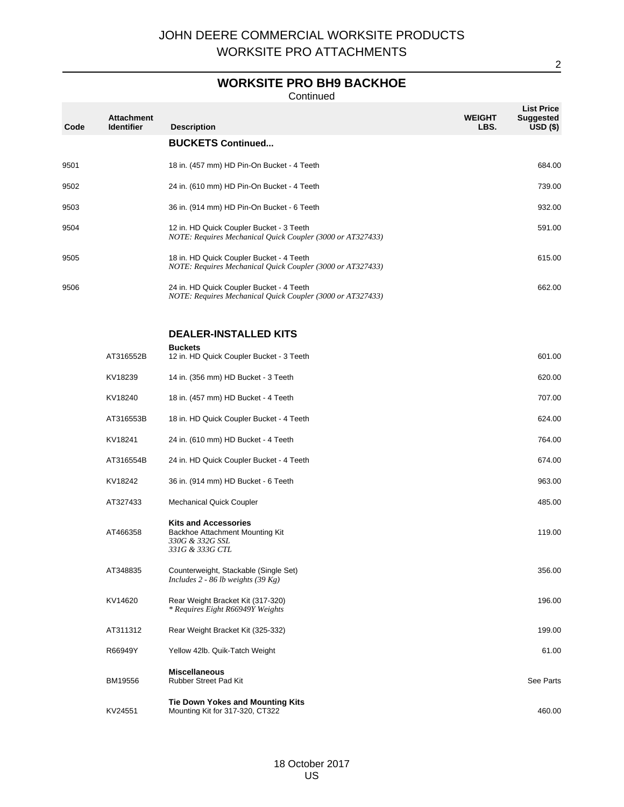# **WORKSITE PRO BH9 BACKHOE**

Continued

| Code | <b>Attachment</b><br><b>Identifier</b> | <b>Description</b>                                                                                     | <b>WEIGHT</b><br>LBS. | <b>List Price</b><br><b>Suggested</b><br>$USD($ \$) |
|------|----------------------------------------|--------------------------------------------------------------------------------------------------------|-----------------------|-----------------------------------------------------|
|      |                                        | <b>BUCKETS Continued</b>                                                                               |                       |                                                     |
| 9501 |                                        | 18 in. (457 mm) HD Pin-On Bucket - 4 Teeth                                                             |                       | 684.00                                              |
| 9502 |                                        | 24 in. (610 mm) HD Pin-On Bucket - 4 Teeth                                                             |                       | 739.00                                              |
| 9503 |                                        | 36 in. (914 mm) HD Pin-On Bucket - 6 Teeth                                                             |                       | 932.00                                              |
| 9504 |                                        | 12 in. HD Quick Coupler Bucket - 3 Teeth<br>NOTE: Requires Mechanical Quick Coupler (3000 or AT327433) |                       | 591.00                                              |
| 9505 |                                        | 18 in. HD Quick Coupler Bucket - 4 Teeth<br>NOTE: Requires Mechanical Quick Coupler (3000 or AT327433) |                       | 615.00                                              |
| 9506 |                                        | 24 in. HD Quick Coupler Bucket - 4 Teeth<br>NOTE: Requires Mechanical Quick Coupler (3000 or AT327433) |                       | 662.00                                              |
|      |                                        | <b>DEALER-INSTALLED KITS</b>                                                                           |                       |                                                     |
|      | AT316552B                              | <b>Buckets</b><br>12 in. HD Quick Coupler Bucket - 3 Teeth                                             |                       | 601.00                                              |
|      | KV18239                                | 14 in. (356 mm) HD Bucket - 3 Teeth                                                                    |                       | 620.00                                              |
|      | KV18240                                | 18 in. (457 mm) HD Bucket - 4 Teeth                                                                    |                       | 707.00                                              |
|      | AT316553B                              | 18 in. HD Quick Coupler Bucket - 4 Teeth                                                               |                       | 624.00                                              |
|      | KV18241                                | 24 in. (610 mm) HD Bucket - 4 Teeth                                                                    |                       | 764.00                                              |
|      | AT316554B                              | 24 in. HD Quick Coupler Bucket - 4 Teeth                                                               |                       | 674.00                                              |
|      | KV18242                                | 36 in. (914 mm) HD Bucket - 6 Teeth                                                                    |                       | 963.00                                              |
|      | AT327433                               | <b>Mechanical Quick Coupler</b>                                                                        |                       | 485.00                                              |
|      | AT466358                               | <b>Kits and Accessories</b><br>Backhoe Attachment Mounting Kit<br>330G & 332G SSL<br>331G & 333G CTL   |                       | 119.00                                              |
|      | AT348835                               | Counterweight, Stackable (Single Set)<br>Includes $2 - 86$ lb weights (39 Kg)                          |                       | 356.00                                              |
|      | KV14620                                | Rear Weight Bracket Kit (317-320)<br>* Requires Eight R66949Y Weights                                  |                       | 196.00                                              |
|      | AT311312                               | Rear Weight Bracket Kit (325-332)                                                                      |                       | 199.00                                              |
|      | R66949Y                                | Yellow 42lb. Quik-Tatch Weight                                                                         |                       | 61.00                                               |
|      | BM19556                                | <b>Miscellaneous</b><br>Rubber Street Pad Kit                                                          |                       | See Parts                                           |
|      | KV24551                                | <b>Tie Down Yokes and Mounting Kits</b><br>Mounting Kit for 317-320, CT322                             |                       | 460.00                                              |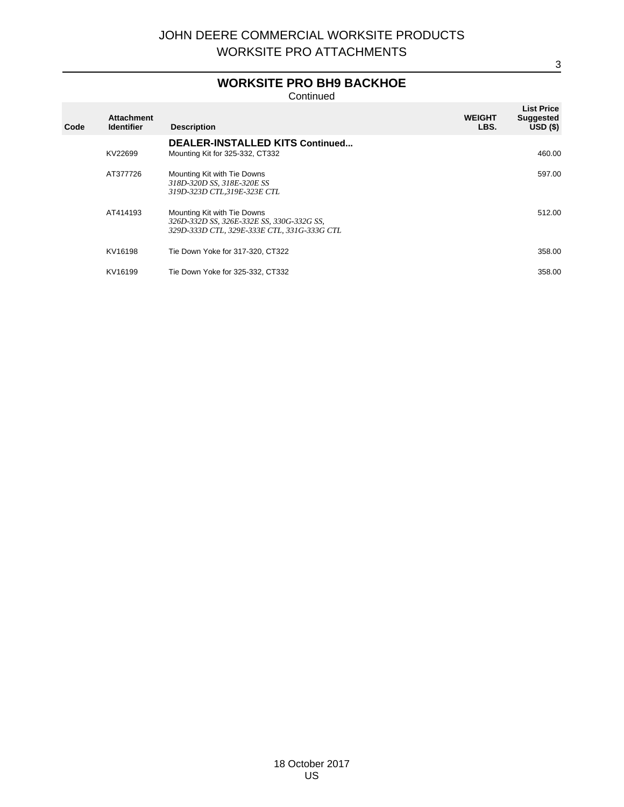# **WORKSITE PRO BH9 BACKHOE**

Continued

| Code | <b>Attachment</b><br><b>Identifier</b> | <b>Description</b>                                                                                                      | <b>WEIGHT</b><br>LBS. | <b>List Price</b><br><b>Suggested</b><br>USD(S) |
|------|----------------------------------------|-------------------------------------------------------------------------------------------------------------------------|-----------------------|-------------------------------------------------|
|      | KV22699                                | <b>DEALER-INSTALLED KITS Continued</b><br>Mounting Kit for 325-332, CT332                                               |                       | 460.00                                          |
|      | AT377726                               | Mounting Kit with Tie Downs<br>318D-320D SS, 318E-320E SS<br>319D-323D CTL,319E-323E CTL                                |                       | 597.00                                          |
|      | AT414193                               | Mounting Kit with Tie Downs<br>326D-332D SS, 326E-332E SS, 330G-332G SS,<br>329D-333D CTL, 329E-333E CTL, 331G-333G CTL |                       | 512.00                                          |
|      | KV16198                                | Tie Down Yoke for 317-320, CT322                                                                                        |                       | 358.00                                          |
|      | KV16199                                | Tie Down Yoke for 325-332, CT332                                                                                        |                       | 358.00                                          |
|      |                                        |                                                                                                                         |                       |                                                 |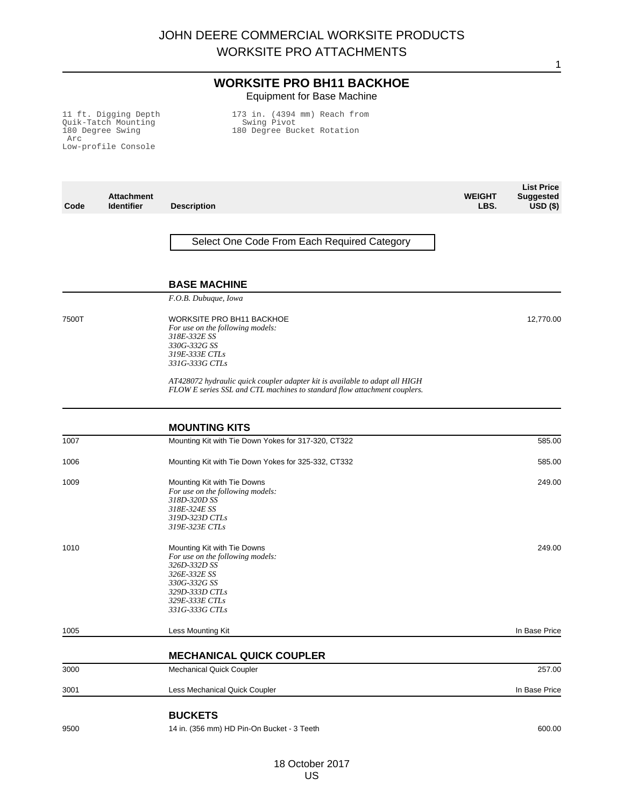### **WORKSITE PRO BH11 BACKHOE** Equipment for Base Machine

11 ft. Digging Depth Quik-Tatch Mounting 180 Degree Swing Arc Low-profile Console

173 in. (4394 mm) Reach from Swing Pivot 180 Degree Bucket Rotation

| Code  | <b>Attachment</b><br><b>Identifier</b> | <b>Description</b>                                                                                                                                                    | <b>WEIGHT</b><br>LBS. | LIST LICE<br><b>Suggested</b><br>$\overline{USD}$ (\$) |
|-------|----------------------------------------|-----------------------------------------------------------------------------------------------------------------------------------------------------------------------|-----------------------|--------------------------------------------------------|
|       |                                        |                                                                                                                                                                       |                       |                                                        |
|       |                                        | Select One Code From Each Required Category                                                                                                                           |                       |                                                        |
|       |                                        | <b>BASE MACHINE</b>                                                                                                                                                   |                       |                                                        |
|       |                                        | F.O.B. Dubuque, Iowa                                                                                                                                                  |                       |                                                        |
| 7500T |                                        | <b>WORKSITE PRO BH11 BACKHOE</b><br>For use on the following models:<br>318E-332E SS<br>330G-332G SS<br>319E-333E CTLs<br>331G-333G CTLs                              |                       | 12,770.00                                              |
|       |                                        | AT428072 hydraulic quick coupler adapter kit is available to adapt all HIGH<br>FLOW E series SSL and CTL machines to standard flow attachment couplers.               |                       |                                                        |
|       |                                        | <b>MOUNTING KITS</b>                                                                                                                                                  |                       |                                                        |
| 1007  |                                        | Mounting Kit with Tie Down Yokes for 317-320, CT322                                                                                                                   |                       | 585.00                                                 |
| 1006  |                                        | Mounting Kit with Tie Down Yokes for 325-332, CT332                                                                                                                   |                       | 585.00                                                 |
| 1009  |                                        | Mounting Kit with Tie Downs<br>For use on the following models:<br>318D-320D SS<br>318E-324E SS<br>319D-323D CTLs<br>319E-323E CTLs                                   |                       | 249.00                                                 |
| 1010  |                                        | Mounting Kit with Tie Downs<br>For use on the following models:<br>326D-332D SS<br>326E-332E SS<br>330G-332G SS<br>329D-333D CTLs<br>329E-333E CTLs<br>331G-333G CTLs |                       | 249.00                                                 |
| 1005  |                                        | Less Mounting Kit                                                                                                                                                     |                       | In Base Price                                          |
|       |                                        | <b>MECHANICAL QUICK COUPLER</b>                                                                                                                                       |                       |                                                        |
| 3000  |                                        | Mechanical Quick Coupler                                                                                                                                              |                       | 257.00                                                 |
| 3001  |                                        | Less Mechanical Quick Coupler                                                                                                                                         |                       | In Base Price                                          |
|       |                                        | <b>BUCKETS</b>                                                                                                                                                        |                       |                                                        |
| 9500  |                                        | 14 in. (356 mm) HD Pin-On Bucket - 3 Teeth                                                                                                                            |                       | 600.00                                                 |

**List Police**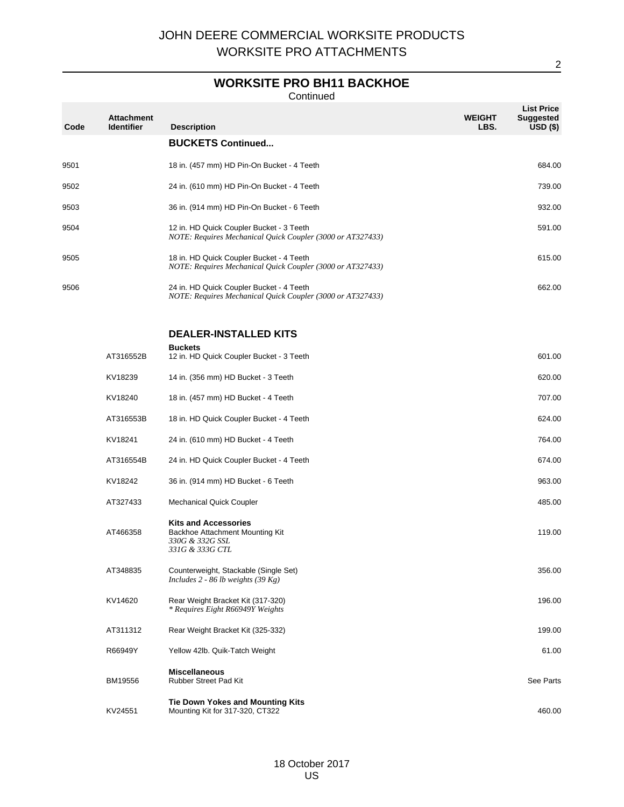# **WORKSITE PRO BH11 BACKHOE**

**Continued** 

| Code | <b>Attachment</b><br><b>Identifier</b> | <b>Description</b>                                                                                     | <b>WEIGHT</b><br>LBS. | <b>List Price</b><br><b>Suggested</b><br>$USD($ \$) |
|------|----------------------------------------|--------------------------------------------------------------------------------------------------------|-----------------------|-----------------------------------------------------|
|      |                                        | <b>BUCKETS Continued</b>                                                                               |                       |                                                     |
| 9501 |                                        | 18 in. (457 mm) HD Pin-On Bucket - 4 Teeth                                                             |                       | 684.00                                              |
| 9502 |                                        | 24 in. (610 mm) HD Pin-On Bucket - 4 Teeth                                                             |                       | 739.00                                              |
| 9503 |                                        | 36 in. (914 mm) HD Pin-On Bucket - 6 Teeth                                                             |                       | 932.00                                              |
| 9504 |                                        | 12 in. HD Quick Coupler Bucket - 3 Teeth<br>NOTE: Requires Mechanical Quick Coupler (3000 or AT327433) |                       | 591.00                                              |
| 9505 |                                        | 18 in. HD Quick Coupler Bucket - 4 Teeth<br>NOTE: Requires Mechanical Quick Coupler (3000 or AT327433) |                       | 615.00                                              |
| 9506 |                                        | 24 in. HD Quick Coupler Bucket - 4 Teeth<br>NOTE: Requires Mechanical Quick Coupler (3000 or AT327433) |                       | 662.00                                              |
|      |                                        | <b>DEALER-INSTALLED KITS</b>                                                                           |                       |                                                     |
|      | AT316552B                              | <b>Buckets</b><br>12 in. HD Quick Coupler Bucket - 3 Teeth                                             |                       | 601.00                                              |
|      | KV18239                                | 14 in. (356 mm) HD Bucket - 3 Teeth                                                                    |                       | 620.00                                              |
|      | KV18240                                | 18 in. (457 mm) HD Bucket - 4 Teeth                                                                    |                       | 707.00                                              |
|      | AT316553B                              | 18 in. HD Quick Coupler Bucket - 4 Teeth                                                               |                       | 624.00                                              |
|      | KV18241                                | 24 in. (610 mm) HD Bucket - 4 Teeth                                                                    |                       | 764.00                                              |
|      | AT316554B                              | 24 in. HD Quick Coupler Bucket - 4 Teeth                                                               |                       | 674.00                                              |
|      | KV18242                                | 36 in. (914 mm) HD Bucket - 6 Teeth                                                                    |                       | 963.00                                              |
|      | AT327433                               | <b>Mechanical Quick Coupler</b>                                                                        |                       | 485.00                                              |
|      | AT466358                               | <b>Kits and Accessories</b><br>Backhoe Attachment Mounting Kit<br>330G & 332G SSL<br>331G & 333G CTL   |                       | 119.00                                              |
|      | AT348835                               | Counterweight, Stackable (Single Set)<br>Includes 2 - 86 lb weights (39 Kg)                            |                       | 356.00                                              |
|      | KV14620                                | Rear Weight Bracket Kit (317-320)<br>* Requires Eight R66949Y Weights                                  |                       | 196.00                                              |
|      | AT311312                               | Rear Weight Bracket Kit (325-332)                                                                      |                       | 199.00                                              |
|      | R66949Y                                | Yellow 42lb. Quik-Tatch Weight                                                                         |                       | 61.00                                               |
|      | BM19556                                | <b>Miscellaneous</b><br>Rubber Street Pad Kit                                                          |                       | See Parts                                           |
|      | KV24551                                | Tie Down Yokes and Mounting Kits<br>Mounting Kit for 317-320, CT322                                    |                       | 460.00                                              |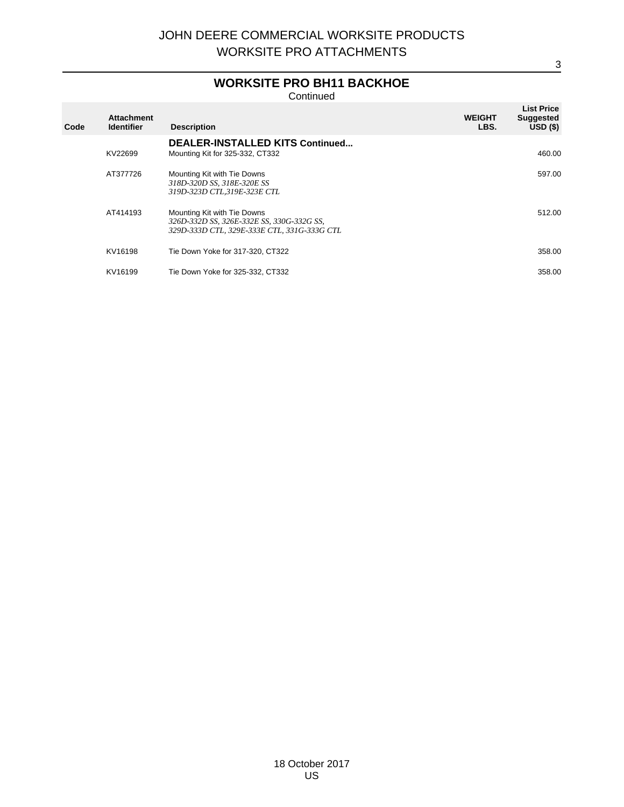# **WORKSITE PRO BH11 BACKHOE**

**Continued** 

| Code | <b>Attachment</b><br><b>Identifier</b> | <b>Description</b>                                                                                                      | <b>WEIGHT</b><br>LBS. | <b>List Price</b><br><b>Suggested</b><br>USD(S) |
|------|----------------------------------------|-------------------------------------------------------------------------------------------------------------------------|-----------------------|-------------------------------------------------|
|      | KV22699                                | <b>DEALER-INSTALLED KITS Continued</b><br>Mounting Kit for 325-332, CT332                                               |                       | 460.00                                          |
|      | AT377726                               | Mounting Kit with Tie Downs<br>318D-320D SS, 318E-320E SS<br>319D-323D CTL,319E-323E CTL                                |                       | 597.00                                          |
|      | AT414193                               | Mounting Kit with Tie Downs<br>326D-332D SS, 326E-332E SS, 330G-332G SS,<br>329D-333D CTL, 329E-333E CTL, 331G-333G CTL |                       | 512.00                                          |
|      | KV16198                                | Tie Down Yoke for 317-320, CT322                                                                                        |                       | 358.00                                          |
|      | KV16199                                | Tie Down Yoke for 325-332, CT332                                                                                        |                       | 358.00                                          |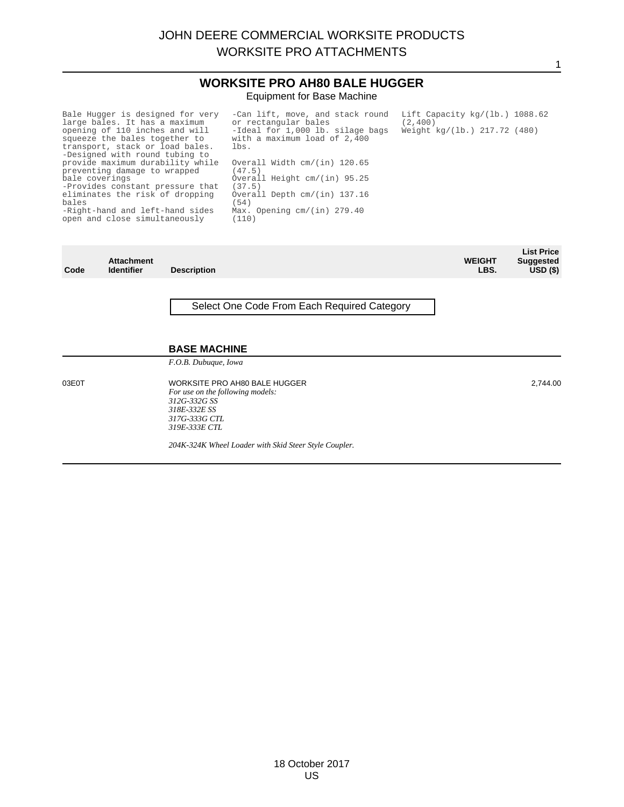### **WORKSITE PRO AH80 BALE HUGGER** Equipment for Base Machine

| Bale Hugger is designed for very<br>large bales. It has a maximum<br>opening of 110 inches and will<br>squeeze the bales together to<br>transport, stack or load bales.<br>-Designed with round tubing to | -Can lift, move, and stack round<br>or rectangular bales<br>-Ideal for 1,000 lb. silage bags<br>with a maximum load of 2,400<br>lbs. | Lift Capacity $kq/(1b.)$ 1088.62<br>(2, 400)<br>Weight kg/(lb.) 217.72 (480) |
|-----------------------------------------------------------------------------------------------------------------------------------------------------------------------------------------------------------|--------------------------------------------------------------------------------------------------------------------------------------|------------------------------------------------------------------------------|
| provide maximum durability while<br>preventing damage to wrapped<br>bale coverings<br>-Provides constant pressure that                                                                                    | Overall Width cm/(in) 120.65<br>(47.5)<br>Overall Height cm/(in) 95.25<br>(37.5)                                                     |                                                                              |
| eliminates the risk of dropping<br>bales<br>-Right-hand and left-hand sides<br>open and close simultaneously                                                                                              | Overall Depth cm/(in) 137.16<br>(54)<br>Max. Opening $cm/(in)$ 279.40<br>(110)                                                       |                                                                              |

| Code  | <b>Attachment</b><br><b>Identifier</b> | <b>Description</b>                                                                                                                  | <b>WEIGHT</b><br>LBS. | <b>List Price</b><br><b>Suggested</b><br>$USD($ \$) |
|-------|----------------------------------------|-------------------------------------------------------------------------------------------------------------------------------------|-----------------------|-----------------------------------------------------|
|       |                                        | Select One Code From Each Required Category                                                                                         |                       |                                                     |
|       |                                        | <b>BASE MACHINE</b><br>F.O.B. Dubuque, Iowa                                                                                         |                       |                                                     |
| 03E0T |                                        | WORKSITE PRO AH80 BALE HUGGER<br>For use on the following models:<br>312G-332G SS<br>318E-332E SS<br>317G-333G CTL<br>319E-333E CTL |                       | 2,744.00                                            |
|       |                                        | 204K-324K Wheel Loader with Skid Steer Style Coupler.                                                                               |                       |                                                     |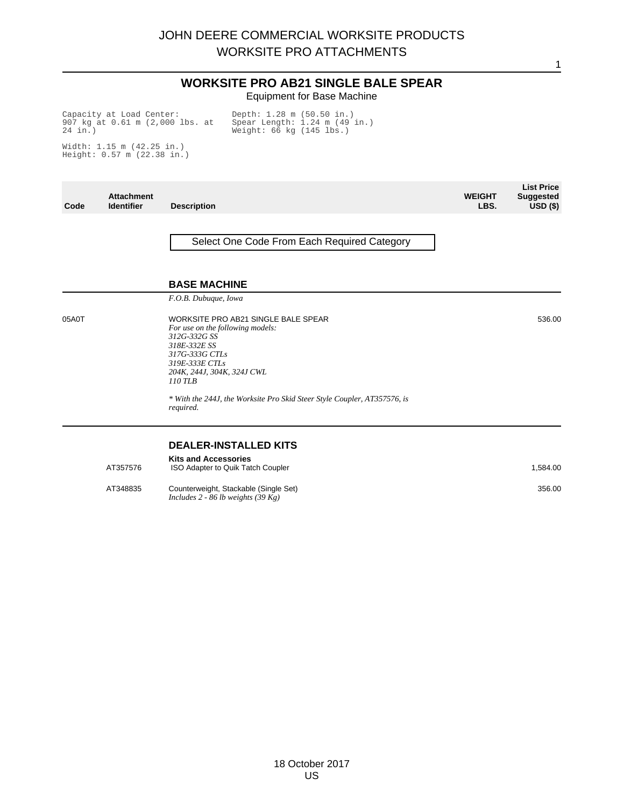#### **WORKSITE PRO AB21 SINGLE BALE SPEAR** Equipment for Base Machine

**List Price** 

1

Capacity at Load Center: 907 kg at 0.61 m (2,000 lbs. at 24 in.)

Depth: 1.28 m (50.50 in.) Spear Length: 1.24 m (49 in.) Weight: 66 kg (145 lbs.)

Width: 1.15 m (42.25 in.) Height: 0.57 m (22.38 in.)

| Code  | <b>Attachment</b><br><b>Identifier</b> | <b>Description</b>                                                                                                                                                                                                                                                              | <b>WEIGHT</b><br>LBS. | LIST Price<br><b>Suggested</b><br>$USD($ \$) |
|-------|----------------------------------------|---------------------------------------------------------------------------------------------------------------------------------------------------------------------------------------------------------------------------------------------------------------------------------|-----------------------|----------------------------------------------|
|       |                                        | Select One Code From Each Required Category                                                                                                                                                                                                                                     |                       |                                              |
|       |                                        | <b>BASE MACHINE</b>                                                                                                                                                                                                                                                             |                       |                                              |
|       |                                        | F.O.B. Dubuque, Iowa                                                                                                                                                                                                                                                            |                       |                                              |
| 05A0T |                                        | WORKSITE PRO AB21 SINGLE BALE SPEAR<br>For use on the following models:<br>312G-332G SS<br>318E-332E SS<br>317G-333G CTLs<br>319E-333E CTLs<br>204K, 244J, 304K, 324J CWL<br>$110$ TLB<br>* With the 244J, the Worksite Pro Skid Steer Style Coupler, AT357576, is<br>required. |                       | 536.00                                       |
|       |                                        |                                                                                                                                                                                                                                                                                 |                       |                                              |
|       |                                        | <b>DEALER-INSTALLED KITS</b>                                                                                                                                                                                                                                                    |                       |                                              |
|       | AT357576                               | <b>Kits and Accessories</b><br>ISO Adapter to Quik Tatch Coupler                                                                                                                                                                                                                |                       | 1,584.00                                     |
|       | AT348835                               | Counterweight, Stackable (Single Set)<br>Includes 2 - 86 lb weights $(39 \text{ Kg})$                                                                                                                                                                                           |                       | 356.00                                       |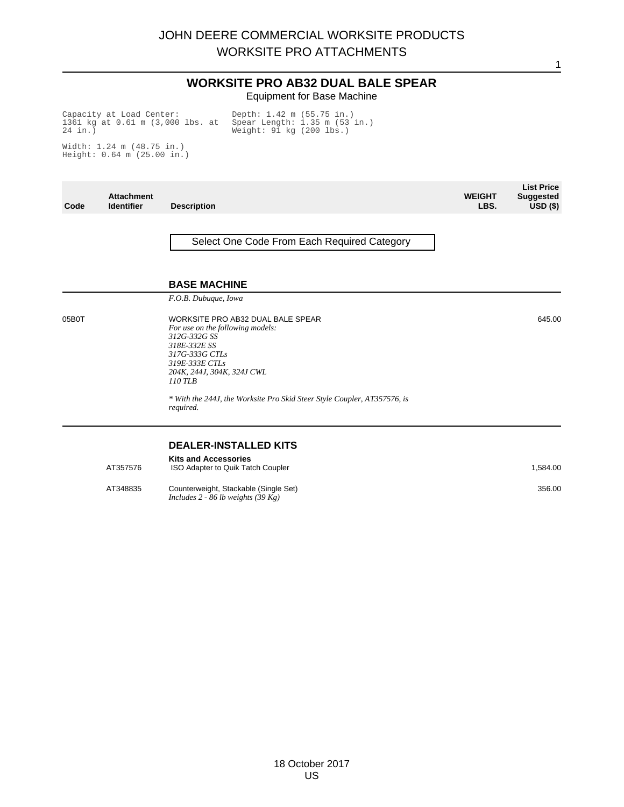#### **WORKSITE PRO AB32 DUAL BALE SPEAR** Equipment for Base Machine

Capacity at Load Center: 1361 kg at 0.61 m (3,000 lbs. at 24 in.)

Depth: 1.42 m (55.75 in.) Spear Length: 1.35 m (53 in.) Weight: 91 kg (200 lbs.)

Width: 1.24 m (48.75 in.) Height: 0.64 m (25.00 in.)

| Code  | <b>Attachment</b><br><b>Identifier</b> | <b>Description</b>                                                                                                                                                                                                                                                                                  | <b>WEIGHT</b><br>LBS. | <b>List Price</b><br><b>Suggested</b><br>$USD($ \$) |
|-------|----------------------------------------|-----------------------------------------------------------------------------------------------------------------------------------------------------------------------------------------------------------------------------------------------------------------------------------------------------|-----------------------|-----------------------------------------------------|
|       |                                        | Select One Code From Each Required Category                                                                                                                                                                                                                                                         |                       |                                                     |
|       |                                        | <b>BASE MACHINE</b>                                                                                                                                                                                                                                                                                 |                       |                                                     |
| 05B0T |                                        | F.O.B. Dubuque, Iowa<br>WORKSITE PRO AB32 DUAL BALE SPEAR<br>For use on the following models:<br>312G-332G SS<br>318E-332E SS<br>317G-333G CTLs<br>319E-333E CTLs<br>204K, 244J, 304K, 324J CWL<br>110 TLB<br>* With the 244J, the Worksite Pro Skid Steer Style Coupler, AT357576, is<br>required. |                       | 645.00                                              |
|       | AT357576<br>AT348835                   | <b>DEALER-INSTALLED KITS</b><br><b>Kits and Accessories</b><br>ISO Adapter to Quik Tatch Coupler<br>Counterweight, Stackable (Single Set)<br>Includes 2 - 86 lb weights $(39 \text{ Kg})$                                                                                                           |                       | 1,584.00<br>356.00                                  |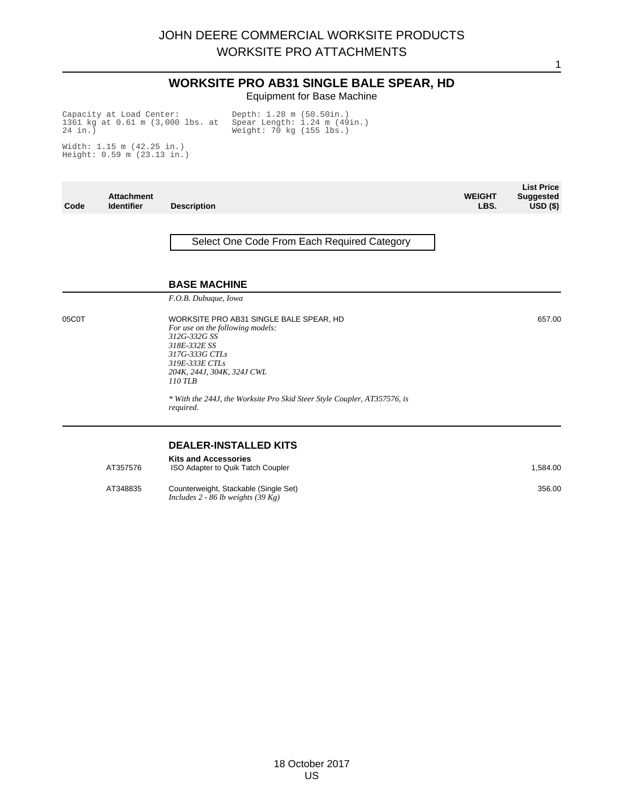#### **WORKSITE PRO AB31 SINGLE BALE SPEAR, HD** Equipment for Base Machine

1

Capacity at Load Center: 1361 kg at 0.61 m (3,000 lbs. at 24 in.)

Depth: 1.28 m (50.50in.) Spear Length: 1.24 m (49in.) Weight: 70 kg (155 lbs.)

Width: 1.15 m (42.25 in.) Height: 0.59 m (23.13 in.)

| Code  | <b>Attachment</b><br><b>Identifier</b> | <b>Description</b>                                                                                                                                                                                                                                                                | <b>WEIGHT</b><br>LBS. | <b>List Price</b><br><b>Suggested</b><br>$USD($ \$) |
|-------|----------------------------------------|-----------------------------------------------------------------------------------------------------------------------------------------------------------------------------------------------------------------------------------------------------------------------------------|-----------------------|-----------------------------------------------------|
|       |                                        | Select One Code From Each Required Category                                                                                                                                                                                                                                       |                       |                                                     |
|       |                                        | <b>BASE MACHINE</b><br>F.O.B. Dubuque, Iowa                                                                                                                                                                                                                                       |                       |                                                     |
| 05C0T |                                        | WORKSITE PRO AB31 SINGLE BALE SPEAR, HD<br>For use on the following models:<br>312G-332G SS<br>318E-332E SS<br>317G-333G CTLs<br>319E-333E CTLs<br>204K, 244J, 304K, 324J CWL<br>110 TLB<br>* With the 244J, the Worksite Pro Skid Steer Style Coupler, AT357576, is<br>required. |                       | 657.00                                              |
|       | AT357576                               | <b>DEALER-INSTALLED KITS</b><br><b>Kits and Accessories</b><br>ISO Adapter to Quik Tatch Coupler                                                                                                                                                                                  |                       | 1,584.00                                            |
|       | AT348835                               | Counterweight, Stackable (Single Set)<br>Includes 2 - 86 lb weights $(39 \text{ Kg})$                                                                                                                                                                                             |                       | 356.00                                              |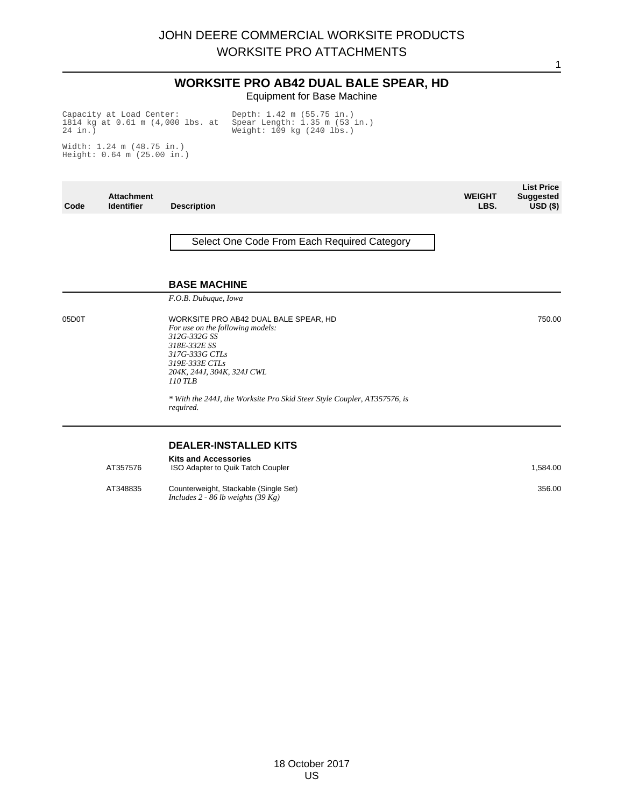### **WORKSITE PRO AB42 DUAL BALE SPEAR, HD** Equipment for Base Machine

**List Price** 

1

Capacity at Load Center: 1814 kg at 0.61 m (4,000 lbs. at 24 in.)

Depth: 1.42 m (55.75 in.) Spear Length: 1.35 m (53 in.) Weight: 109 kg (240 lbs.)

Width: 1.24 m (48.75 in.) Height: 0.64 m (25.00 in.)

| Code  | <b>Attachment</b><br><b>Identifier</b> | <b>Description</b>                                                                                                                                                                     | <b>WEIGHT</b><br>LBS. | <b>LIST Price</b><br><b>Suggested</b><br>$\overline{USD}$ (\$) |
|-------|----------------------------------------|----------------------------------------------------------------------------------------------------------------------------------------------------------------------------------------|-----------------------|----------------------------------------------------------------|
|       |                                        | Select One Code From Each Required Category                                                                                                                                            |                       |                                                                |
|       |                                        | <b>BASE MACHINE</b>                                                                                                                                                                    |                       |                                                                |
|       |                                        | F.O.B. Dubuque, Iowa                                                                                                                                                                   |                       |                                                                |
| 05D0T |                                        | WORKSITE PRO AB42 DUAL BALE SPEAR, HD<br>For use on the following models:<br>312G-332G SS<br>318E-332E SS<br>317G-333G CTLs<br>319E-333E CTLs<br>204K, 244J, 304K, 324J CWL<br>110 TLB |                       | 750.00                                                         |
|       |                                        | * With the 244J, the Worksite Pro Skid Steer Style Coupler, AT357576, is<br>required.                                                                                                  |                       |                                                                |
|       |                                        | <b>DEALER-INSTALLED KITS</b>                                                                                                                                                           |                       |                                                                |
|       | AT357576                               | <b>Kits and Accessories</b><br>ISO Adapter to Quik Tatch Coupler                                                                                                                       |                       | 1,584.00                                                       |
|       | AT348835                               | Counterweight, Stackable (Single Set)<br>Includes 2 - 86 lb weights $(39 \text{ Kg})$                                                                                                  |                       | 356.00                                                         |
|       |                                        |                                                                                                                                                                                        |                       |                                                                |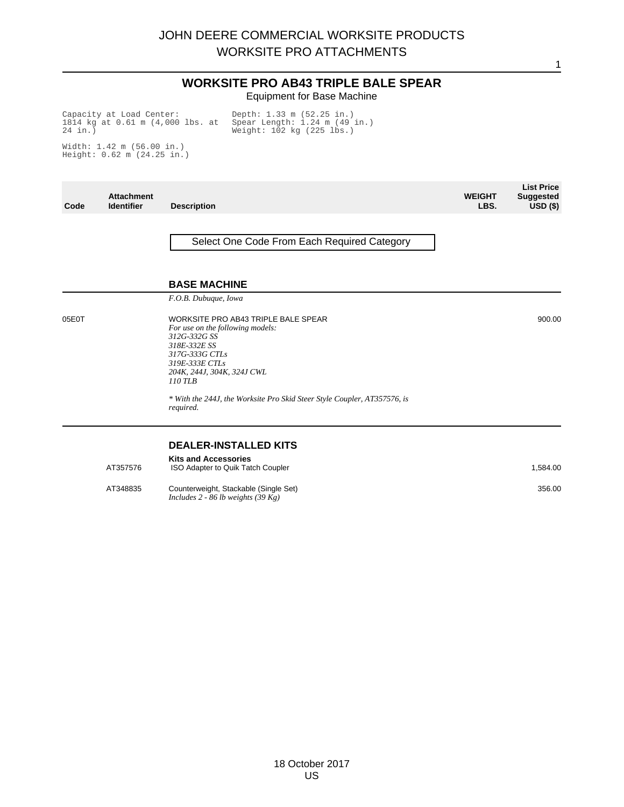1

#### **WORKSITE PRO AB43 TRIPLE BALE SPEAR** Equipment for Base Machine

Capacity at Load Center: 1814 kg at 0.61 m (4,000 lbs. at 24 in.) Depth: 1.33 m (52.25 in.) Spear Length: 1.24 m (49 in.) Weight: 102 kg (225 lbs.)

Width: 1.42 m (56.00 in.) Height: 0.62 m (24.25 in.)

**Code Attachment Description WEIGHT LBS. List Price Suggested USD (\$)** Select One Code From Each Required Category **BASE MACHINE** *F.O.B. Dubuque, Iowa* 05E0T WORKSITE PRO AB43 TRIPLE BALE SPEAR *For use on the following models: 312G-332G SS 318E-332E SS 317G-333G CTLs 319E-333E CTLs 204K, 244J, 304K, 324J CWL 110 TLB \* With the 244J, the Worksite Pro Skid Steer Style Coupler, AT357576, is required.* 900.00 **DEALER-INSTALLED KITS Kits and Accessories** AT357576 ISO Adapter to Quik Tatch Coupler 1,584.00 AT348835 Counterweight, Stackable (Single Set) *Includes 2 - 86 lb weights (39 Kg)* 356.00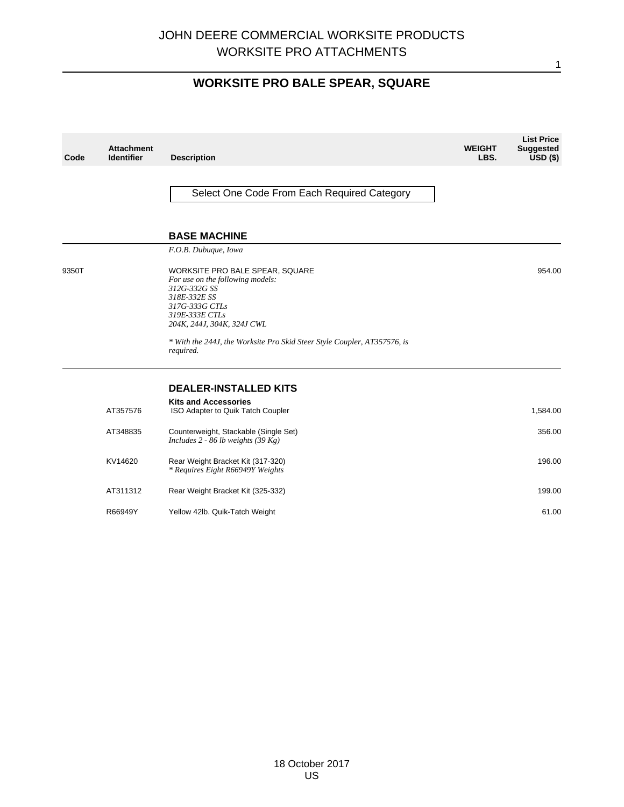1

# **WORKSITE PRO BALE SPEAR, SQUARE**

| Code  | <b>Attachment</b><br><b>Identifier</b> | <b>Description</b>                                                                                                                                                    | <b>WEIGHT</b><br>LBS. | <b>List Price</b><br><b>Suggested</b><br>$USD($ \$) |
|-------|----------------------------------------|-----------------------------------------------------------------------------------------------------------------------------------------------------------------------|-----------------------|-----------------------------------------------------|
|       |                                        | Select One Code From Each Required Category                                                                                                                           |                       |                                                     |
|       |                                        | <b>BASE MACHINE</b>                                                                                                                                                   |                       |                                                     |
|       |                                        | F.O.B. Dubuque, Iowa                                                                                                                                                  |                       |                                                     |
| 9350T |                                        | WORKSITE PRO BALE SPEAR, SQUARE<br>For use on the following models:<br>312G-332G SS<br>318E-332E SS<br>317G-333G CTLs<br>319E-333E CTLs<br>204K, 244J, 304K, 324J CWL |                       | 954.00                                              |
|       |                                        | * With the 244J, the Worksite Pro Skid Steer Style Coupler, AT357576, is<br>required.                                                                                 |                       |                                                     |
|       |                                        | <b>DEALER-INSTALLED KITS</b>                                                                                                                                          |                       |                                                     |
|       | AT357576                               | <b>Kits and Accessories</b><br>ISO Adapter to Quik Tatch Coupler                                                                                                      |                       | 1,584.00                                            |
|       | AT348835                               | Counterweight, Stackable (Single Set)<br>Includes $2 - 86$ lb weights (39 Kg)                                                                                         |                       | 356.00                                              |
|       | KV14620                                | Rear Weight Bracket Kit (317-320)<br>* Requires Eight R66949Y Weights                                                                                                 |                       | 196.00                                              |
|       | AT311312                               | Rear Weight Bracket Kit (325-332)                                                                                                                                     |                       | 199.00                                              |
|       | R66949Y                                | Yellow 42lb. Quik-Tatch Weight                                                                                                                                        |                       | 61.00                                               |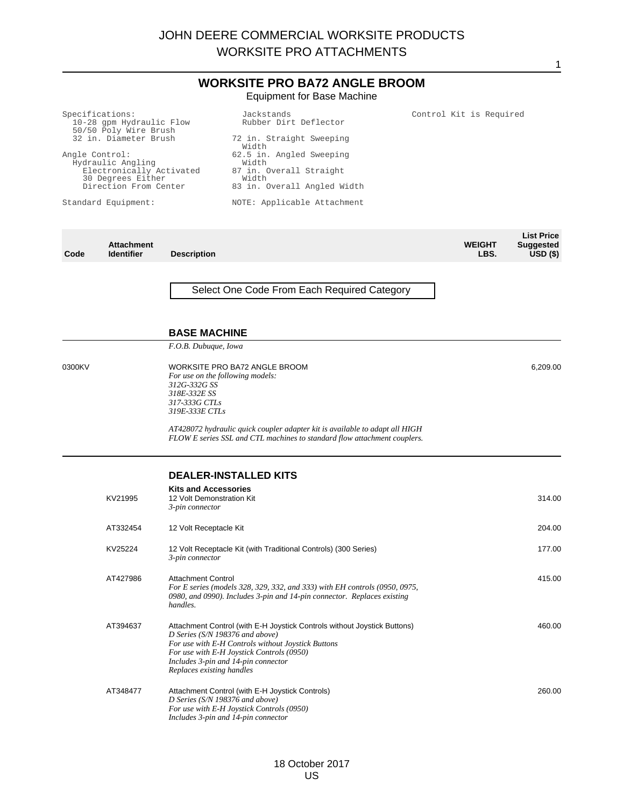#### Specifications: 10-28 gpm Hydraulic Flow 50/50 Poly Wire Brush 32 in. Diameter Brush Angle Control: Hydraulic Angling Electronically Activated 30 Degrees Either Direction From Center Standard Equipment: Jackstands Rubber Dirt Deflector 72 in. Straight Sweeping Width 62.5 in. Angled Sweeping Width 87 in. Overall Straight Width 83 in. Overall Angled Width NOTE: Applicable Attachment Control Kit is Required **Code Attachment Description WEIGHT LBS. List Price Suggested USD (\$)** Select One Code From Each Required Category **BASE MACHINE** *F.O.B. Dubuque, Iowa* 0300KV WORKSITE PRO BA72 ANGLE BROOM *For use on the following models: 312G-332G SS 318E-332E SS 317-333G CTLs 319E-333E CTLs AT428072 hydraulic quick coupler adapter kit is available to adapt all HIGH FLOW E series SSL and CTL machines to standard flow attachment couplers.* 6,209.00 **DEALER-INSTALLED KITS Kits and Accessories** KV21995 12 Volt Demonstration Kit *3-pin connector* 314.00 AT332454 12 Volt Receptacle Kit 204.00 KV25224 12 Volt Receptacle Kit (with Traditional Controls) (300 Series) *3-pin connector* 177.00 AT427986 Attachment Control *For E series (models 328, 329, 332, and 333) with EH controls (0950, 0975, 0980, and 0990). Includes 3-pin and 14-pin connector. Replaces existing handles.* 415.00 AT394637 Attachment Control (with E-H Joystick Controls without Joystick Buttons) *D Series (S/N 198376 and above) For use with E-H Controls without Joystick Buttons For use with E-H Joystick Controls (0950) Includes 3-pin and 14-pin connector Replaces existing handles* 460.00 AT348477 Attachment Control (with E-H Joystick Controls) *D Series (S/N 198376 and above) For use with E-H Joystick Controls (0950) Includes 3-pin and 14-pin connector* 260.00 **WORKSITE PRO BA72 ANGLE BROOM** Equipment for Base Machine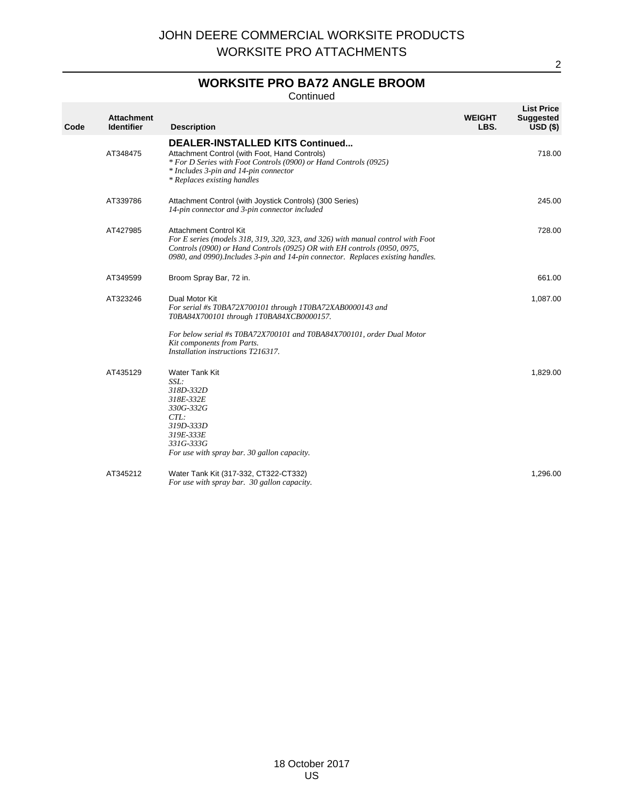### **WORKSITE PRO BA72 ANGLE BROOM**

Continued

| Code | <b>Attachment</b><br><b>Identifier</b> | <b>Description</b>                                                                                                                                                                                                                                                               | <b>WEIGHT</b><br>LBS. | <b>List Price</b><br><b>Suggested</b><br>$USD($ \$) |
|------|----------------------------------------|----------------------------------------------------------------------------------------------------------------------------------------------------------------------------------------------------------------------------------------------------------------------------------|-----------------------|-----------------------------------------------------|
|      | AT348475                               | <b>DEALER-INSTALLED KITS Continued</b><br>Attachment Control (with Foot, Hand Controls)<br>* For D Series with Foot Controls (0900) or Hand Controls (0925)<br>* Includes 3-pin and 14-pin connector<br>* Replaces existing handles                                              |                       | 718.00                                              |
|      | AT339786                               | Attachment Control (with Joystick Controls) (300 Series)<br>14-pin connector and 3-pin connector included                                                                                                                                                                        |                       | 245.00                                              |
|      | AT427985                               | <b>Attachment Control Kit</b><br>For E series (models 318, 319, 320, 323, and 326) with manual control with Foot<br>Controls (0900) or Hand Controls (0925) OR with EH controls (0950, 0975,<br>0980, and 0990). Includes 3-pin and 14-pin connector. Replaces existing handles. |                       | 728.00                                              |
|      | AT349599                               | Broom Spray Bar, 72 in.                                                                                                                                                                                                                                                          |                       | 661.00                                              |
|      | AT323246                               | Dual Motor Kit<br>For serial #s T0BA72X700101 through 1T0BA72XAB0000143 and<br>T0BA84X700101 through 1T0BA84XCB0000157.                                                                                                                                                          |                       | 1,087.00                                            |
|      |                                        | For below serial #s T0BA72X700101 and T0BA84X700101, order Dual Motor<br>Kit components from Parts.<br>Installation instructions T216317.                                                                                                                                        |                       |                                                     |
|      | AT435129                               | Water Tank Kit<br>SSL:<br>318D-332D<br>318E-332E<br>330G-332G<br>CTL:<br>319D-333D<br>319E-333E<br>331G-333G<br>For use with spray bar. 30 gallon capacity.                                                                                                                      |                       | 1,829.00                                            |
|      | AT345212                               | Water Tank Kit (317-332, CT322-CT332)<br>For use with spray bar. 30 gallon capacity.                                                                                                                                                                                             |                       | 1,296.00                                            |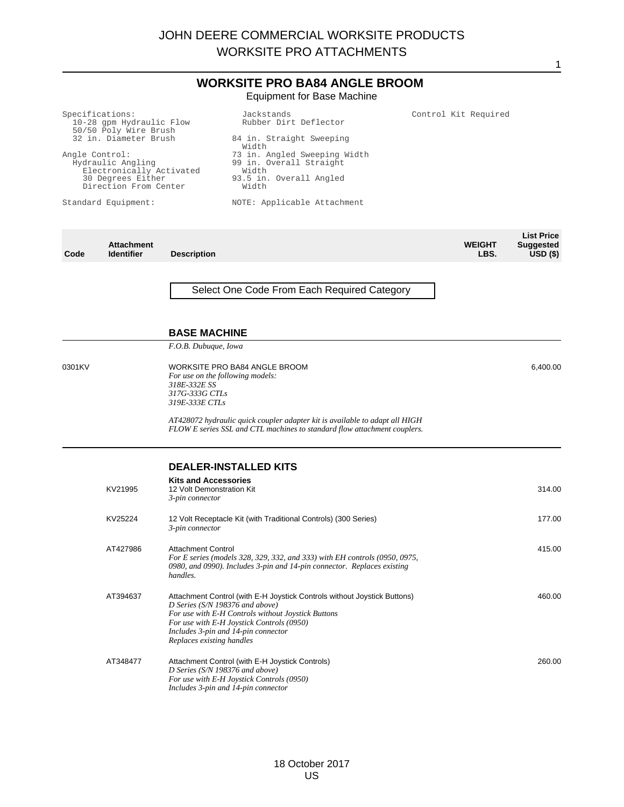|                                                                                                                                                                                                                       |                                                                                               |                                                                                                              | <b>WORKSITE PRO BA84 ANGLE BROOM</b><br><b>Equipment for Base Machine</b>                                                                                                                                                                             |  |                       |                                                     |
|-----------------------------------------------------------------------------------------------------------------------------------------------------------------------------------------------------------------------|-----------------------------------------------------------------------------------------------|--------------------------------------------------------------------------------------------------------------|-------------------------------------------------------------------------------------------------------------------------------------------------------------------------------------------------------------------------------------------------------|--|-----------------------|-----------------------------------------------------|
|                                                                                                                                                                                                                       | Specifications:<br>10-28 gpm Hydraulic Flow<br>50/50 Poly Wire Brush<br>32 in. Diameter Brush |                                                                                                              | Jackstands<br>Rubber Dirt Deflector<br>84 in. Straight Sweeping<br>Width                                                                                                                                                                              |  | Control Kit Required  |                                                     |
| Angle Control:<br>73 in. Angled Sweeping Width<br>99 in. Overall Straight<br>Hydraulic Angling<br>Electronically Activated<br>Width<br>93.5 in. Overall Angled<br>30 Degrees Either<br>Direction From Center<br>Width |                                                                                               |                                                                                                              |                                                                                                                                                                                                                                                       |  |                       |                                                     |
|                                                                                                                                                                                                                       | Standard Equipment:                                                                           |                                                                                                              | NOTE: Applicable Attachment                                                                                                                                                                                                                           |  |                       |                                                     |
| Code                                                                                                                                                                                                                  | <b>Attachment</b><br><b>Identifier</b>                                                        | <b>Description</b>                                                                                           |                                                                                                                                                                                                                                                       |  | <b>WEIGHT</b><br>LBS. | <b>List Price</b><br><b>Suggested</b><br>$USD($ \$) |
|                                                                                                                                                                                                                       |                                                                                               |                                                                                                              | Select One Code From Each Required Category                                                                                                                                                                                                           |  |                       |                                                     |
|                                                                                                                                                                                                                       |                                                                                               | <b>BASE MACHINE</b>                                                                                          |                                                                                                                                                                                                                                                       |  |                       |                                                     |
| 0301KV                                                                                                                                                                                                                |                                                                                               | F.O.B. Dubuque, Iowa<br>For use on the following models:<br>318E-332E SS<br>317G-333G CTLs<br>319E-333E CTLs | WORKSITE PRO BA84 ANGLE BROOM<br>AT428072 hydraulic quick coupler adapter kit is available to adapt all HIGH<br>FLOW E series SSL and CTL machines to standard flow attachment couplers.                                                              |  |                       | 6,400.00                                            |
|                                                                                                                                                                                                                       |                                                                                               |                                                                                                              | <b>DEALER-INSTALLED KITS</b>                                                                                                                                                                                                                          |  |                       |                                                     |
|                                                                                                                                                                                                                       | KV21995                                                                                       | <b>Kits and Accessories</b><br>12 Volt Demonstration Kit<br>3-pin connector                                  |                                                                                                                                                                                                                                                       |  |                       | 314.00                                              |
|                                                                                                                                                                                                                       | KV25224                                                                                       | 3-pin connector                                                                                              | 12 Volt Receptacle Kit (with Traditional Controls) (300 Series)                                                                                                                                                                                       |  |                       | 177.00                                              |
|                                                                                                                                                                                                                       | AT427986                                                                                      | <b>Attachment Control</b><br>handles.                                                                        | For E series (models 328, 329, 332, and 333) with EH controls (0950, 0975,<br>0980, and 0990). Includes 3-pin and 14-pin connector. Replaces existing                                                                                                 |  |                       | 415.00                                              |
|                                                                                                                                                                                                                       | AT394637                                                                                      | Replaces existing handles                                                                                    | Attachment Control (with E-H Joystick Controls without Joystick Buttons)<br>D Series (S/N 198376 and above)<br>For use with E-H Controls without Joystick Buttons<br>For use with E-H Joystick Controls (0950)<br>Includes 3-pin and 14-pin connector |  |                       | 460.00                                              |
|                                                                                                                                                                                                                       | AT348477                                                                                      |                                                                                                              | Attachment Control (with E-H Joystick Controls)                                                                                                                                                                                                       |  |                       | 260.00                                              |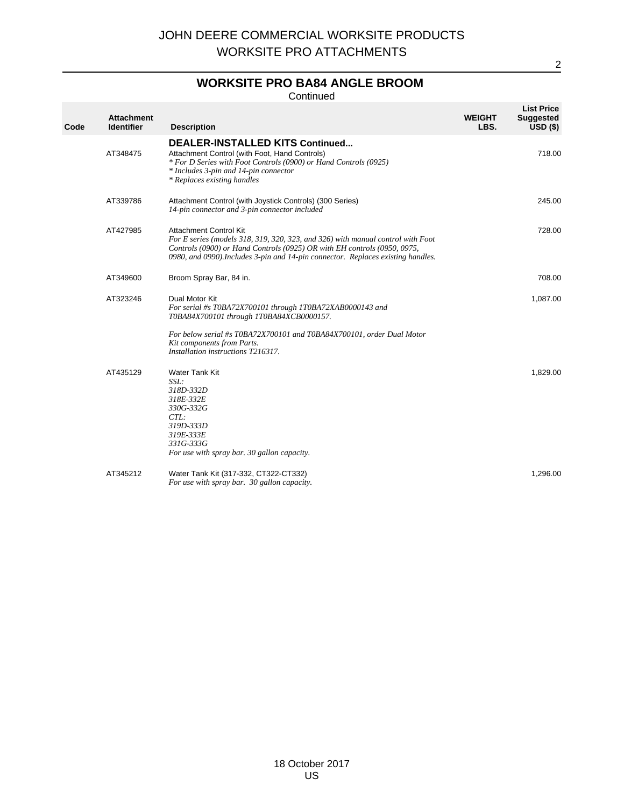### **WORKSITE PRO BA84 ANGLE BROOM**

Continued

| Code | <b>Attachment</b><br><b>Identifier</b> | <b>Description</b>                                                                                                                                                                                                                                                               | <b>WEIGHT</b><br>LBS. | <b>List Price</b><br><b>Suggested</b><br>$USD($ \$) |
|------|----------------------------------------|----------------------------------------------------------------------------------------------------------------------------------------------------------------------------------------------------------------------------------------------------------------------------------|-----------------------|-----------------------------------------------------|
|      | AT348475                               | DEALER-INSTALLED KITS Continued<br>Attachment Control (with Foot, Hand Controls)<br>* For D Series with Foot Controls (0900) or Hand Controls (0925)<br>* Includes 3-pin and 14-pin connector<br>* Replaces existing handles                                                     |                       | 718.00                                              |
|      | AT339786                               | Attachment Control (with Joystick Controls) (300 Series)<br>14-pin connector and 3-pin connector included                                                                                                                                                                        |                       | 245.00                                              |
|      | AT427985                               | <b>Attachment Control Kit</b><br>For E series (models 318, 319, 320, 323, and 326) with manual control with Foot<br>Controls (0900) or Hand Controls (0925) OR with EH controls (0950, 0975,<br>0980, and 0990). Includes 3-pin and 14-pin connector. Replaces existing handles. |                       | 728.00                                              |
|      | AT349600                               | Broom Spray Bar, 84 in.                                                                                                                                                                                                                                                          |                       | 708.00                                              |
|      | AT323246                               | Dual Motor Kit<br>For serial #s T0BA72X700101 through 1T0BA72XAB0000143 and<br>T0BA84X700101 through 1T0BA84XCB0000157.<br>For below serial #s T0BA72X700101 and T0BA84X700101, order Dual Motor                                                                                 |                       | 1,087.00                                            |
|      |                                        | Kit components from Parts.<br>Installation instructions T216317.                                                                                                                                                                                                                 |                       |                                                     |
|      | AT435129                               | Water Tank Kit<br>SSL:<br>318D-332D<br>318E-332E<br>330G-332G<br>CTL:<br>319D-333D<br>319E-333E<br>331G-333G<br>For use with spray bar. 30 gallon capacity.                                                                                                                      |                       | 1,829.00                                            |
|      | AT345212                               | Water Tank Kit (317-332, CT322-CT332)<br>For use with spray bar. 30 gallon capacity.                                                                                                                                                                                             |                       | 1,296.00                                            |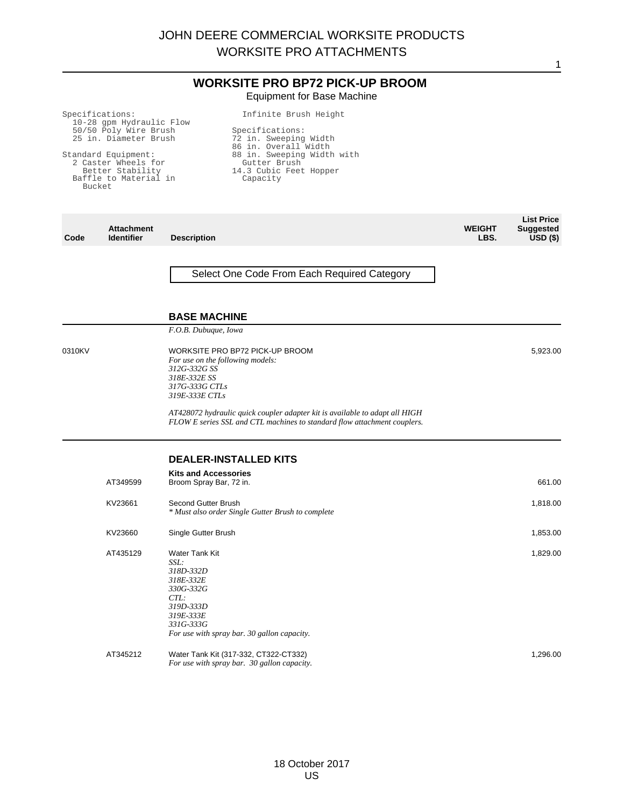## **WORKSITE PRO BP72 PICK-UP BROOM** Equipment for Base Machine

Specifications: 10-28 gpm Hydraulic Flow 50/50 Poly Wire Brush 25 in. Diameter Brush Standard Equipment: 2 Caster Wheels for Better Stability Baffle to Material in Bucket Infinite Brush Height Specifications: 72 in. Sweeping Width 86 in. Overall Width 88 in. Sweeping Width with Gutter Brush 14.3 Cubic Feet Hopper Capacity **Attachment Description WEIGHT LBS. List Price Suggested** Select One Code From Each Required Category

#### **BASE MACHINE**

*F.O.B. Dubuque, Iowa*

**Code**

0310KV WORKSITE PRO BP72 PICK-UP BROOM *For use on the following models: 312G-332G SS 318E-332E SS 317G-333G CTLs 319E-333E CTLs*

> *AT428072 hydraulic quick coupler adapter kit is available to adapt all HIGH FLOW E series SSL and CTL machines to standard flow attachment couplers.*

## **DEALER-INSTALLED KITS**

| AT349599 | <b>Kits and Accessories</b><br>Broom Spray Bar, 72 in.                                                                                                      | 661.00   |
|----------|-------------------------------------------------------------------------------------------------------------------------------------------------------------|----------|
| KV23661  | Second Gutter Brush<br>* Must also order Single Gutter Brush to complete                                                                                    | 1,818.00 |
| KV23660  | Single Gutter Brush                                                                                                                                         | 1,853.00 |
| AT435129 | Water Tank Kit<br>SSL:<br>318D-332D<br>318E-332E<br>330G-332G<br>CTL:<br>319D-333D<br>319E-333E<br>331G-333G<br>For use with spray bar. 30 gallon capacity. | 1,829.00 |
| AT345212 | Water Tank Kit (317-332, CT322-CT332)<br>For use with spray bar. 30 gallon capacity.                                                                        | 1,296.00 |

1

**USD (\$)**

5,923.00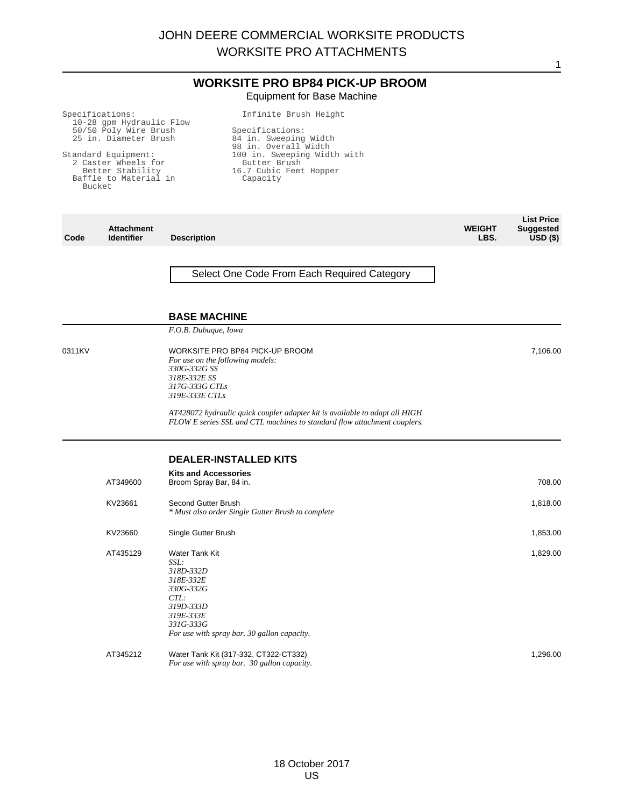## **WORKSITE PRO BP84 PICK-UP BROOM** Equipment for Base Machine

Infinite Brush Height

Specifications: 10-28 gpm Hydraulic Flow 50/50 Poly Wire Brush 25 in. Diameter Brush

Standard Equipment: 2 Caster Wheels for Better Stability Baffle to Material in Bucket

Specifications: 84 in. Sweeping Width 98 in. Overall Width 100 in. Sweeping Width with<br>Gutter Brush<br>16.7 Cubic Feet Hopper<br>Capacity

| Code   | <b>Attachment</b><br><b>Identifier</b> | <b>Description</b>                                                                                                                                          | <b>WEIGHT</b><br>LBS. | <b>List Price</b><br><b>Suggested</b><br>$\overline{USD}$ (\$) |
|--------|----------------------------------------|-------------------------------------------------------------------------------------------------------------------------------------------------------------|-----------------------|----------------------------------------------------------------|
|        |                                        | Select One Code From Each Required Category                                                                                                                 |                       |                                                                |
|        |                                        | <b>BASE MACHINE</b>                                                                                                                                         |                       |                                                                |
|        |                                        | F.O.B. Dubuque, Iowa                                                                                                                                        |                       |                                                                |
| 0311KV |                                        | WORKSITE PRO BP84 PICK-UP BROOM<br>For use on the following models:<br>330G-332G SS<br>318E-332E SS<br>317G-333G CTLs<br>319E-333E CTLs                     |                       | 7,106.00                                                       |
|        |                                        | AT428072 hydraulic quick coupler adapter kit is available to adapt all HIGH<br>FLOW E series SSL and CTL machines to standard flow attachment couplers.     |                       |                                                                |
|        |                                        | <b>DEALER-INSTALLED KITS</b>                                                                                                                                |                       |                                                                |
|        | AT349600                               | <b>Kits and Accessories</b><br>Broom Spray Bar, 84 in.                                                                                                      |                       | 708.00                                                         |
|        | KV23661                                | Second Gutter Brush<br>* Must also order Single Gutter Brush to complete                                                                                    |                       | 1,818.00                                                       |
|        | KV23660                                | Single Gutter Brush                                                                                                                                         |                       | 1,853.00                                                       |
|        | AT435129                               | Water Tank Kit<br>SSL:<br>318D-332D<br>318E-332E<br>330G-332G<br>CTL:<br>319D-333D<br>319E-333E<br>331G-333G<br>For use with spray bar. 30 gallon capacity. |                       | 1,829.00                                                       |
|        | AT345212                               | Water Tank Kit (317-332, CT322-CT332)<br>For use with spray bar. 30 gallon capacity.                                                                        |                       | 1,296.00                                                       |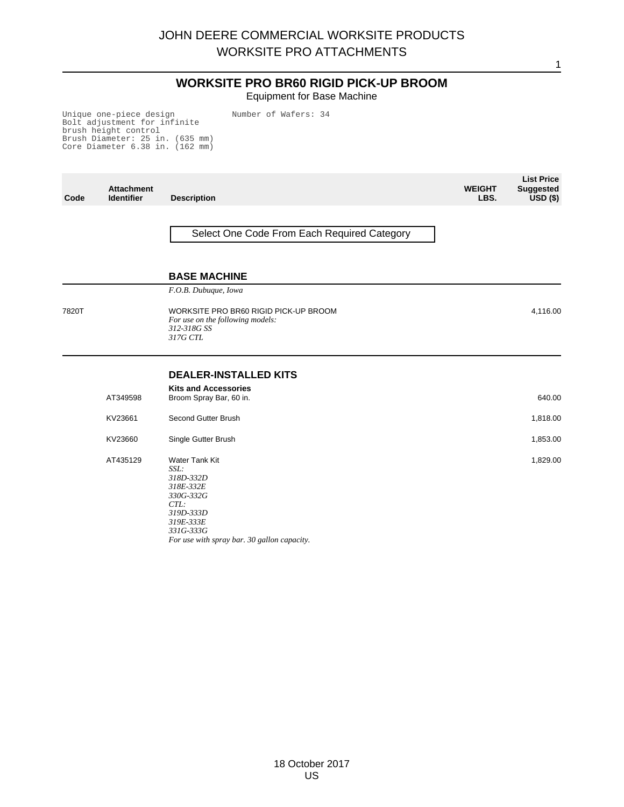# **WORKSITE PRO BR60 RIGID PICK-UP BROOM**

Equipment for Base Machine

Unique one-piece design Bolt adjustment for infinite brush height control Brush Diameter: 25 in. (635 mm) Core Diameter 6.38 in. (162 mm)

Number of Wafers: 34

| Code  | <b>Attachment</b><br><b>Identifier</b> | <b>Description</b>                                                                                                                                                    | <b>WEIGHT</b><br>LBS. | <b>List Price</b><br><b>Suggested</b><br>$USD($ \$) |
|-------|----------------------------------------|-----------------------------------------------------------------------------------------------------------------------------------------------------------------------|-----------------------|-----------------------------------------------------|
|       |                                        | Select One Code From Each Required Category                                                                                                                           |                       |                                                     |
|       |                                        | <b>BASE MACHINE</b>                                                                                                                                                   |                       |                                                     |
|       |                                        | F.O.B. Dubuque, Iowa                                                                                                                                                  |                       |                                                     |
| 7820T |                                        | WORKSITE PRO BR60 RIGID PICK-UP BROOM<br>For use on the following models:<br>312-318G SS<br>317G CTL                                                                  |                       | 4,116.00                                            |
|       |                                        | <b>DEALER-INSTALLED KITS</b>                                                                                                                                          |                       |                                                     |
|       | AT349598                               | <b>Kits and Accessories</b><br>Broom Spray Bar, 60 in.                                                                                                                |                       | 640.00                                              |
|       | KV23661                                | Second Gutter Brush                                                                                                                                                   |                       | 1,818.00                                            |
|       | KV23660                                | Single Gutter Brush                                                                                                                                                   |                       | 1,853.00                                            |
|       | AT435129                               | <b>Water Tank Kit</b><br>SSL:<br>318D-332D<br>318E-332E<br>330G-332G<br>$CTL$ :<br>319D-333D<br>319E-333E<br>331G-333G<br>For use with spray bar. 30 gallon capacity. |                       | 1,829.00                                            |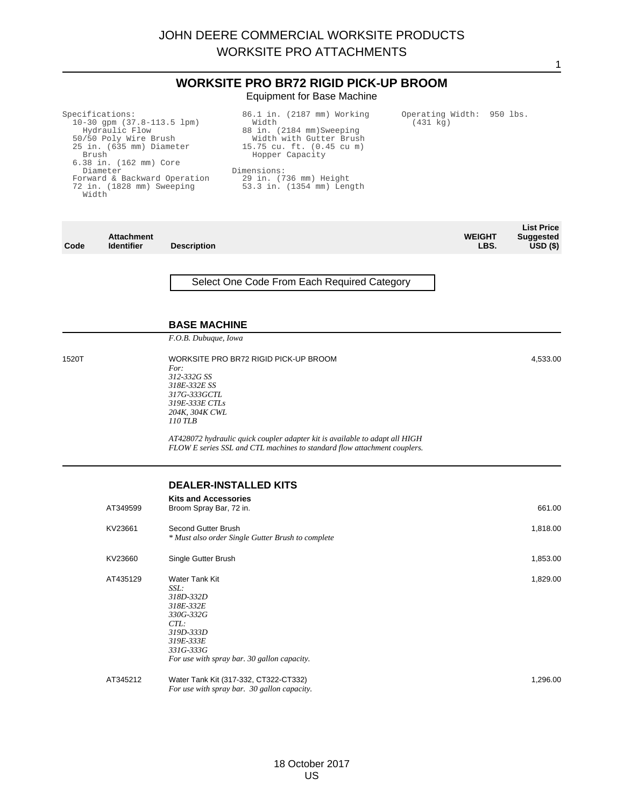|                |                                                                                                                                                                                                                             |                                                                                                                            | <b>WORKSITE PRO BR72 RIGID PICK-UP BROOM</b><br><b>Equipment for Base Machine</b>                                                                                                                                 |                                       |                       |                                                             |
|----------------|-----------------------------------------------------------------------------------------------------------------------------------------------------------------------------------------------------------------------------|----------------------------------------------------------------------------------------------------------------------------|-------------------------------------------------------------------------------------------------------------------------------------------------------------------------------------------------------------------|---------------------------------------|-----------------------|-------------------------------------------------------------|
| Brush<br>Width | Specifications:<br>$10-30$ gpm $(37.8-113.5$ lpm)<br>Hydraulic Flow<br>50/50 Poly Wire Brush<br>25 in. (635 mm) Diameter<br>6.38 in. (162 mm) Core<br>Diameter<br>Forward & Backward Operation<br>72 in. (1828 mm) Sweeping |                                                                                                                            | 86.1 in. (2187 mm) Working<br>Width<br>88 in. (2184 mm) Sweeping<br>Width with Gutter Brush<br>15.75 cu. ft. (0.45 cu m)<br>Hopper Capacity<br>Dimensions:<br>29 in. (736 mm) Height<br>53.3 in. (1354 mm) Length | Operating Width: 950 lbs.<br>(431 kg) |                       |                                                             |
| Code           | <b>Attachment</b><br><b>Identifier</b>                                                                                                                                                                                      | <b>Description</b>                                                                                                         |                                                                                                                                                                                                                   |                                       | <b>WEIGHT</b><br>LBS. | <b>List Price</b><br><b>Suggested</b><br>USD <sub>(</sub> ) |
|                |                                                                                                                                                                                                                             | <b>BASE MACHINE</b>                                                                                                        | Select One Code From Each Required Category                                                                                                                                                                       |                                       |                       |                                                             |
| 1520T          |                                                                                                                                                                                                                             | F.O.B. Dubuque, Iowa<br>For:<br>312-332G SS<br>318E-332E SS<br>317G-333GCTL<br>319E-333E CTLs<br>204K, 304K CWL<br>110 TLB | WORKSITE PRO BR72 RIGID PICK-UP BROOM<br>AT428072 hydraulic quick coupler adapter kit is available to adapt all HIGH<br>FLOW E series SSL and CTL machines to standard flow attachment couplers.                  |                                       |                       | 4,533.00                                                    |
|                | AT349599<br>KV23661                                                                                                                                                                                                         | <b>Kits and Accessories</b><br>Broom Spray Bar, 72 in.<br>Second Gutter Brush                                              | <b>DEALER-INSTALLED KITS</b><br>* Must also order Single Gutter Brush to complete                                                                                                                                 |                                       |                       | 661.00<br>1,818.00                                          |
|                | KV23660<br>AT435129                                                                                                                                                                                                         | Single Gutter Brush<br>Water Tank Kit<br>SSL:<br>318D-332D<br>318E-332E<br>330G-332G<br>CTL:<br>319D-333D<br>319E-333E     |                                                                                                                                                                                                                   |                                       |                       | 1,853.00<br>1,829.00                                        |
|                | AT345212                                                                                                                                                                                                                    | 331G-333G                                                                                                                  | For use with spray bar. 30 gallon capacity.<br>Water Tank Kit (317-332, CT322-CT332)<br>For use with spray bar. 30 gallon capacity.                                                                               |                                       |                       | 1,296.00                                                    |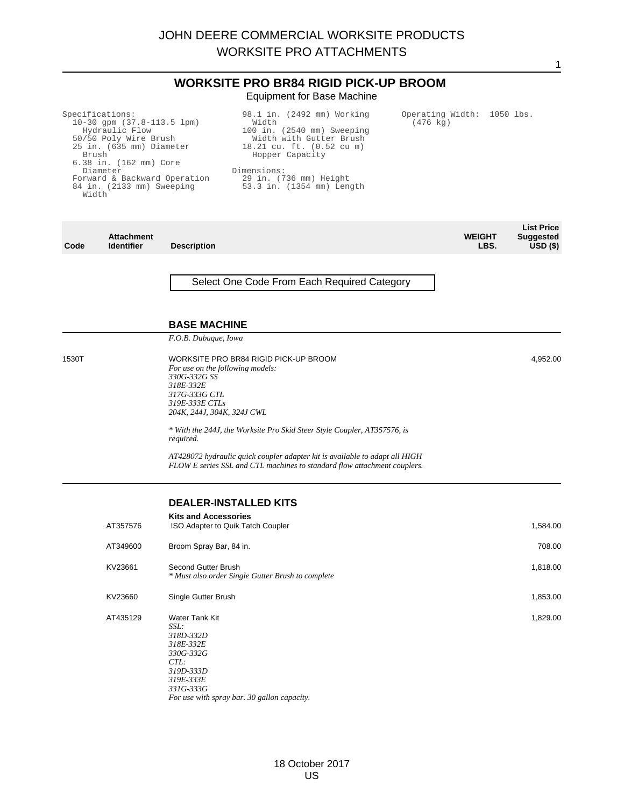|                |                                                                                                                                                                                                                             | <b>WORKSITE PRO BR84 RIGID PICK-UP BROOM</b><br><b>Equipment for Base Machine</b>                                                                                                                                                                                      |                       |                                                 |
|----------------|-----------------------------------------------------------------------------------------------------------------------------------------------------------------------------------------------------------------------------|------------------------------------------------------------------------------------------------------------------------------------------------------------------------------------------------------------------------------------------------------------------------|-----------------------|-------------------------------------------------|
| Brush<br>Width | Specifications:<br>$10-30$ gpm $(37.8-113.5$ lpm)<br>Hydraulic Flow<br>50/50 Poly Wire Brush<br>25 in. (635 mm) Diameter<br>6.38 in. (162 mm) Core<br>Diameter<br>Forward & Backward Operation<br>84 in. (2133 mm) Sweeping | 98.1 in. (2492 mm) Working<br>Operating Width: 1050 lbs.<br>Width<br>$(476 \text{ kg})$<br>100 in. (2540 mm) Sweeping<br>Width with Gutter Brush<br>18.21 cu. ft. (0.52 cu m)<br>Hopper Capacity<br>Dimensions:<br>29 in. (736 mm) Height<br>53.3 in. (1354 mm) Length |                       |                                                 |
| Code           | <b>Attachment</b><br><b>Identifier</b>                                                                                                                                                                                      | <b>Description</b>                                                                                                                                                                                                                                                     | <b>WEIGHT</b><br>LBS. | <b>List Price</b><br><b>Suggested</b><br>USD(S) |
|                |                                                                                                                                                                                                                             | Select One Code From Each Required Category                                                                                                                                                                                                                            |                       |                                                 |
|                |                                                                                                                                                                                                                             | <b>BASE MACHINE</b>                                                                                                                                                                                                                                                    |                       |                                                 |
|                |                                                                                                                                                                                                                             | F.O.B. Dubuque, Iowa                                                                                                                                                                                                                                                   |                       |                                                 |
| 1530T          |                                                                                                                                                                                                                             | WORKSITE PRO BR84 RIGID PICK-UP BROOM<br>For use on the following models:<br>330G-332G SS<br>318E-332E<br>317G-333G CTL<br>319E-333E CTLs<br>204K, 244J, 304K, 324J CWL                                                                                                |                       | 4,952.00                                        |
|                |                                                                                                                                                                                                                             | * With the 244J, the Worksite Pro Skid Steer Style Coupler, AT357576, is<br>required.                                                                                                                                                                                  |                       |                                                 |
|                |                                                                                                                                                                                                                             | AT428072 hydraulic quick coupler adapter kit is available to adapt all HIGH<br>FLOW E series SSL and CTL machines to standard flow attachment couplers.                                                                                                                |                       |                                                 |
|                |                                                                                                                                                                                                                             | <b>DEALER-INSTALLED KITS</b>                                                                                                                                                                                                                                           |                       |                                                 |
|                | AT357576                                                                                                                                                                                                                    | <b>Kits and Accessories</b><br>ISO Adapter to Quik Tatch Coupler                                                                                                                                                                                                       |                       | 1,584.00                                        |
|                | AT349600                                                                                                                                                                                                                    | Broom Spray Bar, 84 in.                                                                                                                                                                                                                                                |                       | 708.00                                          |
|                | KV23661                                                                                                                                                                                                                     | Second Gutter Brush<br>* Must also order Single Gutter Brush to complete                                                                                                                                                                                               |                       | 1,818.00                                        |
|                | KV23660                                                                                                                                                                                                                     | Single Gutter Brush                                                                                                                                                                                                                                                    |                       | 1,853.00                                        |
|                | AT435129                                                                                                                                                                                                                    | Water Tank Kit<br>SSL:<br>318D-332D<br>318E-332E<br>330G-332G<br>CTL:<br>319D-333D<br>319E-333E<br>331G-333G<br>For use with spray bar. 30 gallon capacity.                                                                                                            |                       | 1,829.00                                        |
|                |                                                                                                                                                                                                                             |                                                                                                                                                                                                                                                                        |                       |                                                 |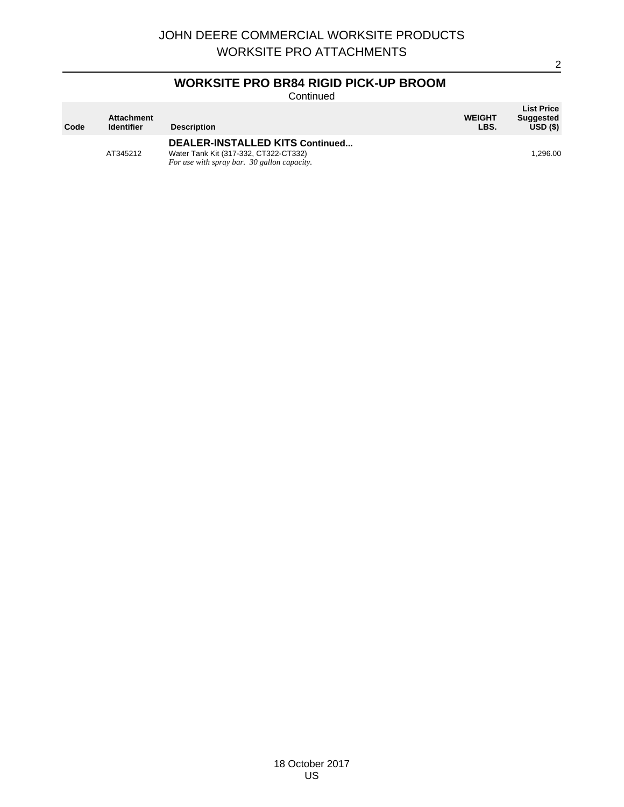# **WORKSITE PRO BR84 RIGID PICK-UP BROOM**

Continued

| Code | <b>Attachment</b><br><b>Identifier</b> | <b>Description</b>                                                                                                      | <b>WEIGHT</b><br>LBS. | <b>List Price</b><br><b>Suggested</b><br>$USD($ \$) |
|------|----------------------------------------|-------------------------------------------------------------------------------------------------------------------------|-----------------------|-----------------------------------------------------|
|      | AT345212                               | DEALER-INSTALLED KITS Continued<br>Water Tank Kit (317-332, CT322-CT332)<br>For use with spray bar. 30 gallon capacity. |                       | 1.296.00                                            |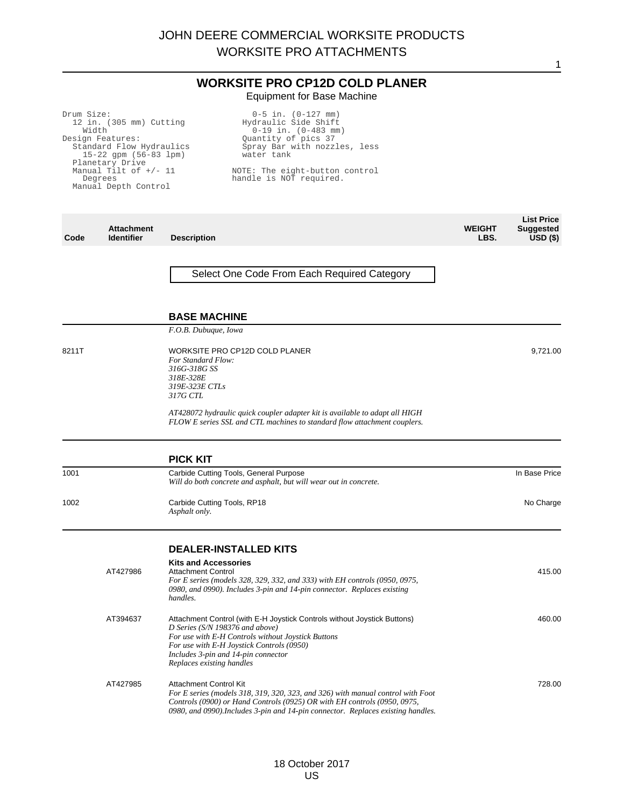## **WORKSITE PRO CP12D COLD PLANER** Equipment for Base Machine

| Drum Size:<br>Width | 12 in. (305 mm) Cutting<br>Design Features:<br>Standard Flow Hydraulics<br>15-22 gpm (56-83 lpm)<br>Planetary Drive<br>Manual Tilt of $+/- 11$<br>Degrees<br>Manual Depth Control | $0-5$ in. $(0-127$ mm)<br>Hydraulic Side Shift<br>$0-19$ in. $(0-483$ mm)<br>Quantity of pics 37<br>Spray Bar with nozzles, less<br>water tank<br>NOTE: The eight-button control<br>handle is NOT required.                                                                        |                       |                                                     |
|---------------------|-----------------------------------------------------------------------------------------------------------------------------------------------------------------------------------|------------------------------------------------------------------------------------------------------------------------------------------------------------------------------------------------------------------------------------------------------------------------------------|-----------------------|-----------------------------------------------------|
| Code                | <b>Attachment</b><br><b>Identifier</b>                                                                                                                                            | <b>Description</b>                                                                                                                                                                                                                                                                 | <b>WEIGHT</b><br>LBS. | <b>List Price</b><br><b>Suggested</b><br>$USD($ \$) |
|                     |                                                                                                                                                                                   | Select One Code From Each Required Category<br><b>BASE MACHINE</b>                                                                                                                                                                                                                 |                       |                                                     |
|                     |                                                                                                                                                                                   | F.O.B. Dubuque, Iowa                                                                                                                                                                                                                                                               |                       |                                                     |
| 8211T               |                                                                                                                                                                                   | WORKSITE PRO CP12D COLD PLANER<br>For Standard Flow:<br>316G-318G SS<br>318E-328E<br>319E-323E CTLs<br>317G CTL                                                                                                                                                                    |                       | 9,721.00                                            |
|                     |                                                                                                                                                                                   | AT428072 hydraulic quick coupler adapter kit is available to adapt all HIGH<br>FLOW E series SSL and CTL machines to standard flow attachment couplers.                                                                                                                            |                       |                                                     |
|                     |                                                                                                                                                                                   | <b>PICK KIT</b>                                                                                                                                                                                                                                                                    |                       |                                                     |
| 1001                |                                                                                                                                                                                   | Carbide Cutting Tools, General Purpose<br>Will do both concrete and asphalt, but will wear out in concrete.                                                                                                                                                                        |                       | In Base Price                                       |
| 1002                |                                                                                                                                                                                   | Carbide Cutting Tools, RP18<br>Asphalt only.                                                                                                                                                                                                                                       |                       | No Charge                                           |
|                     |                                                                                                                                                                                   | <b>DEALER-INSTALLED KITS</b>                                                                                                                                                                                                                                                       |                       |                                                     |
|                     | AT427986                                                                                                                                                                          | <b>Kits and Accessories</b><br><b>Attachment Control</b><br>For E series (models 328, 329, 332, and 333) with EH controls (0950, 0975,<br>0980, and 0990). Includes 3-pin and 14-pin connector. Replaces existing<br>handles.                                                      |                       | 415.00                                              |
|                     | AT394637                                                                                                                                                                          | Attachment Control (with E-H Joystick Controls without Joystick Buttons)<br>D Series (S/N 198376 and above)<br>For use with E-H Controls without Joystick Buttons<br>For use with E-H Joystick Controls (0950)<br>Includes 3-pin and 14-pin connector<br>Replaces existing handles |                       | 460.00                                              |
|                     | AT427985                                                                                                                                                                          | <b>Attachment Control Kit</b><br>For E series (models 318, 319, 320, 323, and 326) with manual control with Foot<br>Controls (0900) or Hand Controls (0925) OR with EH controls (0950, 0975,                                                                                       |                       | 728.00                                              |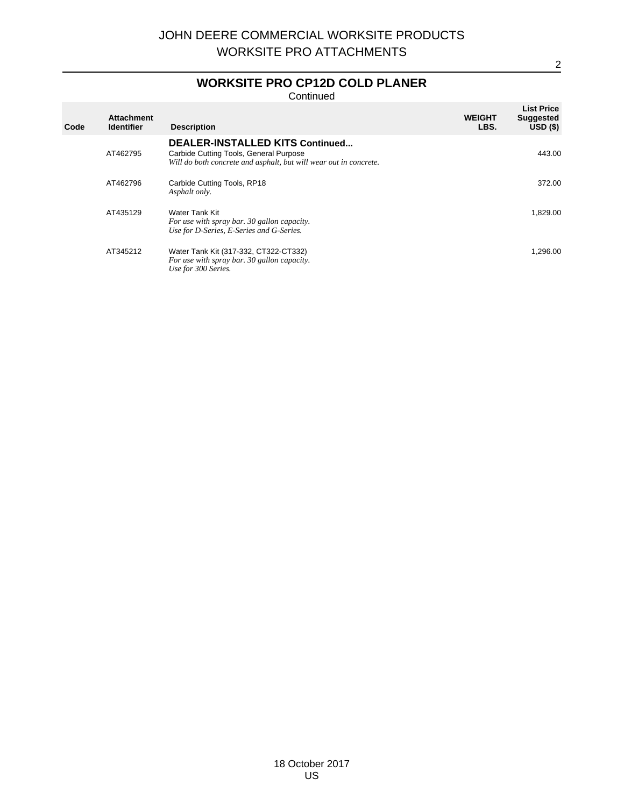# **WORKSITE PRO CP12D COLD PLANER**

Continued

| Code | <b>Attachment</b><br><b>Identifier</b> | <b>Description</b>                                                                                                                                    | <b>WEIGHT</b><br>LBS. | <b>List Price</b><br><b>Suggested</b><br>$USD($ \$) |
|------|----------------------------------------|-------------------------------------------------------------------------------------------------------------------------------------------------------|-----------------------|-----------------------------------------------------|
|      | AT462795                               | <b>DEALER-INSTALLED KITS Continued</b><br>Carbide Cutting Tools, General Purpose<br>Will do both concrete and asphalt, but will wear out in concrete. |                       | 443.00                                              |
|      | AT462796                               | Carbide Cutting Tools, RP18<br>Asphalt only.                                                                                                          |                       | 372.00                                              |
|      | AT435129                               | Water Tank Kit<br>For use with spray bar. 30 gallon capacity.<br>Use for D-Series, E-Series and G-Series.                                             |                       | 1,829.00                                            |
|      | AT345212                               | Water Tank Kit (317-332, CT322-CT332)<br>For use with spray bar. 30 gallon capacity.<br>Use for 300 Series.                                           |                       | 1.296.00                                            |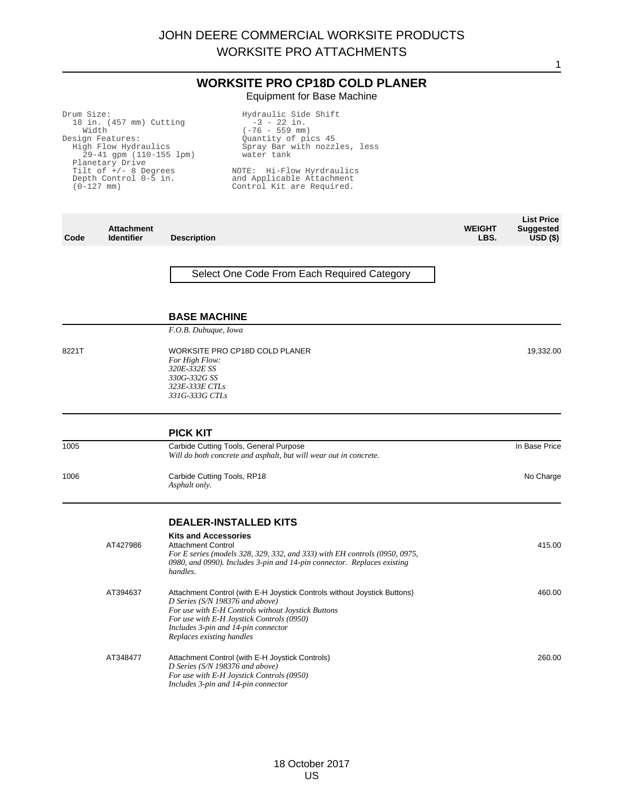## **WORKSITE PRO CP18D COLD PLANER** Equipment for Base Machine

| Drum Size:                                          |                                                                                                          | Hydraulic Side Shift                                                                                                                                     |                       |                                                     |
|-----------------------------------------------------|----------------------------------------------------------------------------------------------------------|----------------------------------------------------------------------------------------------------------------------------------------------------------|-----------------------|-----------------------------------------------------|
| Width                                               | 18 in. (457 mm) Cutting                                                                                  | $-3 - 22$ in.<br>$(-76 - 559$ mm)                                                                                                                        |                       |                                                     |
| Design Features:<br>Planetary Drive<br>$(0-127$ mm) | High Flow Hydraulics<br>$29-41$ qpm $(110-155$ lpm)<br>Tilt of $+/$ - 8 Degrees<br>Depth Control 0-5 in. | Ouantity of pics 45<br>Spray Bar with nozzles, less<br>water tank<br>NOTE: Hi-Flow Hyrdraulics<br>and Applicable Attachment<br>Control Kit are Required. |                       |                                                     |
| Code                                                | <b>Attachment</b><br><b>Description</b><br><b>Identifier</b>                                             |                                                                                                                                                          | <b>WEIGHT</b><br>LBS. | <b>List Price</b><br><b>Suggested</b><br>$USD($ \$) |
|                                                     |                                                                                                          |                                                                                                                                                          |                       |                                                     |

Select One Code From Each Required Category

#### **BASE MACHINE**

*F.O.B. Dubuque, Iowa*

8221T WORKSITE PRO CP18D COLD PLANER *For High Flow:*

#### *320E-332E SS 330G-332G SS 323E-333E CTLs 331G-333G CTLs*

|          | <b>PICK KIT</b>                                                                                                                                                                                                                                                                    |               |
|----------|------------------------------------------------------------------------------------------------------------------------------------------------------------------------------------------------------------------------------------------------------------------------------------|---------------|
| 1005     | Carbide Cutting Tools, General Purpose<br>Will do both concrete and asphalt, but will wear out in concrete.                                                                                                                                                                        | In Base Price |
| 1006     | Carbide Cutting Tools, RP18<br>Asphalt only.                                                                                                                                                                                                                                       | No Charge     |
|          | <b>DEALER-INSTALLED KITS</b>                                                                                                                                                                                                                                                       |               |
| AT427986 | <b>Kits and Accessories</b><br><b>Attachment Control</b><br>For E series (models 328, 329, 332, and 333) with EH controls (0950, 0975,<br>0980, and 0990). Includes 3-pin and 14-pin connector. Replaces existing<br>handles.                                                      | 415.00        |
| AT394637 | Attachment Control (with E-H Joystick Controls without Joystick Buttons)<br>D Series (S/N 198376 and above)<br>For use with E-H Controls without Joystick Buttons<br>For use with E-H Joystick Controls (0950)<br>Includes 3-pin and 14-pin connector<br>Replaces existing handles | 460.00        |

19,332.00

1

260.00

#### AT348477 Attachment Control (with E-H Joystick Controls) *D Series (S/N 198376 and above) For use with E-H Joystick Controls (0950) Includes 3-pin and 14-pin connector*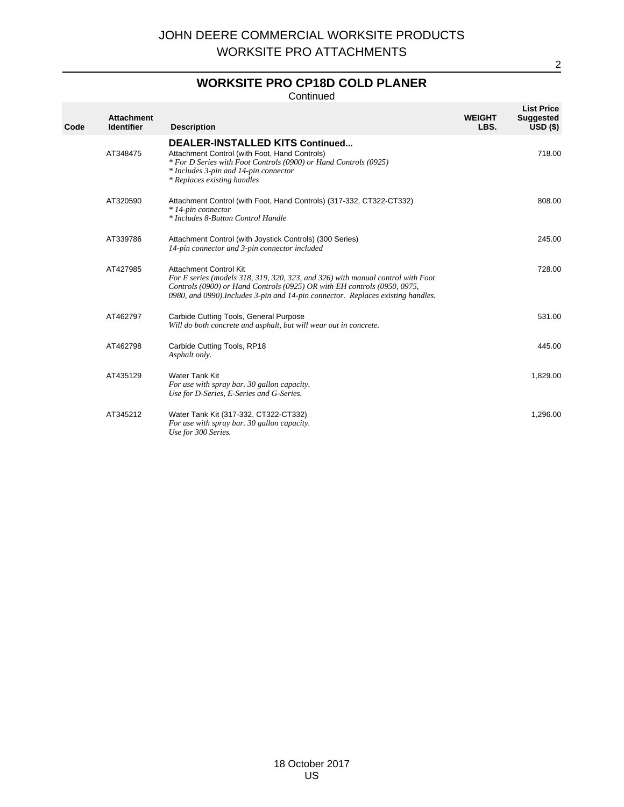# **WORKSITE PRO CP18D COLD PLANER**

Continued

| Code | <b>Attachment</b><br><b>Identifier</b> | <b>Description</b>                                                                                                                                                                                                                                                               | <b>WEIGHT</b><br>LBS. | <b>List Price</b><br><b>Suggested</b><br>USD(S) |
|------|----------------------------------------|----------------------------------------------------------------------------------------------------------------------------------------------------------------------------------------------------------------------------------------------------------------------------------|-----------------------|-------------------------------------------------|
|      | AT348475                               | <b>DEALER-INSTALLED KITS Continued</b><br>Attachment Control (with Foot, Hand Controls)<br>* For D Series with Foot Controls (0900) or Hand Controls (0925)<br>* Includes 3-pin and 14-pin connector<br>* Replaces existing handles                                              |                       | 718.00                                          |
|      | AT320590                               | Attachment Control (with Foot, Hand Controls) (317-332, CT322-CT332)<br>* 14-pin connector<br>* Includes 8-Button Control Handle                                                                                                                                                 |                       | 808.00                                          |
|      | AT339786                               | Attachment Control (with Joystick Controls) (300 Series)<br>14-pin connector and 3-pin connector included                                                                                                                                                                        |                       | 245.00                                          |
|      | AT427985                               | <b>Attachment Control Kit</b><br>For E series (models 318, 319, 320, 323, and 326) with manual control with Foot<br>Controls (0900) or Hand Controls (0925) OR with EH controls (0950, 0975,<br>0980, and 0990). Includes 3-pin and 14-pin connector. Replaces existing handles. |                       | 728.00                                          |
|      | AT462797                               | Carbide Cutting Tools, General Purpose<br>Will do both concrete and asphalt, but will wear out in concrete.                                                                                                                                                                      |                       | 531.00                                          |
|      | AT462798                               | Carbide Cutting Tools, RP18<br>Asphalt only.                                                                                                                                                                                                                                     |                       | 445.00                                          |
|      | AT435129                               | Water Tank Kit<br>For use with spray bar. 30 gallon capacity.<br>Use for D-Series, E-Series and G-Series.                                                                                                                                                                        |                       | 1,829.00                                        |
|      | AT345212                               | Water Tank Kit (317-332, CT322-CT332)<br>For use with spray bar. 30 gallon capacity.<br>Use for 300 Series.                                                                                                                                                                      |                       | 1,296.00                                        |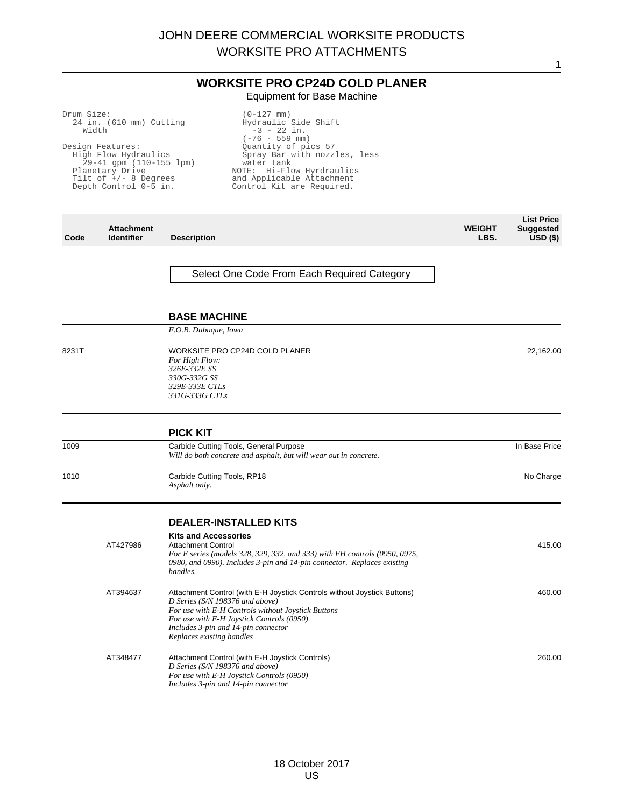## **WORKSITE PRO CP24D COLD PLANER** Equipment for Base Machine

(0-127 mm)

Drum Size:

| Width | 24 in. (610 mm) Cutting<br>Design Features:<br>High Flow Hydraulics<br>29-41 gpm (110-155 lpm)<br>Planetary Drive<br>Tilt of $+/$ - 8 Degrees<br>Depth Control 0-5 in. | Hydraulic Side Shift<br>$-3 - 22$ in.<br>$(-76 - 559$ mm)<br>Quantity of pics 57<br>Spray Bar with nozzles, less<br>water tank<br>NOTE: Hi-Flow Hyrdraulics<br>and Applicable Attachment<br>Control Kit are Required.                                                              |                       |                                                             |
|-------|------------------------------------------------------------------------------------------------------------------------------------------------------------------------|------------------------------------------------------------------------------------------------------------------------------------------------------------------------------------------------------------------------------------------------------------------------------------|-----------------------|-------------------------------------------------------------|
| Code  | <b>Attachment</b><br><b>Identifier</b>                                                                                                                                 | <b>Description</b>                                                                                                                                                                                                                                                                 | <b>WEIGHT</b><br>LBS. | <b>List Price</b><br><b>Suggested</b><br>USD <sub>(</sub> ) |
|       |                                                                                                                                                                        | Select One Code From Each Required Category                                                                                                                                                                                                                                        |                       |                                                             |
|       |                                                                                                                                                                        | <b>BASE MACHINE</b>                                                                                                                                                                                                                                                                |                       |                                                             |
| 8231T |                                                                                                                                                                        | F.O.B. Dubuque, Iowa<br>WORKSITE PRO CP24D COLD PLANER<br>For High Flow:<br>326E-332E SS<br>330G-332G SS<br>329E-333E CTLs<br>331G-333G CTLs                                                                                                                                       |                       | 22,162.00                                                   |
|       |                                                                                                                                                                        | <b>PICK KIT</b>                                                                                                                                                                                                                                                                    |                       |                                                             |
| 1009  |                                                                                                                                                                        | Carbide Cutting Tools, General Purpose<br>Will do both concrete and asphalt, but will wear out in concrete.                                                                                                                                                                        |                       | In Base Price                                               |
| 1010  |                                                                                                                                                                        | Carbide Cutting Tools, RP18<br>Asphalt only.                                                                                                                                                                                                                                       |                       | No Charge                                                   |
|       |                                                                                                                                                                        | <b>DEALER-INSTALLED KITS</b>                                                                                                                                                                                                                                                       |                       |                                                             |
|       | AT427986                                                                                                                                                               | <b>Kits and Accessories</b><br><b>Attachment Control</b><br>For E series (models 328, 329, 332, and 333) with EH controls (0950, 0975,<br>0980, and 0990). Includes 3-pin and 14-pin connector. Replaces existing<br>handles.                                                      |                       | 415.00                                                      |
|       | AT394637                                                                                                                                                               | Attachment Control (with E-H Joystick Controls without Joystick Buttons)<br>D Series (S/N 198376 and above)<br>For use with E-H Controls without Joystick Buttons<br>For use with E-H Joystick Controls (0950)<br>Includes 3-pin and 14-pin connector<br>Replaces existing handles |                       | 460.00                                                      |
|       | AT348477                                                                                                                                                               | Attachment Control (with E-H Joystick Controls)<br>D Series (S/N 198376 and above)<br>For use with E-H Joystick Controls (0950)<br>Includes 3-pin and 14-pin connector                                                                                                             |                       | 260.00                                                      |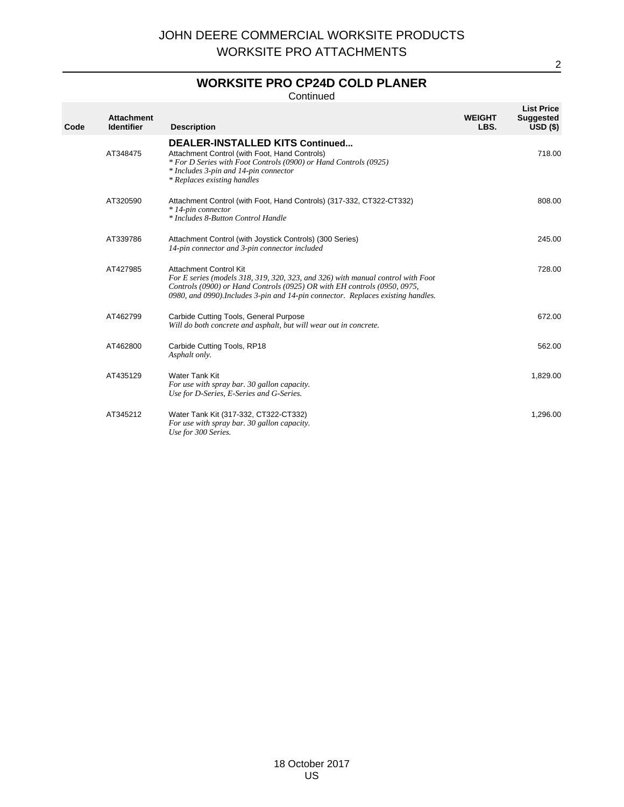# **WORKSITE PRO CP24D COLD PLANER**

Continued

| Code | <b>Attachment</b><br><b>Identifier</b> | <b>Description</b>                                                                                                                                                                                                                                                               | <b>WEIGHT</b><br>LBS. | <b>List Price</b><br><b>Suggested</b><br>$USD($ \$) |
|------|----------------------------------------|----------------------------------------------------------------------------------------------------------------------------------------------------------------------------------------------------------------------------------------------------------------------------------|-----------------------|-----------------------------------------------------|
|      | AT348475                               | <b>DEALER-INSTALLED KITS Continued</b><br>Attachment Control (with Foot, Hand Controls)<br>* For D Series with Foot Controls (0900) or Hand Controls (0925)<br>* Includes 3-pin and 14-pin connector<br>* Replaces existing handles                                              |                       | 718.00                                              |
|      | AT320590                               | Attachment Control (with Foot, Hand Controls) (317-332, CT322-CT332)<br>* 14-pin connector<br>* Includes 8-Button Control Handle                                                                                                                                                 |                       | 808.00                                              |
|      | AT339786                               | Attachment Control (with Joystick Controls) (300 Series)<br>14-pin connector and 3-pin connector included                                                                                                                                                                        |                       | 245.00                                              |
|      | AT427985                               | <b>Attachment Control Kit</b><br>For E series (models 318, 319, 320, 323, and 326) with manual control with Foot<br>Controls (0900) or Hand Controls (0925) OR with EH controls (0950, 0975,<br>0980, and 0990). Includes 3-pin and 14-pin connector. Replaces existing handles. |                       | 728.00                                              |
|      | AT462799                               | Carbide Cutting Tools, General Purpose<br>Will do both concrete and asphalt, but will wear out in concrete.                                                                                                                                                                      |                       | 672.00                                              |
|      | AT462800                               | Carbide Cutting Tools, RP18<br>Asphalt only.                                                                                                                                                                                                                                     |                       | 562.00                                              |
|      | AT435129                               | Water Tank Kit<br>For use with spray bar. 30 gallon capacity.<br>Use for D-Series, E-Series and G-Series.                                                                                                                                                                        |                       | 1,829.00                                            |
|      | AT345212                               | Water Tank Kit (317-332, CT322-CT332)<br>For use with spray bar. 30 gallon capacity.<br>Use for 300 Series.                                                                                                                                                                      |                       | 1,296.00                                            |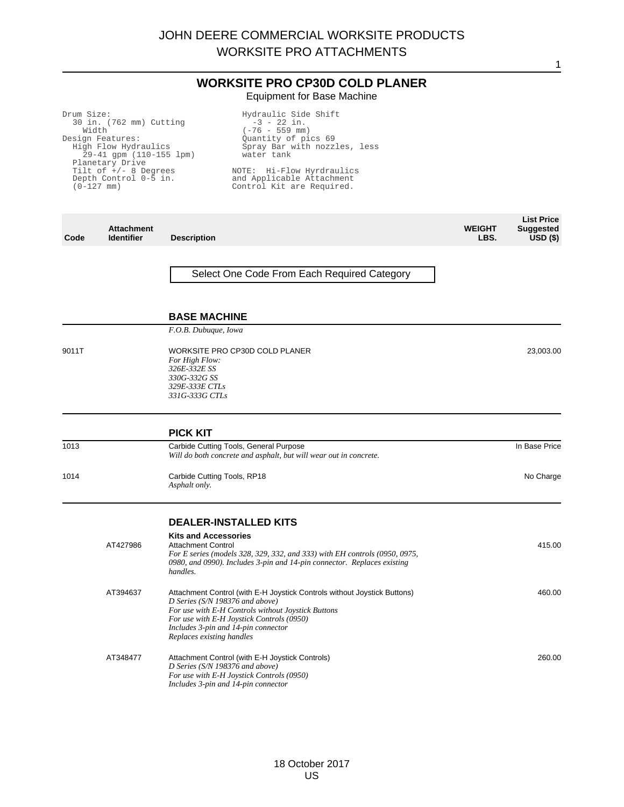**WORKSITE PRO CP30D COLD PLANER** Equipment for Base Machine

| Drum Size:               |                             |                    | Hydraulic Side Shift                        |               |                   |
|--------------------------|-----------------------------|--------------------|---------------------------------------------|---------------|-------------------|
| 30 in. (762 mm) Cutting  |                             |                    | $-3 - 22$ in.                               |               |                   |
|                          | Width                       |                    | $(-76 - 559$ mm)                            |               |                   |
|                          | Design Features:            |                    | Ouantity of pics 69                         |               |                   |
|                          | High Flow Hydraulics        |                    | Spray Bar with nozzles, less                |               |                   |
|                          | $29-41$ gpm $(110-155$ lpm) |                    | water tank                                  |               |                   |
| Planetary Drive          |                             |                    |                                             |               |                   |
| Tilt of $+/$ - 8 Degrees |                             |                    | NOTE: Hi-Flow Hyrdraulics                   |               |                   |
|                          | Depth Control 0-5 in.       |                    | and Applicable Attachment                   |               |                   |
|                          | $(0-127$ mm)                |                    | Control Kit are Required.                   |               |                   |
|                          |                             |                    |                                             |               |                   |
|                          |                             |                    |                                             |               |                   |
|                          |                             |                    |                                             |               |                   |
|                          |                             |                    |                                             |               | <b>List Price</b> |
|                          | <b>Attachment</b>           |                    |                                             | <b>WEIGHT</b> | <b>Suggested</b>  |
| Code                     | <b>Identifier</b>           | <b>Description</b> |                                             | LBS.          | $USD($ \$)        |
|                          |                             |                    |                                             |               |                   |
|                          |                             |                    |                                             |               |                   |
|                          |                             |                    |                                             |               |                   |
|                          |                             |                    | Select One Code From Each Required Category |               |                   |
|                          |                             |                    |                                             |               |                   |

#### **BASE MACHINE**

*F.O.B. Dubuque, Iowa*

- 
- 9011T WORKSITE PRO CP30D COLD PLANER *For High Flow: 326E-332E SS 330G-332G SS 329E-333E CTLs*
	- *331G-333G CTLs*

|      | <b>PICK KIT</b>                                                                                             |               |
|------|-------------------------------------------------------------------------------------------------------------|---------------|
| 1013 | Carbide Cutting Tools, General Purpose<br>Will do both concrete and asphalt, but will wear out in concrete. | In Base Price |
| 1014 | Carbide Cutting Tools, RP18<br>Asphalt only.                                                                | No Charge     |

23,003.00

1

## **DEALER-INSTALLED KITS**

| AT427986 | <b>Kits and Accessories</b><br><b>Attachment Control</b><br>For E series (models 328, 329, 332, and 333) with EH controls (0950, 0975,<br>0980, and 0990). Includes 3-pin and 14-pin connector. Replaces existing<br>handles.                                                         | 415.00 |
|----------|---------------------------------------------------------------------------------------------------------------------------------------------------------------------------------------------------------------------------------------------------------------------------------------|--------|
| AT394637 | Attachment Control (with E-H Joystick Controls without Joystick Buttons)<br>D Series ( $S/N$ 198376 and above)<br>For use with E-H Controls without Joystick Buttons<br>For use with E-H Joystick Controls (0950)<br>Includes 3-pin and 14-pin connector<br>Replaces existing handles | 460.00 |
| AT348477 | Attachment Control (with E-H Joystick Controls)<br>D Series ( $S/N$ 198376 and above)<br>For use with E-H Joystick Controls (0950)<br>Includes 3-pin and 14-pin connector                                                                                                             | 260.00 |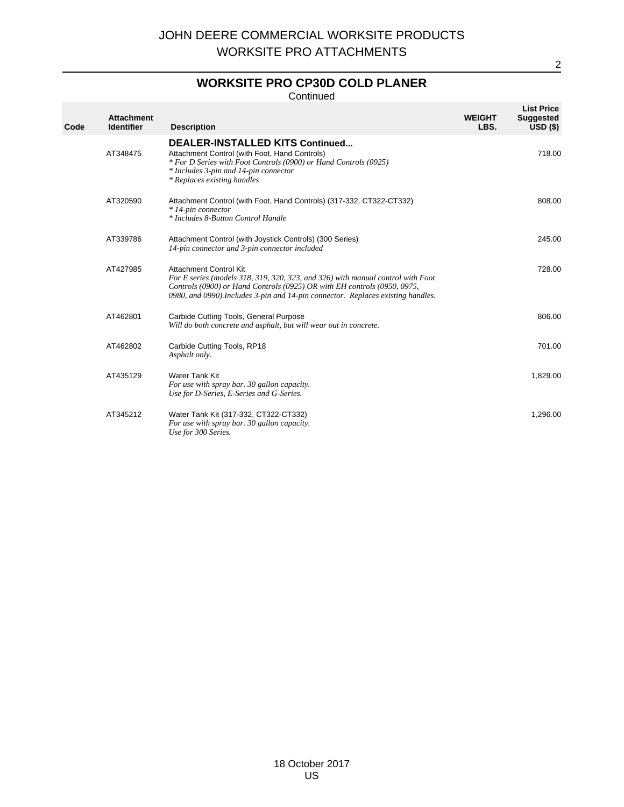# **WORKSITE PRO CP30D COLD PLANER**

Continued

| Code | <b>Attachment</b><br><b>Identifier</b> | <b>Description</b>                                                                                                                                                                                                                                                               | <b>WEIGHT</b><br>LBS. | <b>List Price</b><br><b>Suggested</b><br>USD(S) |
|------|----------------------------------------|----------------------------------------------------------------------------------------------------------------------------------------------------------------------------------------------------------------------------------------------------------------------------------|-----------------------|-------------------------------------------------|
|      | AT348475                               | <b>DEALER-INSTALLED KITS Continued</b><br>Attachment Control (with Foot, Hand Controls)<br>* For D Series with Foot Controls (0900) or Hand Controls (0925)<br>* Includes 3-pin and 14-pin connector<br>* Replaces existing handles                                              |                       | 718.00                                          |
|      | AT320590                               | Attachment Control (with Foot, Hand Controls) (317-332, CT322-CT332)<br>* 14-pin connector<br>* Includes 8-Button Control Handle                                                                                                                                                 |                       | 808.00                                          |
|      | AT339786                               | Attachment Control (with Joystick Controls) (300 Series)<br>14-pin connector and 3-pin connector included                                                                                                                                                                        |                       | 245.00                                          |
|      | AT427985                               | <b>Attachment Control Kit</b><br>For E series (models 318, 319, 320, 323, and 326) with manual control with Foot<br>Controls (0900) or Hand Controls (0925) OR with EH controls (0950, 0975,<br>0980, and 0990). Includes 3-pin and 14-pin connector. Replaces existing handles. |                       | 728.00                                          |
|      | AT462801                               | Carbide Cutting Tools, General Purpose<br>Will do both concrete and asphalt, but will wear out in concrete.                                                                                                                                                                      |                       | 806.00                                          |
|      | AT462802                               | Carbide Cutting Tools, RP18<br>Asphalt only.                                                                                                                                                                                                                                     |                       | 701.00                                          |
|      | AT435129                               | <b>Water Tank Kit</b><br>For use with spray bar. 30 gallon capacity.<br>Use for D-Series, E-Series and G-Series.                                                                                                                                                                 |                       | 1,829.00                                        |
|      | AT345212                               | Water Tank Kit (317-332, CT322-CT332)<br>For use with spray bar. 30 gallon capacity.<br>Use for 300 Series.                                                                                                                                                                      |                       | 1,296.00                                        |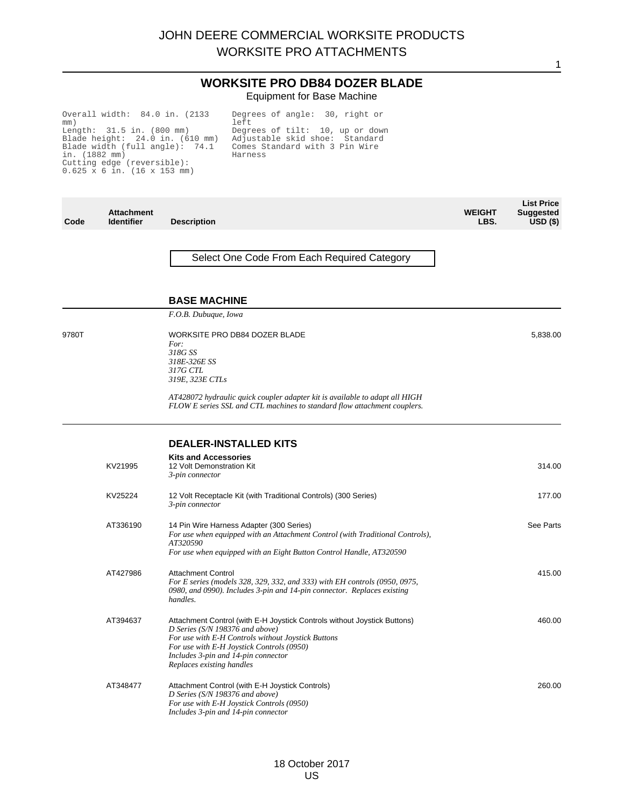## **WORKSITE PRO DB84 DOZER BLADE** Equipment for Base Machine

1

Overall width: 84.0 in. (2133 mm) Length: 31.5 in. (800 mm) Blade height: 24.0 in. (610 mm) Blade width (full angle): 74.1 in. (1882 mm) Cutting edge (reversible): 0.625 x 6 in. (16 x 153 mm)

Degrees of angle: 30, right or left Degrees of tilt: 10, up or down Adjustable skid shoe: Standard Comes Standard with 3 Pin Wire Harness

| Code  | <b>Attachment</b><br><b>Identifier</b> | <b>Description</b>                                                                                                                                                                                                                                                                 | <b>WEIGHT</b><br>LBS. | <b>List Price</b><br><b>Suggested</b><br>$USD($ \$) |
|-------|----------------------------------------|------------------------------------------------------------------------------------------------------------------------------------------------------------------------------------------------------------------------------------------------------------------------------------|-----------------------|-----------------------------------------------------|
|       |                                        | Select One Code From Each Required Category                                                                                                                                                                                                                                        |                       |                                                     |
|       |                                        | <b>BASE MACHINE</b>                                                                                                                                                                                                                                                                |                       |                                                     |
|       |                                        | F.O.B. Dubuque, Iowa                                                                                                                                                                                                                                                               |                       |                                                     |
| 9780T |                                        | WORKSITE PRO DB84 DOZER BLADE<br>For:<br>318G SS<br>318E-326E SS<br>317G CTL<br>319E, 323E CTLs                                                                                                                                                                                    |                       | 5,838.00                                            |
|       |                                        | AT428072 hydraulic quick coupler adapter kit is available to adapt all HIGH<br>FLOW E series SSL and CTL machines to standard flow attachment couplers.                                                                                                                            |                       |                                                     |
|       |                                        | <b>DEALER-INSTALLED KITS</b>                                                                                                                                                                                                                                                       |                       |                                                     |
|       | KV21995                                | <b>Kits and Accessories</b><br>12 Volt Demonstration Kit<br>3-pin connector                                                                                                                                                                                                        |                       | 314.00                                              |
|       | KV25224                                | 12 Volt Receptacle Kit (with Traditional Controls) (300 Series)<br>3-pin connector                                                                                                                                                                                                 |                       | 177.00                                              |
|       | AT336190                               | 14 Pin Wire Harness Adapter (300 Series)<br>For use when equipped with an Attachment Control (with Traditional Controls),<br>AT320590<br>For use when equipped with an Eight Button Control Handle, AT320590                                                                       |                       | See Parts                                           |
|       | AT427986                               | <b>Attachment Control</b><br>For E series (models 328, 329, 332, and 333) with EH controls (0950, 0975,<br>0980, and 0990). Includes 3-pin and 14-pin connector. Replaces existing<br>handles.                                                                                     |                       | 415.00                                              |
|       | AT394637                               | Attachment Control (with E-H Joystick Controls without Joystick Buttons)<br>D Series (S/N 198376 and above)<br>For use with E-H Controls without Joystick Buttons<br>For use with E-H Joystick Controls (0950)<br>Includes 3-pin and 14-pin connector<br>Replaces existing handles |                       | 460.00                                              |
|       | AT348477                               | Attachment Control (with E-H Joystick Controls)<br>D Series (S/N 198376 and above)<br>For use with E-H Joystick Controls (0950)<br>Includes 3-pin and 14-pin connector                                                                                                             |                       | 260.00                                              |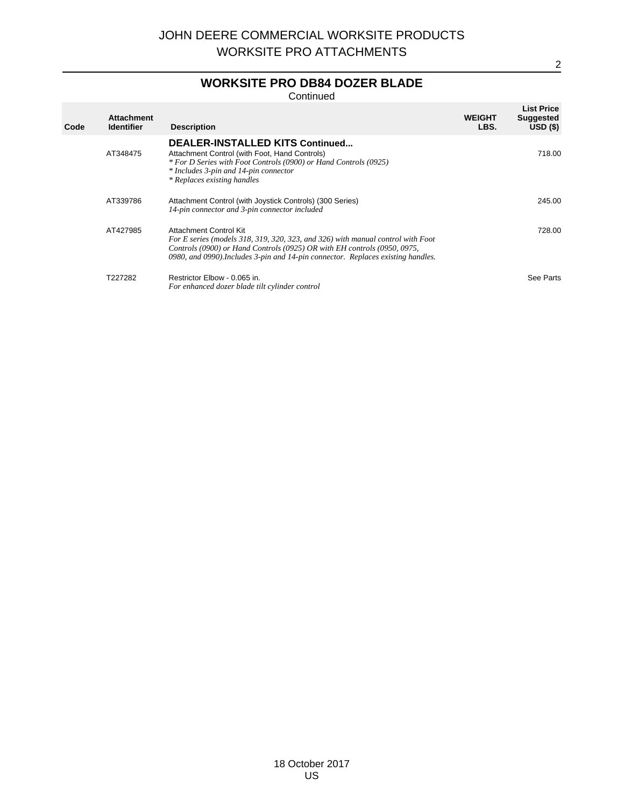# **WORKSITE PRO DB84 DOZER BLADE**

Continued

| Code | <b>Attachment</b><br><b>Identifier</b> | <b>Description</b>                                                                                                                                                                                                                                                        | <b>WEIGHT</b><br>LBS. | <b>List Price</b><br><b>Suggested</b><br>USD(S) |
|------|----------------------------------------|---------------------------------------------------------------------------------------------------------------------------------------------------------------------------------------------------------------------------------------------------------------------------|-----------------------|-------------------------------------------------|
|      | AT348475                               | <b>DEALER-INSTALLED KITS Continued</b><br>Attachment Control (with Foot, Hand Controls)<br>* For D Series with Foot Controls (0900) or Hand Controls (0925)<br>* Includes 3-pin and 14-pin connector<br>* Replaces existing handles                                       |                       | 718.00                                          |
|      | AT339786                               | Attachment Control (with Joystick Controls) (300 Series)<br>14-pin connector and 3-pin connector included                                                                                                                                                                 |                       | 245.00                                          |
|      | AT427985                               | Attachment Control Kit<br>For E series (models 318, 319, 320, 323, and 326) with manual control with Foot<br>Controls (0900) or Hand Controls (0925) OR with EH controls (0950, 0975,<br>0980, and 0990). Includes 3-pin and 14-pin connector. Replaces existing handles. |                       | 728.00                                          |
|      | T227282                                | Restrictor Elbow - 0.065 in.<br>For enhanced dozer blade tilt cylinder control                                                                                                                                                                                            |                       | See Parts                                       |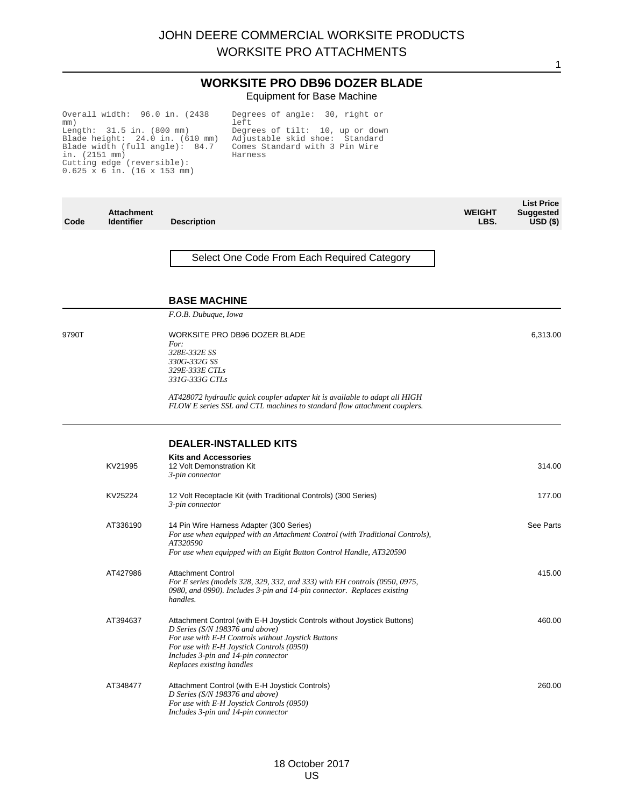## **WORKSITE PRO DB96 DOZER BLADE** Equipment for Base Machine

Overall width: 96.0 in. (2438 mm) Length: 31.5 in. (800 mm) Blade height: 24.0 in. (610 mm) Blade width (full angle): 84.7 in. (2151 mm) Cutting edge (reversible): 0.625 x 6 in. (16 x 153 mm)

Degrees of angle: 30, right or left Degrees of tilt: 10, up or down Adjustable skid shoe: Standard Comes Standard with 3 Pin Wire Harness

| Code  | <b>Attachment</b><br><b>Identifier</b> | <b>Description</b>                                                                                                                                                                                                                                                                 | <b>WEIGHT</b><br>LBS. | <b>List Price</b><br><b>Suggested</b><br>$USD($ \$) |
|-------|----------------------------------------|------------------------------------------------------------------------------------------------------------------------------------------------------------------------------------------------------------------------------------------------------------------------------------|-----------------------|-----------------------------------------------------|
|       |                                        | Select One Code From Each Required Category                                                                                                                                                                                                                                        |                       |                                                     |
|       |                                        | <b>BASE MACHINE</b>                                                                                                                                                                                                                                                                |                       |                                                     |
|       |                                        | F.O.B. Dubuque, Iowa                                                                                                                                                                                                                                                               |                       |                                                     |
| 9790T |                                        | WORKSITE PRO DB96 DOZER BLADE<br>For:<br>328E-332E SS<br>330G-332G SS<br>329E-333E CTLs<br>331G-333G CTLs                                                                                                                                                                          |                       | 6,313.00                                            |
|       |                                        | AT428072 hydraulic quick coupler adapter kit is available to adapt all HIGH<br>FLOW E series SSL and CTL machines to standard flow attachment couplers.                                                                                                                            |                       |                                                     |
|       |                                        | <b>DEALER-INSTALLED KITS</b>                                                                                                                                                                                                                                                       |                       |                                                     |
|       | KV21995                                | <b>Kits and Accessories</b><br>12 Volt Demonstration Kit<br>3-pin connector                                                                                                                                                                                                        |                       | 314.00                                              |
|       | KV25224                                | 12 Volt Receptacle Kit (with Traditional Controls) (300 Series)<br>3-pin connector                                                                                                                                                                                                 |                       | 177.00                                              |
|       | AT336190                               | 14 Pin Wire Harness Adapter (300 Series)<br>For use when equipped with an Attachment Control (with Traditional Controls),<br>AT320590<br>For use when equipped with an Eight Button Control Handle, AT320590                                                                       |                       | See Parts                                           |
|       | AT427986                               | <b>Attachment Control</b><br>For E series (models 328, 329, 332, and 333) with EH controls (0950, 0975,<br>0980, and 0990). Includes 3-pin and 14-pin connector. Replaces existing<br>handles.                                                                                     |                       | 415.00                                              |
|       | AT394637                               | Attachment Control (with E-H Joystick Controls without Joystick Buttons)<br>D Series (S/N 198376 and above)<br>For use with E-H Controls without Joystick Buttons<br>For use with E-H Joystick Controls (0950)<br>Includes 3-pin and 14-pin connector<br>Replaces existing handles |                       | 460.00                                              |
|       | AT348477                               | Attachment Control (with E-H Joystick Controls)<br>D Series (S/N 198376 and above)<br>For use with E-H Joystick Controls (0950)<br>Includes 3-pin and 14-pin connector                                                                                                             |                       | 260.00                                              |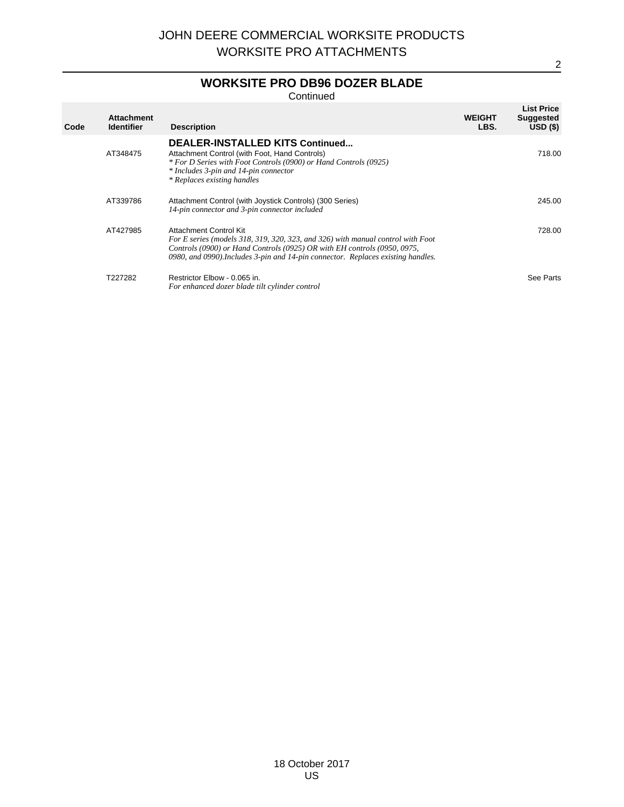# **WORKSITE PRO DB96 DOZER BLADE**

Continued

| Code | <b>Attachment</b><br><b>Identifier</b> | <b>Description</b>                                                                                                                                                                                                                                                        | <b>WEIGHT</b><br>LBS. | <b>List Price</b><br><b>Suggested</b><br>USD(S) |
|------|----------------------------------------|---------------------------------------------------------------------------------------------------------------------------------------------------------------------------------------------------------------------------------------------------------------------------|-----------------------|-------------------------------------------------|
|      | AT348475                               | <b>DEALER-INSTALLED KITS Continued</b><br>Attachment Control (with Foot, Hand Controls)<br>* For D Series with Foot Controls (0900) or Hand Controls (0925)<br>* Includes 3-pin and 14-pin connector<br>* Replaces existing handles                                       |                       | 718.00                                          |
|      | AT339786                               | Attachment Control (with Joystick Controls) (300 Series)<br>14-pin connector and 3-pin connector included                                                                                                                                                                 |                       | 245.00                                          |
|      | AT427985                               | Attachment Control Kit<br>For E series (models 318, 319, 320, 323, and 326) with manual control with Foot<br>Controls (0900) or Hand Controls (0925) OR with EH controls (0950, 0975,<br>0980, and 0990). Includes 3-pin and 14-pin connector. Replaces existing handles. |                       | 728.00                                          |
|      | T227282                                | Restrictor Elbow - 0.065 in.<br>For enhanced dozer blade tilt cylinder control                                                                                                                                                                                            |                       | See Parts                                       |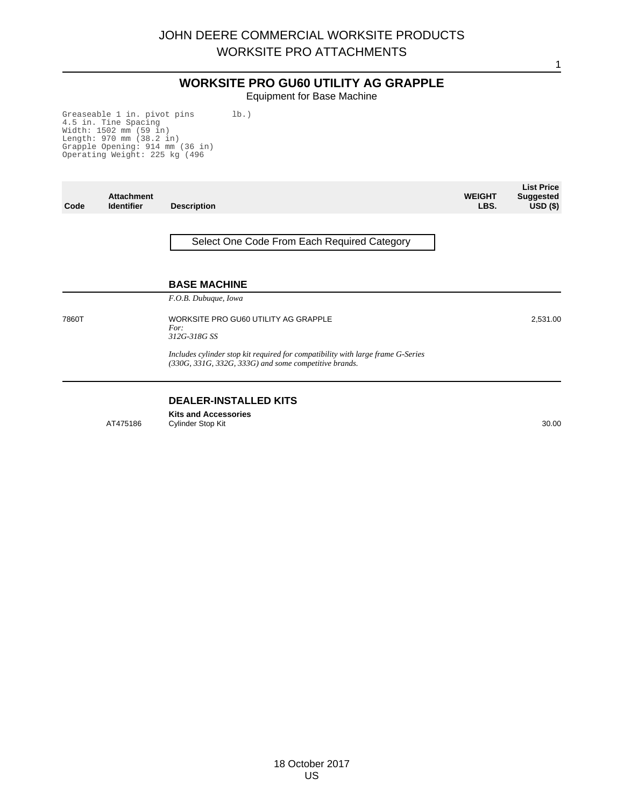# **WORKSITE PRO GU60 UTILITY AG GRAPPLE**

Equipment for Base Machine

Greaseable 1 in. pivot pins 4.5 in. Tine Spacing Width: 1502 mm (59 in) Length: 970 mm (38.2 in) Grapple Opening: 914 mm (36 in) Operating Weight: 225 kg (496 lb.)

| Code  | <b>Attachment</b><br><b>Identifier</b> | <b>Description</b>                                                                                                                       | <b>WEIGHT</b><br>LBS. | <b>List Price</b><br><b>Suggested</b><br>USD <sub>(</sub> ) |
|-------|----------------------------------------|------------------------------------------------------------------------------------------------------------------------------------------|-----------------------|-------------------------------------------------------------|
|       |                                        | Select One Code From Each Required Category                                                                                              |                       |                                                             |
|       |                                        | <b>BASE MACHINE</b><br>F.O.B. Dubuque, Iowa                                                                                              |                       |                                                             |
| 7860T |                                        | WORKSITE PRO GU60 UTILITY AG GRAPPLE<br>For:<br>312G-318G SS                                                                             |                       | 2,531.00                                                    |
|       |                                        | Includes cylinder stop kit required for compatibility with large frame G-Series<br>(330G, 331G, 332G, 333G) and some competitive brands. |                       |                                                             |

## **DEALER-INSTALLED KITS**

**Kits and Accessories** AT475186 Cylinder Stop Kit 30.00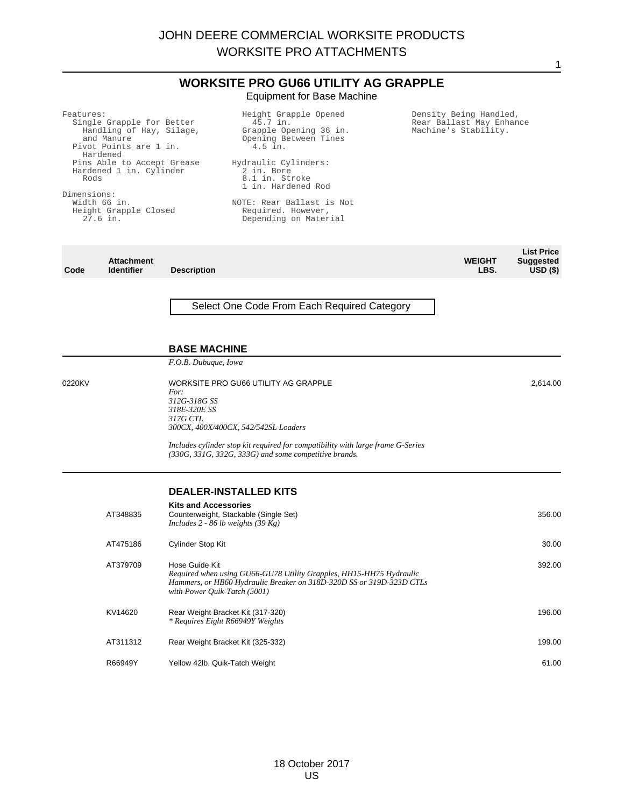|                                  |                                                                                                                                                                                                                         |                                                                             | <b>WORKSITE PRO GU66 UTILITY AG GRAPPLE</b><br><b>Equipment for Base Machine</b>                                                                                                                                                                          |  |                                                                            |                                                     |
|----------------------------------|-------------------------------------------------------------------------------------------------------------------------------------------------------------------------------------------------------------------------|-----------------------------------------------------------------------------|-----------------------------------------------------------------------------------------------------------------------------------------------------------------------------------------------------------------------------------------------------------|--|----------------------------------------------------------------------------|-----------------------------------------------------|
| Features:<br>Rods<br>Dimensions: | Single Grapple for Better<br>Handling of Hay, Silage,<br>and Manure<br>Pivot Points are 1 in.<br>Hardened<br>Pins Able to Accept Grease<br>Hardened 1 in. Cylinder<br>Width 66 in.<br>Height Grapple Closed<br>27.6 in. |                                                                             | Height Grapple Opened<br>45.7 in.<br>Grapple Opening 36 in.<br>Opening Between Tines<br>4.5 in.<br>Hydraulic Cylinders:<br>2 in. Bore<br>8.1 in. Stroke<br>1 in. Hardened Rod<br>NOTE: Rear Ballast is Not<br>Required. However,<br>Depending on Material |  | Density Being Handled,<br>Rear Ballast May Enhance<br>Machine's Stability. |                                                     |
| Code                             | <b>Attachment</b><br><b>Identifier</b>                                                                                                                                                                                  | <b>Description</b>                                                          |                                                                                                                                                                                                                                                           |  | <b>WEIGHT</b><br>LBS.                                                      | <b>List Price</b><br><b>Suggested</b><br>$USD($ \$) |
|                                  |                                                                                                                                                                                                                         | <b>BASE MACHINE</b>                                                         | Select One Code From Each Required Category                                                                                                                                                                                                               |  |                                                                            |                                                     |
|                                  |                                                                                                                                                                                                                         | F.O.B. Dubuque, Iowa                                                        |                                                                                                                                                                                                                                                           |  |                                                                            |                                                     |
| 0220KV                           |                                                                                                                                                                                                                         | For:<br>312G-318G SS<br>318E-320E SS<br><i>317G CTL</i>                     | WORKSITE PRO GU66 UTILITY AG GRAPPLE<br>300CX, 400X/400CX, 542/542SL Loaders<br>Includes cylinder stop kit required for compatibility with large frame G-Series                                                                                           |  |                                                                            | 2,614.00                                            |
|                                  |                                                                                                                                                                                                                         |                                                                             | $(330G, 331G, 332G, 333G)$ and some competitive brands.                                                                                                                                                                                                   |  |                                                                            |                                                     |
|                                  | AT348835                                                                                                                                                                                                                | <b>Kits and Accessories</b><br>Includes 2 - 86 lb weights $(39 \text{ Kg})$ | <b>DEALER-INSTALLED KITS</b><br>Counterweight, Stackable (Single Set)                                                                                                                                                                                     |  |                                                                            | 356.00                                              |
|                                  | AT475186                                                                                                                                                                                                                | Cylinder Stop Kit                                                           |                                                                                                                                                                                                                                                           |  |                                                                            | 30.00                                               |
|                                  | AT379709                                                                                                                                                                                                                | Hose Guide Kit<br>with Power Quik-Tatch (5001)                              | Required when using GU66-GU78 Utility Grapples, HH15-HH75 Hydraulic<br>Hammers, or HB60 Hydraulic Breaker on 318D-320D SS or 319D-323D CTLs                                                                                                               |  |                                                                            | 392.00                                              |
|                                  | KV14620                                                                                                                                                                                                                 |                                                                             | Rear Weight Bracket Kit (317-320)<br>* Requires Eight R66949Y Weights                                                                                                                                                                                     |  |                                                                            | 196.00                                              |
|                                  | AT311312                                                                                                                                                                                                                |                                                                             | Rear Weight Bracket Kit (325-332)                                                                                                                                                                                                                         |  |                                                                            | 199.00                                              |
|                                  | R66949Y                                                                                                                                                                                                                 | Yellow 42lb. Quik-Tatch Weight                                              |                                                                                                                                                                                                                                                           |  |                                                                            | 61.00                                               |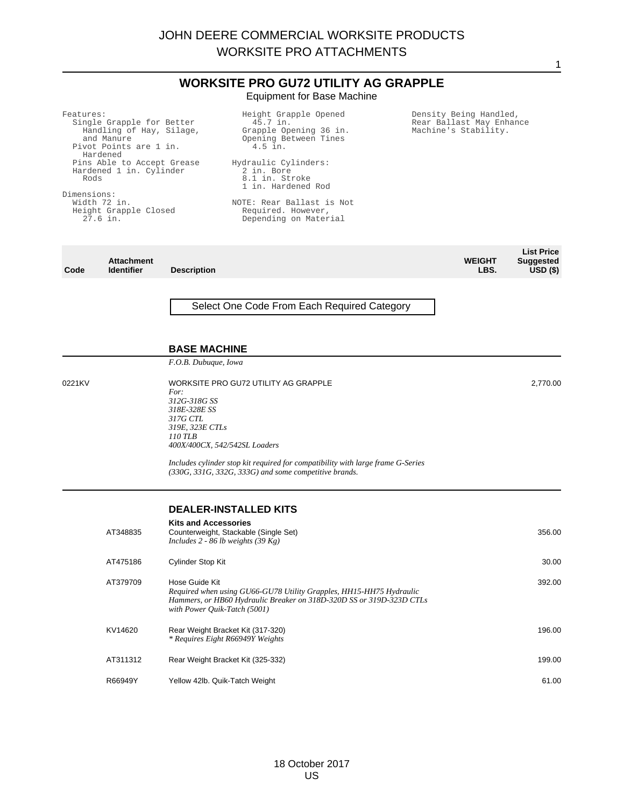|                                                                                                                                                                                                                                                             |                                        |                                                                                | <b>WORKSITE PRO GU72 UTILITY AG GRAPPLE</b><br><b>Equipment for Base Machine</b>                                                                                                                                                                            |                                                                            |                                                      |
|-------------------------------------------------------------------------------------------------------------------------------------------------------------------------------------------------------------------------------------------------------------|----------------------------------------|--------------------------------------------------------------------------------|-------------------------------------------------------------------------------------------------------------------------------------------------------------------------------------------------------------------------------------------------------------|----------------------------------------------------------------------------|------------------------------------------------------|
| Features:<br>Single Grapple for Better<br>Handling of Hay, Silage,<br>and Manure<br>Pivot Points are 1 in.<br>Hardened<br>Pins Able to Accept Grease<br>Hardened 1 in. Cylinder<br>Rods<br>Dimensions:<br>Width 72 in.<br>Height Grapple Closed<br>27.6 in. |                                        |                                                                                | Height Grapple Opened<br>45.7 in.<br>Grapple Opening 36 in.<br>Opening Between Tines<br>$4.5$ in.<br>Hydraulic Cylinders:<br>2 in. Bore<br>8.1 in. Stroke<br>1 in. Hardened Rod<br>NOTE: Rear Ballast is Not<br>Required. However,<br>Depending on Material | Density Being Handled,<br>Rear Ballast May Enhance<br>Machine's Stability. |                                                      |
| Code                                                                                                                                                                                                                                                        | <b>Attachment</b><br><b>Identifier</b> | <b>Description</b>                                                             |                                                                                                                                                                                                                                                             | <b>WEIGHT</b><br>LBS.                                                      | <b>List Price</b><br>Suggested<br>USD <sub>(</sub> ) |
|                                                                                                                                                                                                                                                             |                                        |                                                                                | Select One Code From Each Required Category                                                                                                                                                                                                                 |                                                                            |                                                      |
|                                                                                                                                                                                                                                                             |                                        | <b>BASE MACHINE</b><br>F.O.B. Dubuque, Iowa                                    |                                                                                                                                                                                                                                                             |                                                                            |                                                      |
| 0221KV                                                                                                                                                                                                                                                      |                                        | For:<br>312G-318G SS<br>318E-328E SS<br>317G CTL<br>319E, 323E CTLs<br>110 TLB | WORKSITE PRO GU72 UTILITY AG GRAPPLE<br>400X/400CX, 542/542SL Loaders<br>Includes cylinder stop kit required for compatibility with large frame G-Series<br>$(330G, 331G, 332G, 333G)$ and some competitive brands.                                         |                                                                            | 2,770.00                                             |
|                                                                                                                                                                                                                                                             |                                        |                                                                                | <b>DEALER-INSTALLED KITS</b>                                                                                                                                                                                                                                |                                                                            |                                                      |
|                                                                                                                                                                                                                                                             | AT348835                               | <b>Kits and Accessories</b>                                                    | Counterweight, Stackable (Single Set)<br>Includes 2 - 86 lb weights $(39 \text{ Kg})$                                                                                                                                                                       |                                                                            | 356.00                                               |
|                                                                                                                                                                                                                                                             | AT475186                               | Cylinder Stop Kit                                                              |                                                                                                                                                                                                                                                             |                                                                            | 30.00                                                |
|                                                                                                                                                                                                                                                             | AT379709                               | Hose Guide Kit                                                                 | Required when using GU66-GU78 Utility Grapples, HH15-HH75 Hydraulic<br>Hammers, or HB60 Hydraulic Breaker on 318D-320D SS or 319D-323D CTLs<br>with Power Quik-Tatch (5001)                                                                                 |                                                                            | 392.00                                               |
|                                                                                                                                                                                                                                                             | KV14620                                |                                                                                | Rear Weight Bracket Kit (317-320)<br>* Requires Eight R66949Y Weights                                                                                                                                                                                       |                                                                            | 196.00                                               |
|                                                                                                                                                                                                                                                             | AT311312                               |                                                                                | Rear Weight Bracket Kit (325-332)                                                                                                                                                                                                                           |                                                                            | 199.00                                               |
|                                                                                                                                                                                                                                                             | R66949Y                                |                                                                                | Yellow 42lb. Quik-Tatch Weight                                                                                                                                                                                                                              |                                                                            | 61.00                                                |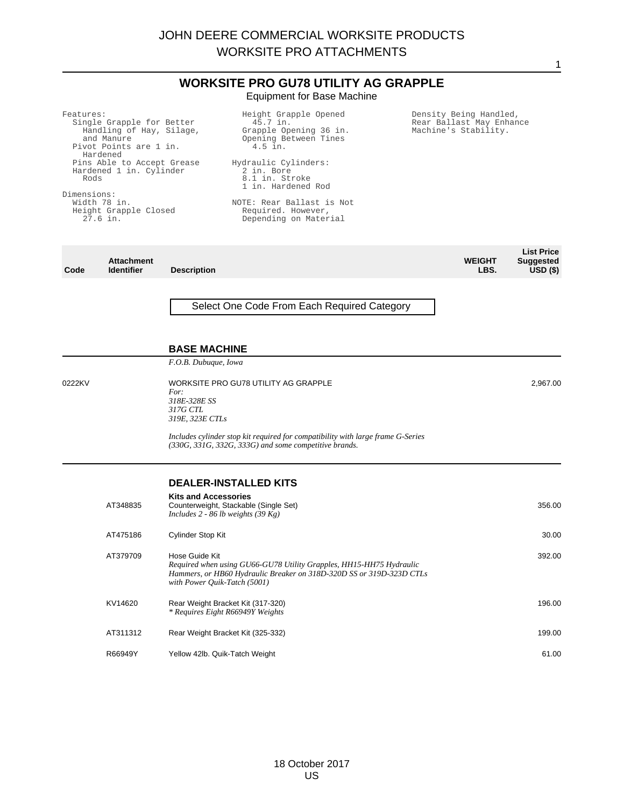|                                                                                                                                                                                                                                                             |                                        |                                                                                                                                                                                                                                                           | <b>WORKSITE PRO GU78 UTILITY AG GRAPPLE</b><br><b>Equipment for Base Machine</b>                                                                                                   |                                                                            |                       |                                                     |
|-------------------------------------------------------------------------------------------------------------------------------------------------------------------------------------------------------------------------------------------------------------|----------------------------------------|-----------------------------------------------------------------------------------------------------------------------------------------------------------------------------------------------------------------------------------------------------------|------------------------------------------------------------------------------------------------------------------------------------------------------------------------------------|----------------------------------------------------------------------------|-----------------------|-----------------------------------------------------|
| Features:<br>Single Grapple for Better<br>Handling of Hay, Silage,<br>and Manure<br>Pivot Points are 1 in.<br>Hardened<br>Pins Able to Accept Grease<br>Hardened 1 in. Cylinder<br>Rods<br>Dimensions:<br>Width 78 in.<br>Height Grapple Closed<br>27.6 in. |                                        | Height Grapple Opened<br>45.7 in.<br>Grapple Opening 36 in.<br>Opening Between Tines<br>4.5 in.<br>Hydraulic Cylinders:<br>2 in. Bore<br>8.1 in. Stroke<br>1 in. Hardened Rod<br>NOTE: Rear Ballast is Not<br>Required. However,<br>Depending on Material |                                                                                                                                                                                    | Density Being Handled,<br>Rear Ballast May Enhance<br>Machine's Stability. |                       |                                                     |
| Code                                                                                                                                                                                                                                                        | <b>Attachment</b><br><b>Identifier</b> | <b>Description</b>                                                                                                                                                                                                                                        |                                                                                                                                                                                    |                                                                            | <b>WEIGHT</b><br>LBS. | <b>List Price</b><br><b>Suggested</b><br>$USD($ \$) |
|                                                                                                                                                                                                                                                             |                                        | <b>BASE MACHINE</b>                                                                                                                                                                                                                                       | Select One Code From Each Required Category                                                                                                                                        |                                                                            |                       |                                                     |
|                                                                                                                                                                                                                                                             |                                        | F.O.B. Dubuque, Iowa                                                                                                                                                                                                                                      |                                                                                                                                                                                    |                                                                            |                       |                                                     |
| 0222KV                                                                                                                                                                                                                                                      |                                        | For:<br>318E-328E SS<br>317G CTL<br>319E, 323E CTLs                                                                                                                                                                                                       | WORKSITE PRO GU78 UTILITY AG GRAPPLE<br>Includes cylinder stop kit required for compatibility with large frame G-Series<br>$(330G, 331G, 332G, 333G)$ and some competitive brands. |                                                                            |                       | 2,967.00                                            |
|                                                                                                                                                                                                                                                             |                                        |                                                                                                                                                                                                                                                           | <b>DEALER-INSTALLED KITS</b>                                                                                                                                                       |                                                                            |                       |                                                     |
|                                                                                                                                                                                                                                                             | AT348835                               | <b>Kits and Accessories</b><br>Includes $2 - 86$ lb weights (39 Kg)                                                                                                                                                                                       | Counterweight, Stackable (Single Set)                                                                                                                                              |                                                                            |                       | 356.00                                              |
|                                                                                                                                                                                                                                                             | AT475186                               | Cylinder Stop Kit                                                                                                                                                                                                                                         |                                                                                                                                                                                    |                                                                            |                       | 30.00                                               |
|                                                                                                                                                                                                                                                             | AT379709                               | Hose Guide Kit<br>with Power Quik-Tatch (5001)                                                                                                                                                                                                            | Required when using GU66-GU78 Utility Grapples, HH15-HH75 Hydraulic<br>Hammers, or HB60 Hydraulic Breaker on 318D-320D SS or 319D-323D CTLs                                        |                                                                            |                       | 392.00                                              |
|                                                                                                                                                                                                                                                             | KV14620                                |                                                                                                                                                                                                                                                           | Rear Weight Bracket Kit (317-320)<br>* Requires Eight R66949Y Weights                                                                                                              |                                                                            |                       | 196.00                                              |
|                                                                                                                                                                                                                                                             | AT311312                               |                                                                                                                                                                                                                                                           | Rear Weight Bracket Kit (325-332)                                                                                                                                                  |                                                                            |                       | 199.00                                              |
|                                                                                                                                                                                                                                                             | R66949Y                                | Yellow 42lb. Quik-Tatch Weight                                                                                                                                                                                                                            |                                                                                                                                                                                    |                                                                            |                       | 61.00                                               |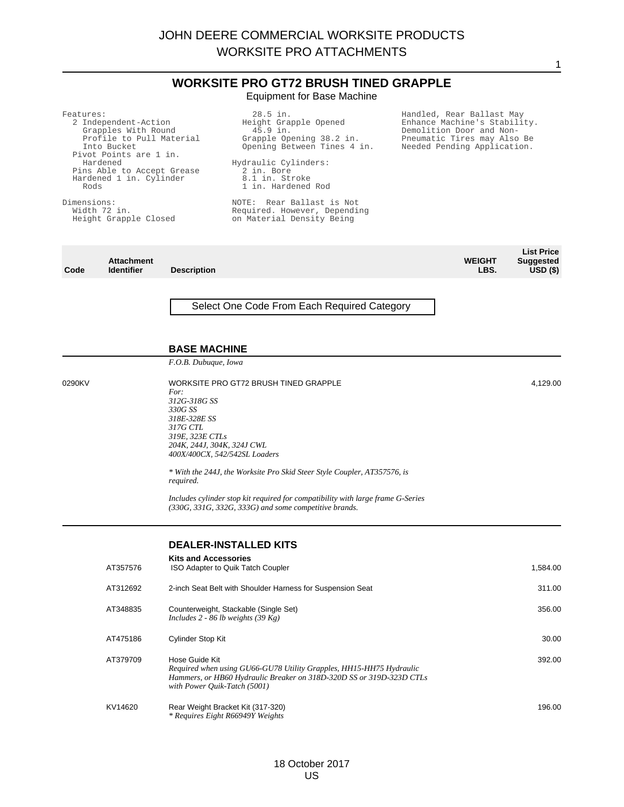**WORKSITE PRO GT72 BRUSH TINED GRAPPLE** Equipment for Base Machine

| Features:<br>2 Independent-Action<br>Grapples With Round<br>Profile to Pull Material<br>Into Bucket<br>Pivot Points are 1 in.<br>Hardened<br>Pins Able to Accept Grease<br>Hardened 1 in. Cylinder<br>Rods<br>Dimensions:<br>Width 72 in.<br>Height Grapple Closed |                                        |                                                                                                                                                                                 | 28.5 in.<br>Handled, Rear Ballast May<br>Height Grapple Opened<br>Enhance Machine's Stability.<br>Demolition Door and Non-<br>45.9 in.<br>Grapple Opening 38.2 in.<br>Pneumatic Tires may Also Be<br>Opening Between Tines 4 in.<br>Needed Pending Application.<br>Hydraulic Cylinders:<br>2 in. Bore<br>8.1 in. Stroke<br>1 in. Hardened Rod<br>NOTE: Rear Ballast is Not<br>Required. However, Depending<br>on Material Density Being |                       |                                                     |  |
|--------------------------------------------------------------------------------------------------------------------------------------------------------------------------------------------------------------------------------------------------------------------|----------------------------------------|---------------------------------------------------------------------------------------------------------------------------------------------------------------------------------|-----------------------------------------------------------------------------------------------------------------------------------------------------------------------------------------------------------------------------------------------------------------------------------------------------------------------------------------------------------------------------------------------------------------------------------------|-----------------------|-----------------------------------------------------|--|
| Code                                                                                                                                                                                                                                                               | <b>Attachment</b><br><b>Identifier</b> | <b>Description</b>                                                                                                                                                              |                                                                                                                                                                                                                                                                                                                                                                                                                                         | <b>WEIGHT</b><br>LBS. | <b>List Price</b><br><b>Suggested</b><br>$USD($ \$) |  |
| 0290KV                                                                                                                                                                                                                                                             |                                        | <b>BASE MACHINE</b><br>F.O.B. Dubuque, Iowa<br>For:<br>312G-318G SS<br>330G SS<br>318E-328E SS<br><i>317G CTL</i><br>319E, 323E CTLs<br>204K, 244J, 304K, 324J CWL<br>required. | Select One Code From Each Required Category<br>WORKSITE PRO GT72 BRUSH TINED GRAPPLE<br>400X/400CX, 542/542SL Loaders<br>* With the 244J, the Worksite Pro Skid Steer Style Coupler, AT357576, is<br>Includes cylinder stop kit required for compatibility with large frame G-Series<br>$(330G, 331G, 332G, 333G)$ and some competitive brands.                                                                                         |                       | 4,129.00                                            |  |
|                                                                                                                                                                                                                                                                    | AT357576                               | <b>Kits and Accessories</b>                                                                                                                                                     | <b>DEALER-INSTALLED KITS</b><br>ISO Adapter to Quik Tatch Coupler                                                                                                                                                                                                                                                                                                                                                                       |                       | 1,584.00                                            |  |

|          | <b>DEALER-INSTALLED KITS</b>                                                          |          |
|----------|---------------------------------------------------------------------------------------|----------|
| AT357576 | <b>Kits and Accessories</b><br>ISO Adapter to Quik Tatch Coupler                      | 1,584.00 |
| AT312692 | 2-inch Seat Belt with Shoulder Harness for Suspension Seat                            | 311.00   |
| AT348835 | Counterweight, Stackable (Single Set)<br>Includes 2 - 86 lb weights $(39 \text{ Kg})$ | 356.00   |
| AT475186 | Cylinder Stop Kit                                                                     | 30.00    |
| AT379709 | Hose Guide Kit<br>Required when using GU66-GU78 Utility Grapples, HH15-HH75 Hydraulic | 392.00   |

*Hammers, or HB60 Hydraulic Breaker on 318D-320D SS or 319D-323D CTLs*

*with Power Quik-Tatch (5001)*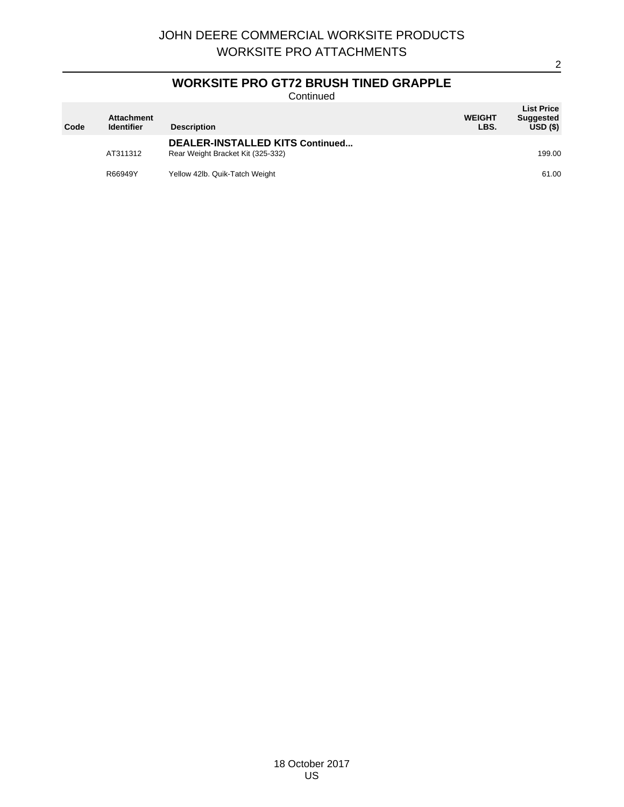# **WORKSITE PRO GT72 BRUSH TINED GRAPPLE**

Continued

| Code | <b>Attachment</b><br><b>Identifier</b> | <b>Description</b>                                                   | <b>WEIGHT</b><br>LBS. | <b>List Price</b><br><b>Suggested</b><br>USD(S) |
|------|----------------------------------------|----------------------------------------------------------------------|-----------------------|-------------------------------------------------|
|      | AT311312                               | DEALER-INSTALLED KITS Continued<br>Rear Weight Bracket Kit (325-332) |                       | 199.00                                          |
|      | R66949Y                                | Yellow 42lb. Quik-Tatch Weight                                       |                       | 61.00                                           |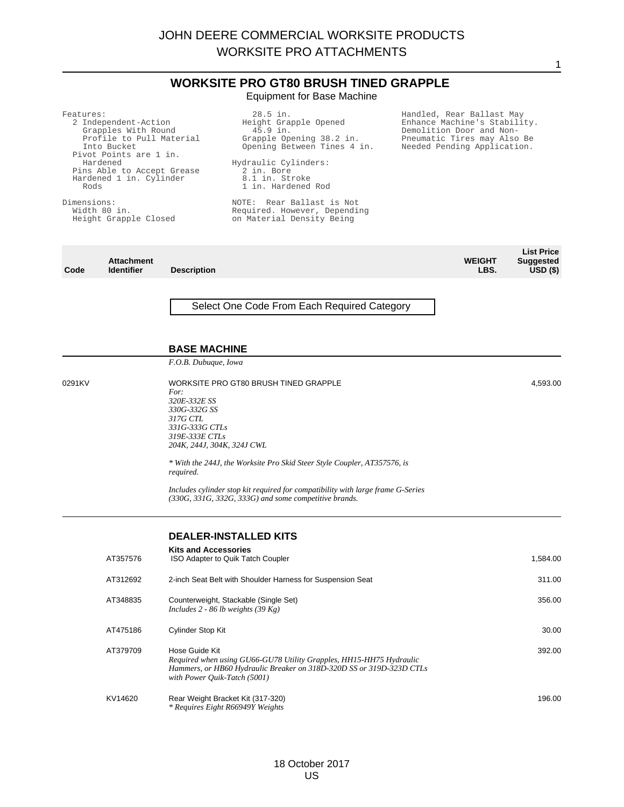**WORKSITE PRO GT80 BRUSH TINED GRAPPLE** Equipment for Base Machine

1

28.5 in.

| Features:<br>Rods<br>Dimensions: | 2 Independent-Action<br>Grapples With Round<br>Profile to Pull Material<br>Into Bucket<br>Pivot Points are 1 in.<br>Hardened<br>Pins Able to Accept Grease<br>Hardened 1 in. Cylinder<br>Width 80 in.<br>Height Grapple Closed |                                                                                                                                        | 28.5 in.<br>Height Grapple Opened<br>45.9 in.<br>Grapple Opening 38.2 in.<br>Opening Between Tines 4 in.<br>Hydraulic Cylinders:<br>2 in. Bore<br>8.1 in. Stroke<br>1 in. Hardened Rod<br>NOTE: Rear Ballast is Not<br>Required. However, Depending<br>on Material Density Being | Handled, Rear Ballast May<br>Enhance Machine's Stability.<br>Demolition Door and Non-<br>Pneumatic Tires may Also Be<br>Needed Pending Application. |                                                     |
|----------------------------------|--------------------------------------------------------------------------------------------------------------------------------------------------------------------------------------------------------------------------------|----------------------------------------------------------------------------------------------------------------------------------------|----------------------------------------------------------------------------------------------------------------------------------------------------------------------------------------------------------------------------------------------------------------------------------|-----------------------------------------------------------------------------------------------------------------------------------------------------|-----------------------------------------------------|
| Code                             | <b>Attachment</b><br><b>Identifier</b>                                                                                                                                                                                         | <b>Description</b>                                                                                                                     |                                                                                                                                                                                                                                                                                  | <b>WEIGHT</b><br>LBS.                                                                                                                               | <b>List Price</b><br><b>Suggested</b><br>$USD($ \$) |
|                                  |                                                                                                                                                                                                                                | <b>BASE MACHINE</b><br>F.O.B. Dubuque, Iowa                                                                                            | Select One Code From Each Required Category                                                                                                                                                                                                                                      |                                                                                                                                                     |                                                     |
| 0291KV                           |                                                                                                                                                                                                                                | For:<br>320E-332E SS<br>330G-332G SS<br><i>317G CTL</i><br>331G-333G CTLs<br>319E-333E CTLs<br>204K, 244J, 304K, 324J CWL<br>required. | WORKSITE PRO GT80 BRUSH TINED GRAPPLE<br>* With the 244J, the Worksite Pro Skid Steer Style Coupler, AT357576, is<br>Includes cylinder stop kit required for compatibility with large frame G-Series<br>$(330G, 331G, 332G, 333G)$ and some competitive brands.                  |                                                                                                                                                     | 4,593.00                                            |
|                                  | AT357576                                                                                                                                                                                                                       | <b>Kits and Accessories</b>                                                                                                            | <b>DEALER-INSTALLED KITS</b><br>ISO Adapter to Quik Tatch Coupler                                                                                                                                                                                                                |                                                                                                                                                     | 1,584.00                                            |
|                                  | AT312692                                                                                                                                                                                                                       |                                                                                                                                        | 2-inch Seat Belt with Shoulder Harness for Suspension Seat                                                                                                                                                                                                                       |                                                                                                                                                     | 311.00                                              |
|                                  | AT348835                                                                                                                                                                                                                       |                                                                                                                                        | Counterweight, Stackable (Single Set)<br>Includes 2 - 86 lb weights (39 Kg)                                                                                                                                                                                                      |                                                                                                                                                     | 356.00                                              |
|                                  | AT475186                                                                                                                                                                                                                       | Cylinder Stop Kit                                                                                                                      |                                                                                                                                                                                                                                                                                  |                                                                                                                                                     | 30.00                                               |
|                                  | AT379709                                                                                                                                                                                                                       | Hose Guide Kit<br>with Power Quik-Tatch (5001)                                                                                         | Required when using GU66-GU78 Utility Grapples, HH15-HH75 Hydraulic<br>Hammers, or HB60 Hydraulic Breaker on 318D-320D SS or 319D-323D CTLs                                                                                                                                      |                                                                                                                                                     | 392.00                                              |
|                                  | KV14620                                                                                                                                                                                                                        |                                                                                                                                        | Rear Weight Bracket Kit (317-320)                                                                                                                                                                                                                                                |                                                                                                                                                     | 196.00                                              |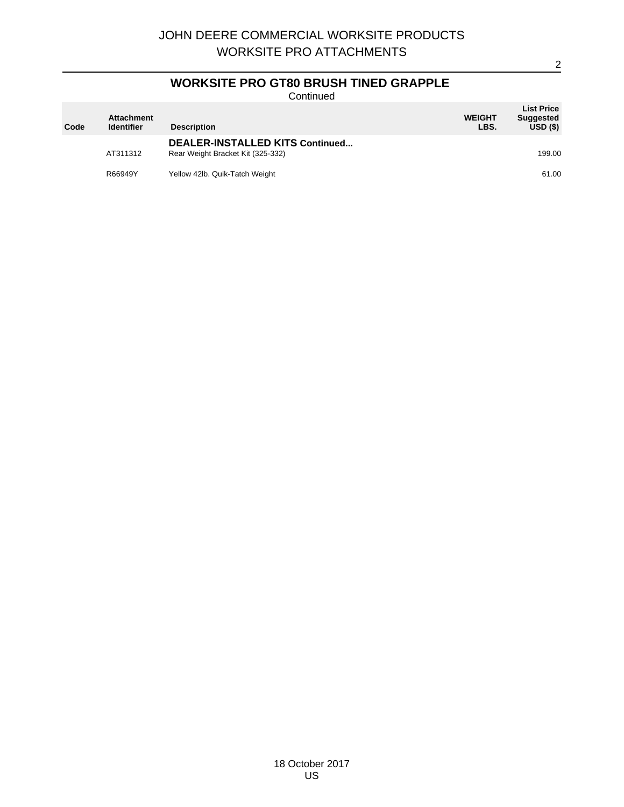# **WORKSITE PRO GT80 BRUSH TINED GRAPPLE**

Continued

| Code | <b>Attachment</b><br><b>Identifier</b> | <b>Description</b>                                                   | <b>WEIGHT</b><br>LBS. | <b>List Price</b><br><b>Suggested</b><br>USD(S) |
|------|----------------------------------------|----------------------------------------------------------------------|-----------------------|-------------------------------------------------|
|      | AT311312                               | DEALER-INSTALLED KITS Continued<br>Rear Weight Bracket Kit (325-332) |                       | 199.00                                          |
|      | R66949Y                                | Yellow 42lb. Quik-Tatch Weight                                       |                       | 61.00                                           |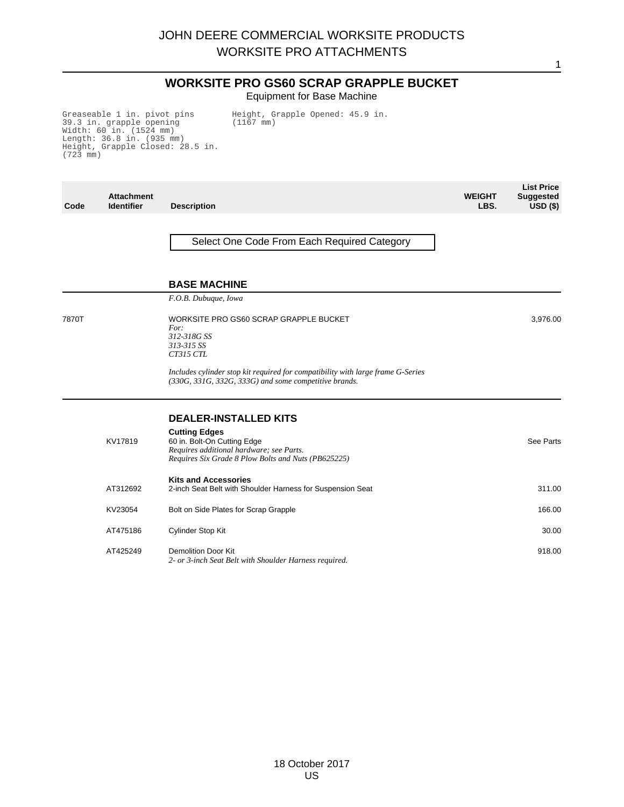## **WORKSITE PRO GS60 SCRAP GRAPPLE BUCKET** Equipment for Base Machine

Greaseable 1 in. pivot pins 39.3 in. grapple opening Width: 60 in. (1524 mm) Length: 36.8 in. (935 mm) Height, Grapple Closed: 28.5 in. (723 mm)

Height, Grapple Opened: 45.9 in. (1167 mm)

| Code  | <b>Attachment</b><br><b>Identifier</b> | <b>Description</b>                                                                                                                                                                     | <b>WEIGHT</b><br>LBS. | <b>List Price</b><br><b>Suggested</b><br>$USD($ \$) |
|-------|----------------------------------------|----------------------------------------------------------------------------------------------------------------------------------------------------------------------------------------|-----------------------|-----------------------------------------------------|
|       |                                        | Select One Code From Each Required Category                                                                                                                                            |                       |                                                     |
|       |                                        | <b>BASE MACHINE</b>                                                                                                                                                                    |                       |                                                     |
| 7870T |                                        | F.O.B. Dubuque, Iowa<br>WORKSITE PRO GS60 SCRAP GRAPPLE BUCKET<br>For:<br>312-318G SS<br>313-315 SS<br>CT315 CTL                                                                       |                       | 3,976.00                                            |
|       |                                        | Includes cylinder stop kit required for compatibility with large frame G-Series<br>(330G, 331G, 332G, 333G) and some competitive brands.                                               |                       |                                                     |
|       | KV17819                                | <b>DEALER-INSTALLED KITS</b><br><b>Cutting Edges</b><br>60 in. Bolt-On Cutting Edge<br>Requires additional hardware; see Parts.<br>Requires Six Grade 8 Plow Bolts and Nuts (PB625225) |                       | See Parts                                           |
|       | AT312692                               | <b>Kits and Accessories</b><br>2-inch Seat Belt with Shoulder Harness for Suspension Seat                                                                                              |                       | 311.00                                              |
|       | KV23054                                | Bolt on Side Plates for Scrap Grapple                                                                                                                                                  |                       | 166.00                                              |
|       | AT475186                               | Cylinder Stop Kit                                                                                                                                                                      |                       | 30.00                                               |
|       | AT425249                               | <b>Demolition Door Kit</b><br>2- or 3-inch Seat Belt with Shoulder Harness required.                                                                                                   |                       | 918.00                                              |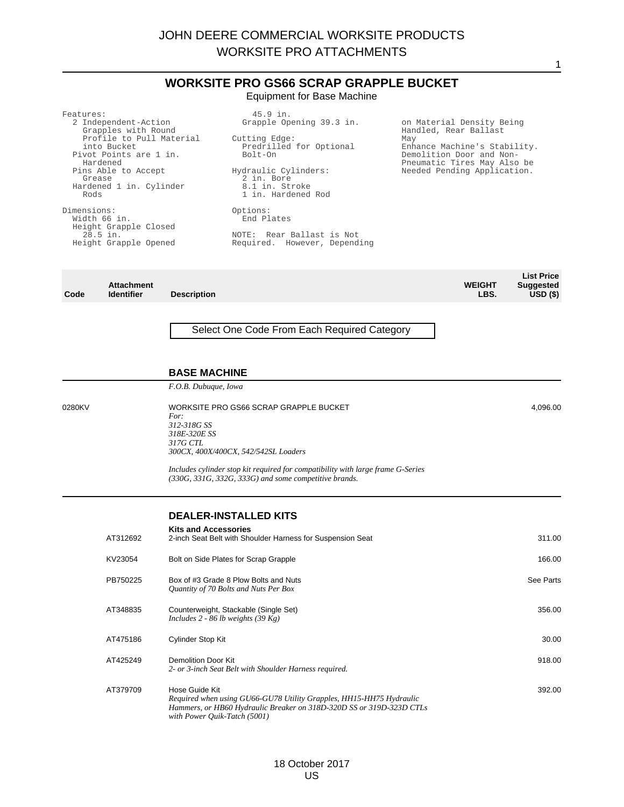## **WORKSITE PRO GS66 SCRAP GRAPPLE BUCKET** Equipment for Base Machine

| Features:<br>2 Independent-Action<br>Grapples with Round<br>Profile to Pull Material<br>into Bucket<br>Pivot Points are 1 in.<br>Hardened<br>Pins Able to Accept<br>Grease<br>Hardened 1 in. Cylinder<br>Rods | 45.9 in.<br>Grapple Opening 39.3 in.<br>Cutting Edge:<br>Predrilled for Optional<br>Bolt-On<br>Hydraulic Cylinders:<br>2 in. Bore<br>8.1 in. Stroke<br>1 in. Hardened Rod | on Material Density Being<br>Handled, Rear Ballast<br>May<br>Enhance Machine's Stability.<br>Demolition Door and Non-<br>Pneumatic Tires May Also be<br>Needed Pending Application. |
|---------------------------------------------------------------------------------------------------------------------------------------------------------------------------------------------------------------|---------------------------------------------------------------------------------------------------------------------------------------------------------------------------|-------------------------------------------------------------------------------------------------------------------------------------------------------------------------------------|
| Dimensions:<br>Width 66 in.<br>Height Grapple Closed<br>28.5 in.<br>Height Grapple Opened                                                                                                                     | Options:<br>End Plates<br>NOTE: Rear Ballast is Not<br>Required. However, Depending                                                                                       |                                                                                                                                                                                     |

|      |                   |                    |               | <b>List Price</b> |
|------|-------------------|--------------------|---------------|-------------------|
|      | <b>Attachment</b> |                    | <b>WEIGHT</b> | <b>Suggested</b>  |
| Code | <b>Identifier</b> | <b>Description</b> | LBS.          | $USD($ \$)        |

## Select One Code From Each Required Category

#### **BASE MACHINE**

*F.O.B. Dubuque, Iowa*

0280KV WORKSITE PRO GS66 SCRAP GRAPPLE BUCKET *For: 312-318G SS 318E-320E SS 317G CTL 300CX, 400X/400CX, 542/542SL Loaders*

> *Includes cylinder stop kit required for compatibility with large frame G-Series (330G, 331G, 332G, 333G) and some competitive brands.*

#### **DEALER-INSTALLED KITS**

| AT312692 | <b>Kits and Accessories</b><br>2-inch Seat Belt with Shoulder Harness for Suspension Seat                                                                                                     | 311.00    |
|----------|-----------------------------------------------------------------------------------------------------------------------------------------------------------------------------------------------|-----------|
| KV23054  | Bolt on Side Plates for Scrap Grapple                                                                                                                                                         | 166.00    |
| PB750225 | Box of #3 Grade 8 Plow Bolts and Nuts<br>Quantity of 70 Bolts and Nuts Per Box                                                                                                                | See Parts |
| AT348835 | Counterweight, Stackable (Single Set)<br>Includes 2 - 86 lb weights (39 Kg)                                                                                                                   | 356.00    |
| AT475186 | Cylinder Stop Kit                                                                                                                                                                             | 30.00     |
| AT425249 | Demolition Door Kit<br>2- or 3-inch Seat Belt with Shoulder Harness required.                                                                                                                 | 918.00    |
| AT379709 | Hose Guide Kit<br>Required when using GU66-GU78 Utility Grapples, HH15-HH75 Hydraulic<br>Hammers, or HB60 Hydraulic Breaker on 318D-320D SS or 319D-323D CTLs<br>with Power Ouik-Tatch (5001) | 392.00    |

4,096.00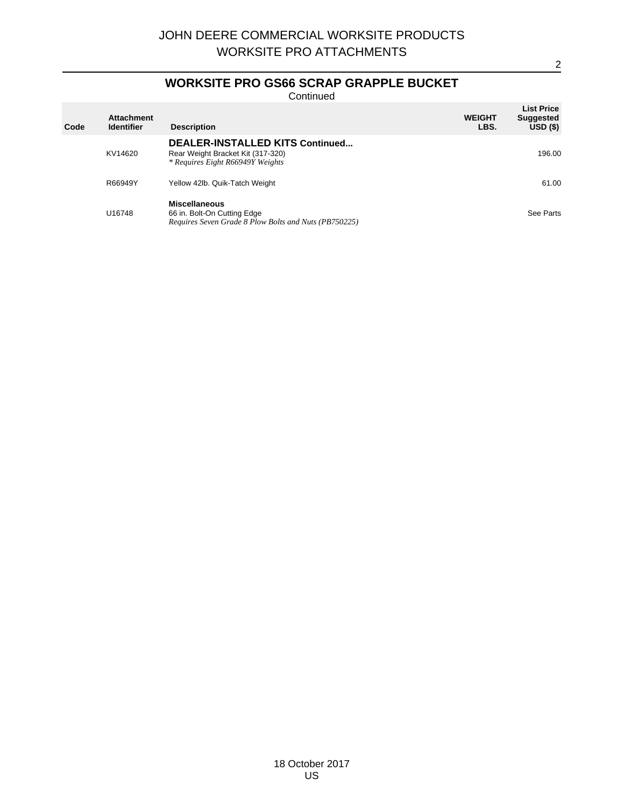## **WORKSITE PRO GS66 SCRAP GRAPPLE BUCKET**

Continued

| Code | <b>Attachment</b><br><b>Identifier</b> | <b>Description</b>                                                                                              | <b>WEIGHT</b><br>LBS. | <b>List Price</b><br><b>Suggested</b><br>$USD($ \$) |
|------|----------------------------------------|-----------------------------------------------------------------------------------------------------------------|-----------------------|-----------------------------------------------------|
|      | KV14620                                | <b>DEALER-INSTALLED KITS Continued</b><br>Rear Weight Bracket Kit (317-320)<br>* Requires Eight R66949Y Weights |                       | 196.00                                              |
|      | R66949Y                                | Yellow 42lb. Quik-Tatch Weight                                                                                  |                       | 61.00                                               |
|      | U16748                                 | <b>Miscellaneous</b><br>66 in. Bolt-On Cutting Edge<br>Requires Seven Grade 8 Plow Bolts and Nuts (PB750225)    |                       | See Parts                                           |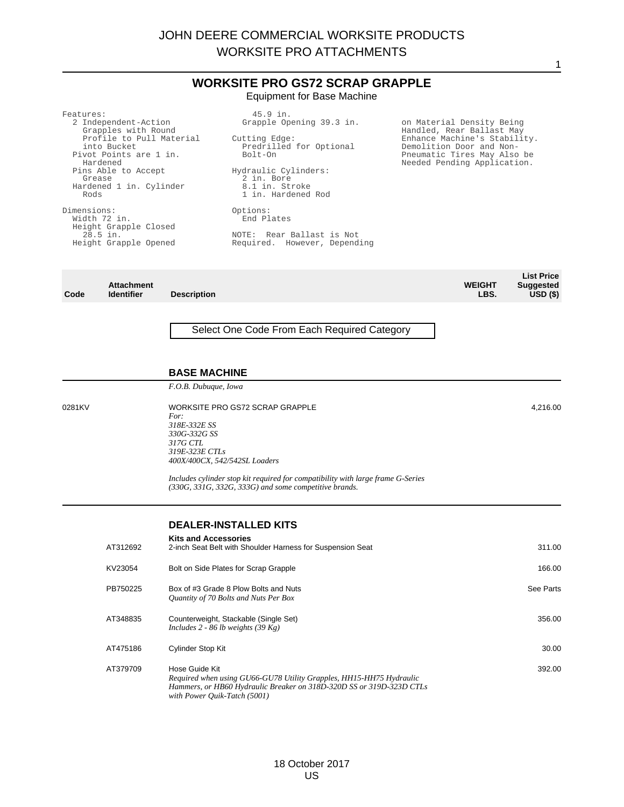## **WORKSITE PRO GS72 SCRAP GRAPPLE** Equipment for Base Machine

| Features:                                   | 45.9 in.                     |                                                            |
|---------------------------------------------|------------------------------|------------------------------------------------------------|
| 2 Independent-Action<br>Grapples with Round | Grapple Opening 39.3 in.     | on Material Density Being<br>Handled, Rear Ballast May     |
| Profile to Pull Material                    | Cutting Edge:                | Enhance Machine's Stability.                               |
| into Bucket                                 | Predrilled for Optional      | Demolition Door and Non-                                   |
| Pivot Points are 1 in.<br>Hardened          | Bolt-On                      | Pneumatic Tires May Also be<br>Needed Pending Application. |
| Pins Able to Accept                         | Hydraulic Cylinders:         |                                                            |
| Grease                                      | 2 in. Bore                   |                                                            |
| Hardened 1 in. Cylinder                     | 8.1 in. Stroke               |                                                            |
| Rods                                        | 1 in. Hardened Rod           |                                                            |
| Dimensions:                                 | Options:                     |                                                            |
| Width 72 in.                                | End Plates                   |                                                            |
| Height Grapple Closed                       |                              |                                                            |
| $28.5$ in.                                  | NOTE: Rear Ballast is Not.   |                                                            |
| Height Grapple Opened                       | Required. However, Depending |                                                            |
|                                             |                              |                                                            |
|                                             |                              |                                                            |

|      |                   |                    |               | <b>List Price</b> |
|------|-------------------|--------------------|---------------|-------------------|
|      | <b>Attachment</b> |                    | <b>WEIGHT</b> | <b>Suggested</b>  |
| Code | <b>Identifier</b> | <b>Description</b> | LBS.          | $USD($ \$)        |

## Select One Code From Each Required Category

#### **BASE MACHINE**

*F.O.B. Dubuque, Iowa*

0281KV WORKSITE PRO GS72 SCRAP GRAPPLE *For: 318E-332E SS 330G-332G SS 317G CTL 319E-323E CTLs 400X/400CX, 542/542SL Loaders*

> *Includes cylinder stop kit required for compatibility with large frame G-Series (330G, 331G, 332G, 333G) and some competitive brands.*

#### **DEALER-INSTALLED KITS**

| AT312692 | <b>Kits and Accessories</b><br>2-inch Seat Belt with Shoulder Harness for Suspension Seat                                                                                                     | 311.00    |
|----------|-----------------------------------------------------------------------------------------------------------------------------------------------------------------------------------------------|-----------|
| KV23054  | Bolt on Side Plates for Scrap Grapple                                                                                                                                                         | 166.00    |
| PB750225 | Box of #3 Grade 8 Plow Bolts and Nuts<br>Quantity of 70 Bolts and Nuts Per Box                                                                                                                | See Parts |
| AT348835 | Counterweight, Stackable (Single Set)<br>Includes 2 - 86 lb weights $(39 \text{ kg})$                                                                                                         | 356.00    |
| AT475186 | <b>Cylinder Stop Kit</b>                                                                                                                                                                      | 30.00     |
| AT379709 | Hose Guide Kit<br>Required when using GU66-GU78 Utility Grapples, HH15-HH75 Hydraulic<br>Hammers, or HB60 Hydraulic Breaker on 318D-320D SS or 319D-323D CTLs<br>with Power Quik-Tatch (5001) | 392.00    |

4,216.00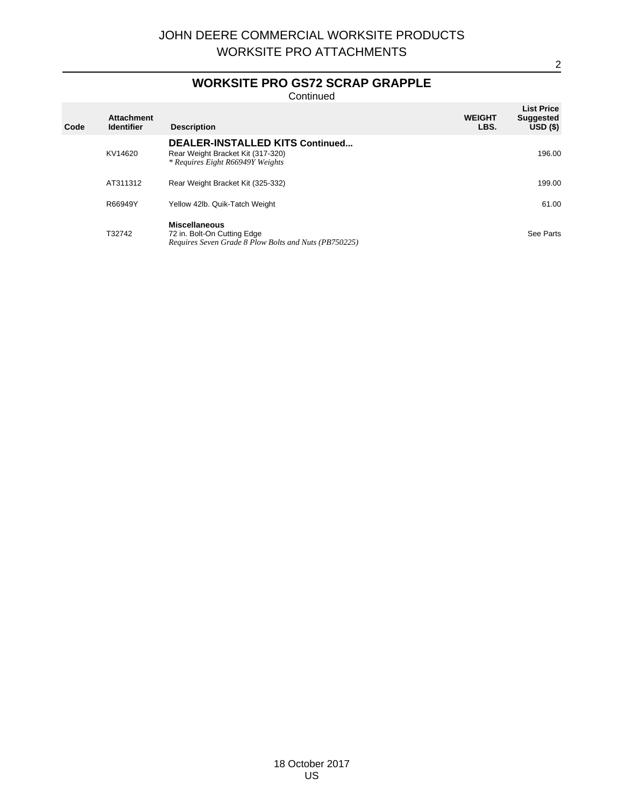## **WORKSITE PRO GS72 SCRAP GRAPPLE**

Continued

| Code | <b>Attachment</b><br><b>Identifier</b> | <b>Description</b>                                                                                              | <b>WEIGHT</b><br>LBS. | <b>List Price</b><br><b>Suggested</b><br>$USD($ \$) |
|------|----------------------------------------|-----------------------------------------------------------------------------------------------------------------|-----------------------|-----------------------------------------------------|
|      | KV14620                                | <b>DEALER-INSTALLED KITS Continued</b><br>Rear Weight Bracket Kit (317-320)<br>* Requires Eight R66949Y Weights |                       | 196.00                                              |
|      | AT311312                               | Rear Weight Bracket Kit (325-332)                                                                               |                       | 199.00                                              |
|      | R66949Y                                | Yellow 42lb. Quik-Tatch Weight                                                                                  |                       | 61.00                                               |
|      | T32742                                 | <b>Miscellaneous</b><br>72 in. Bolt-On Cutting Edge<br>Requires Seven Grade 8 Plow Bolts and Nuts (PB750225)    |                       | See Parts                                           |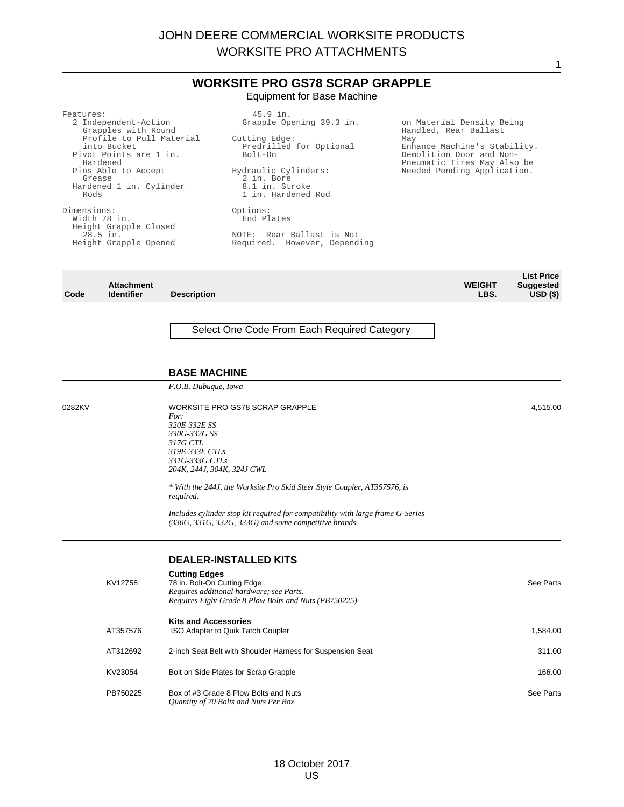## **WORKSITE PRO GS78 SCRAP GRAPPLE** Equipment for Base Machine

| Features:                                   | $45.9$ in.                           |                                                         |
|---------------------------------------------|--------------------------------------|---------------------------------------------------------|
| 2 Independent-Action<br>Grapples with Round | Grapple Opening 39.3 in.             | on Material Density Being<br>Handled, Rear Ballast      |
| Profile to Pull Material                    | Cutting Edge:                        | May                                                     |
| into Bucket                                 | Predrilled for Optional              | Enhance Machine's Stability.                            |
| Pivot Points are 1 in.<br>Hardened          | Bolt-On                              | Demolition Door and Non-<br>Pneumatic Tires May Also be |
| Pins Able to Accept<br>Grease               | Hydraulic Cylinders:<br>2 in. Bore   | Needed Pending Application.                             |
| Hardened 1 in. Cylinder<br>Rods             | 8.1 in. Stroke<br>1 in. Hardened Rod |                                                         |
| Dimensions:                                 | Options:                             |                                                         |
| Width 78 in.                                | End Plates                           |                                                         |
| Height Grapple Closed                       |                                      |                                                         |
| $28.5$ in.                                  | NOTE: Rear Ballast is Not            |                                                         |
| Height Grapple Opened                       | Required. However, Depending         |                                                         |
|                                             |                                      |                                                         |
|                                             |                                      |                                                         |

|      |                   |                    |               | <b>List Price</b> |
|------|-------------------|--------------------|---------------|-------------------|
|      | <b>Attachment</b> |                    | <b>WEIGHT</b> | <b>Suggested</b>  |
| Code | <b>Identifier</b> | <b>Description</b> | LBS.          | $USD($ \$)        |

## Select One Code From Each Required Category

#### **BASE MACHINE**

*F.O.B. Dubuque, Iowa*

0282KV WORKSITE PRO GS78 SCRAP GRAPPLE *For: 320E-332E SS 330G-332G SS 317G CTL 319E-333E CTLs 331G-333G CTLs 204K, 244J, 304K, 324J CWL*

> *\* With the 244J, the Worksite Pro Skid Steer Style Coupler, AT357576, is required.*

*Includes cylinder stop kit required for compatibility with large frame G-Series (330G, 331G, 332G, 333G) and some competitive brands.*

## **DEALER-INSTALLED KITS**

| KV12758  | <b>Cutting Edges</b><br>78 in. Bolt-On Cutting Edge<br>Requires additional hardware; see Parts.<br>Requires Eight Grade 8 Plow Bolts and Nuts (PB750225) | See Parts |
|----------|----------------------------------------------------------------------------------------------------------------------------------------------------------|-----------|
| AT357576 | <b>Kits and Accessories</b><br>ISO Adapter to Quik Tatch Coupler                                                                                         | 1,584.00  |
| AT312692 | 2-inch Seat Belt with Shoulder Harness for Suspension Seat                                                                                               | 311.00    |
| KV23054  | Bolt on Side Plates for Scrap Grapple                                                                                                                    | 166.00    |
| PB750225 | Box of #3 Grade 8 Plow Bolts and Nuts<br>Quantity of 70 Bolts and Nuts Per Box                                                                           | See Parts |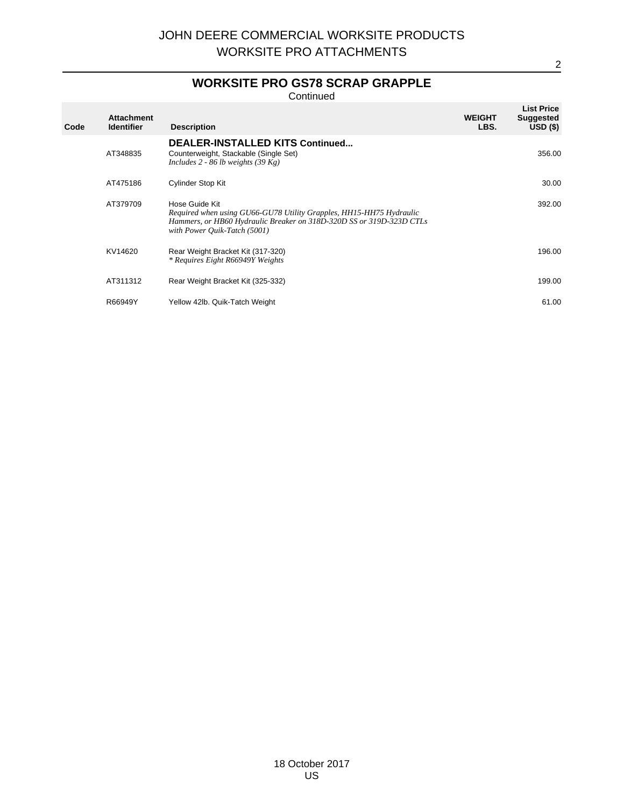# **WORKSITE PRO GS78 SCRAP GRAPPLE**

Continued

| Code | <b>Attachment</b><br><b>Identifier</b> | <b>Description</b>                                                                                                                                                                            | <b>WEIGHT</b><br>LBS. | <b>List Price</b><br><b>Suggested</b><br>$USD($ \$) |
|------|----------------------------------------|-----------------------------------------------------------------------------------------------------------------------------------------------------------------------------------------------|-----------------------|-----------------------------------------------------|
|      | AT348835                               | <b>DEALER-INSTALLED KITS Continued</b><br>Counterweight, Stackable (Single Set)<br>Includes 2 - 86 lb weights $(39 \text{ Kg})$                                                               |                       | 356.00                                              |
|      | AT475186                               | Cylinder Stop Kit                                                                                                                                                                             |                       | 30.00                                               |
|      | AT379709                               | Hose Guide Kit<br>Required when using GU66-GU78 Utility Grapples, HH15-HH75 Hydraulic<br>Hammers, or HB60 Hydraulic Breaker on 318D-320D SS or 319D-323D CTLs<br>with Power Ouik-Tatch (5001) |                       | 392.00                                              |
|      | KV14620                                | Rear Weight Bracket Kit (317-320)<br>* Requires Eight R66949Y Weights                                                                                                                         |                       | 196.00                                              |
|      | AT311312                               | Rear Weight Bracket Kit (325-332)                                                                                                                                                             |                       | 199.00                                              |
|      | R66949Y                                | Yellow 42lb. Quik-Tatch Weight                                                                                                                                                                |                       | 61.00                                               |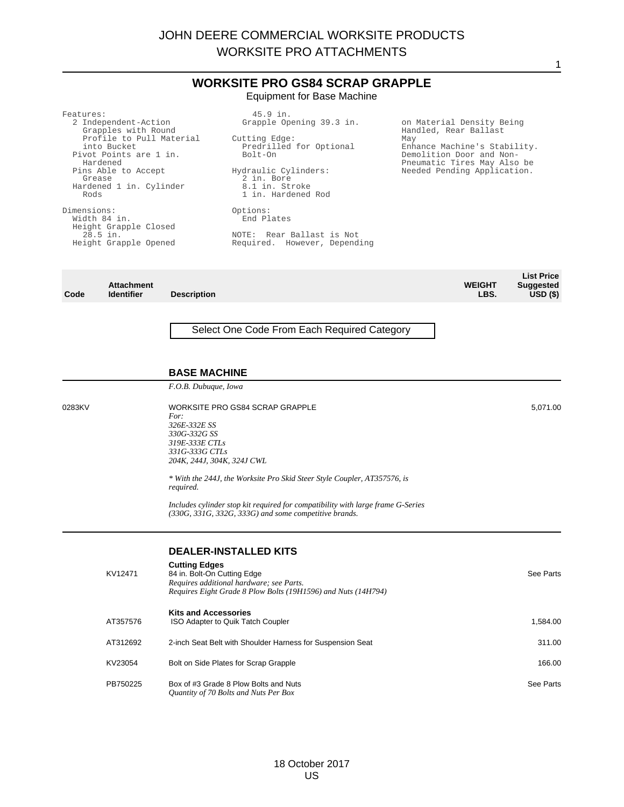#### **WORKSITE PRO GS84 SCRAP GRAPPLE** Equipment for Base Machine

| Features:                                   | 45.9 in.                             |                                                         |
|---------------------------------------------|--------------------------------------|---------------------------------------------------------|
| 2 Independent-Action<br>Grapples with Round | Grapple Opening 39.3 in.             | on Material Density Being<br>Handled, Rear Ballast      |
| Profile to Pull Material                    | Cutting Edge:                        | May                                                     |
| into Bucket                                 | Predrilled for Optional              | Enhance Machine's Stability.                            |
| Pivot Points are 1 in.<br>Hardened          | Bolt-On                              | Demolition Door and Non-<br>Pneumatic Tires May Also be |
| Pins Able to Accept<br>Grease               | Hydraulic Cylinders:<br>2 in. Bore   | Needed Pending Application.                             |
| Hardened 1 in. Cylinder<br>Rods             | 8.1 in. Stroke<br>1 in. Hardened Rod |                                                         |
| Dimensions:                                 | Options:                             |                                                         |
| Width 84 in.                                | End Plates                           |                                                         |
| Height Grapple Closed                       |                                      |                                                         |
| $28.5$ in.                                  | NOTE: Rear Ballast is Not            |                                                         |
| Height Grapple Opened                       | Required. However, Depending         |                                                         |
|                                             |                                      |                                                         |
|                                             |                                      |                                                         |
|                                             |                                      |                                                         |

|      |                   |                    |               | <b>List Price</b> |
|------|-------------------|--------------------|---------------|-------------------|
|      | <b>Attachment</b> |                    | <b>WEIGHT</b> | <b>Suggested</b>  |
| Code | <b>Identifier</b> | <b>Description</b> | LBS.          | $USD($ \$)        |
|      |                   |                    |               |                   |

## Select One Code From Each Required Category

#### **BASE MACHINE**

*F.O.B. Dubuque, Iowa*

0283KV WORKSITE PRO GS84 SCRAP GRAPPLE *For: 326E-332E SS 330G-332G SS 319E-333E CTLs 331G-333G CTLs 204K, 244J, 304K, 324J CWL*

> *\* With the 244J, the Worksite Pro Skid Steer Style Coupler, AT357576, is required.*

*Includes cylinder stop kit required for compatibility with large frame G-Series (330G, 331G, 332G, 333G) and some competitive brands.*

#### **DEALER-INSTALLED KITS**

| KV12471  | <b>Cutting Edges</b><br>84 in. Bolt-On Cutting Edge<br>Requires additional hardware; see Parts.<br>Requires Eight Grade 8 Plow Bolts (19H1596) and Nuts (14H794) | See Parts |
|----------|------------------------------------------------------------------------------------------------------------------------------------------------------------------|-----------|
| AT357576 | <b>Kits and Accessories</b><br>ISO Adapter to Quik Tatch Coupler                                                                                                 | 1,584.00  |
| AT312692 | 2-inch Seat Belt with Shoulder Harness for Suspension Seat                                                                                                       | 311.00    |
| KV23054  | Bolt on Side Plates for Scrap Grapple                                                                                                                            | 166.00    |
| PB750225 | Box of #3 Grade 8 Plow Bolts and Nuts<br>Quantity of 70 Bolts and Nuts Per Box                                                                                   | See Parts |

5,071.00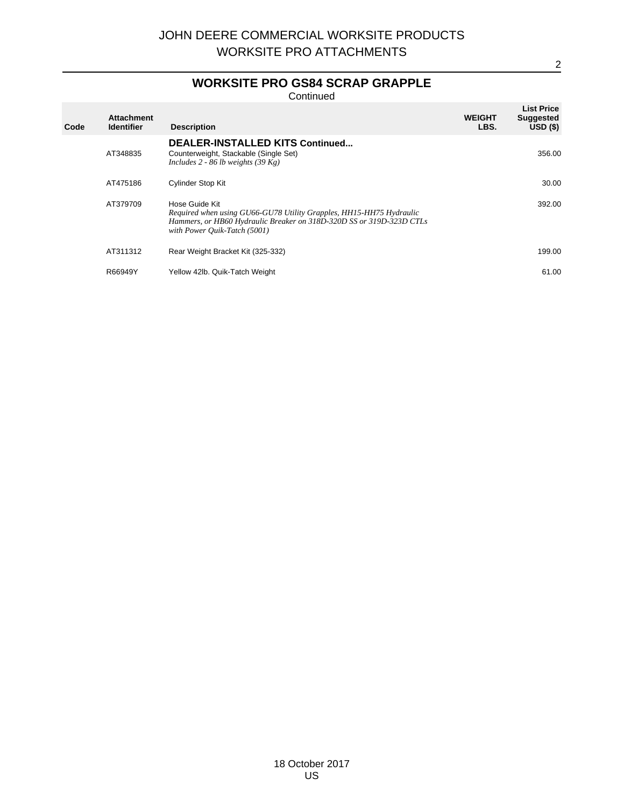# **WORKSITE PRO GS84 SCRAP GRAPPLE**

Continued

| Code | <b>Attachment</b><br><b>Identifier</b> | <b>Description</b>                                                                                                                                                                            | <b>WEIGHT</b><br>LBS. | <b>List Price</b><br><b>Suggested</b><br>$USD($ \$) |
|------|----------------------------------------|-----------------------------------------------------------------------------------------------------------------------------------------------------------------------------------------------|-----------------------|-----------------------------------------------------|
|      | AT348835                               | <b>DEALER-INSTALLED KITS Continued</b><br>Counterweight, Stackable (Single Set)<br>Includes 2 - 86 lb weights $(39 \text{ Kg})$                                                               |                       | 356.00                                              |
|      | AT475186                               | <b>Cylinder Stop Kit</b>                                                                                                                                                                      |                       | 30.00                                               |
|      | AT379709                               | Hose Guide Kit<br>Required when using GU66-GU78 Utility Grapples, HH15-HH75 Hydraulic<br>Hammers, or HB60 Hydraulic Breaker on 318D-320D SS or 319D-323D CTLs<br>with Power Ouik-Tatch (5001) |                       | 392.00                                              |
|      | AT311312                               | Rear Weight Bracket Kit (325-332)                                                                                                                                                             |                       | 199.00                                              |
|      | R66949Y                                | Yellow 42lb. Quik-Tatch Weight                                                                                                                                                                |                       | 61.00                                               |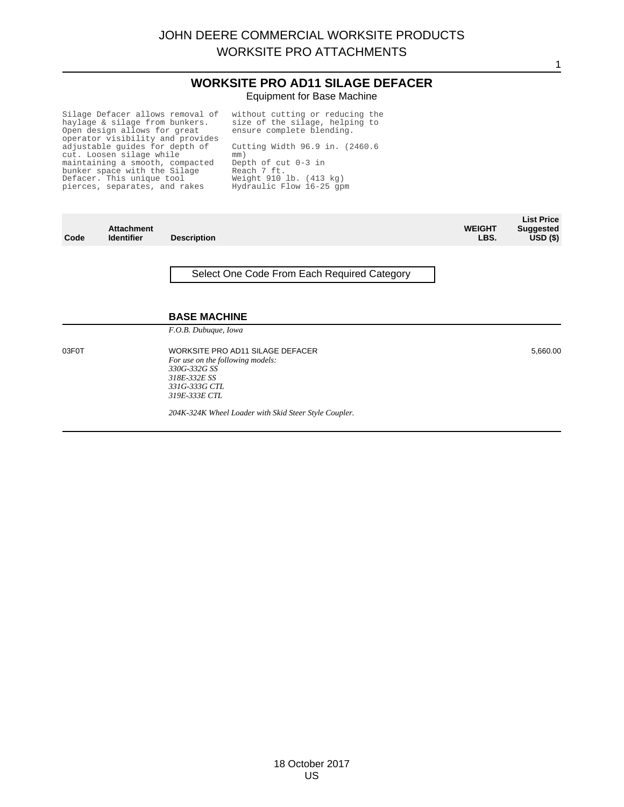## **WORKSITE PRO AD11 SILAGE DEFACER** Equipment for Base Machine

1

Silage Defacer allows removal of haylage & silage from bunkers. Open design allows for great operator visibility and provides adjustable guides for depth of cut. Loosen silage while maintaining a smooth, compacted bunker space with the Silage Defacer. This unique tool pierces, separates, and rakes

without cutting or reducing the size of the silage, helping to ensure complete blending. Cutting Width 96.9 in. (2460.6 mm) Depth of cut 0-3 in Reach 7 ft. Weight 910 lb. (413 kg) Hydraulic Flow 16-25 gpm

| Code  | <b>Attachment</b><br><b>Identifier</b> | <b>Description</b>                                                                                                                     | <b>WEIGHT</b><br>LBS. | <b>List Price</b><br><b>Suggested</b><br>$USD($ \$) |
|-------|----------------------------------------|----------------------------------------------------------------------------------------------------------------------------------------|-----------------------|-----------------------------------------------------|
|       |                                        | Select One Code From Each Required Category                                                                                            |                       |                                                     |
|       |                                        | <b>BASE MACHINE</b>                                                                                                                    |                       |                                                     |
|       |                                        | F.O.B. Dubuque, Iowa                                                                                                                   |                       |                                                     |
| 03F0T |                                        | WORKSITE PRO AD11 SILAGE DEFACER<br>For use on the following models:<br>330G-332G SS<br>318E-332E SS<br>331G-333G CTL<br>319E-333E CTL |                       | 5,660.00                                            |
|       |                                        | 204K-324K Wheel Loader with Skid Steer Style Coupler.                                                                                  |                       |                                                     |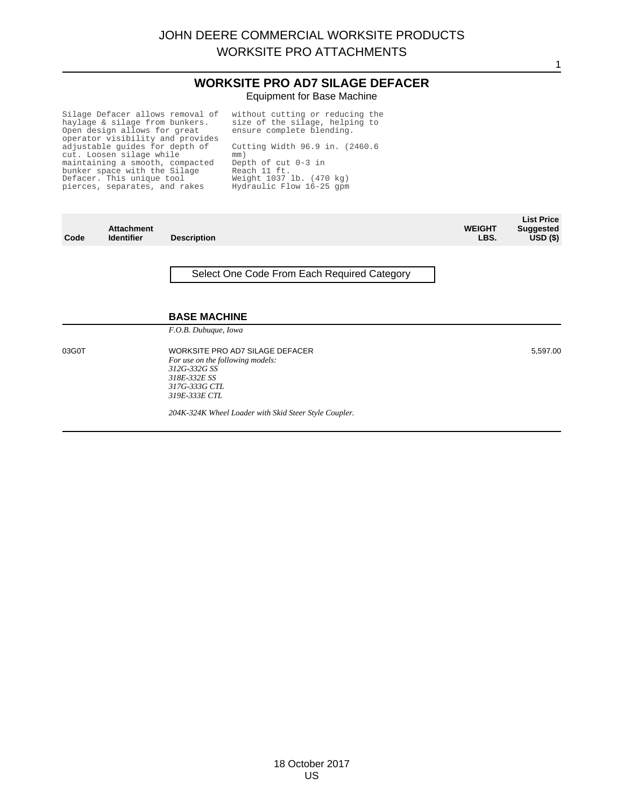#### **WORKSITE PRO AD7 SILAGE DEFACER** Equipment for Base Machine

Silage Defacer allows removal of haylage & silage from bunkers. Open design allows for great operator visibility and provides adjustable guides for depth of cut. Loosen silage while maintaining a smooth, compacted bunker space with the Silage Defacer. This unique tool pierces, separates, and rakes

without cutting or reducing the size of the silage, helping to ensure complete blending. Cutting Width 96.9 in. (2460.6 mm)

Depth of cut 0-3 in Reach 11 ft. Weight 1037 lb. (470 kg) Hydraulic Flow 16-25 gpm

| Code  | <b>Attachment</b><br><b>Identifier</b> | <b>Description</b>                                                                                                                    | <b>WEIGHT</b><br>LBS. | <b>List Price</b><br><b>Suggested</b><br>$USD($ \$) |
|-------|----------------------------------------|---------------------------------------------------------------------------------------------------------------------------------------|-----------------------|-----------------------------------------------------|
|       |                                        | Select One Code From Each Required Category                                                                                           |                       |                                                     |
|       |                                        | <b>BASE MACHINE</b><br>F.O.B. Dubuque, Iowa                                                                                           |                       |                                                     |
| 03G0T |                                        | WORKSITE PRO AD7 SILAGE DEFACER<br>For use on the following models:<br>312G-332G SS<br>318E-332E SS<br>317G-333G CTL<br>319E-333E CTL |                       | 5,597.00                                            |
|       |                                        | 204K-324K Wheel Loader with Skid Steer Style Coupler.                                                                                 |                       |                                                     |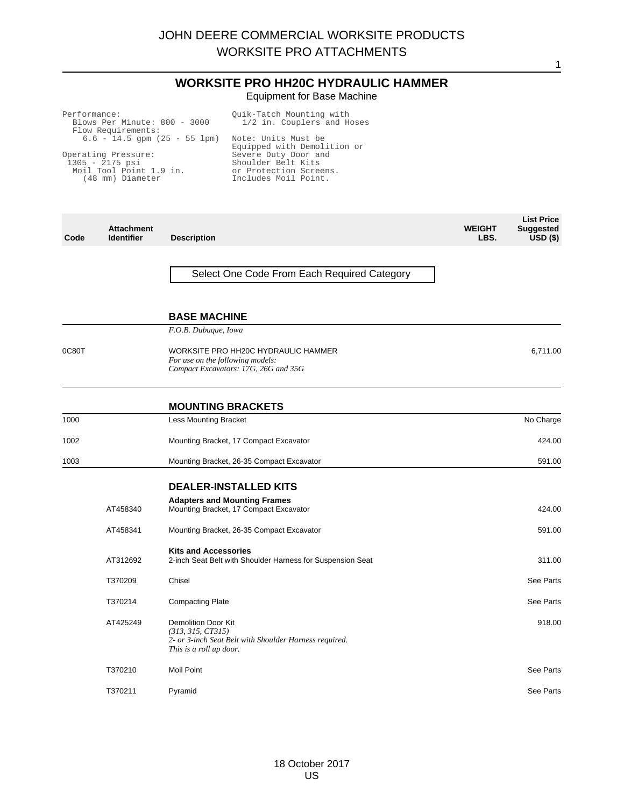## **WORKSITE PRO HH20C HYDRAULIC HAMMER** Equipment for Base Machine

| Performance:<br>Blows Per Minute: 800 - 3000<br>Flow Requirements:                      | Ouik-Tatch Mounting with<br>1/2 in. Couplers and Hoses                                       |
|-----------------------------------------------------------------------------------------|----------------------------------------------------------------------------------------------|
| $6.6 - 14.5$ qpm $(25 - 55$ lpm)                                                        | Note: Units Must be<br>Equipped with Demolition or                                           |
| Operating Pressure:<br>$1305 - 2175$ psi<br>Moil Tool Point 1.9 in.<br>(48 mm) Diameter | Severe Duty Door and<br>Shoulder Belt Kits<br>or Protection Screens.<br>Includes Moil Point. |

| Code  | <b>Attachment</b><br><b>Identifier</b> | <b>Description</b>                                                                                                                   | <b>WEIGHT</b><br>LBS. | <b>List Price</b><br><b>Suggested</b><br>$USD($ \$) |
|-------|----------------------------------------|--------------------------------------------------------------------------------------------------------------------------------------|-----------------------|-----------------------------------------------------|
|       |                                        | Select One Code From Each Required Category                                                                                          |                       |                                                     |
|       |                                        | <b>BASE MACHINE</b>                                                                                                                  |                       |                                                     |
|       |                                        | F.O.B. Dubuque, Iowa                                                                                                                 |                       |                                                     |
| 0C80T |                                        | WORKSITE PRO HH20C HYDRAULIC HAMMER<br>For use on the following models:<br>Compact Excavators: 17G, 26G and 35G                      |                       | 6,711.00                                            |
|       |                                        | <b>MOUNTING BRACKETS</b>                                                                                                             |                       |                                                     |
| 1000  |                                        | <b>Less Mounting Bracket</b>                                                                                                         |                       | No Charge                                           |
| 1002  |                                        | Mounting Bracket, 17 Compact Excavator                                                                                               |                       | 424.00                                              |
| 1003  |                                        | Mounting Bracket, 26-35 Compact Excavator                                                                                            |                       | 591.00                                              |
|       |                                        | <b>DEALER-INSTALLED KITS</b>                                                                                                         |                       |                                                     |
|       | AT458340                               | <b>Adapters and Mounting Frames</b><br>Mounting Bracket, 17 Compact Excavator                                                        |                       | 424.00                                              |
|       | AT458341                               | Mounting Bracket, 26-35 Compact Excavator                                                                                            |                       | 591.00                                              |
|       | AT312692                               | <b>Kits and Accessories</b><br>2-inch Seat Belt with Shoulder Harness for Suspension Seat                                            |                       | 311.00                                              |
|       | T370209                                | Chisel                                                                                                                               |                       | See Parts                                           |
|       | T370214                                | <b>Compacting Plate</b>                                                                                                              |                       | See Parts                                           |
|       | AT425249                               | <b>Demolition Door Kit</b><br>(313, 315, CT315)<br>2- or 3-inch Seat Belt with Shoulder Harness required.<br>This is a roll up door. |                       | 918.00                                              |
|       | T370210                                | <b>Moil Point</b>                                                                                                                    |                       | See Parts                                           |
|       | T370211                                | Pyramid                                                                                                                              |                       | See Parts                                           |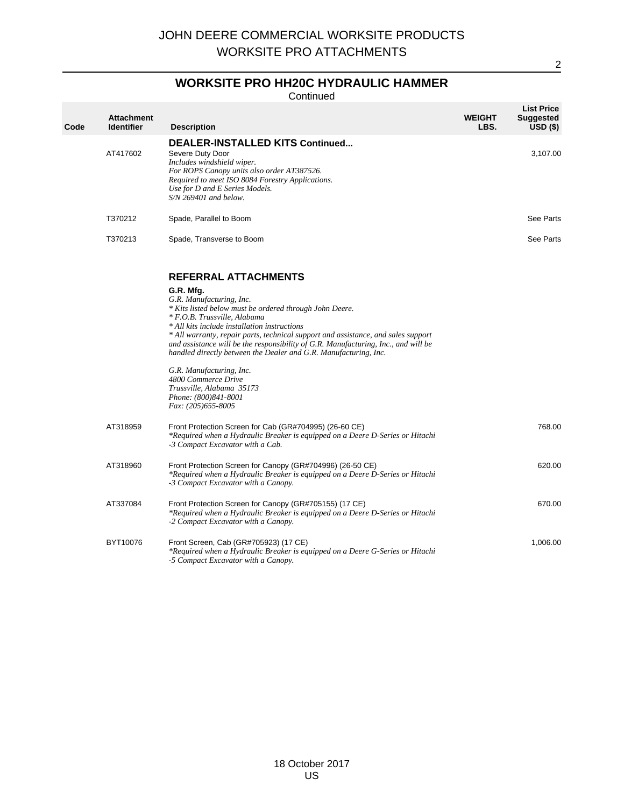# **WORKSITE PRO HH20C HYDRAULIC HAMMER**

Continued

| Code | <b>Attachment</b><br><b>Identifier</b> | <b>Description</b>                                                                                                                                                                                                                                                                                                                                                                                                                                                                                                                                                                             | <b>WEIGHT</b><br>LBS. | <b>List Price</b><br><b>Suggested</b><br>USD (\$) |
|------|----------------------------------------|------------------------------------------------------------------------------------------------------------------------------------------------------------------------------------------------------------------------------------------------------------------------------------------------------------------------------------------------------------------------------------------------------------------------------------------------------------------------------------------------------------------------------------------------------------------------------------------------|-----------------------|---------------------------------------------------|
|      | AT417602                               | DEALER-INSTALLED KITS Continued<br>Severe Duty Door<br>Includes windshield wiper.<br>For ROPS Canopy units also order AT387526.<br>Required to meet ISO 8084 Forestry Applications.<br>Use for D and E Series Models.<br>$S/N$ 269401 and below.                                                                                                                                                                                                                                                                                                                                               |                       | 3,107.00                                          |
|      | T370212                                | Spade, Parallel to Boom                                                                                                                                                                                                                                                                                                                                                                                                                                                                                                                                                                        |                       | See Parts                                         |
|      | T370213                                | Spade, Transverse to Boom                                                                                                                                                                                                                                                                                                                                                                                                                                                                                                                                                                      |                       | See Parts                                         |
|      |                                        | <b>REFERRAL ATTACHMENTS</b><br>G.R. Mfg.<br>G.R. Manufacturing, Inc.<br>* Kits listed below must be ordered through John Deere.<br>* F.O.B. Trussville, Alabama<br>* All kits include installation instructions<br>* All warranty, repair parts, technical support and assistance, and sales support<br>and assistance will be the responsibility of $G.R.$ Manufacturing, Inc., and will be<br>handled directly between the Dealer and G.R. Manufacturing, Inc.<br>G.R. Manufacturing, Inc.<br>4800 Commerce Drive<br>Trussville, Alabama 35173<br>Phone: (800)841-8001<br>Fax: (205)655-8005 |                       |                                                   |
|      | AT318959                               | Front Protection Screen for Cab (GR#704995) (26-60 CE)<br>*Required when a Hydraulic Breaker is equipped on a Deere D-Series or Hitachi<br>-3 Compact Excavator with a Cab.                                                                                                                                                                                                                                                                                                                                                                                                                    |                       | 768.00                                            |
|      | AT318960                               | Front Protection Screen for Canopy (GR#704996) (26-50 CE)<br>*Required when a Hydraulic Breaker is equipped on a Deere D-Series or Hitachi<br>-3 Compact Excavator with a Canopy.                                                                                                                                                                                                                                                                                                                                                                                                              |                       | 620.00                                            |
|      | AT337084                               | Front Protection Screen for Canopy (GR#705155) (17 CE)<br>*Required when a Hydraulic Breaker is equipped on a Deere D-Series or Hitachi<br>-2 Compact Excavator with a Canopy.                                                                                                                                                                                                                                                                                                                                                                                                                 |                       | 670.00                                            |
|      | BYT10076                               | Front Screen, Cab (GR#705923) (17 CE)<br>*Required when a Hydraulic Breaker is equipped on a Deere G-Series or Hitachi<br>-5 Compact Excavator with a Canopy.                                                                                                                                                                                                                                                                                                                                                                                                                                  |                       | 1,006.00                                          |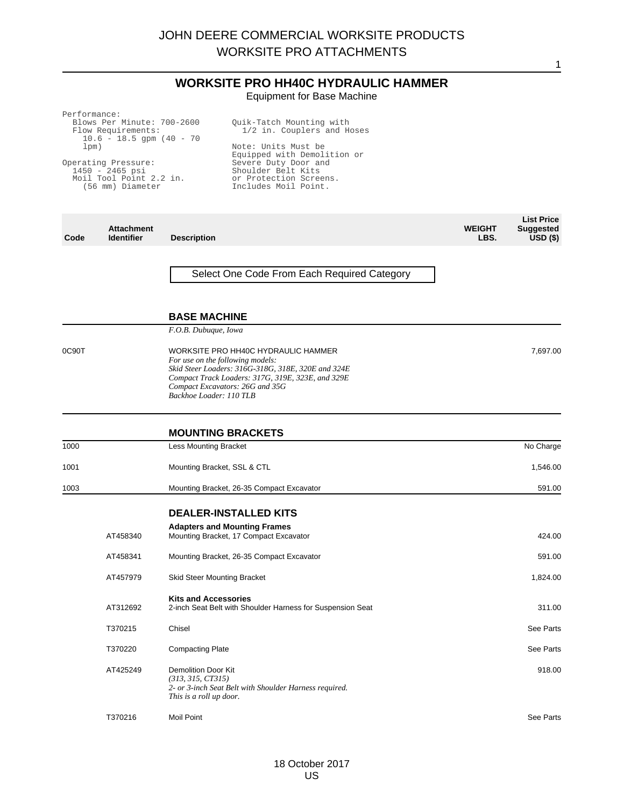## **WORKSITE PRO HH40C HYDRAULIC HAMMER** Equipment for Base Machine

Performance:

Blows Per Minute: 700-2600 Flow Requirements:  $10.6 - 18.5$  gpm  $(40 - 70)$ lpm)

Operating Pressure: 1450 - 2465 psi Moil Tool Point 2.2 in. (56 mm) Diameter

Quik-Tatch Mounting with 1/2 in. Couplers and Hoses Note: Units Must be Equipped with Demolition or Severe Duty Door and Shoulder Belt Kits or Protection Screens. Includes Moil Point.

| Code  | <b>Attachment</b><br><b>Identifier</b> | <b>Description</b>                                                                                                                                                                                                                               | <b>WEIGHT</b><br>LBS. | <b>List Price</b><br><b>Suggested</b><br>USD( |
|-------|----------------------------------------|--------------------------------------------------------------------------------------------------------------------------------------------------------------------------------------------------------------------------------------------------|-----------------------|-----------------------------------------------|
|       |                                        | Select One Code From Each Required Category                                                                                                                                                                                                      |                       |                                               |
|       |                                        | <b>BASE MACHINE</b>                                                                                                                                                                                                                              |                       |                                               |
|       |                                        | F.O.B. Dubuque, Iowa                                                                                                                                                                                                                             |                       |                                               |
| 0C90T |                                        | WORKSITE PRO HH40C HYDRAULIC HAMMER<br>For use on the following models:<br>Skid Steer Loaders: 316G-318G, 318E, 320E and 324E<br>Compact Track Loaders: 317G, 319E, 323E, and 329E<br>Compact Excavators: 26G and 35G<br>Backhoe Loader: 110 TLB |                       | 7,697.00                                      |
|       |                                        | <b>MOUNTING BRACKETS</b>                                                                                                                                                                                                                         |                       |                                               |
| 1000  |                                        | <b>Less Mounting Bracket</b>                                                                                                                                                                                                                     |                       | No Charge                                     |
| 1001  |                                        | Mounting Bracket, SSL & CTL                                                                                                                                                                                                                      |                       | 1,546.00                                      |
| 1003  |                                        | Mounting Bracket, 26-35 Compact Excavator                                                                                                                                                                                                        |                       | 591.00                                        |
|       |                                        | <b>DEALER-INSTALLED KITS</b>                                                                                                                                                                                                                     |                       |                                               |
|       | AT458340                               | <b>Adapters and Mounting Frames</b><br>Mounting Bracket, 17 Compact Excavator                                                                                                                                                                    |                       | 424.00                                        |
|       | AT458341                               | Mounting Bracket, 26-35 Compact Excavator                                                                                                                                                                                                        |                       | 591.00                                        |
|       | AT457979                               | Skid Steer Mounting Bracket                                                                                                                                                                                                                      |                       | 1,824.00                                      |
|       | AT312692                               | <b>Kits and Accessories</b><br>2-inch Seat Belt with Shoulder Harness for Suspension Seat                                                                                                                                                        |                       | 311.00                                        |
|       | T370215                                | Chisel                                                                                                                                                                                                                                           |                       | See Parts                                     |
|       | T370220                                | <b>Compacting Plate</b>                                                                                                                                                                                                                          |                       | See Parts                                     |
|       | AT425249                               | <b>Demolition Door Kit</b><br>(313, 315, CT315)<br>2- or 3-inch Seat Belt with Shoulder Harness required.<br>This is a roll up door.                                                                                                             |                       | 918.00                                        |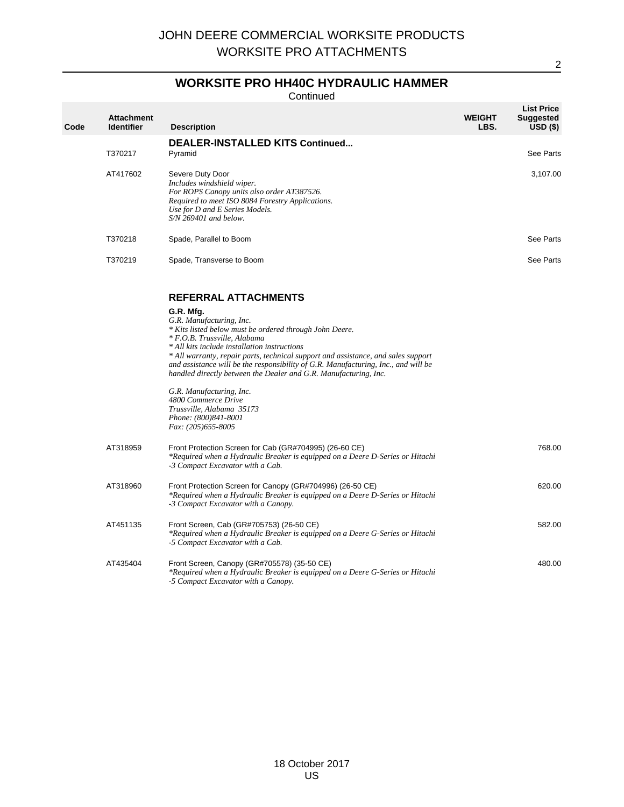# **WORKSITE PRO HH40C HYDRAULIC HAMMER**

Continued

| Code | <b>Attachment</b><br><b>Identifier</b> | <b>Description</b>                                                                                                                                                                                                                                                                                                                                                                                                                                                                                                                                                     | <b>WEIGHT</b><br>LBS. | <b>List Price</b><br><b>Suggested</b><br>$USD($ \$) |
|------|----------------------------------------|------------------------------------------------------------------------------------------------------------------------------------------------------------------------------------------------------------------------------------------------------------------------------------------------------------------------------------------------------------------------------------------------------------------------------------------------------------------------------------------------------------------------------------------------------------------------|-----------------------|-----------------------------------------------------|
|      | T370217                                | <b>DEALER-INSTALLED KITS Continued</b><br>Pyramid                                                                                                                                                                                                                                                                                                                                                                                                                                                                                                                      |                       | See Parts                                           |
|      | AT417602                               | Severe Duty Door<br>Includes windshield wiper.<br>For ROPS Canopy units also order AT387526.<br>Required to meet ISO 8084 Forestry Applications.<br>Use for D and E Series Models.<br>$S/N$ 269401 and below.                                                                                                                                                                                                                                                                                                                                                          |                       | 3,107.00                                            |
|      | T370218                                | Spade, Parallel to Boom                                                                                                                                                                                                                                                                                                                                                                                                                                                                                                                                                |                       | See Parts                                           |
|      | T370219                                | Spade, Transverse to Boom                                                                                                                                                                                                                                                                                                                                                                                                                                                                                                                                              |                       | See Parts                                           |
|      |                                        | <b>REFERRAL ATTACHMENTS</b><br>G.R. Mfg.<br>G.R. Manufacturing, Inc.<br>* Kits listed below must be ordered through John Deere.<br>* F.O.B. Trussville, Alabama<br>* All kits include installation instructions<br>* All warranty, repair parts, technical support and assistance, and sales support<br>and assistance will be the responsibility of G.R. Manufacturing, Inc., and will be<br>handled directly between the Dealer and G.R. Manufacturing, Inc.<br>G.R. Manufacturing, Inc.<br>4800 Commerce Drive<br>Trussville, Alabama 35173<br>Phone: (800)841-8001 |                       |                                                     |
|      | AT318959                               | Fax: (205)655-8005<br>Front Protection Screen for Cab (GR#704995) (26-60 CE)<br>*Required when a Hydraulic Breaker is equipped on a Deere D-Series or Hitachi<br>-3 Compact Excavator with a Cab.                                                                                                                                                                                                                                                                                                                                                                      |                       | 768.00                                              |
|      | AT318960                               | Front Protection Screen for Canopy (GR#704996) (26-50 CE)<br>*Required when a Hydraulic Breaker is equipped on a Deere D-Series or Hitachi<br>-3 Compact Excavator with a Canopy.                                                                                                                                                                                                                                                                                                                                                                                      |                       | 620.00                                              |
|      | AT451135                               | Front Screen, Cab (GR#705753) (26-50 CE)<br>*Required when a Hydraulic Breaker is equipped on a Deere G-Series or Hitachi<br>-5 Compact Excavator with a Cab.                                                                                                                                                                                                                                                                                                                                                                                                          |                       | 582.00                                              |
|      | AT435404                               | Front Screen, Canopy (GR#705578) (35-50 CE)<br>*Required when a Hydraulic Breaker is equipped on a Deere G-Series or Hitachi<br>-5 Compact Excavator with a Canopy.                                                                                                                                                                                                                                                                                                                                                                                                    |                       | 480.00                                              |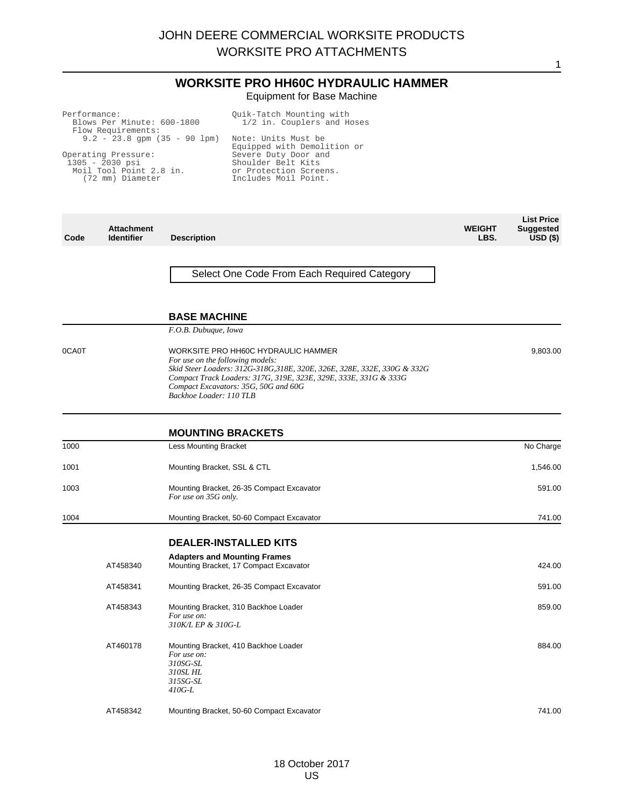## **WORKSITE PRO HH60C HYDRAULIC HAMMER** Equipment for Base Machine

| Performance:<br>Blows Per Minute: 600-1800<br>Flow Requirements:                        | Ouik-Tatch Mounting with<br>1/2 in. Couplers and Hoses                                       |
|-----------------------------------------------------------------------------------------|----------------------------------------------------------------------------------------------|
| $9.2 - 23.8$ gpm $(35 - 90$ lpm)                                                        | Note: Units Must be<br>Equipped with Demolition or                                           |
| Operating Pressure:<br>$1305 - 2030$ psi<br>Moil Tool Point 2.8 in.<br>(72 mm) Diameter | Severe Duty Door and<br>Shoulder Belt Kits<br>or Protection Screens.<br>Includes Moil Point. |
|                                                                                         |                                                                                              |

| Code  | <b>Attachment</b><br><b>Identifier</b> | <b>Description</b>                                                                                                                                                                                                                                                                         | <b>WEIGHT</b><br>LBS. | <b>List Price</b><br><b>Suggested</b><br>$USD($ \$) |
|-------|----------------------------------------|--------------------------------------------------------------------------------------------------------------------------------------------------------------------------------------------------------------------------------------------------------------------------------------------|-----------------------|-----------------------------------------------------|
|       |                                        | Select One Code From Each Required Category                                                                                                                                                                                                                                                |                       |                                                     |
|       |                                        | <b>BASE MACHINE</b>                                                                                                                                                                                                                                                                        |                       |                                                     |
|       |                                        | F.O.B. Dubuque, Iowa                                                                                                                                                                                                                                                                       |                       |                                                     |
| 0CA0T |                                        | WORKSITE PRO HH60C HYDRAULIC HAMMER<br>For use on the following models:<br>Skid Steer Loaders: 312G-318G, 318E, 320E, 326E, 328E, 332E, 330G & 332G<br>Compact Track Loaders: 317G, 319E, 323E, 329E, 333E, 331G & 333G<br>Compact Excavators: 35G, 50G and 60G<br>Backhoe Loader: 110 TLB |                       | 9,803.00                                            |
|       |                                        | <b>MOUNTING BRACKETS</b>                                                                                                                                                                                                                                                                   |                       |                                                     |
| 1000  |                                        | <b>Less Mounting Bracket</b>                                                                                                                                                                                                                                                               |                       | No Charge                                           |
| 1001  |                                        | Mounting Bracket, SSL & CTL                                                                                                                                                                                                                                                                |                       | 1,546.00                                            |
| 1003  |                                        | Mounting Bracket, 26-35 Compact Excavator<br>For use on 35G only.                                                                                                                                                                                                                          |                       | 591.00                                              |
| 1004  |                                        | Mounting Bracket, 50-60 Compact Excavator                                                                                                                                                                                                                                                  |                       | 741.00                                              |
|       |                                        | <b>DEALER-INSTALLED KITS</b>                                                                                                                                                                                                                                                               |                       |                                                     |
|       | AT458340                               | <b>Adapters and Mounting Frames</b><br>Mounting Bracket, 17 Compact Excavator                                                                                                                                                                                                              |                       | 424.00                                              |
|       | AT458341                               | Mounting Bracket, 26-35 Compact Excavator                                                                                                                                                                                                                                                  |                       | 591.00                                              |
|       | AT458343                               | Mounting Bracket, 310 Backhoe Loader<br>For use on:<br>310K/L EP & 310G-L                                                                                                                                                                                                                  |                       | 859.00                                              |
|       | AT460178                               | Mounting Bracket, 410 Backhoe Loader<br>For use on:<br>310SG-SL<br>310SL HL<br>315SG-SL<br>$410G-L$                                                                                                                                                                                        |                       | 884.00                                              |
|       | AT458342                               | Mounting Bracket, 50-60 Compact Excavator                                                                                                                                                                                                                                                  |                       | 741.00                                              |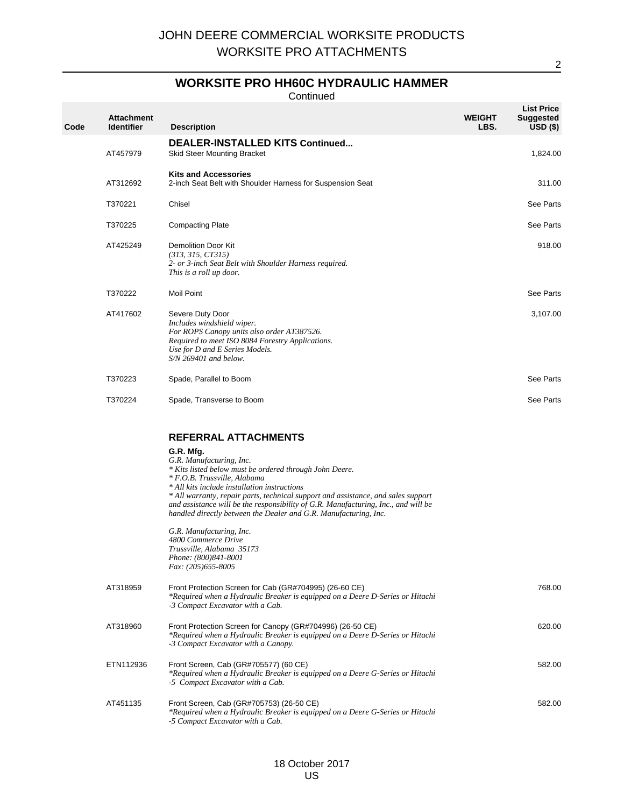## **WORKSITE PRO HH60C HYDRAULIC HAMMER**

Continued

| Code | <b>Attachment</b><br><b>Identifier</b> | <b>Description</b>                                                                                                                                                                                                                                                                                                                                                                                                                                                                                                                                                                           | <b>WEIGHT</b><br>LBS. | <b>List Price</b><br><b>Suggested</b><br>USD(S) |
|------|----------------------------------------|----------------------------------------------------------------------------------------------------------------------------------------------------------------------------------------------------------------------------------------------------------------------------------------------------------------------------------------------------------------------------------------------------------------------------------------------------------------------------------------------------------------------------------------------------------------------------------------------|-----------------------|-------------------------------------------------|
|      | AT457979                               | <b>DEALER-INSTALLED KITS Continued</b><br><b>Skid Steer Mounting Bracket</b>                                                                                                                                                                                                                                                                                                                                                                                                                                                                                                                 |                       | 1,824.00                                        |
|      | AT312692                               | <b>Kits and Accessories</b><br>2-inch Seat Belt with Shoulder Harness for Suspension Seat                                                                                                                                                                                                                                                                                                                                                                                                                                                                                                    |                       | 311.00                                          |
|      | T370221                                | Chisel                                                                                                                                                                                                                                                                                                                                                                                                                                                                                                                                                                                       |                       | See Parts                                       |
|      | T370225                                | <b>Compacting Plate</b>                                                                                                                                                                                                                                                                                                                                                                                                                                                                                                                                                                      |                       | See Parts                                       |
|      | AT425249                               | <b>Demolition Door Kit</b><br>(313, 315, CT315)<br>2- or 3-inch Seat Belt with Shoulder Harness required.<br>This is a roll up door.                                                                                                                                                                                                                                                                                                                                                                                                                                                         |                       | 918.00                                          |
|      | T370222                                | <b>Moil Point</b>                                                                                                                                                                                                                                                                                                                                                                                                                                                                                                                                                                            |                       | See Parts                                       |
|      | AT417602                               | Severe Duty Door<br>Includes windshield wiper.<br>For ROPS Canopy units also order AT387526.<br>Required to meet ISO 8084 Forestry Applications.<br>Use for D and E Series Models.<br>$S/N$ 269401 and below.                                                                                                                                                                                                                                                                                                                                                                                |                       | 3,107.00                                        |
|      | T370223                                | Spade, Parallel to Boom                                                                                                                                                                                                                                                                                                                                                                                                                                                                                                                                                                      |                       | See Parts                                       |
|      | T370224                                | Spade, Transverse to Boom                                                                                                                                                                                                                                                                                                                                                                                                                                                                                                                                                                    |                       | See Parts                                       |
|      |                                        | <b>REFERRAL ATTACHMENTS</b><br>G.R. Mfg.<br>G.R. Manufacturing, Inc.<br>* Kits listed below must be ordered through John Deere.<br>* F.O.B. Trussville, Alabama<br>* All kits include installation instructions<br>* All warranty, repair parts, technical support and assistance, and sales support<br>and assistance will be the responsibility of G.R. Manufacturing, Inc., and will be<br>handled directly between the Dealer and G.R. Manufacturing, Inc.<br>G.R. Manufacturing, Inc.<br>4800 Commerce Drive<br>Trussville, Alabama 35173<br>Phone: (800)841-8001<br>Fax: (205)655-8005 |                       |                                                 |
|      | AT318959                               | Front Protection Screen for Cab (GR#704995) (26-60 CE)<br>*Required when a Hydraulic Breaker is equipped on a Deere D-Series or Hitachi<br>-3 Compact Excavator with a Cab.                                                                                                                                                                                                                                                                                                                                                                                                                  |                       | 768.00                                          |
|      | AT318960                               | Front Protection Screen for Canopy (GR#704996) (26-50 CE)<br>*Required when a Hydraulic Breaker is equipped on a Deere D-Series or Hitachi<br>-3 Compact Excavator with a Canopy.                                                                                                                                                                                                                                                                                                                                                                                                            |                       | 620.00                                          |
|      | ETN112936                              | Front Screen, Cab (GR#705577) (60 CE)<br>*Required when a Hydraulic Breaker is equipped on a Deere G-Series or Hitachi<br>-5 Compact Excavator with a Cab.                                                                                                                                                                                                                                                                                                                                                                                                                                   |                       | 582.00                                          |
|      | AT451135                               | Front Screen, Cab (GR#705753) (26-50 CE)                                                                                                                                                                                                                                                                                                                                                                                                                                                                                                                                                     |                       | 582.00                                          |

AT451135 Front Screen, Cab (GR#705753) (26-50 CE) *\*Required when a Hydraulic Breaker is equipped on a Deere G-Series or Hitachi -5 Compact Excavator with a Cab.*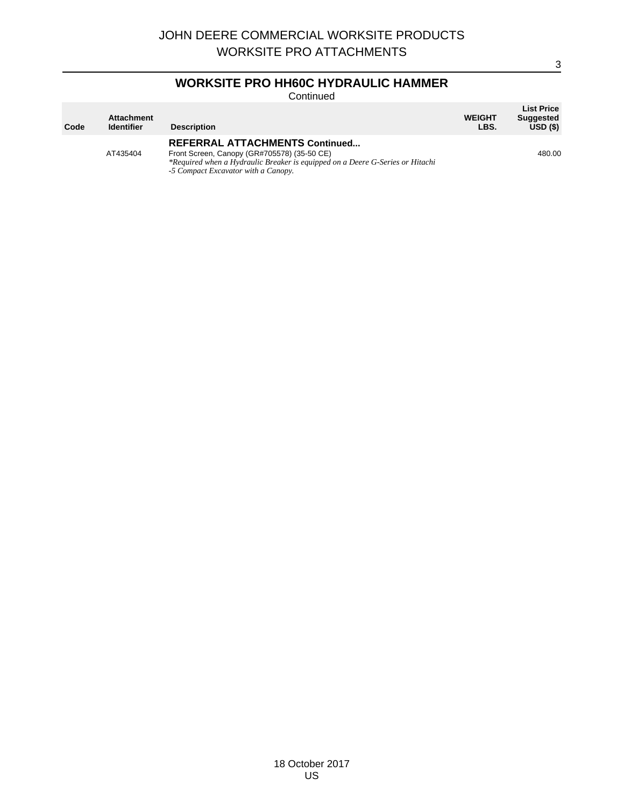# **WORKSITE PRO HH60C HYDRAULIC HAMMER**

Continued

| Code | <b>Attachment</b><br><b>Identifier</b> | <b>Description</b>                                                            | <b>WEIGHT</b><br>LBS. | <b>List Price</b><br><b>Suggested</b><br>USD(S) |
|------|----------------------------------------|-------------------------------------------------------------------------------|-----------------------|-------------------------------------------------|
|      |                                        | <b>REFERRAL ATTACHMENTS Continued</b>                                         |                       |                                                 |
|      | AT435404                               | Front Screen, Canopy (GR#705578) (35-50 CE)                                   |                       | 480.00                                          |
|      |                                        | *Required when a Hydraulic Breaker is equipped on a Deere G-Series or Hitachi |                       |                                                 |
|      |                                        | -5 Compact Excavator with a Canopy.                                           |                       |                                                 |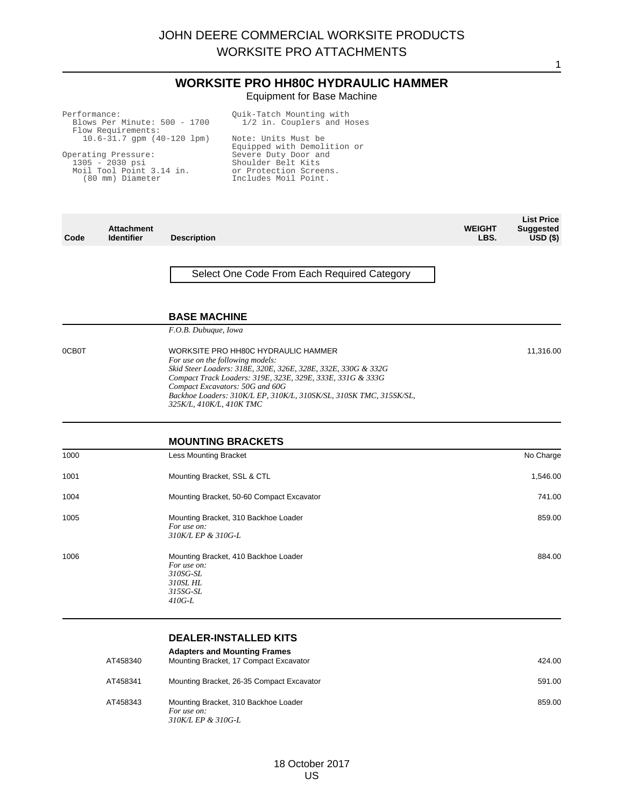#### **WORKSITE PRO HH80C HYDRAULIC HAMMER** Equipment for Base Machine

| Performance:<br>Blows Per Minute: 500 - 1700<br>Flow Requirements:<br>$10.6 - 31.7$ qpm $(40 - 120$ lpm)<br>Operating Pressure:<br>$1305 - 2030$ psi<br>Moil Tool Point 3.14 in. |                                        |                     | Quik-Tatch Mounting with<br>1/2 in. Couplers and Hoses<br>Note: Units Must be<br>Equipped with Demolition or<br>Severe Duty Door and<br>Shoulder Belt Kits<br>or Protection Screens. |                       |                                                     |
|----------------------------------------------------------------------------------------------------------------------------------------------------------------------------------|----------------------------------------|---------------------|--------------------------------------------------------------------------------------------------------------------------------------------------------------------------------------|-----------------------|-----------------------------------------------------|
| (80 mm) Diameter                                                                                                                                                                 |                                        |                     | Includes Moil Point.                                                                                                                                                                 |                       |                                                     |
| Code                                                                                                                                                                             | <b>Attachment</b><br><b>Identifier</b> | <b>Description</b>  |                                                                                                                                                                                      | <b>WEIGHT</b><br>LBS. | <b>List Price</b><br><b>Suggested</b><br>$USD($ \$) |
|                                                                                                                                                                                  |                                        |                     | Select One Code From Each Required Category                                                                                                                                          |                       |                                                     |
|                                                                                                                                                                                  |                                        | <b>BASE MACHINE</b> |                                                                                                                                                                                      |                       |                                                     |

11,316.00

1

*F.O.B. Dubuque, Iowa*

0CB0T WORKSITE PRO HH80C HYDRAULIC HAMMER *For use on the following models: Skid Steer Loaders: 318E, 320E, 326E, 328E, 332E, 330G & 332G Compact Track Loaders: 319E, 323E, 329E, 333E, 331G & 333G Compact Excavators: 50G and 60G Backhoe Loaders: 310K/L EP, 310K/L, 310SK/SL, 310SK TMC, 315SK/SL, 325K/L, 410K/L, 410K TMC*

#### **MOUNTING BRACKETS**

| 1000 | <b>Less Mounting Bracket</b>                                                                        | No Charge |
|------|-----------------------------------------------------------------------------------------------------|-----------|
| 1001 | Mounting Bracket, SSL & CTL                                                                         | 1,546.00  |
| 1004 | Mounting Bracket, 50-60 Compact Excavator                                                           | 741.00    |
| 1005 | Mounting Bracket, 310 Backhoe Loader<br>For use on:<br>310K/L EP & 310G-L                           | 859.00    |
| 1006 | Mounting Bracket, 410 Backhoe Loader<br>For use on:<br>310SG-SL<br>310SL HL<br>315SG-SL<br>$410G-L$ | 884.00    |

## **DEALER-INSTALLED KITS**

| AT458340 | <b>Adapters and Mounting Frames</b><br>Mounting Bracket, 17 Compact Excavator | 424.00 |
|----------|-------------------------------------------------------------------------------|--------|
| AT458341 | Mounting Bracket, 26-35 Compact Excavator                                     | 591.00 |
| AT458343 | Mounting Bracket, 310 Backhoe Loader<br>For use on:<br>310K/L EP & 310G-L     | 859.00 |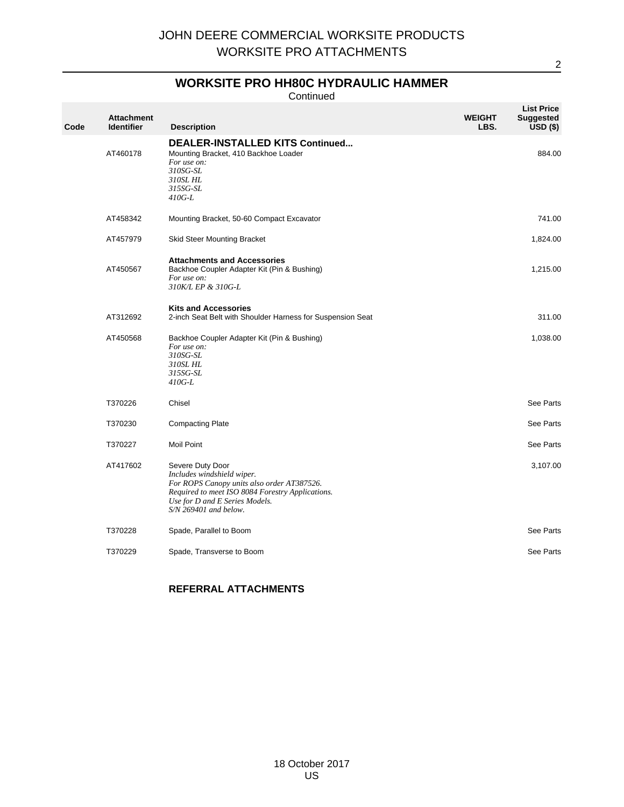## **WORKSITE PRO HH80C HYDRAULIC HAMMER**

Continued

| Code | <b>Attachment</b><br><b>Identifier</b> | <b>Description</b>                                                                                                                                                                                            | <b>WEIGHT</b><br>LBS. | <b>List Price</b><br><b>Suggested</b><br>$USD($ \$) |
|------|----------------------------------------|---------------------------------------------------------------------------------------------------------------------------------------------------------------------------------------------------------------|-----------------------|-----------------------------------------------------|
|      | AT460178                               | <b>DEALER-INSTALLED KITS Continued</b><br>Mounting Bracket, 410 Backhoe Loader<br>For use on:<br>310SG-SL<br>310SL HL<br>315SG-SL<br>410G-L                                                                   |                       | 884.00                                              |
|      | AT458342                               | Mounting Bracket, 50-60 Compact Excavator                                                                                                                                                                     |                       | 741.00                                              |
|      | AT457979                               | Skid Steer Mounting Bracket                                                                                                                                                                                   |                       | 1,824.00                                            |
|      | AT450567                               | <b>Attachments and Accessories</b><br>Backhoe Coupler Adapter Kit (Pin & Bushing)<br>For use on:<br>310K/L EP & 310G-L                                                                                        |                       | 1,215.00                                            |
|      | AT312692                               | <b>Kits and Accessories</b><br>2-inch Seat Belt with Shoulder Harness for Suspension Seat                                                                                                                     |                       | 311.00                                              |
|      | AT450568                               | Backhoe Coupler Adapter Kit (Pin & Bushing)<br>For use on:<br>310SG-SL<br>310SL HL<br>315SG-SL<br>$410G-L$                                                                                                    |                       | 1,038.00                                            |
|      | T370226                                | Chisel                                                                                                                                                                                                        |                       | See Parts                                           |
|      | T370230                                | <b>Compacting Plate</b>                                                                                                                                                                                       |                       | See Parts                                           |
|      | T370227                                | <b>Moil Point</b>                                                                                                                                                                                             |                       | See Parts                                           |
|      | AT417602                               | Severe Duty Door<br>Includes windshield wiper.<br>For ROPS Canopy units also order AT387526.<br>Required to meet ISO 8084 Forestry Applications.<br>Use for D and E Series Models.<br>$S/N$ 269401 and below. |                       | 3,107.00                                            |
|      | T370228                                | Spade, Parallel to Boom                                                                                                                                                                                       |                       | See Parts                                           |
|      | T370229                                | Spade, Transverse to Boom                                                                                                                                                                                     |                       | See Parts                                           |

## **REFERRAL ATTACHMENTS**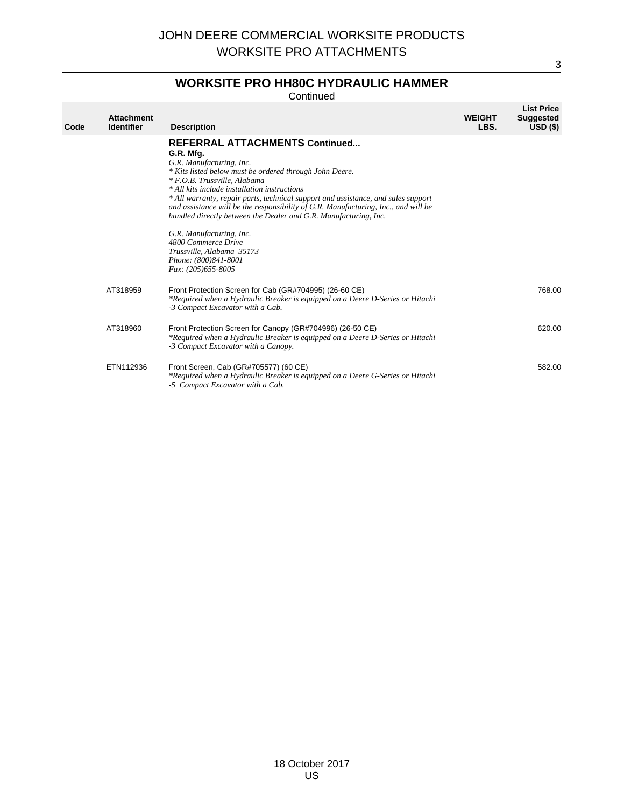# **WORKSITE PRO HH80C HYDRAULIC HAMMER**

**Continued** 

| Code | <b>Attachment</b><br><b>Identifier</b> | <b>Description</b>                                                                                                                                                                                                                                                                                                                                                                                                                                                                                                                                                                                       | <b>WEIGHT</b><br>LBS. | <b>List Price</b><br><b>Suggested</b><br>$USD($ \$) |
|------|----------------------------------------|----------------------------------------------------------------------------------------------------------------------------------------------------------------------------------------------------------------------------------------------------------------------------------------------------------------------------------------------------------------------------------------------------------------------------------------------------------------------------------------------------------------------------------------------------------------------------------------------------------|-----------------------|-----------------------------------------------------|
|      |                                        | <b>REFERRAL ATTACHMENTS Continued</b><br>G.R. Mfg.<br>G.R. Manufacturing, Inc.<br>* Kits listed below must be ordered through John Deere.<br>* F.O.B. Trussville, Alabama<br>* All kits include installation instructions<br>* All warranty, repair parts, technical support and assistance, and sales support<br>and assistance will be the responsibility of $G.R.$ Manufacturing, Inc., and will be<br>handled directly between the Dealer and G.R. Manufacturing, Inc.<br>G.R. Manufacturing, Inc.<br>4800 Commerce Drive<br>Trussville, Alabama 35173<br>Phone: (800)841-8001<br>Fax: (205)655-8005 |                       |                                                     |
|      | AT318959                               | Front Protection Screen for Cab (GR#704995) (26-60 CE)<br>*Required when a Hydraulic Breaker is equipped on a Deere D-Series or Hitachi<br>-3 Compact Excavator with a Cab.                                                                                                                                                                                                                                                                                                                                                                                                                              |                       | 768.00                                              |
|      | AT318960                               | Front Protection Screen for Canopy (GR#704996) (26-50 CE)<br>*Required when a Hydraulic Breaker is equipped on a Deere D-Series or Hitachi<br>-3 Compact Excavator with a Canopy.                                                                                                                                                                                                                                                                                                                                                                                                                        |                       | 620.00                                              |
|      | ETN112936                              | Front Screen, Cab (GR#705577) (60 CE)<br>*Required when a Hydraulic Breaker is equipped on a Deere G-Series or Hitachi<br>-5 Compact Excavator with a Cab.                                                                                                                                                                                                                                                                                                                                                                                                                                               |                       | 582.00                                              |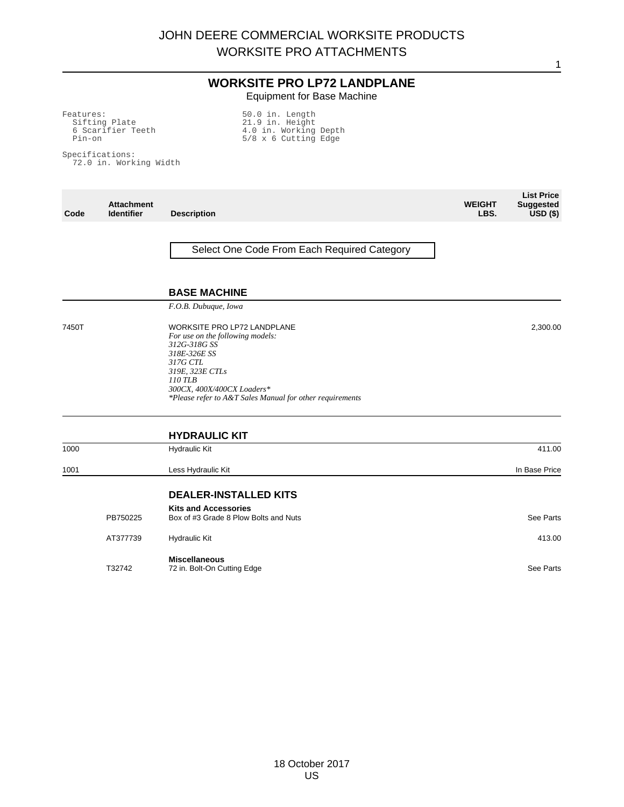## **WORKSITE PRO LP72 LANDPLANE** Equipment for Base Machine

Features: Sifting Plate 6 Scarifier Teeth Pin-on 50.0 in. Length 21.9 in. Height 4.0 in. Working Depth 5/8 x 6 Cutting Edge

Specifications: 72.0 in. Working Width

| Code  | <b>Attachment</b><br><b>Identifier</b> | <b>Description</b>                                                                                                                                                                                                                         | <b>WEIGHT</b><br>LBS. | <b>List Price</b><br><b>Suggested</b><br>$USD($ \$) |
|-------|----------------------------------------|--------------------------------------------------------------------------------------------------------------------------------------------------------------------------------------------------------------------------------------------|-----------------------|-----------------------------------------------------|
|       |                                        | Select One Code From Each Required Category                                                                                                                                                                                                |                       |                                                     |
|       |                                        | <b>BASE MACHINE</b>                                                                                                                                                                                                                        |                       |                                                     |
|       |                                        | F.O.B. Dubuque, Iowa                                                                                                                                                                                                                       |                       |                                                     |
| 7450T |                                        | <b>WORKSITE PRO LP72 LANDPLANE</b><br>For use on the following models:<br>312G-318G SS<br>318E-326E SS<br>317G CTL<br>319E, 323E CTLs<br>110 TLB<br>300CX, 400X/400CX Loaders*<br>*Please refer to A&T Sales Manual for other requirements |                       | 2,300.00                                            |
|       |                                        | <b>HYDRAULIC KIT</b>                                                                                                                                                                                                                       |                       |                                                     |
| 1000  |                                        | <b>Hydraulic Kit</b>                                                                                                                                                                                                                       |                       | 411.00                                              |
| 1001  |                                        | Less Hydraulic Kit                                                                                                                                                                                                                         |                       | In Base Price                                       |
|       |                                        | <b>DEALER-INSTALLED KITS</b>                                                                                                                                                                                                               |                       |                                                     |
|       | PB750225                               | <b>Kits and Accessories</b><br>Box of #3 Grade 8 Plow Bolts and Nuts                                                                                                                                                                       |                       | See Parts                                           |
|       | AT377739                               | <b>Hydraulic Kit</b>                                                                                                                                                                                                                       |                       | 413.00                                              |
|       | T32742                                 | <b>Miscellaneous</b><br>72 in. Bolt-On Cutting Edge                                                                                                                                                                                        |                       | See Parts                                           |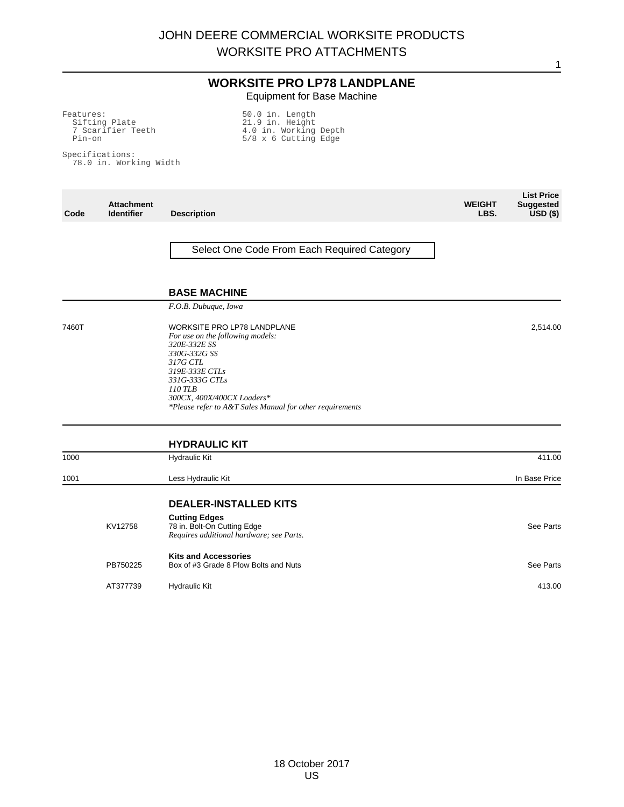## **WORKSITE PRO LP78 LANDPLANE** Equipment for Base Machine

Features: Sifting Plate 7 Scarifier Teeth Pin-on 50.0 in. Length 21.9 in. Height 4.0 in. Working Depth 5/8 x 6 Cutting Edge

Specifications: 78.0 in. Working Width

| Code  | <b>Attachment</b><br><b>Identifier</b> | <b>Description</b>                                                                                                                                                                                                                                          | <b>WEIGHT</b><br>LBS. | <b>List Price</b><br><b>Suggested</b><br>$USD($ \$) |
|-------|----------------------------------------|-------------------------------------------------------------------------------------------------------------------------------------------------------------------------------------------------------------------------------------------------------------|-----------------------|-----------------------------------------------------|
|       |                                        | Select One Code From Each Required Category                                                                                                                                                                                                                 |                       |                                                     |
|       |                                        | <b>BASE MACHINE</b>                                                                                                                                                                                                                                         |                       |                                                     |
|       |                                        | F.O.B. Dubuque, Iowa                                                                                                                                                                                                                                        |                       |                                                     |
| 7460T |                                        | <b>WORKSITE PRO LP78 LANDPLANE</b><br>For use on the following models:<br>320E-332E SS<br>330G-332G SS<br>317G CTL<br>319E-333E CTLs<br>331G-333G CTLs<br>110 TLB<br>300CX, 400X/400CX Loaders*<br>*Please refer to A&T Sales Manual for other requirements |                       | 2,514.00                                            |
|       |                                        | <b>HYDRAULIC KIT</b>                                                                                                                                                                                                                                        |                       |                                                     |
| 1000  |                                        | <b>Hydraulic Kit</b>                                                                                                                                                                                                                                        |                       | 411.00                                              |
| 1001  |                                        | Less Hydraulic Kit                                                                                                                                                                                                                                          |                       | In Base Price                                       |
|       |                                        | <b>DEALER-INSTALLED KITS</b>                                                                                                                                                                                                                                |                       |                                                     |
|       | KV12758                                | <b>Cutting Edges</b><br>78 in. Bolt-On Cutting Edge<br>Requires additional hardware; see Parts.                                                                                                                                                             |                       | See Parts                                           |
|       | PB750225                               | <b>Kits and Accessories</b><br>Box of #3 Grade 8 Plow Bolts and Nuts                                                                                                                                                                                        |                       | See Parts                                           |
|       | AT377739                               | <b>Hydraulic Kit</b>                                                                                                                                                                                                                                        |                       | 413.00                                              |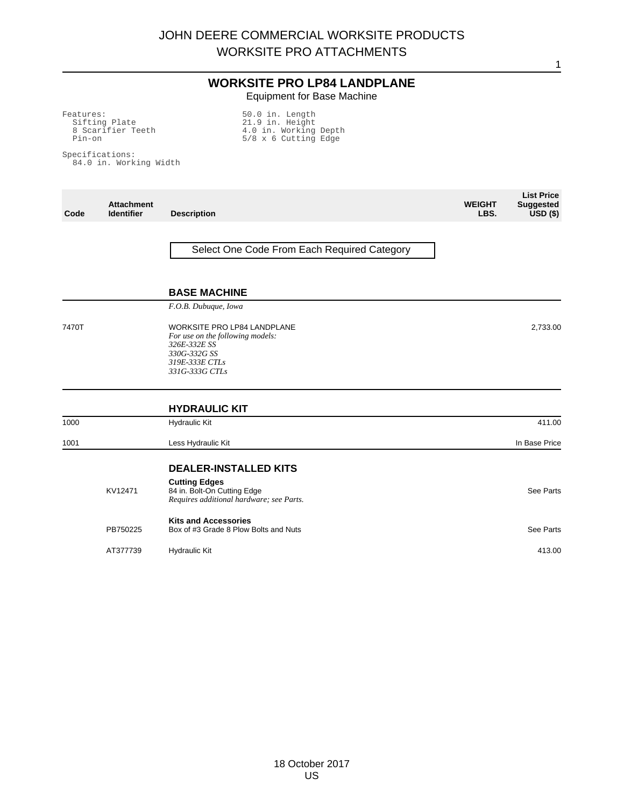## **WORKSITE PRO LP84 LANDPLANE** Equipment for Base Machine

Features: Sifting Plate 8 Scarifier Teeth Pin-on 50.0 in. Length 21.9 in. Height 4.0 in. Working Depth 5/8 x 6 Cutting Edge

Specifications: 84.0 in. Working Width

| Code  | <b>Attachment</b><br><b>Identifier</b> | <b>Description</b>                                                                                                                                                 | <b>WEIGHT</b><br>LBS. | <b>List Price</b><br><b>Suggested</b><br>$USD($ \$) |
|-------|----------------------------------------|--------------------------------------------------------------------------------------------------------------------------------------------------------------------|-----------------------|-----------------------------------------------------|
|       |                                        | Select One Code From Each Required Category                                                                                                                        |                       |                                                     |
|       |                                        | <b>BASE MACHINE</b>                                                                                                                                                |                       |                                                     |
| 7470T |                                        | F.O.B. Dubuque, Iowa<br><b>WORKSITE PRO LP84 LANDPLANE</b><br>For use on the following models:<br>326E-332E SS<br>330G-332G SS<br>319E-333E CTLs<br>331G-333G CTLs |                       | 2,733.00                                            |
|       |                                        | <b>HYDRAULIC KIT</b>                                                                                                                                               |                       |                                                     |
| 1000  |                                        | <b>Hydraulic Kit</b>                                                                                                                                               |                       | 411.00                                              |
| 1001  |                                        | Less Hydraulic Kit                                                                                                                                                 |                       | In Base Price                                       |
|       | KV12471                                | <b>DEALER-INSTALLED KITS</b><br><b>Cutting Edges</b><br>84 in. Bolt-On Cutting Edge<br>Requires additional hardware; see Parts.                                    |                       | See Parts                                           |
|       | PB750225                               | <b>Kits and Accessories</b><br>Box of #3 Grade 8 Plow Bolts and Nuts                                                                                               |                       | See Parts                                           |
|       | AT377739                               | <b>Hydraulic Kit</b>                                                                                                                                               |                       | 413.00                                              |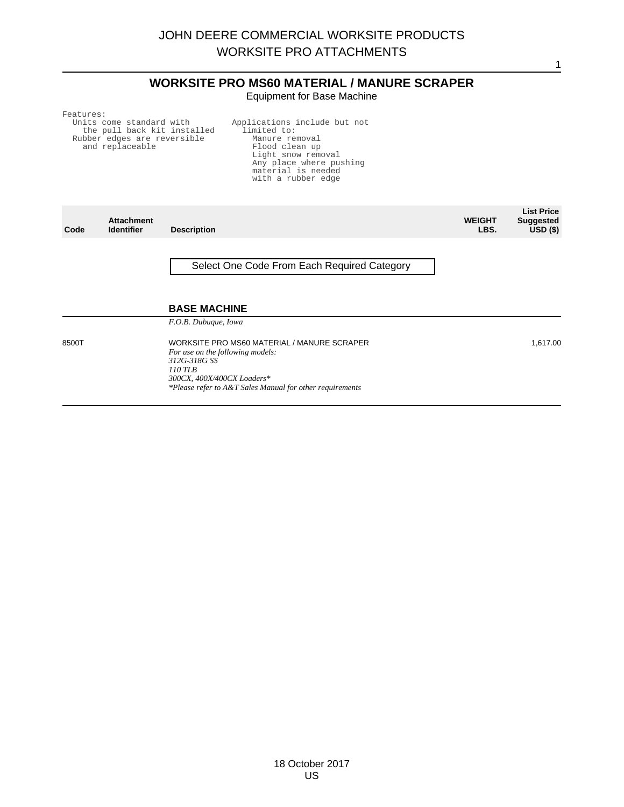## **WORKSITE PRO MS60 MATERIAL / MANURE SCRAPER** Equipment for Base Machine

1

Features:

Rubber edges are reversible and replaceable

Units come standard with the pull back kit installed Applications include but not limited to: Manure removal Flood clean up Light snow removal Any place where pushing material is needed with a rubber edge

| Code  | <b>Attachment</b><br><b>Identifier</b> | <b>Description</b>                                                                              | <b>WEIGHT</b><br>LBS. | <b>List Price</b><br><b>Suggested</b><br>USD <sub>(</sub> ) |
|-------|----------------------------------------|-------------------------------------------------------------------------------------------------|-----------------------|-------------------------------------------------------------|
|       |                                        | Select One Code From Each Required Category                                                     |                       |                                                             |
|       |                                        | <b>BASE MACHINE</b>                                                                             |                       |                                                             |
|       |                                        | F.O.B. Dubuque, Iowa                                                                            |                       |                                                             |
| 8500T |                                        | WORKSITE PRO MS60 MATERIAL / MANURE SCRAPER<br>For use on the following models:<br>312G-318G SS |                       | 1,617.00                                                    |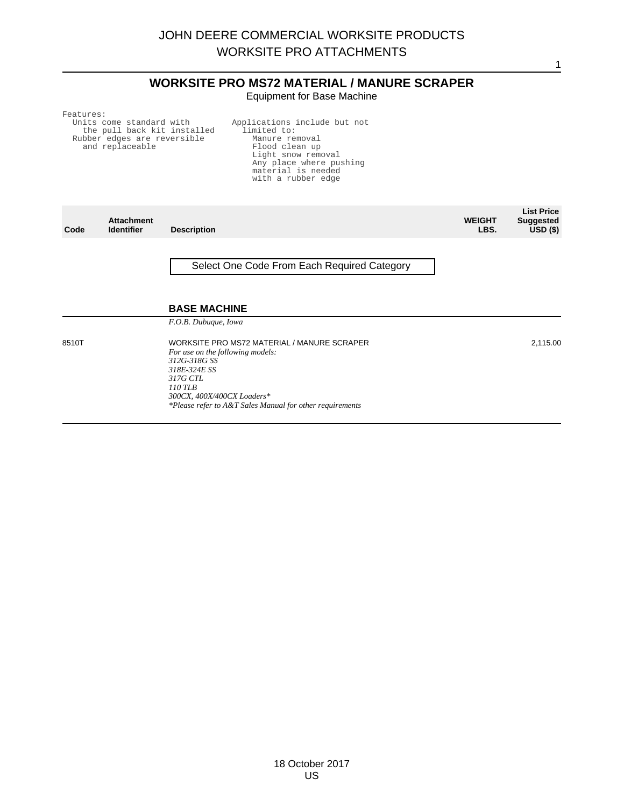## **WORKSITE PRO MS72 MATERIAL / MANURE SCRAPER** Equipment for Base Machine

1

Features:

Units come standard with the pull back kit installed Rubber edges are reversible and replaceable Applications include but not limited to: Manure removal Flood clean up Light snow removal Any place where pushing material is needed with a rubber edge

| Code  | <b>Attachment</b><br><b>Identifier</b> | <b>Description</b>                                                                                                                                                                                                               | <b>WEIGHT</b><br>LBS. | <b>List Price</b><br><b>Suggested</b><br>USD <sub>(</sub> ) |
|-------|----------------------------------------|----------------------------------------------------------------------------------------------------------------------------------------------------------------------------------------------------------------------------------|-----------------------|-------------------------------------------------------------|
|       |                                        | Select One Code From Each Required Category                                                                                                                                                                                      |                       |                                                             |
|       |                                        | <b>BASE MACHINE</b><br>F.O.B. Dubuque, Iowa                                                                                                                                                                                      |                       |                                                             |
| 8510T |                                        | WORKSITE PRO MS72 MATERIAL / MANURE SCRAPER<br>For use on the following models:<br>312G-318G SS<br>318E-324E SS<br>317G CTL<br>110 TLB<br>300CX, 400X/400CX Loaders*<br>*Please refer to A&T Sales Manual for other requirements |                       | 2,115.00                                                    |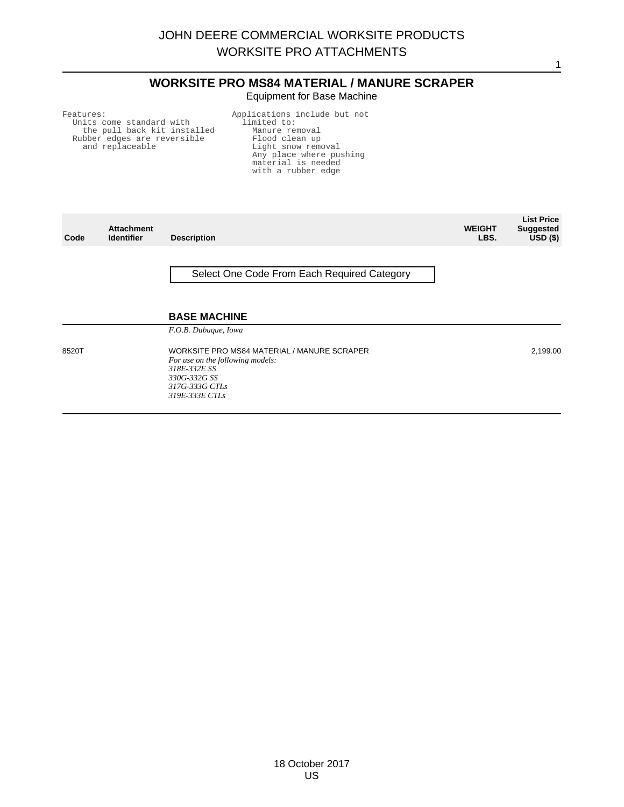## **WORKSITE PRO MS84 MATERIAL / MANURE SCRAPER** Equipment for Base Machine

1

Features:

Units come standard with the pull back kit installed Rubber edges are reversible and replaceable

Applications include but not limited to: Manure removal Flood clean up Light snow removal Any place where pushing material is needed with a rubber edge

| Code  | <b>Attachment</b><br><b>Identifier</b> | <b>Description</b>                                                                                                                                  | <b>WEIGHT</b><br>LBS. | <b>List Price</b><br><b>Suggested</b><br>$USD($ \$) |
|-------|----------------------------------------|-----------------------------------------------------------------------------------------------------------------------------------------------------|-----------------------|-----------------------------------------------------|
|       |                                        | Select One Code From Each Required Category                                                                                                         |                       |                                                     |
|       |                                        | <b>BASE MACHINE</b>                                                                                                                                 |                       |                                                     |
|       |                                        | F.O.B. Dubuque, Iowa                                                                                                                                |                       |                                                     |
| 8520T |                                        | WORKSITE PRO MS84 MATERIAL / MANURE SCRAPER<br>For use on the following models:<br>318E-332E SS<br>330G-332G SS<br>317G-333G CTLs<br>319E-333E CTLs |                       | 2,199.00                                            |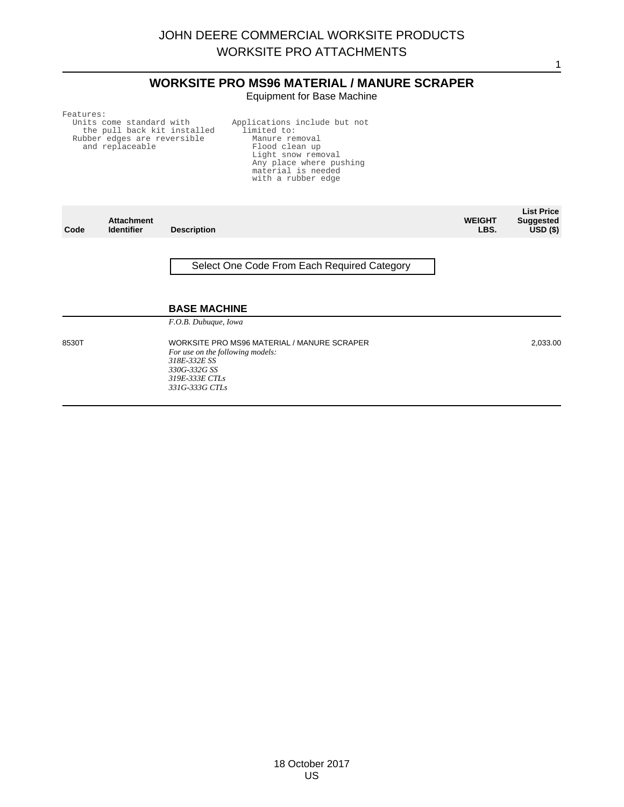## **WORKSITE PRO MS96 MATERIAL / MANURE SCRAPER** Equipment for Base Machine

Features:

Units come standard with the pull back kit installed Rubber edges are reversible and replaceable

Applications include but not limited to: Manure removal Flood clean up Light snow removal Any place where pushing material is needed with a rubber edge

| Code | <b>Attachment</b><br><b>Identifier</b> | <b>Description</b>                          |
|------|----------------------------------------|---------------------------------------------|
|      |                                        |                                             |
|      |                                        | Select One Code From Each Required Category |
|      |                                        |                                             |
|      |                                        |                                             |

#### **BASE MACHINE**

*F.O.B. Dubuque, Iowa*

8530T WORKSITE PRO MS96 MATERIAL / MANURE SCRAPER *For use on the following models: 318E-332E SS 330G-332G SS 319E-333E CTLs 331G-333G CTLs*

2,033.00

**List Price Suggested USD (\$)**

1

**WEIGHT LBS.**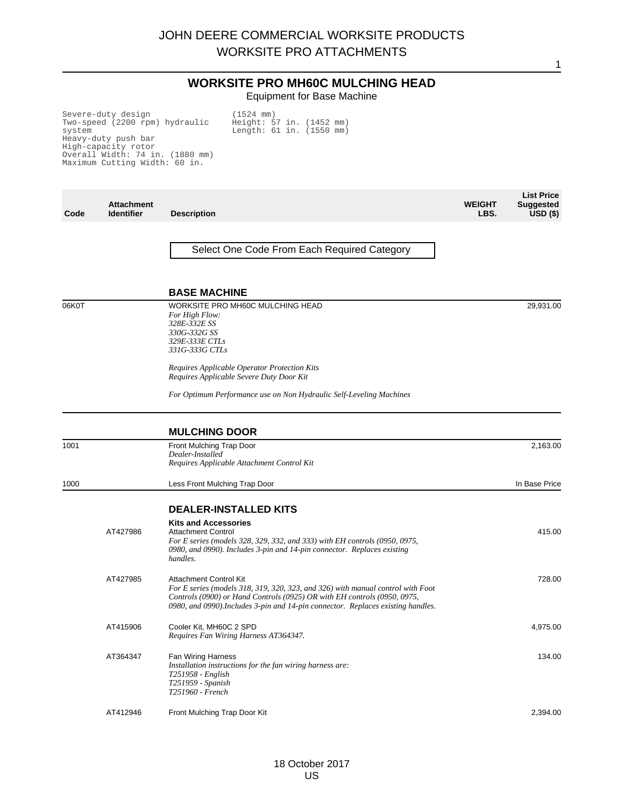## **WORKSITE PRO MH60C MULCHING HEAD** Equipment for Base Machine

Height: 57 in. (1452 mm) Length: 61 in. (1550 mm)

(1524 mm)

Severe-duty design Two-speed (2200 rpm) hydraulic system Heavy-duty push bar High-capacity rotor Overall Width: 74 in. (1880 mm) Maximum Cutting Width: 60 in.

**Code Attachment Identifier Description WEIGHT LBS. List Price Suggested USD (\$)** Select One Code From Each Required Category **BASE MACHINE** 06K0T WORKSITE PRO MH60C MULCHING HEAD *For High Flow: 328E-332E SS 330G-332G SS 329E-333E CTLs 331G-333G CTLs Requires Applicable Operator Protection Kits Requires Applicable Severe Duty Door Kit For Optimum Performance use on Non Hydraulic Self-Leveling Machines* 29,931.00 **MULCHING DOOR** 1001 **Front Mulching Trap Door** *Dealer-Installed Requires Applicable Attachment Control Kit* 2,163.00 1000 **1000** Less Front Mulching Trap Door **In Base Price 1000** Less Front Mulching Trap Door **DEALER-INSTALLED KITS Kits and Accessories** AT427986 Attachment Control *For E series (models 328, 329, 332, and 333) with EH controls (0950, 0975, 0980, and 0990). Includes 3-pin and 14-pin connector. Replaces existing handles.* 415.00 AT427985 Attachment Control Kit *For E series (models 318, 319, 320, 323, and 326) with manual control with Foot Controls (0900) or Hand Controls (0925) OR with EH controls (0950, 0975, 0980, and 0990).Includes 3-pin and 14-pin connector. Replaces existing handles.* 728.00 AT415906 Cooler Kit, MH60C 2 SPD *Requires Fan Wiring Harness AT364347.* 4,975.00 AT364347 Fan Wiring Harness *Installation instructions for the fan wiring harness are: T251958 - English T251959 - Spanish T251960 - French* 134.00 AT412946 Front Mulching Trap Door Kit 2,394.00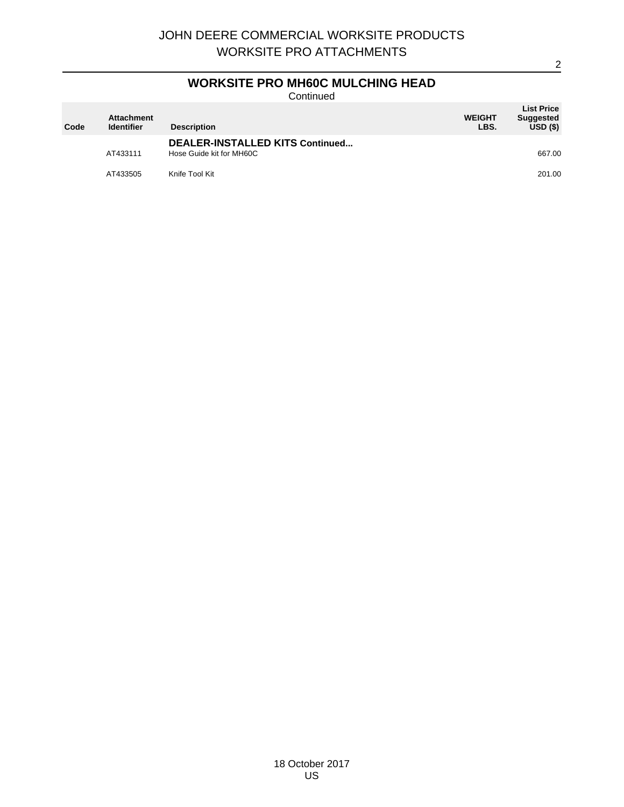## **WORKSITE PRO MH60C MULCHING HEAD**

**Continued** 

| Code | <b>Attachment</b><br><b>Identifier</b> | <b>Description</b>                                          | <b>WEIGHT</b><br>LBS. | <b>List Price</b><br><b>Suggested</b><br>USD(S) |
|------|----------------------------------------|-------------------------------------------------------------|-----------------------|-------------------------------------------------|
|      | AT433111                               | DEALER-INSTALLED KITS Continued<br>Hose Guide kit for MH60C |                       | 667.00                                          |
|      | AT433505                               | Knife Tool Kit                                              |                       | 201.00                                          |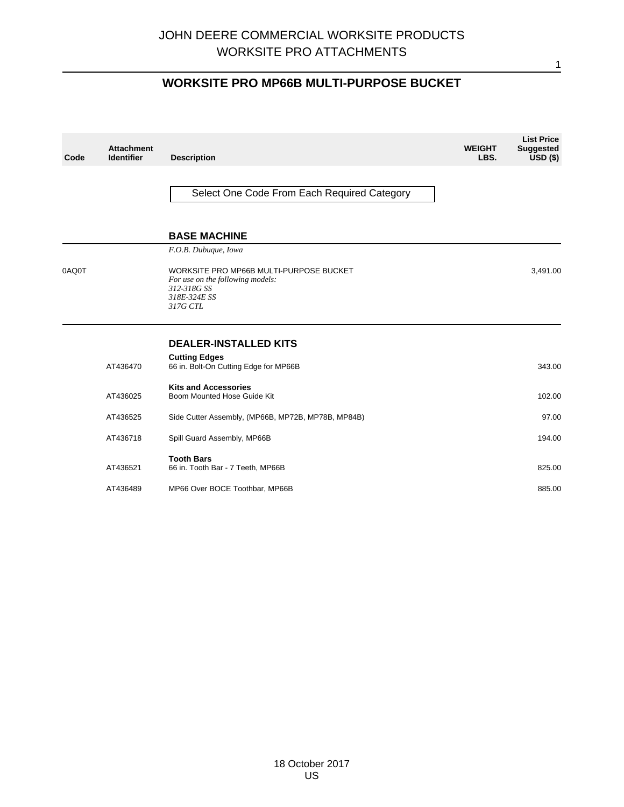# **WORKSITE PRO MP66B MULTI-PURPOSE BUCKET**

| Code  | <b>Attachment</b><br><b>Identifier</b> | <b>Description</b>                                                                                                     | <b>WEIGHT</b><br>LBS. | <b>List Price</b><br><b>Suggested</b><br>$USD($ \$) |
|-------|----------------------------------------|------------------------------------------------------------------------------------------------------------------------|-----------------------|-----------------------------------------------------|
|       |                                        | Select One Code From Each Required Category                                                                            |                       |                                                     |
|       |                                        | <b>BASE MACHINE</b>                                                                                                    |                       |                                                     |
|       |                                        | F.O.B. Dubuque, Iowa                                                                                                   |                       |                                                     |
| 0AQ0T |                                        | WORKSITE PRO MP66B MULTI-PURPOSE BUCKET<br>For use on the following models:<br>312-318G SS<br>318E-324E SS<br>317G CTL |                       | 3,491.00                                            |
|       |                                        | <b>DEALER-INSTALLED KITS</b>                                                                                           |                       |                                                     |
|       | AT436470                               | <b>Cutting Edges</b><br>66 in. Bolt-On Cutting Edge for MP66B                                                          |                       | 343.00                                              |
|       | AT436025                               | <b>Kits and Accessories</b><br>Boom Mounted Hose Guide Kit                                                             |                       | 102.00                                              |
|       | AT436525                               | Side Cutter Assembly, (MP66B, MP72B, MP78B, MP84B)                                                                     |                       | 97.00                                               |
|       | AT436718                               | Spill Guard Assembly, MP66B                                                                                            |                       | 194.00                                              |
|       | AT436521                               | <b>Tooth Bars</b><br>66 in. Tooth Bar - 7 Teeth, MP66B                                                                 |                       | 825.00                                              |
|       | AT436489                               | MP66 Over BOCE Toothbar, MP66B                                                                                         |                       | 885.00                                              |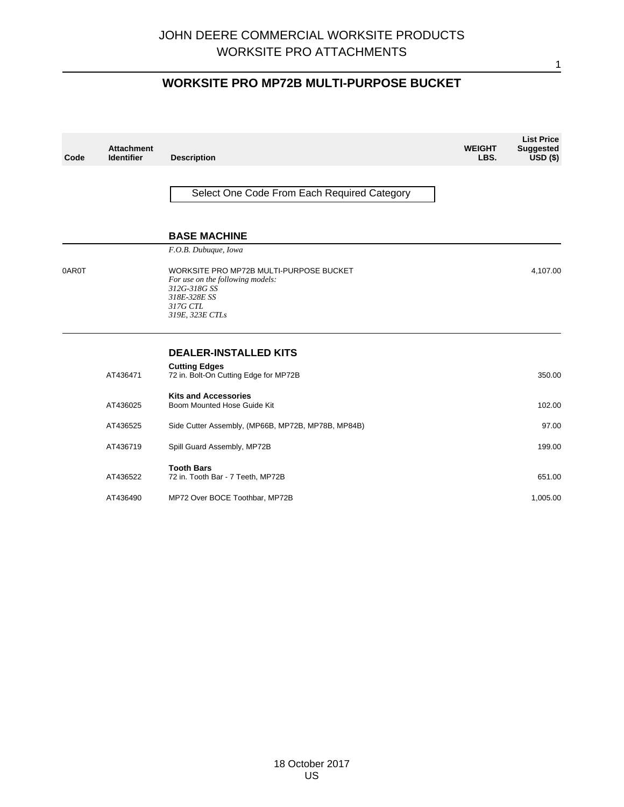# **WORKSITE PRO MP72B MULTI-PURPOSE BUCKET**

| Code  | <b>Attachment</b><br><b>Identifier</b> | <b>Description</b>                                                                                                                         | <b>WEIGHT</b><br>LBS. | <b>List Price</b><br><b>Suggested</b><br>$USD(*)$ |
|-------|----------------------------------------|--------------------------------------------------------------------------------------------------------------------------------------------|-----------------------|---------------------------------------------------|
|       |                                        | Select One Code From Each Required Category                                                                                                |                       |                                                   |
|       |                                        | <b>BASE MACHINE</b>                                                                                                                        |                       |                                                   |
|       |                                        | F.O.B. Dubuque, Iowa                                                                                                                       |                       |                                                   |
| 0AR0T |                                        | WORKSITE PRO MP72B MULTI-PURPOSE BUCKET<br>For use on the following models:<br>312G-318G SS<br>318E-328E SS<br>317G CTL<br>319E, 323E CTLs |                       | 4,107.00                                          |
|       |                                        | <b>DEALER-INSTALLED KITS</b>                                                                                                               |                       |                                                   |
|       | AT436471                               | <b>Cutting Edges</b><br>72 in. Bolt-On Cutting Edge for MP72B                                                                              |                       | 350.00                                            |
|       | AT436025                               | <b>Kits and Accessories</b><br>Boom Mounted Hose Guide Kit                                                                                 |                       | 102.00                                            |
|       | AT436525                               | Side Cutter Assembly, (MP66B, MP72B, MP78B, MP84B)                                                                                         |                       | 97.00                                             |
|       | AT436719                               | Spill Guard Assembly, MP72B                                                                                                                |                       | 199.00                                            |
|       | AT436522                               | <b>Tooth Bars</b><br>72 in. Tooth Bar - 7 Teeth, MP72B                                                                                     |                       | 651.00                                            |
|       | AT436490                               | MP72 Over BOCE Toothbar, MP72B                                                                                                             |                       | 1,005.00                                          |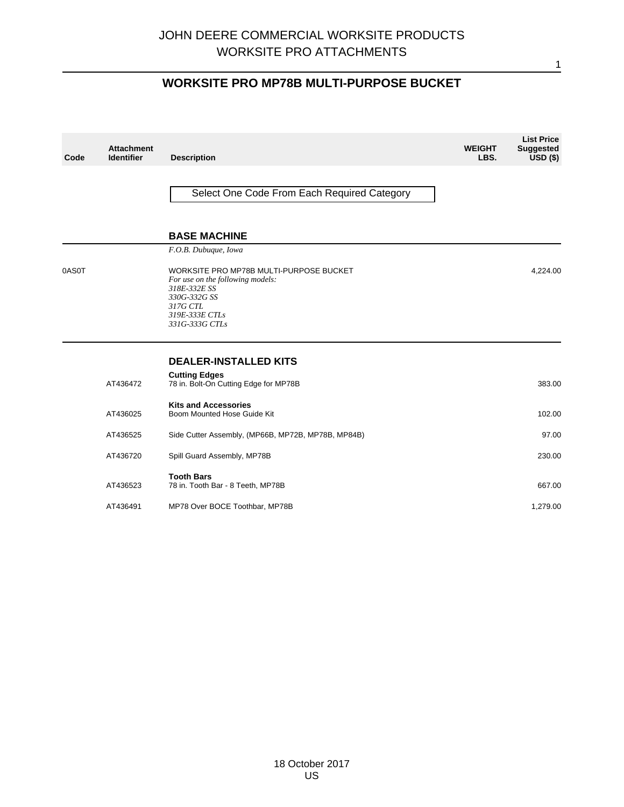# **WORKSITE PRO MP78B MULTI-PURPOSE BUCKET**

| Code  | <b>Attachment</b><br><b>Identifier</b> | <b>Description</b>                                                                                                                                          | <b>WEIGHT</b><br>LBS. | <b>List Price</b><br><b>Suggested</b><br>$USD($ \$) |
|-------|----------------------------------------|-------------------------------------------------------------------------------------------------------------------------------------------------------------|-----------------------|-----------------------------------------------------|
|       |                                        | Select One Code From Each Required Category                                                                                                                 |                       |                                                     |
|       |                                        | <b>BASE MACHINE</b>                                                                                                                                         |                       |                                                     |
|       |                                        | F.O.B. Dubuque, Iowa                                                                                                                                        |                       |                                                     |
| 0AS0T |                                        | WORKSITE PRO MP78B MULTI-PURPOSE BUCKET<br>For use on the following models:<br>318E-332E SS<br>330G-332G SS<br>317G CTL<br>319E-333E CTLs<br>331G-333G CTLs |                       | 4,224.00                                            |
|       |                                        | <b>DEALER-INSTALLED KITS</b>                                                                                                                                |                       |                                                     |
|       | AT436472                               | <b>Cutting Edges</b><br>78 in. Bolt-On Cutting Edge for MP78B                                                                                               |                       | 383.00                                              |
|       | AT436025                               | <b>Kits and Accessories</b><br>Boom Mounted Hose Guide Kit                                                                                                  |                       | 102.00                                              |
|       | AT436525                               | Side Cutter Assembly, (MP66B, MP72B, MP78B, MP84B)                                                                                                          |                       | 97.00                                               |
|       | AT436720                               | Spill Guard Assembly, MP78B                                                                                                                                 |                       | 230.00                                              |
|       | AT436523                               | <b>Tooth Bars</b><br>78 in. Tooth Bar - 8 Teeth, MP78B                                                                                                      |                       | 667.00                                              |
|       | AT436491                               | MP78 Over BOCE Toothbar, MP78B                                                                                                                              |                       | 1,279.00                                            |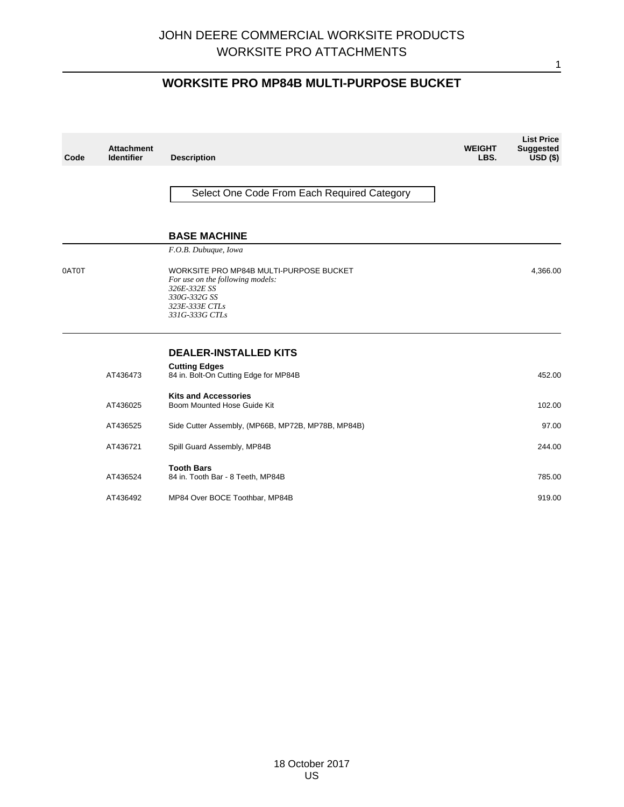# **WORKSITE PRO MP84B MULTI-PURPOSE BUCKET**

| Code  | <b>Attachment</b><br><b>Identifier</b> | <b>Description</b>                                                                                                                              | <b>WEIGHT</b><br>LBS. | <b>List Price</b><br><b>Suggested</b><br>$USD($ \$) |
|-------|----------------------------------------|-------------------------------------------------------------------------------------------------------------------------------------------------|-----------------------|-----------------------------------------------------|
|       |                                        | Select One Code From Each Required Category                                                                                                     |                       |                                                     |
|       |                                        | <b>BASE MACHINE</b>                                                                                                                             |                       |                                                     |
|       |                                        | F.O.B. Dubuque, Iowa                                                                                                                            |                       |                                                     |
| 0AT0T |                                        | WORKSITE PRO MP84B MULTI-PURPOSE BUCKET<br>For use on the following models:<br>326E-332E SS<br>330G-332G SS<br>323E-333E CTLs<br>331G-333G CTLs |                       | 4,366.00                                            |
|       |                                        | <b>DEALER-INSTALLED KITS</b>                                                                                                                    |                       |                                                     |
|       | AT436473                               | <b>Cutting Edges</b><br>84 in. Bolt-On Cutting Edge for MP84B                                                                                   |                       | 452.00                                              |
|       | AT436025                               | <b>Kits and Accessories</b><br>Boom Mounted Hose Guide Kit                                                                                      |                       | 102.00                                              |
|       | AT436525                               | Side Cutter Assembly, (MP66B, MP72B, MP78B, MP84B)                                                                                              |                       | 97.00                                               |
|       | AT436721                               | Spill Guard Assembly, MP84B                                                                                                                     |                       | 244.00                                              |
|       | AT436524                               | <b>Tooth Bars</b><br>84 in. Tooth Bar - 8 Teeth, MP84B                                                                                          |                       | 785.00                                              |
|       | AT436492                               | MP84 Over BOCE Toothbar, MP84B                                                                                                                  |                       | 919.00                                              |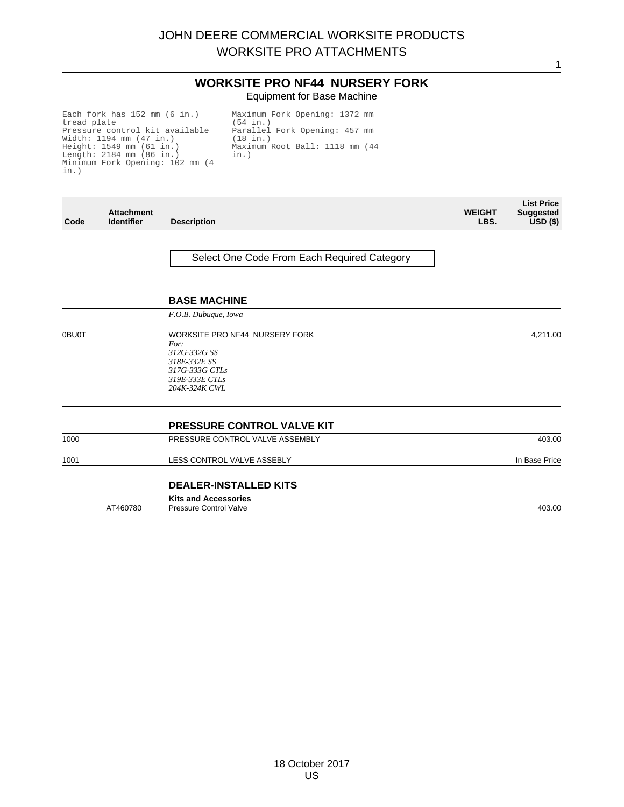#### **WORKSITE PRO NF44 NURSERY FORK** Equipment for Base Machine

Each fork has 152 mm (6 in.) tread plate Pressure control kit available<br>Width: 1194 mm (47 in.)<br>Height: 1549 mm (61 in.)<br>Length: 2184 mm (86 in.)<br>Minimum Fork Opening: 102 mm (4 in.)

Maximum Fork Opening: 1372 mm (54 in.) Parallel Fork Opening: 457 mm (18 in.) Maximum Root Ball: 1118 mm (44 in.)

| Code  | <b>Attachment</b><br><b>Identifier</b> | <b>Description</b>                                                                                                          | <b>WEIGHT</b><br>LBS. | <b>List Price</b><br><b>Suggested</b><br>$USD($ \$) |
|-------|----------------------------------------|-----------------------------------------------------------------------------------------------------------------------------|-----------------------|-----------------------------------------------------|
|       |                                        | Select One Code From Each Required Category                                                                                 |                       |                                                     |
|       |                                        | <b>BASE MACHINE</b>                                                                                                         |                       |                                                     |
|       |                                        | F.O.B. Dubuque, Iowa                                                                                                        |                       |                                                     |
| 0BU0T |                                        | WORKSITE PRO NF44 NURSERY FORK<br>For:<br>312G-332G SS<br>318E-332E SS<br>317G-333G CTLs<br>319E-333E CTLs<br>204K-324K CWL |                       | 4,211.00                                            |
|       |                                        | <b>PRESSURE CONTROL VALVE KIT</b>                                                                                           |                       |                                                     |
| 1000  |                                        | PRESSURE CONTROL VALVE ASSEMBLY                                                                                             |                       | 403.00                                              |
| 1001  |                                        | LESS CONTROL VALVE ASSEBLY                                                                                                  |                       | In Base Price                                       |
|       |                                        | <b>DEALER-INSTALLED KITS</b>                                                                                                |                       |                                                     |
|       | AT460780                               | <b>Kits and Accessories</b><br><b>Pressure Control Valve</b>                                                                |                       | 403.00                                              |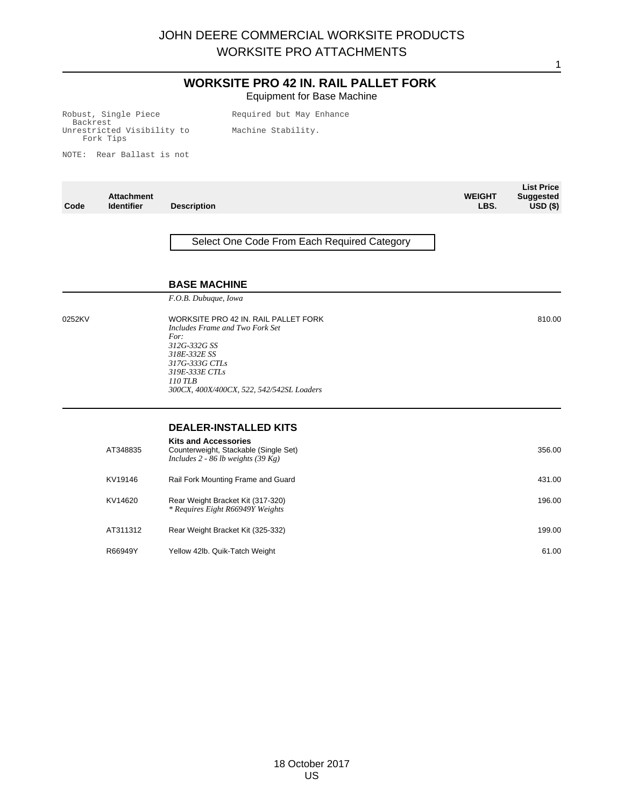## **WORKSITE PRO 42 IN. RAIL PALLET FORK** Equipment for Base Machine

Robust, Single Piece Backrest Unrestricted Visibility to Fork Tips

Required but May Enhance Machine Stability.

NOTE: Rear Ballast is not

| Code   | <b>Attachment</b><br><b>Identifier</b> | <b>Description</b>                                                                                                                                                                                          | <b>WEIGHT</b><br>LBS. | <b>List Price</b><br><b>Suggested</b><br>$USD($ \$) |
|--------|----------------------------------------|-------------------------------------------------------------------------------------------------------------------------------------------------------------------------------------------------------------|-----------------------|-----------------------------------------------------|
|        |                                        | Select One Code From Each Required Category                                                                                                                                                                 |                       |                                                     |
|        |                                        | <b>BASE MACHINE</b>                                                                                                                                                                                         |                       |                                                     |
|        |                                        | F.O.B. Dubuque, Iowa                                                                                                                                                                                        |                       |                                                     |
| 0252KV |                                        | WORKSITE PRO 42 IN. RAIL PALLET FORK<br>Includes Frame and Two Fork Set<br>For:<br>312G-332G SS<br>318E-332E SS<br>317G-333G CTLs<br>319E-333E CTLs<br>110 TLB<br>300CX, 400X/400CX, 522, 542/542SL Loaders |                       | 810.00                                              |
|        |                                        | <b>DEALER-INSTALLED KITS</b>                                                                                                                                                                                |                       |                                                     |
|        | AT348835                               | <b>Kits and Accessories</b><br>Counterweight, Stackable (Single Set)<br>Includes $2 - 86$ lb weights (39 Kg)                                                                                                |                       | 356.00                                              |
|        | KV19146                                | Rail Fork Mounting Frame and Guard                                                                                                                                                                          |                       | 431.00                                              |
|        | KV14620                                | Rear Weight Bracket Kit (317-320)<br>* Requires Eight R66949Y Weights                                                                                                                                       |                       | 196.00                                              |
|        | AT311312                               | Rear Weight Bracket Kit (325-332)                                                                                                                                                                           |                       | 199.00                                              |
|        | R66949Y                                | Yellow 42lb. Quik-Tatch Weight                                                                                                                                                                              |                       | 61.00                                               |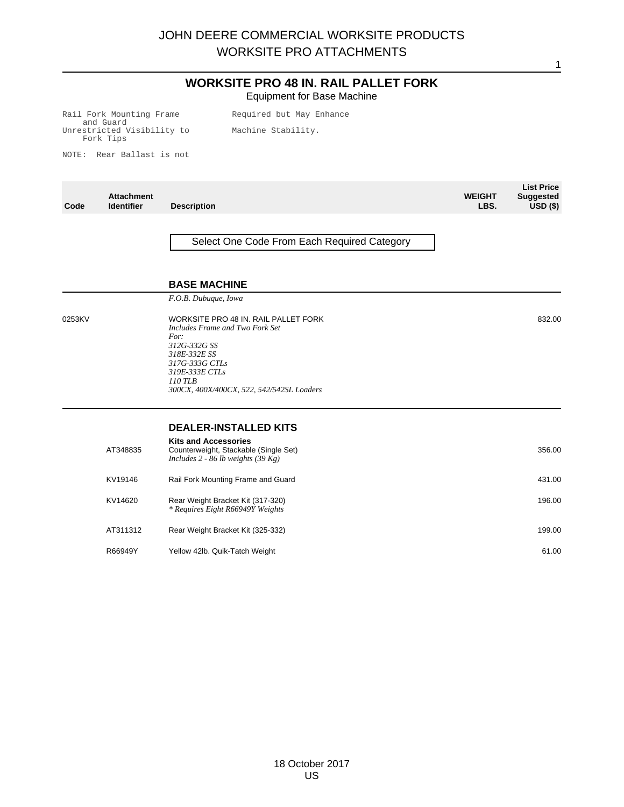## **WORKSITE PRO 48 IN. RAIL PALLET FORK** Equipment for Base Machine

Rail Fork Mounting Frame and Guard Unrestricted Visibility to Fork Tips

Required but May Enhance Machine Stability.

NOTE: Rear Ballast is not

| Code   | <b>Attachment</b><br><b>Identifier</b> | <b>Description</b>                                                                                                                                  | <b>WEIGHT</b><br>LBS. | <b>List Price</b><br><b>Suggested</b><br>$USD($ \$) |
|--------|----------------------------------------|-----------------------------------------------------------------------------------------------------------------------------------------------------|-----------------------|-----------------------------------------------------|
|        |                                        | Select One Code From Each Required Category                                                                                                         |                       |                                                     |
|        |                                        | <b>BASE MACHINE</b>                                                                                                                                 |                       |                                                     |
|        |                                        | F.O.B. Dubuque, Iowa                                                                                                                                |                       |                                                     |
| 0253KV |                                        | WORKSITE PRO 48 IN. RAIL PALLET FORK<br>Includes Frame and Two Fork Set<br>For:<br>312G-332G SS<br>318E-332E SS<br>317G-333G CTLs<br>319E-333E CTLs |                       | 832.00                                              |
|        |                                        | 110 TLB<br>300CX, 400X/400CX, 522, 542/542SL Loaders                                                                                                |                       |                                                     |
|        |                                        | <b>DEALER-INSTALLED KITS</b>                                                                                                                        |                       |                                                     |
|        | AT348835                               | <b>Kits and Accessories</b><br>Counterweight, Stackable (Single Set)<br>Includes 2 - 86 lb weights $(39 \text{ Kg})$                                |                       | 356.00                                              |
|        | KV19146                                | Rail Fork Mounting Frame and Guard                                                                                                                  |                       | 431.00                                              |
|        | KV14620                                | Rear Weight Bracket Kit (317-320)<br>* Requires Eight R66949Y Weights                                                                               |                       | 196.00                                              |
|        | AT311312                               | Rear Weight Bracket Kit (325-332)                                                                                                                   |                       | 199.00                                              |
|        | R66949Y                                | Yellow 42lb. Quik-Tatch Weight                                                                                                                      |                       | 61.00                                               |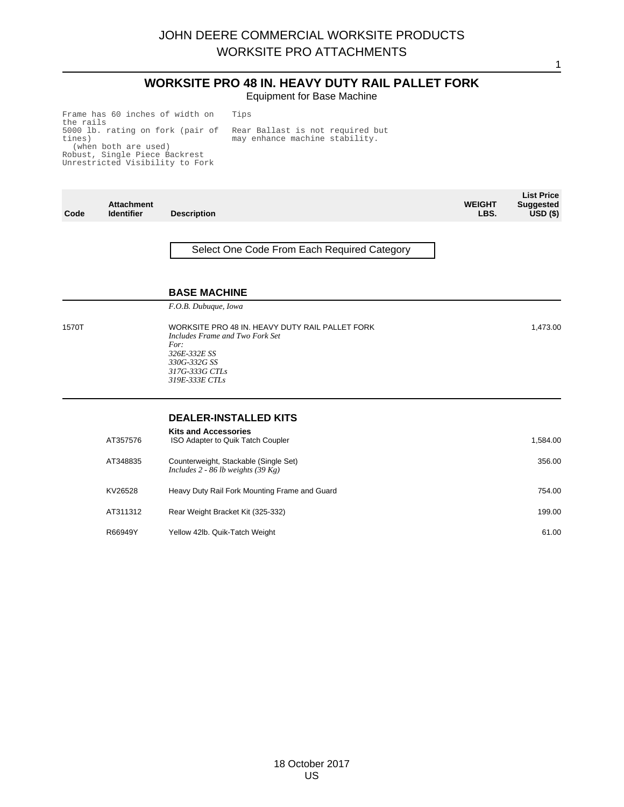#### **WORKSITE PRO 48 IN. HEAVY DUTY RAIL PALLET FORK** Equipment for Base Machine

1

Frame has 60 inches of width on the rails 5000 lb. rating on fork (pair of tines) (when both are used) Robust, Single Piece Backrest Unrestricted Visibility to Fork

Rear Ballast is not required but may enhance machine stability.

Tips

| Code  | <b>Attachment</b><br><b>Identifier</b> | <b>Description</b>                                                                                                                                             | <b>WEIGHT</b><br>LBS. | <b>List Price</b><br><b>Suggested</b><br>USD <sub>(</sub> ) |
|-------|----------------------------------------|----------------------------------------------------------------------------------------------------------------------------------------------------------------|-----------------------|-------------------------------------------------------------|
|       |                                        | Select One Code From Each Required Category                                                                                                                    |                       |                                                             |
|       |                                        | <b>BASE MACHINE</b>                                                                                                                                            |                       |                                                             |
|       |                                        | F.O.B. Dubuque, Iowa                                                                                                                                           |                       |                                                             |
| 1570T |                                        | WORKSITE PRO 48 IN. HEAVY DUTY RAIL PALLET FORK<br>Includes Frame and Two Fork Set<br>For:<br>326E-332E SS<br>330G-332G SS<br>317G-333G CTLs<br>319E-333E CTLs |                       | 1,473.00                                                    |
|       |                                        | <b>DEALER-INSTALLED KITS</b>                                                                                                                                   |                       |                                                             |
|       | AT357576                               | <b>Kits and Accessories</b><br>ISO Adapter to Quik Tatch Coupler                                                                                               |                       | 1,584.00                                                    |
|       | AT348835                               | Counterweight, Stackable (Single Set)<br>Includes 2 - 86 lb weights $(39 \text{ Kg})$                                                                          |                       | 356.00                                                      |
|       | KV26528                                | Heavy Duty Rail Fork Mounting Frame and Guard                                                                                                                  |                       | 754.00                                                      |
|       | AT311312                               | Rear Weight Bracket Kit (325-332)                                                                                                                              |                       | 199.00                                                      |
|       | R66949Y                                | Yellow 42lb. Quik-Tatch Weight                                                                                                                                 |                       | 61.00                                                       |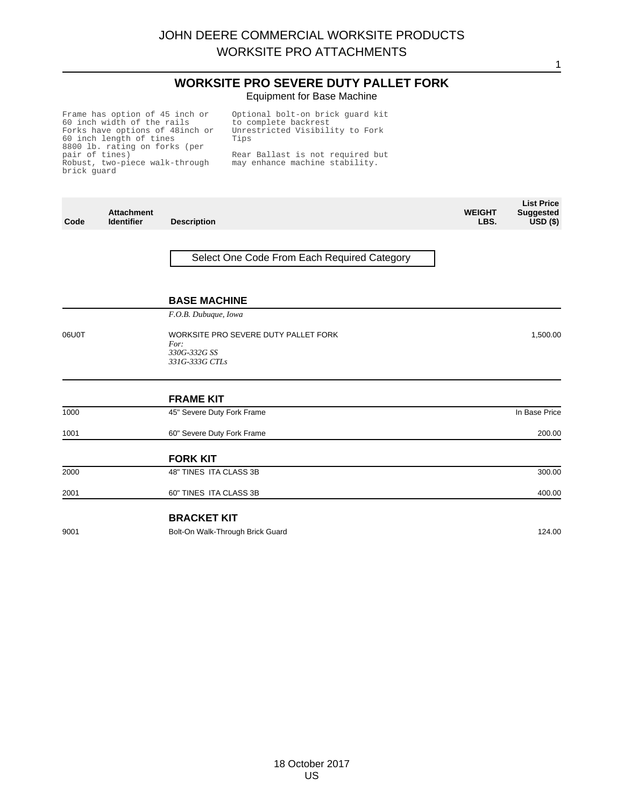**WORKSITE PRO SEVERE DUTY PALLET FORK** Equipment for Base Machine

1

Frame has option of 45 inch or<br>60 inch width of the rails<br>Forks have options of 48inch or<br>60 inch length of tines<br>8800 lb. rating on forks (per<br>pair of tines)<br>Robust, two-piece walk-through brick guard

Optional bolt-on brick guard kit to complete backrest Unrestricted Visibility to Fork Tips

Rear Ballast is not required but may enhance machine stability.

| Code  | <b>Attachment</b><br><b>Identifier</b> | <b>Description</b>                                                             | <b>WEIGHT</b><br>LBS. | <b>List Price</b><br><b>Suggested</b><br>$\overline{USD}$ (\$) |
|-------|----------------------------------------|--------------------------------------------------------------------------------|-----------------------|----------------------------------------------------------------|
|       |                                        | Select One Code From Each Required Category                                    |                       |                                                                |
|       |                                        | <b>BASE MACHINE</b>                                                            |                       |                                                                |
|       |                                        | F.O.B. Dubuque, Iowa                                                           |                       |                                                                |
| 06U0T |                                        | WORKSITE PRO SEVERE DUTY PALLET FORK<br>For:<br>330G-332G SS<br>331G-333G CTLs |                       | 1,500.00                                                       |
|       |                                        | <b>FRAME KIT</b>                                                               |                       |                                                                |
| 1000  |                                        | 45" Severe Duty Fork Frame                                                     |                       | In Base Price                                                  |
| 1001  |                                        | 60" Severe Duty Fork Frame                                                     |                       | 200.00                                                         |
|       |                                        | <b>FORK KIT</b>                                                                |                       |                                                                |
| 2000  |                                        | 48" TINES ITA CLASS 3B                                                         |                       | 300.00                                                         |
| 2001  |                                        | 60" TINES ITA CLASS 3B                                                         |                       | 400.00                                                         |
|       |                                        | <b>BRACKET KIT</b>                                                             |                       |                                                                |
| 9001  |                                        | Bolt-On Walk-Through Brick Guard                                               |                       | 124.00                                                         |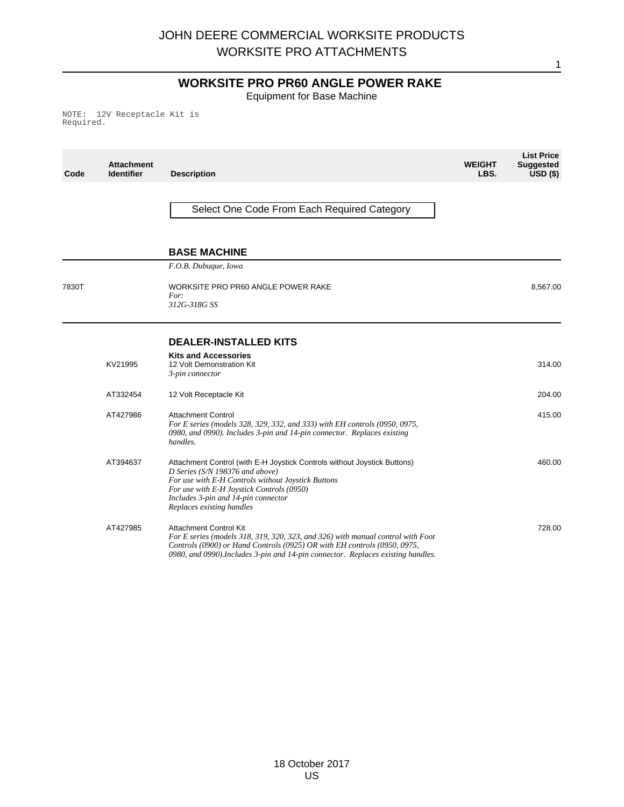# **WORKSITE PRO PR60 ANGLE POWER RAKE**

1

Equipment for Base Machine

NOTE: 12V Receptacle Kit is Required.

| Code  | <b>Attachment</b><br><b>Identifier</b> | <b>Description</b>                                                                                                                                                                                                                                                                 | <b>WEIGHT</b><br>LBS. | <b>List Price</b><br><b>Suggested</b><br>$USD($ \$) |
|-------|----------------------------------------|------------------------------------------------------------------------------------------------------------------------------------------------------------------------------------------------------------------------------------------------------------------------------------|-----------------------|-----------------------------------------------------|
|       |                                        | Select One Code From Each Required Category                                                                                                                                                                                                                                        |                       |                                                     |
|       |                                        | <b>BASE MACHINE</b>                                                                                                                                                                                                                                                                |                       |                                                     |
|       |                                        | F.O.B. Dubuque, Iowa                                                                                                                                                                                                                                                               |                       |                                                     |
| 7830T |                                        | WORKSITE PRO PR60 ANGLE POWER RAKE<br>For:<br>312G-318G SS                                                                                                                                                                                                                         |                       | 8,567.00                                            |
|       |                                        | <b>DEALER-INSTALLED KITS</b>                                                                                                                                                                                                                                                       |                       |                                                     |
|       | KV21995                                | <b>Kits and Accessories</b><br>12 Volt Demonstration Kit<br>3-pin connector                                                                                                                                                                                                        |                       | 314.00                                              |
|       | AT332454                               | 12 Volt Receptacle Kit                                                                                                                                                                                                                                                             |                       | 204.00                                              |
|       | AT427986                               | <b>Attachment Control</b><br>For E series (models 328, 329, 332, and 333) with EH controls (0950, 0975,<br>0980, and 0990). Includes 3-pin and 14-pin connector. Replaces existing<br>handles.                                                                                     |                       | 415.00                                              |
|       | AT394637                               | Attachment Control (with E-H Joystick Controls without Joystick Buttons)<br>D Series (S/N 198376 and above)<br>For use with E-H Controls without Joystick Buttons<br>For use with E-H Joystick Controls (0950)<br>Includes 3-pin and 14-pin connector<br>Replaces existing handles |                       | 460.00                                              |
|       | AT427985                               | <b>Attachment Control Kit</b><br>For E series (models 318, 319, 320, 323, and 326) with manual control with Foot<br>Controls (0900) or Hand Controls (0925) OR with EH controls (0950, 0975,<br>0980, and 0990). Includes 3-pin and 14-pin connector. Replaces existing handles.   |                       | 728.00                                              |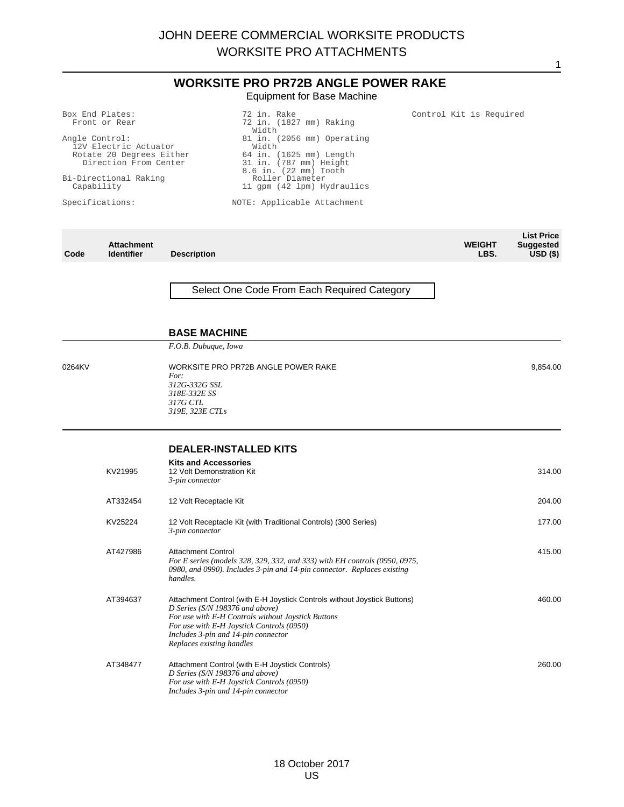## **WORKSITE PRO PR72B ANGLE POWER RAKE** Equipment for Base Machine

Box End Plates: Front or Rear

Angle Control: 12V Electric Actuator Rotate 20 Degrees Either Direction From Center

Bi-Directional Raking Capability

Specifications:

72 in. (1827 mm) Raking Width 81 in. (2056 mm) Operating Width 64 in. (1625 mm) Length 31 in. (787 mm) Height 8.6 in. (22 mm) Tooth Roller Diameter 11 gpm (42 lpm) Hydraulics

Control Kit is Required

1

NOTE: Applicable Attachment

72 in. Rake

|      |                                        |                    |                       | <b>List Price</b>       |
|------|----------------------------------------|--------------------|-----------------------|-------------------------|
| Code | <b>Attachment</b><br><b>Identifier</b> | <b>Description</b> | <b>WEIGHT</b><br>LBS. | Suggested<br>$USD($ \$) |
|      |                                        |                    |                       |                         |

Select One Code From Each Required Category

## **BASE MACHINE**

*F.O.B. Dubuque, Iowa*

0264KV WORKSITE PRO PR72B ANGLE POWER RAKE *For: 312G-332G SSL 318E-332E SS 317G CTL 319E, 323E CTLs* 9,854.00

#### **DEALER-INSTALLED KITS**

| KV21995  | <b>Kits and Accessories</b><br>12 Volt Demonstration Kit<br>3-pin connector                                                                                                                                                                                                        | 314.00 |
|----------|------------------------------------------------------------------------------------------------------------------------------------------------------------------------------------------------------------------------------------------------------------------------------------|--------|
| AT332454 | 12 Volt Receptacle Kit                                                                                                                                                                                                                                                             | 204.00 |
| KV25224  | 12 Volt Receptacle Kit (with Traditional Controls) (300 Series)<br>3-pin connector                                                                                                                                                                                                 | 177.00 |
| AT427986 | Attachment Control<br>For E series (models 328, 329, 332, and 333) with EH controls (0950, 0975,<br>0980, and 0990). Includes 3-pin and 14-pin connector. Replaces existing<br>handles.                                                                                            | 415.00 |
| AT394637 | Attachment Control (with E-H Joystick Controls without Joystick Buttons)<br>D Series (S/N 198376 and above)<br>For use with E-H Controls without Joystick Buttons<br>For use with E-H Joystick Controls (0950)<br>Includes 3-pin and 14-pin connector<br>Replaces existing handles | 460.00 |
| AT348477 | Attachment Control (with E-H Joystick Controls)<br>D Series (S/N 198376 and above)<br>For use with E-H Joystick Controls (0950)<br>Includes 3-pin and 14-pin connector                                                                                                             | 260.00 |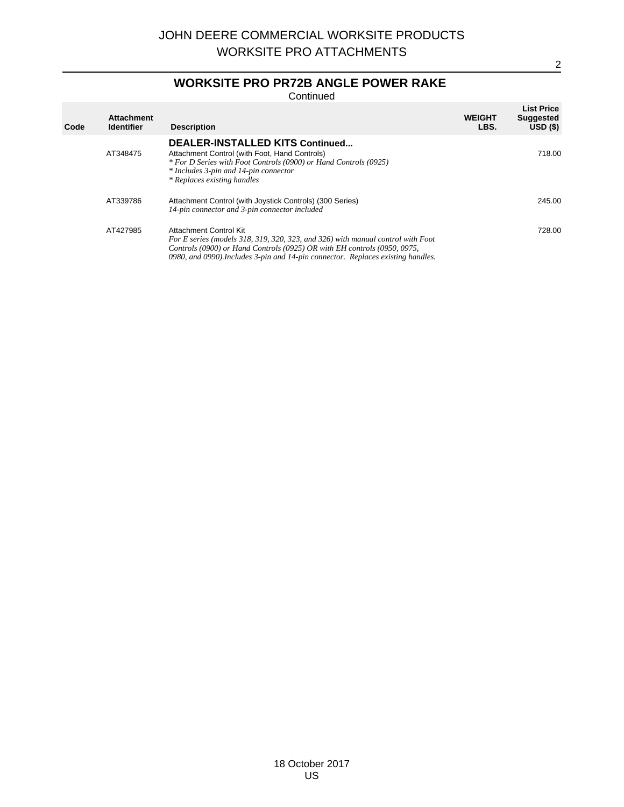# **WORKSITE PRO PR72B ANGLE POWER RAKE**

**Continued** 

| Code | <b>Attachment</b><br><b>Identifier</b> | <b>Description</b>                                                                                                                                                                                                                                                        | <b>WEIGHT</b><br>LBS. | <b>List Price</b><br><b>Suggested</b><br>USD(S) |
|------|----------------------------------------|---------------------------------------------------------------------------------------------------------------------------------------------------------------------------------------------------------------------------------------------------------------------------|-----------------------|-------------------------------------------------|
|      | AT348475                               | <b>DEALER-INSTALLED KITS Continued</b><br>Attachment Control (with Foot, Hand Controls)<br>* For D Series with Foot Controls (0900) or Hand Controls (0925)<br>* Includes 3-pin and 14-pin connector<br>* Replaces existing handles                                       |                       | 718.00                                          |
|      | AT339786                               | Attachment Control (with Joystick Controls) (300 Series)<br>14-pin connector and 3-pin connector included                                                                                                                                                                 |                       | 245.00                                          |
|      | AT427985                               | Attachment Control Kit<br>For E series (models 318, 319, 320, 323, and 326) with manual control with Foot<br>Controls (0900) or Hand Controls (0925) OR with EH controls (0950, 0975,<br>0980, and 0990). Includes 3-pin and 14-pin connector. Replaces existing handles. |                       | 728.00                                          |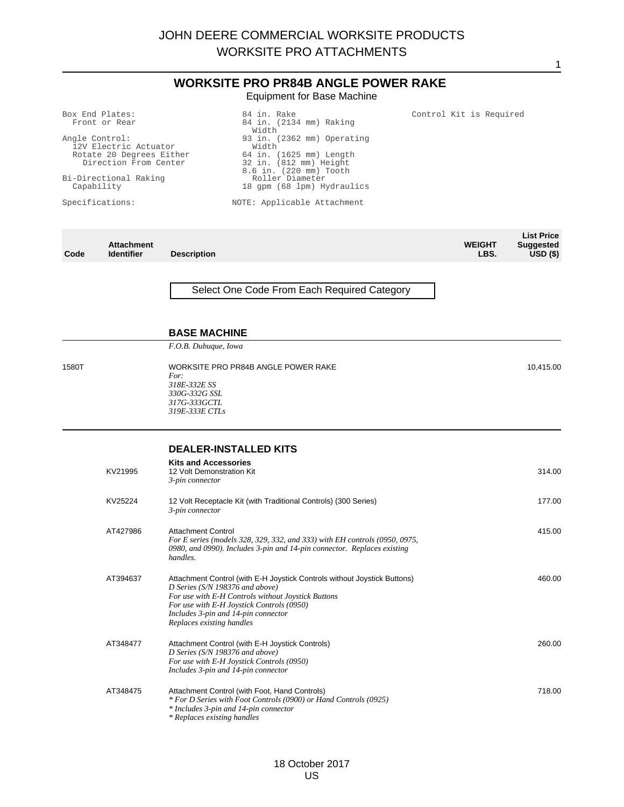## **WORKSITE PRO PR84B ANGLE POWER RAKE** Equipment for Base Machine

84 in. Rake

Box End Plates: Front or Rear

Angle Control: 12V Electric Actuator Rotate 20 Degrees Either Direction From Center

Bi-Directional Raking Capability

Specifications:

84 in. (2134 mm) Raking Width 93 in. (2362 mm) Operating Width 64 in. (1625 mm) Length 32 in. (812 mm) Height 8.6 in. (220 mm) Tooth Roller Diameter 18 gpm (68 lpm) Hydraulics

NOTE: Applicable Attachment

|      |                   |                    |               | <b>List Price</b> |
|------|-------------------|--------------------|---------------|-------------------|
|      | <b>Attachment</b> |                    | <b>WEIGHT</b> | Suggested         |
| Code | <b>Identifier</b> | <b>Description</b> | LBS.          | $USD($ \$)        |
|      |                   |                    |               |                   |

Select One Code From Each Required Category

## **BASE MACHINE**

*F.O.B. Dubuque, Iowa*

1580T WORKSITE PRO PR84B ANGLE POWER RAKE *For: 318E-332E SS 330G-332G SSL 317G-333GCTL 319E-333E CTLs* 10,415.00

#### **DEALER-INSTALLED KITS**

| KV21995  | <b>Kits and Accessories</b><br>12 Volt Demonstration Kit<br>3-pin connector                                                                                                                                                                                                           | 314.00 |
|----------|---------------------------------------------------------------------------------------------------------------------------------------------------------------------------------------------------------------------------------------------------------------------------------------|--------|
| KV25224  | 12 Volt Receptacle Kit (with Traditional Controls) (300 Series)<br>3-pin connector                                                                                                                                                                                                    | 177.00 |
| AT427986 | <b>Attachment Control</b><br>For E series (models 328, 329, 332, and 333) with EH controls (0950, 0975,<br>0980, and 0990). Includes 3-pin and 14-pin connector. Replaces existing<br>handles.                                                                                        | 415.00 |
| AT394637 | Attachment Control (with E-H Joystick Controls without Joystick Buttons)<br>D Series ( $S/N$ 198376 and above)<br>For use with E-H Controls without Joystick Buttons<br>For use with E-H Joystick Controls (0950)<br>Includes 3-pin and 14-pin connector<br>Replaces existing handles | 460.00 |
| AT348477 | Attachment Control (with E-H Joystick Controls)<br>D Series (S/N 198376 and above)<br>For use with E-H Joystick Controls (0950)<br>Includes 3-pin and 14-pin connector                                                                                                                | 260.00 |
| AT348475 | Attachment Control (with Foot, Hand Controls)<br>* For D Series with Foot Controls (0900) or Hand Controls (0925)<br>* Includes 3-pin and 14-pin connector<br>* Replaces existing handles                                                                                             | 718.00 |

1

Control Kit is Required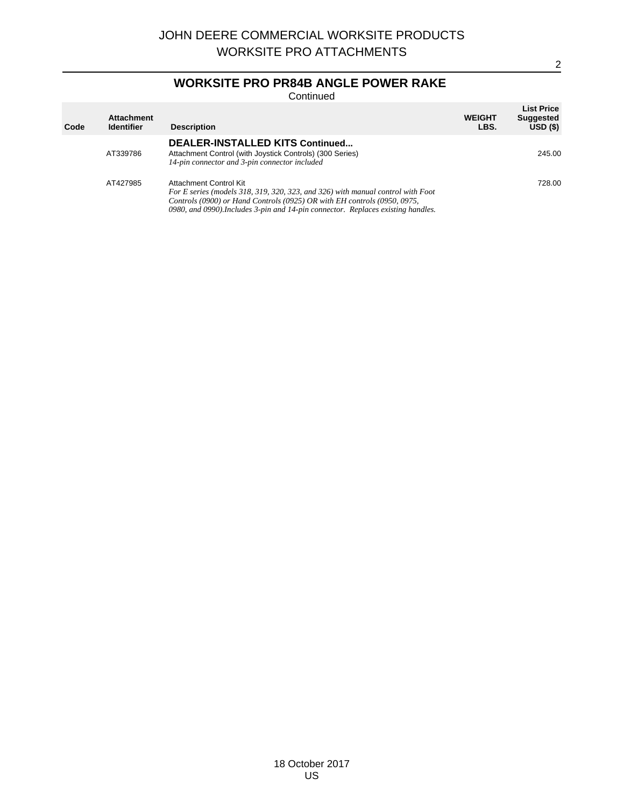# **WORKSITE PRO PR84B ANGLE POWER RAKE**

Continued

| Code | <b>Attachment</b><br><b>Identifier</b> | <b>Description</b>                                                                                                                                                                                                                                                        | <b>WEIGHT</b><br>LBS. | <b>List Price</b><br><b>Suggested</b><br>$USD($ \$) |
|------|----------------------------------------|---------------------------------------------------------------------------------------------------------------------------------------------------------------------------------------------------------------------------------------------------------------------------|-----------------------|-----------------------------------------------------|
|      | AT339786                               | DEALER-INSTALLED KITS Continued<br>Attachment Control (with Joystick Controls) (300 Series)<br>14-pin connector and 3-pin connector included                                                                                                                              |                       | 245.00                                              |
|      | AT427985                               | Attachment Control Kit<br>For E series (models 318, 319, 320, 323, and 326) with manual control with Foot<br>Controls (0900) or Hand Controls (0925) OR with EH controls (0950, 0975,<br>0980, and 0990). Includes 3-pin and 14-pin connector. Replaces existing handles. |                       | 728.00                                              |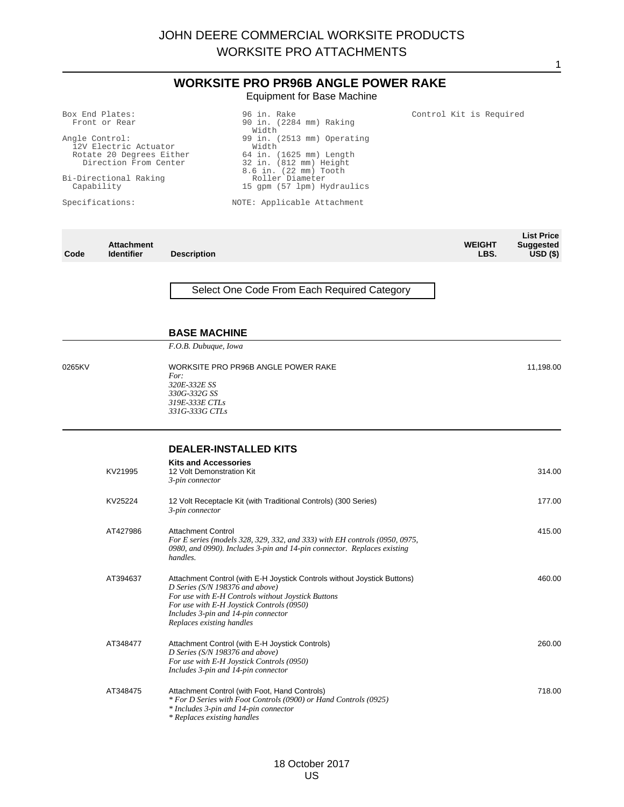#### **WORKSITE PRO PR96B ANGLE POWER RAKE** Equipment for Base Machine

## Box End Plates:

Angle Control: 12V Electric Actuator Rotate 20 Degrees Either Direction From Center

Bi-Directional Raking Capability

Specifications:

Front or Rear

90 in. (2284 mm) Raking Width 99 in. (2513 mm) Operating Width 64 in. (1625 mm) Length 32 in. (812 mm) Height 8.6 in. (22 mm) Tooth Roller Diameter 15 gpm (57 lpm) Hydraulics

#### NOTE: Applicable Attachment

96 in. Rake

|      |                   |                    |               | <b>List Price</b> |
|------|-------------------|--------------------|---------------|-------------------|
|      | <b>Attachment</b> |                    | <b>WEIGHT</b> | Suggested         |
| Code | <b>Identifier</b> | <b>Description</b> | LBS.          | $USD($ \$)        |

#### Select One Code From Each Required Category

## **BASE MACHINE**

*F.O.B. Dubuque, Iowa*

#### **DEALER-INSTALLED KITS**

| KV21995  | <b>Kits and Accessories</b><br>12 Volt Demonstration Kit<br>3-pin connector                                                                                                                                                                                                        | 314.00 |
|----------|------------------------------------------------------------------------------------------------------------------------------------------------------------------------------------------------------------------------------------------------------------------------------------|--------|
| KV25224  | 12 Volt Receptacle Kit (with Traditional Controls) (300 Series)<br>3-pin connector                                                                                                                                                                                                 | 177.00 |
| AT427986 | <b>Attachment Control</b><br>For E series (models 328, 329, 332, and 333) with EH controls (0950, 0975,<br>0980, and 0990). Includes 3-pin and 14-pin connector. Replaces existing<br>handles.                                                                                     | 415.00 |
| AT394637 | Attachment Control (with E-H Joystick Controls without Joystick Buttons)<br>D Series (S/N 198376 and above)<br>For use with E-H Controls without Joystick Buttons<br>For use with E-H Joystick Controls (0950)<br>Includes 3-pin and 14-pin connector<br>Replaces existing handles | 460.00 |
| AT348477 | Attachment Control (with E-H Joystick Controls)<br>D Series ( $S/N$ 198376 and above)<br>For use with E-H Joystick Controls (0950)<br>Includes 3-pin and 14-pin connector                                                                                                          | 260.00 |
| AT348475 | Attachment Control (with Foot, Hand Controls)<br>* For D Series with Foot Controls (0900) or Hand Controls (0925)<br>* Includes 3-pin and 14-pin connector<br>* Replaces existing handles                                                                                          | 718.00 |

1

Control Kit is Required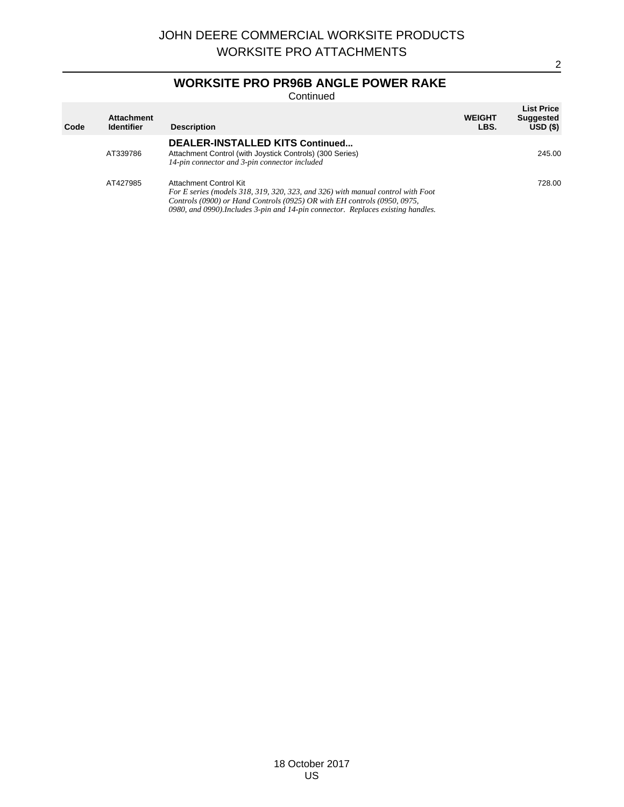# **WORKSITE PRO PR96B ANGLE POWER RAKE**

Continued

| Code | <b>Attachment</b><br><b>Identifier</b> | <b>Description</b>                                                                                                                                                                                                                                                        | <b>WEIGHT</b><br>LBS. | <b>List Price</b><br><b>Suggested</b><br>USD(S) |
|------|----------------------------------------|---------------------------------------------------------------------------------------------------------------------------------------------------------------------------------------------------------------------------------------------------------------------------|-----------------------|-------------------------------------------------|
|      | AT339786                               | DEALER-INSTALLED KITS Continued<br>Attachment Control (with Joystick Controls) (300 Series)<br>14-pin connector and 3-pin connector included                                                                                                                              |                       | 245.00                                          |
|      | AT427985                               | Attachment Control Kit<br>For E series (models 318, 319, 320, 323, and 326) with manual control with Foot<br>Controls (0900) or Hand Controls (0925) OR with EH controls (0950, 0975,<br>0980, and 0990). Includes 3-pin and 14-pin connector. Replaces existing handles. |                       | 728.00                                          |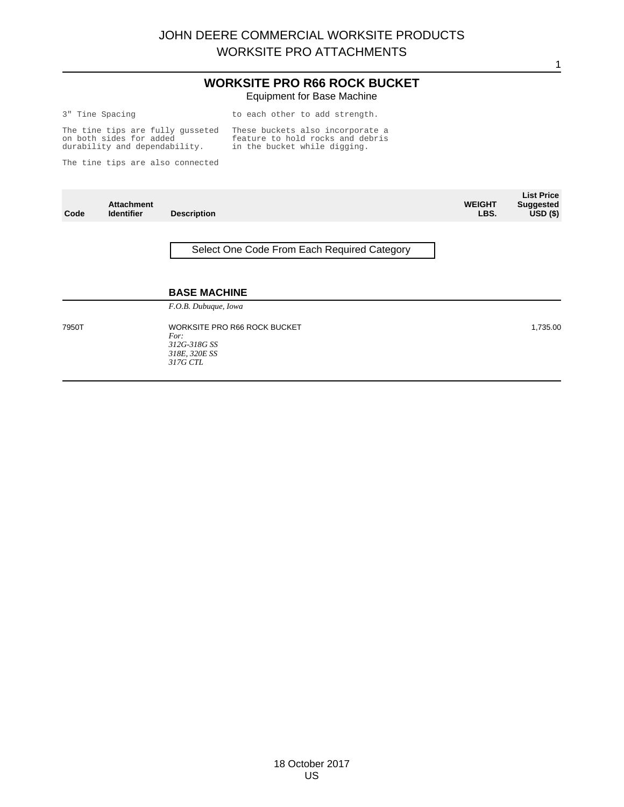#### **WORKSITE PRO R66 ROCK BUCKET** Equipment for Base Machine

|  | 3" Tine Spacing |  |                                       |  | to each otl |
|--|-----------------|--|---------------------------------------|--|-------------|
|  |                 |  | $\pi$ ho tino ting and fully quadepoi |  | Thoga bush  |

to each other to add strength.

The tine tips are fully gusseted on both sides for added durability and dependability. These buckets also incorporate a feature to hold rocks and debris in the bucket while digging.

The tine tips are also connected

| Code  | <b>Attachment</b><br><b>Identifier</b> | <b>Description</b>                                                                       | <b>WEIGHT</b><br>LBS. | <b>List Price</b><br><b>Suggested</b><br>$USD($ \$) |
|-------|----------------------------------------|------------------------------------------------------------------------------------------|-----------------------|-----------------------------------------------------|
|       |                                        | Select One Code From Each Required Category                                              |                       |                                                     |
|       |                                        | <b>BASE MACHINE</b>                                                                      |                       |                                                     |
|       |                                        | F.O.B. Dubuque, Iowa                                                                     |                       |                                                     |
| 7950T |                                        | <b>WORKSITE PRO R66 ROCK BUCKET</b><br>For:<br>312G-318G SS<br>318E, 320E SS<br>317G CTL |                       | 1,735.00                                            |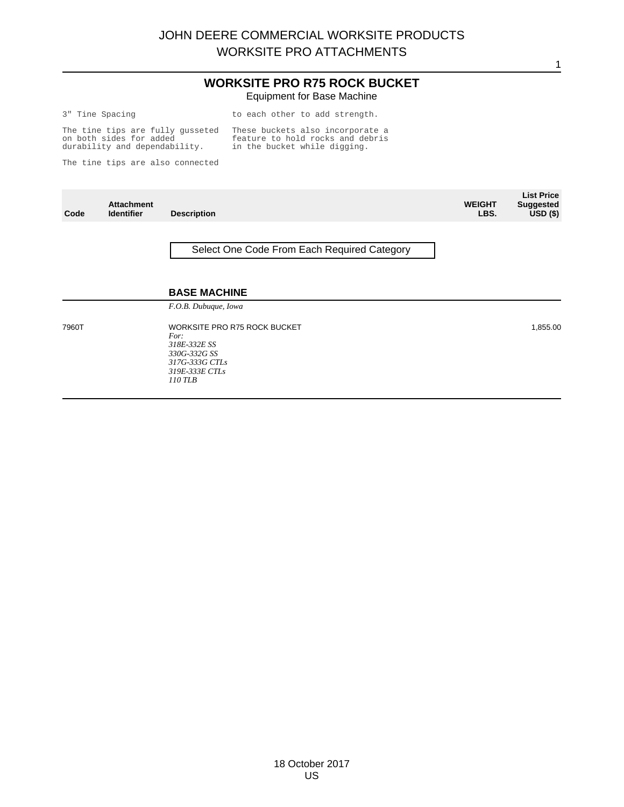#### **WORKSITE PRO R75 ROCK BUCKET** Equipment for Base Machine

|  |  | " Tine Spacing |  |
|--|--|----------------|--|
|--|--|----------------|--|

to each other to add strength.

The tine tips are fully gusseted on both sides for added durability and dependability. These buckets also incorporate a feature to hold rocks and debris in the bucket while digging.

The tine tips are also connected

| Code  | <b>Attachment</b><br><b>Identifier</b> | <b>Description</b>                                                                                                           | <b>WEIGHT</b><br>LBS. | <b>List Price</b><br><b>Suggested</b><br>$USD($ \$) |
|-------|----------------------------------------|------------------------------------------------------------------------------------------------------------------------------|-----------------------|-----------------------------------------------------|
|       |                                        | Select One Code From Each Required Category                                                                                  |                       |                                                     |
|       |                                        | <b>BASE MACHINE</b><br>F.O.B. Dubuque, Iowa                                                                                  |                       |                                                     |
| 7960T |                                        | <b>WORKSITE PRO R75 ROCK BUCKET</b><br>For:<br>318E-332E SS<br>330G-332G SS<br>317G-333G CTLs<br>319E-333E CTLs<br>$110$ TLB |                       | 1,855.00                                            |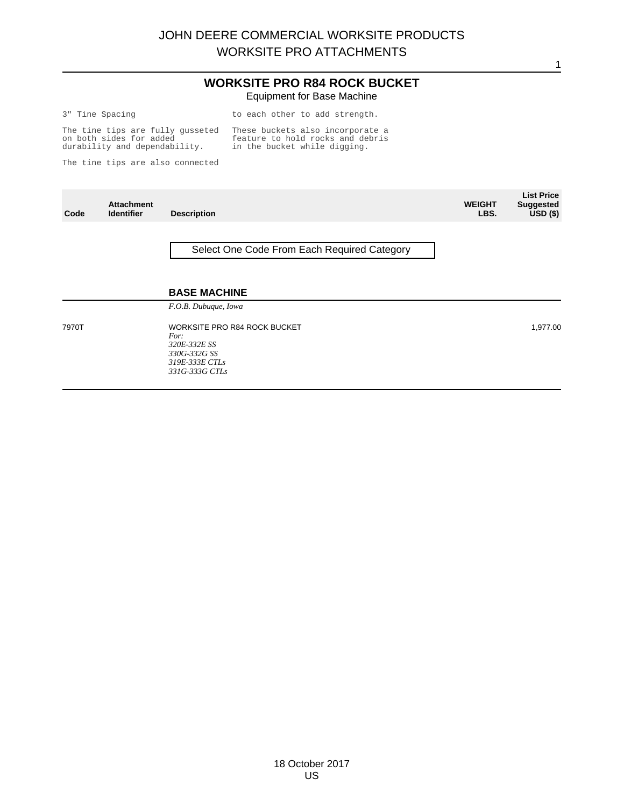#### **WORKSITE PRO R84 ROCK BUCKET** Equipment for Base Machine

|  | 3" Tine Spacing | to |  |
|--|-----------------|----|--|
|  |                 |    |  |

each other to add strength.

The tine tips are fully gusseted on both sides for added durability and dependability. These buckets also incorporate a feature to hold rocks and debris in the bucket while digging.

The tine tips are also connected

| Code  | <b>Attachment</b><br><b>Identifier</b> | <b>Description</b>                                                                                       | <b>WEIGHT</b><br>LBS. | <b>List Price</b><br><b>Suggested</b><br>$USD($ \$) |
|-------|----------------------------------------|----------------------------------------------------------------------------------------------------------|-----------------------|-----------------------------------------------------|
|       |                                        | Select One Code From Each Required Category                                                              |                       |                                                     |
|       |                                        | <b>BASE MACHINE</b><br>F.O.B. Dubuque, Iowa                                                              |                       |                                                     |
| 7970T |                                        | WORKSITE PRO R84 ROCK BUCKET<br>For:<br>320E-332E SS<br>330G-332G SS<br>319E-333E CTLs<br>331G-333G CTLs |                       | 1,977.00                                            |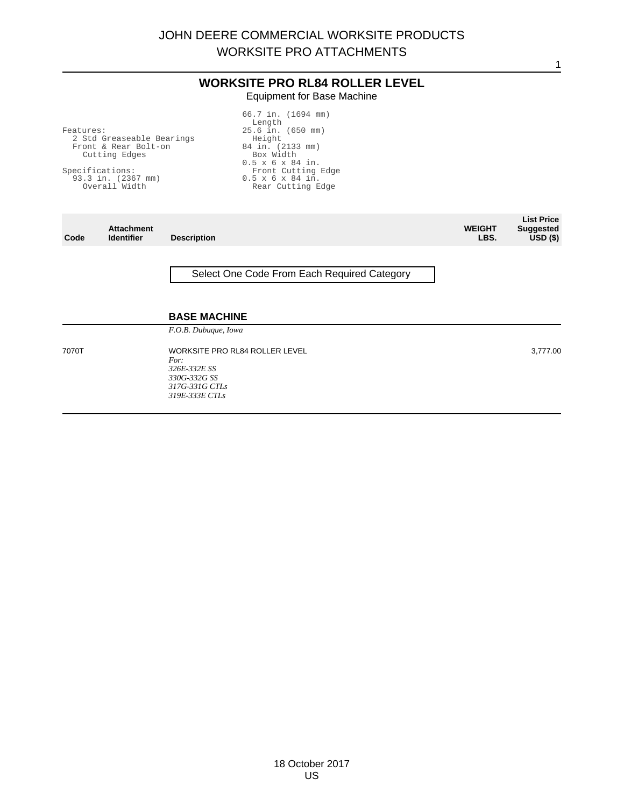1

#### **WORKSITE PRO RL84 ROLLER LEVEL** Equipment for Base Machine

| Features:<br>2 Std Greaseable Bearings<br>Front & Rear Bolt-on<br>Cutting Edges<br>Specifications:<br>93.3 in. (2367 mm)<br>Overall Width |                                        |                                                                                                  | 66.7 in. (1694 mm)<br>Length<br>25.6 in. (650 mm)<br>Height<br>84 in. (2133 mm)<br>Box Width<br>$0.5 \times 6 \times 84$ in.<br>Front Cutting Edge<br>$0.5 \times 6 \times 84$ in.<br>Rear Cutting Edge |                       |                                                             |
|-------------------------------------------------------------------------------------------------------------------------------------------|----------------------------------------|--------------------------------------------------------------------------------------------------|---------------------------------------------------------------------------------------------------------------------------------------------------------------------------------------------------------|-----------------------|-------------------------------------------------------------|
| Code                                                                                                                                      | <b>Attachment</b><br><b>Identifier</b> | <b>Description</b>                                                                               |                                                                                                                                                                                                         | <b>WEIGHT</b><br>LBS. | <b>List Price</b><br><b>Suggested</b><br>USD <sub>(</sub> ) |
|                                                                                                                                           |                                        | <b>BASE MACHINE</b>                                                                              | Select One Code From Each Required Category                                                                                                                                                             |                       |                                                             |
| 7070T                                                                                                                                     |                                        | F.O.B. Dubuque, Iowa<br>For:<br>326E-332E SS<br>330G-332G SS<br>317G-331G CTLs<br>319E-333E CTLs | <b>WORKSITE PRO RL84 ROLLER LEVEL</b>                                                                                                                                                                   |                       | 3,777.00                                                    |

18 October 2017 US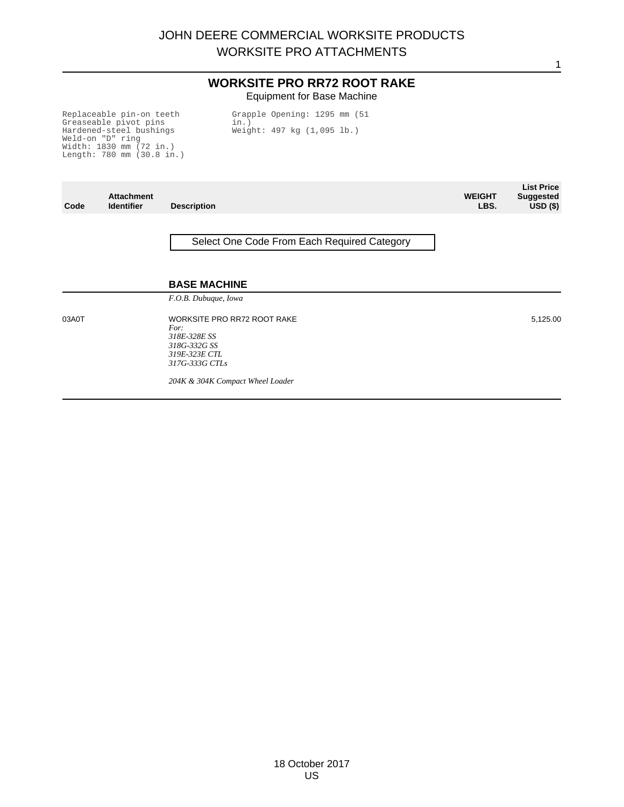#### **WORKSITE PRO RR72 ROOT RAKE** Equipment for Base Machine

Replaceable pin-on teeth Greaseable pivot pins Hardened-steel bushings Weld-on "D" ring Width: 1830 mm (72 in.) Length: 780 mm (30.8 in.) Grapple Opening: 1295 mm (51 in.) Weight: 497 kg (1,095 lb.)

| Code  | <b>Attachment</b><br><b>Identifier</b> | <b>Description</b>                                                                                            | <b>WEIGHT</b><br>LBS. | List Price<br><b>Suggested</b><br>USD <sub>(</sub> ) |
|-------|----------------------------------------|---------------------------------------------------------------------------------------------------------------|-----------------------|------------------------------------------------------|
|       |                                        | Select One Code From Each Required Category                                                                   |                       |                                                      |
|       |                                        | <b>BASE MACHINE</b><br>F.O.B. Dubuque, Iowa                                                                   |                       |                                                      |
| 03A0T |                                        | <b>WORKSITE PRO RR72 ROOT RAKE</b><br>For:<br>318E-328E SS<br>318G-332G SS<br>319E-323E CTL<br>317G-333G CTLs |                       | 5,125.00                                             |
|       |                                        | 204K & 304K Compact Wheel Loader                                                                              |                       |                                                      |

18 October 2017 US

1

**List Price**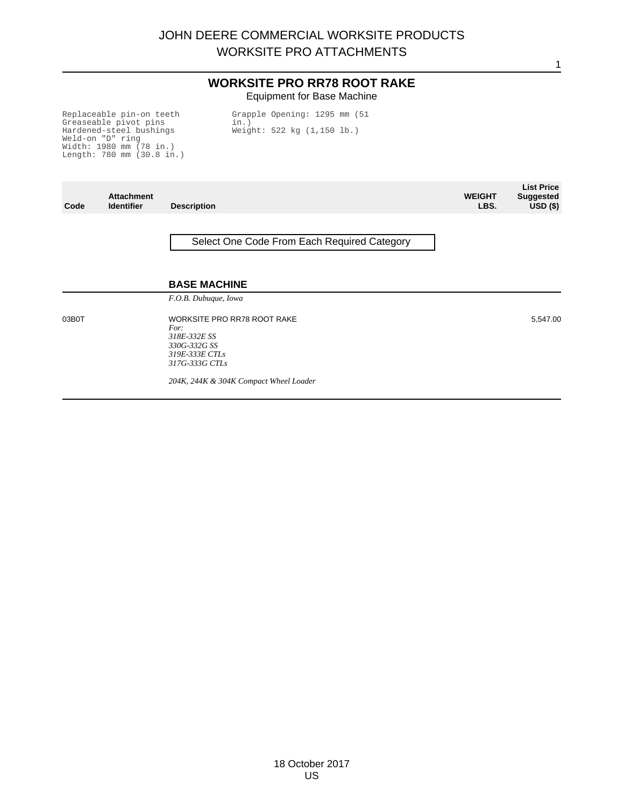#### **WORKSITE PRO RR78 ROOT RAKE** Equipment for Base Machine

Replaceable pin-on teeth Greaseable pivot pins Hardened-steel bushings Weld-on "D" ring Width: 1980 mm (78 in.) Length: 780 mm (30.8 in.) Grapple Opening: 1295 mm (51 in.) Weight: 522 kg (1,150 lb.)

| Code  | <b>Attachment</b><br><b>Identifier</b> | <b>Description</b>                                                                                             | <b>WEIGHT</b><br>LBS. | <b>List Price</b><br><b>Suggested</b><br>$\overline{USD}$ (\$) |
|-------|----------------------------------------|----------------------------------------------------------------------------------------------------------------|-----------------------|----------------------------------------------------------------|
|       |                                        | Select One Code From Each Required Category                                                                    |                       |                                                                |
|       |                                        | <b>BASE MACHINE</b><br>F.O.B. Dubuque, Iowa                                                                    |                       |                                                                |
| 03B0T |                                        | <b>WORKSITE PRO RR78 ROOT RAKE</b><br>For:<br>318E-332E SS<br>330G-332G SS<br>319E-333E CTLs<br>317G-333G CTLs |                       | 5,547.00                                                       |
|       |                                        | 204K, 244K & 304K Compact Wheel Loader                                                                         |                       |                                                                |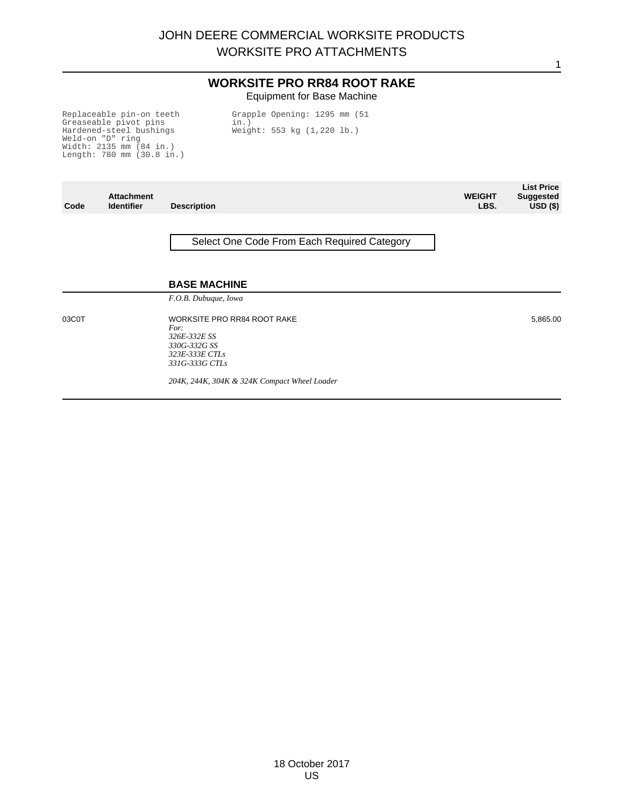#### **WORKSITE PRO RR84 ROOT RAKE** Equipment for Base Machine

Replaceable pin-on teeth Greaseable pivot pins Hardened-steel bushings Weld-on "D" ring Width: 2135 mm (84 in.) Length: 780 mm (30.8 in.) Grapple Opening: 1295 mm (51 in.) Weight: 553 kg (1,220 lb.)

| Code  | <b>Attachment</b><br><b>Identifier</b> | <b>Description</b>                                                                                             | <b>WEIGHT</b><br>LBS. | <b>List Price</b><br><b>Suggested</b><br>$USD($ \$) |
|-------|----------------------------------------|----------------------------------------------------------------------------------------------------------------|-----------------------|-----------------------------------------------------|
|       |                                        | Select One Code From Each Required Category                                                                    |                       |                                                     |
|       |                                        | <b>BASE MACHINE</b><br>F.O.B. Dubuque, Iowa                                                                    |                       |                                                     |
| 03C0T |                                        | <b>WORKSITE PRO RR84 ROOT RAKE</b><br>For:<br>326E-332E SS<br>330G-332G SS<br>323E-333E CTLs<br>331G-333G CTLs |                       | 5,865.00                                            |
|       |                                        | 204K, 244K, 304K & 324K Compact Wheel Loader                                                                   |                       |                                                     |

18 October 2017 US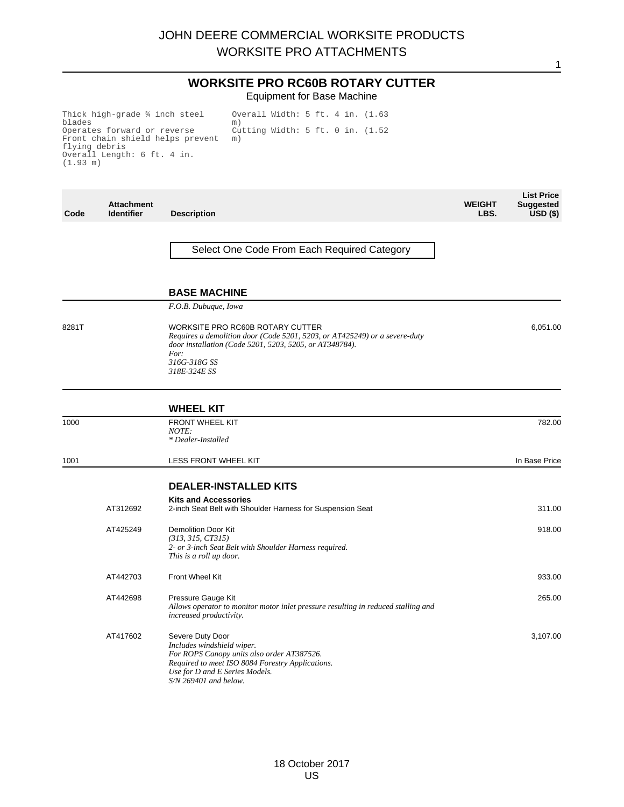## JOHN DEERE COMMERCIAL WORKSITE PRODUCTS WORKSITE PRO ATTACHMENTS

1

#### **WORKSITE PRO RC60B ROTARY CUTTER** Equipment for Base Machine

Thick high-grade ¾ inch steel<br>blades blades Operates forward or reverse Front chain shield helps prevent flying debris Overall Length: 6 ft. 4 in. (1.93 m) Overall Width: 5 ft. 4 in. (1.63 m) Cutting Width: 5 ft. 0 in. (1.52 m)

| Code  | <b>Attachment</b><br><b>Identifier</b> | <b>Description</b>                                                                                                                                                                                                | <b>WEIGHT</b><br>LBS. | <b>List Price</b><br><b>Suggested</b><br>$\overline{USD}$ (\$) |
|-------|----------------------------------------|-------------------------------------------------------------------------------------------------------------------------------------------------------------------------------------------------------------------|-----------------------|----------------------------------------------------------------|
|       |                                        | Select One Code From Each Required Category                                                                                                                                                                       |                       |                                                                |
|       |                                        | <b>BASE MACHINE</b>                                                                                                                                                                                               |                       |                                                                |
|       |                                        | F.O.B. Dubuque, Iowa                                                                                                                                                                                              |                       |                                                                |
| 8281T |                                        | WORKSITE PRO RC60B ROTARY CUTTER<br>Requires a demolition door (Code 5201, 5203, or AT425249) or a severe-duty<br>door installation (Code 5201, 5203, 5205, or AT348784).<br>For:<br>316G-318G SS<br>318E-324E SS |                       | 6,051.00                                                       |
|       |                                        | <b>WHEEL KIT</b>                                                                                                                                                                                                  |                       |                                                                |
| 1000  |                                        | <b>FRONT WHEEL KIT</b><br>NOTE:<br>* Dealer-Installed                                                                                                                                                             |                       | 782.00                                                         |
| 1001  |                                        | LESS FRONT WHEEL KIT                                                                                                                                                                                              |                       | In Base Price                                                  |
|       |                                        | <b>DEALER-INSTALLED KITS</b>                                                                                                                                                                                      |                       |                                                                |
|       | AT312692                               | <b>Kits and Accessories</b><br>2-inch Seat Belt with Shoulder Harness for Suspension Seat                                                                                                                         |                       | 311.00                                                         |
|       | AT425249                               | <b>Demolition Door Kit</b><br>(313, 315, CT315)<br>2- or 3-inch Seat Belt with Shoulder Harness required.<br>This is a roll up door.                                                                              |                       | 918.00                                                         |
|       | AT442703                               | Front Wheel Kit                                                                                                                                                                                                   |                       | 933.00                                                         |
|       | AT442698                               | Pressure Gauge Kit<br>Allows operator to monitor motor inlet pressure resulting in reduced stalling and<br>increased productivity.                                                                                |                       | 265.00                                                         |
|       | AT417602                               | Severe Duty Door<br>Includes windshield wiper.<br>For ROPS Canopy units also order AT387526.<br>Required to meet ISO 8084 Forestry Applications.<br>Use for D and E Series Models.<br>$S/N$ 269401 and below.     |                       | 3,107.00                                                       |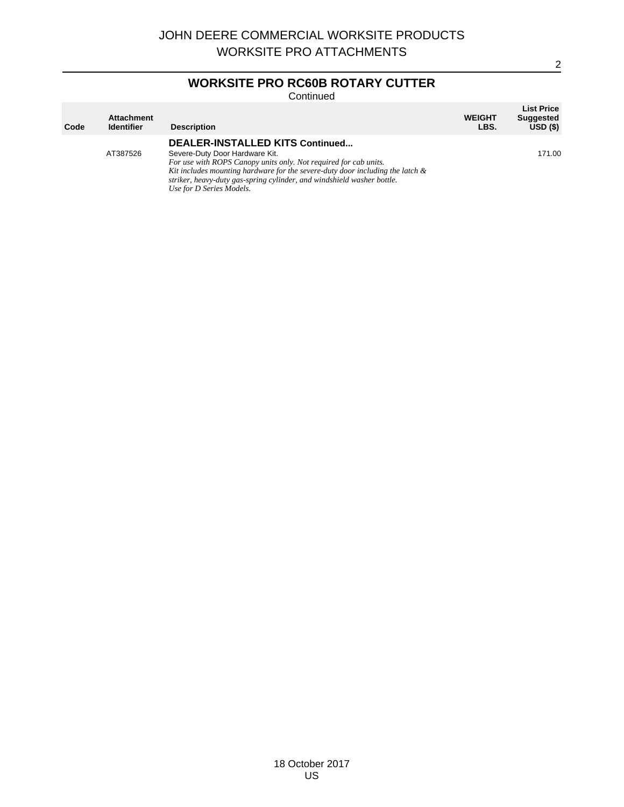## **WORKSITE PRO RC60B ROTARY CUTTER**

Continued

| Code | <b>Attachment</b><br><b>Identifier</b> | <b>Description</b>                                                                                                                                                                                                                                                                                                              | <b>WEIGHT</b><br>LBS. | <b>List Price</b><br><b>Suggested</b><br>USD(S) |
|------|----------------------------------------|---------------------------------------------------------------------------------------------------------------------------------------------------------------------------------------------------------------------------------------------------------------------------------------------------------------------------------|-----------------------|-------------------------------------------------|
|      | AT387526                               | DEALER-INSTALLED KITS Continued<br>Severe-Duty Door Hardware Kit.<br>For use with ROPS Canopy units only. Not required for cab units.<br>Kit includes mounting hardware for the severe-duty door including the latch $\&$<br>striker, heavy-duty gas-spring cylinder, and windshield washer bottle.<br>Use for D Series Models. |                       | 171.00                                          |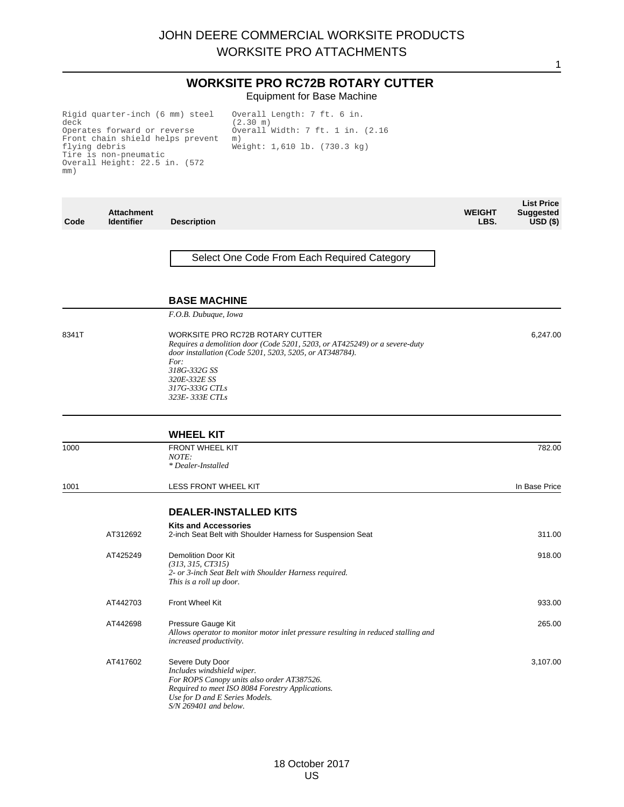## JOHN DEERE COMMERCIAL WORKSITE PRODUCTS WORKSITE PRO ATTACHMENTS

1

#### **WORKSITE PRO RC72B ROTARY CUTTER** Equipment for Base Machine

Rigid quarter-inch (6 mm) steel deck Operates forward or reverse Front chain shield helps prevent flying debris Tire is non-pneumatic Overall Height: 22.5 in. (572 mm)

Overall Length: 7 ft. 6 in. (2.30 m) Overall Width: 7 ft. 1 in. (2.16 m) Weight: 1,610 lb. (730.3 kg)

| Code  | <b>Attachment</b><br><b>Identifier</b> | <b>Description</b>                                                                                                                                                                                                                                    | <b>WEIGHT</b><br>LBS. | <b>List Price</b><br><b>Suggested</b><br>$USD($ \$) |
|-------|----------------------------------------|-------------------------------------------------------------------------------------------------------------------------------------------------------------------------------------------------------------------------------------------------------|-----------------------|-----------------------------------------------------|
|       |                                        | Select One Code From Each Required Category                                                                                                                                                                                                           |                       |                                                     |
|       |                                        | <b>BASE MACHINE</b>                                                                                                                                                                                                                                   |                       |                                                     |
|       |                                        | F.O.B. Dubuque, Iowa                                                                                                                                                                                                                                  |                       |                                                     |
| 8341T |                                        | WORKSITE PRO RC72B ROTARY CUTTER<br>Requires a demolition door (Code 5201, 5203, or AT425249) or a severe-duty<br>door installation (Code 5201, 5203, 5205, or AT348784).<br>For:<br>318G-332G SS<br>320E-332E SS<br>317G-333G CTLs<br>323E-333E CTLs |                       | 6,247.00                                            |
|       |                                        | <b>WHEEL KIT</b>                                                                                                                                                                                                                                      |                       |                                                     |
| 1000  |                                        | <b>FRONT WHEEL KIT</b><br>NOTE:<br>* Dealer-Installed                                                                                                                                                                                                 |                       | 782.00                                              |
| 1001  |                                        | LESS FRONT WHEEL KIT                                                                                                                                                                                                                                  |                       | In Base Price                                       |
|       |                                        | <b>DEALER-INSTALLED KITS</b>                                                                                                                                                                                                                          |                       |                                                     |
|       | AT312692                               | <b>Kits and Accessories</b><br>2-inch Seat Belt with Shoulder Harness for Suspension Seat                                                                                                                                                             |                       | 311.00                                              |
|       | AT425249                               | Demolition Door Kit<br>(313, 315, CT315)<br>2- or 3-inch Seat Belt with Shoulder Harness required.<br>This is a roll up door.                                                                                                                         |                       | 918.00                                              |
|       | AT442703                               | <b>Front Wheel Kit</b>                                                                                                                                                                                                                                |                       | 933.00                                              |
|       | AT442698                               | Pressure Gauge Kit<br>Allows operator to monitor motor inlet pressure resulting in reduced stalling and<br>increased productivity.                                                                                                                    |                       | 265.00                                              |
|       | AT417602                               | Severe Duty Door<br>Includes windshield wiper.<br>For ROPS Canopy units also order AT387526.<br>Required to meet ISO 8084 Forestry Applications.<br>Use for D and E Series Models.<br>$S/N$ 269401 and below.                                         |                       | 3,107.00                                            |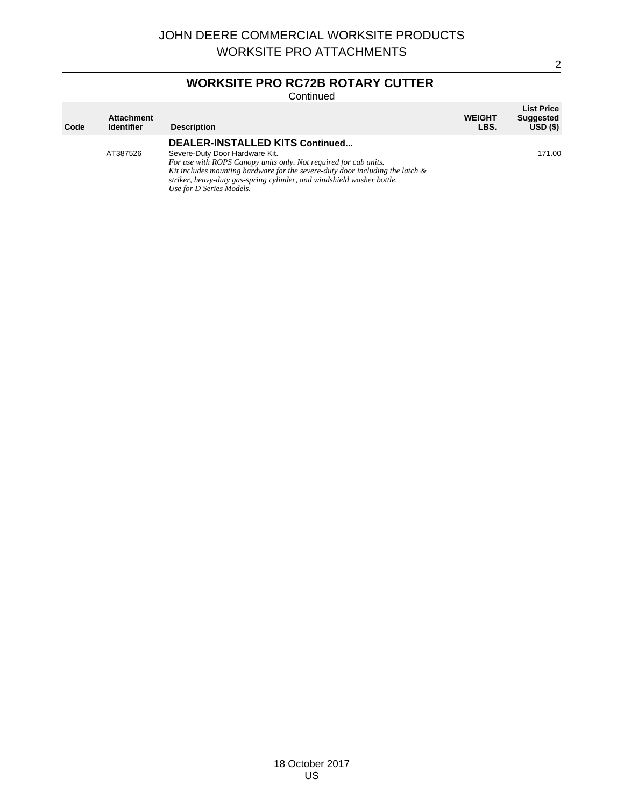# **WORKSITE PRO RC72B ROTARY CUTTER**

Continued

| Code | <b>Attachment</b><br><b>Identifier</b> | <b>Description</b>                                                                                                                                                                                                                                                                                                              | <b>WEIGHT</b><br>LBS. | <b>List Price</b><br><b>Suggested</b><br>USD(S) |
|------|----------------------------------------|---------------------------------------------------------------------------------------------------------------------------------------------------------------------------------------------------------------------------------------------------------------------------------------------------------------------------------|-----------------------|-------------------------------------------------|
|      | AT387526                               | DEALER-INSTALLED KITS Continued<br>Severe-Duty Door Hardware Kit.<br>For use with ROPS Canopy units only. Not required for cab units.<br>Kit includes mounting hardware for the severe-duty door including the latch $\&$<br>striker, heavy-duty gas-spring cylinder, and windshield washer bottle.<br>Use for D Series Models. |                       | 171.00                                          |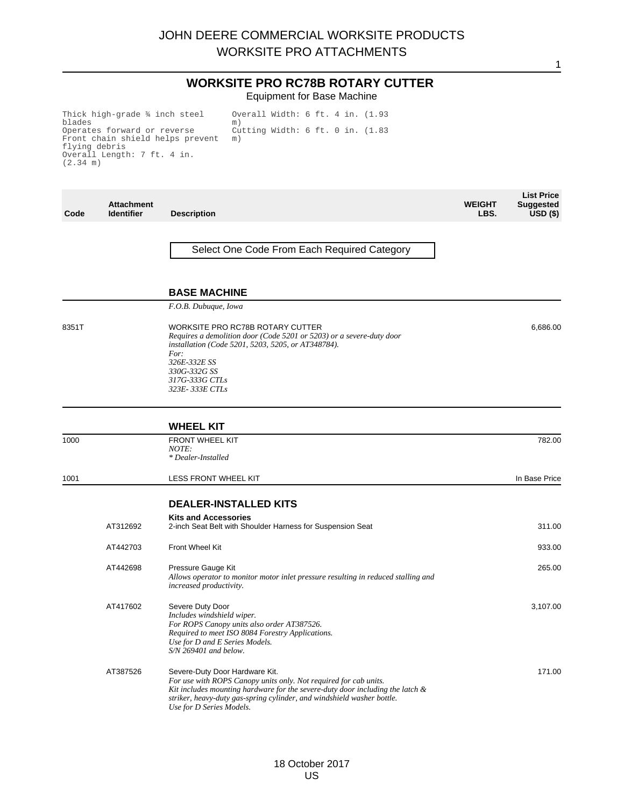1

#### **WORKSITE PRO RC78B ROTARY CUTTER** Equipment for Base Machine

Thick high-grade ¾ inch steel blades Operates forward or reverse Front chain shield helps prevent flying debris Overall Length: 7 ft. 4 in. (2.34 m) Overall Width: 6 ft. 4 in. (1.93 m) Cutting Width: 6 ft. 0 in. (1.83 m)

**Code Attachment Identifier Description WEIGHT LBS. List Price Suggested USD (\$)** Select One Code From Each Required Category **BASE MACHINE** *F.O.B. Dubuque, Iowa* 8351T WORKSITE PRO RC78B ROTARY CUTTER *Requires a demolition door (Code 5201 or 5203) or a severe-duty door installation (Code 5201, 5203, 5205, or AT348784). For: 326E-332E SS 330G-332G SS 317G-333G CTLs 323E- 333E CTLs* 6,686.00 **WHEEL KIT** 1000 FRONT WHEEL KIT *NOTE: \* Dealer-Installed* 782.00 1001 **In Base Price Contains LESS FRONT WHEEL KIT CONTAINS A REPORT OF A REPORT OF A REPORT OF A REPORT OF A REPORT OF A REPORT OF A REPORT OF A REPORT OF A REPORT OF A REPORT OF A REPORT OF A REPORT OF A REPORT OF A REP DEALER-INSTALLED KITS Kits and Accessories** AT312692 2-inch Seat Belt with Shoulder Harness for Suspension Seat 311.00 AT442703 Front Wheel Kit 933.00 AT442698 Pressure Gauge Kit *Allows operator to monitor motor inlet pressure resulting in reduced stalling and increased productivity.* 265.00 AT417602 Severe Duty Door *Includes windshield wiper. For ROPS Canopy units also order AT387526. Required to meet ISO 8084 Forestry Applications. Use for D and E Series Models. S/N 269401 and below.* 3,107.00 AT387526 Severe-Duty Door Hardware Kit. *For use with ROPS Canopy units only. Not required for cab units. Kit includes mounting hardware for the severe-duty door including the latch & striker, heavy-duty gas-spring cylinder, and windshield washer bottle. Use for D Series Models.* 171.00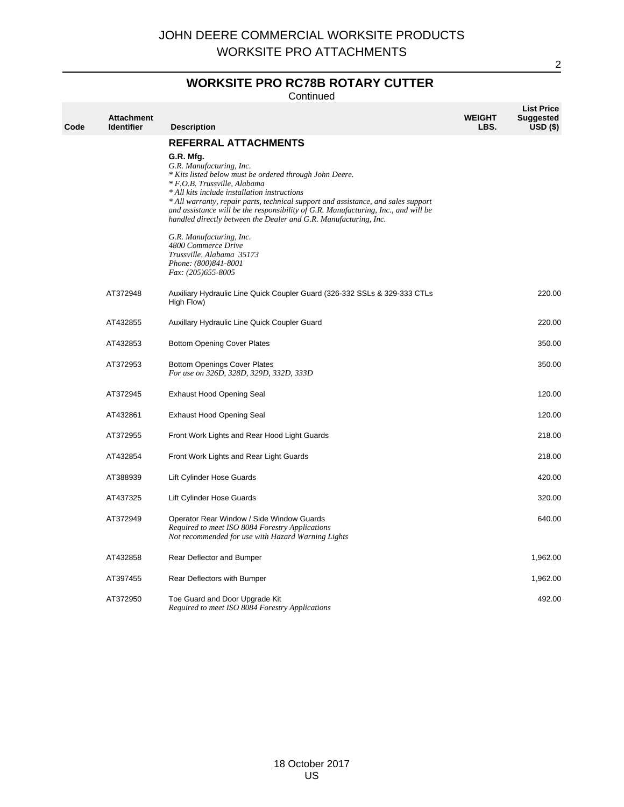## **WORKSITE PRO RC78B ROTARY CUTTER**

Continued

| Code | <b>Attachment</b><br><b>Identifier</b> | <b>Description</b>                                                                                                                                                                                                                                                                                                                                                                                                                                                                                                                                                                           | <b>WEIGHT</b><br>LBS. | <b>List Price</b><br><b>Suggested</b><br>$USD($ \$) |
|------|----------------------------------------|----------------------------------------------------------------------------------------------------------------------------------------------------------------------------------------------------------------------------------------------------------------------------------------------------------------------------------------------------------------------------------------------------------------------------------------------------------------------------------------------------------------------------------------------------------------------------------------------|-----------------------|-----------------------------------------------------|
|      |                                        | <b>REFERRAL ATTACHMENTS</b><br>G.R. Mfg.<br>G.R. Manufacturing, Inc.<br>* Kits listed below must be ordered through John Deere.<br>* F.O.B. Trussville, Alabama<br>* All kits include installation instructions<br>* All warranty, repair parts, technical support and assistance, and sales support<br>and assistance will be the responsibility of G.R. Manufacturing, Inc., and will be<br>handled directly between the Dealer and G.R. Manufacturing, Inc.<br>G.R. Manufacturing, Inc.<br>4800 Commerce Drive<br>Trussville, Alabama 35173<br>Phone: (800)841-8001<br>Fax: (205)655-8005 |                       |                                                     |
|      | AT372948                               | Auxiliary Hydraulic Line Quick Coupler Guard (326-332 SSLs & 329-333 CTLs<br>High Flow)                                                                                                                                                                                                                                                                                                                                                                                                                                                                                                      |                       | 220.00                                              |
|      | AT432855                               | Auxillary Hydraulic Line Quick Coupler Guard                                                                                                                                                                                                                                                                                                                                                                                                                                                                                                                                                 |                       | 220.00                                              |
|      | AT432853                               | <b>Bottom Opening Cover Plates</b>                                                                                                                                                                                                                                                                                                                                                                                                                                                                                                                                                           |                       | 350.00                                              |
|      | AT372953                               | <b>Bottom Openings Cover Plates</b><br>For use on 326D, 328D, 329D, 332D, 333D                                                                                                                                                                                                                                                                                                                                                                                                                                                                                                               |                       | 350.00                                              |
|      | AT372945                               | <b>Exhaust Hood Opening Seal</b>                                                                                                                                                                                                                                                                                                                                                                                                                                                                                                                                                             |                       | 120.00                                              |
|      | AT432861                               | <b>Exhaust Hood Opening Seal</b>                                                                                                                                                                                                                                                                                                                                                                                                                                                                                                                                                             |                       | 120.00                                              |
|      | AT372955                               | Front Work Lights and Rear Hood Light Guards                                                                                                                                                                                                                                                                                                                                                                                                                                                                                                                                                 |                       | 218.00                                              |
|      | AT432854                               | Front Work Lights and Rear Light Guards                                                                                                                                                                                                                                                                                                                                                                                                                                                                                                                                                      |                       | 218.00                                              |
|      | AT388939                               | Lift Cylinder Hose Guards                                                                                                                                                                                                                                                                                                                                                                                                                                                                                                                                                                    |                       | 420.00                                              |
|      | AT437325                               | Lift Cylinder Hose Guards                                                                                                                                                                                                                                                                                                                                                                                                                                                                                                                                                                    |                       | 320.00                                              |
|      | AT372949                               | Operator Rear Window / Side Window Guards<br>Required to meet ISO 8084 Forestry Applications<br>Not recommended for use with Hazard Warning Lights                                                                                                                                                                                                                                                                                                                                                                                                                                           |                       | 640.00                                              |
|      | AT432858                               | Rear Deflector and Bumper                                                                                                                                                                                                                                                                                                                                                                                                                                                                                                                                                                    |                       | 1,962.00                                            |
|      | AT397455                               | Rear Deflectors with Bumper                                                                                                                                                                                                                                                                                                                                                                                                                                                                                                                                                                  |                       | 1,962.00                                            |
|      | AT372950                               | Toe Guard and Door Upgrade Kit<br>Required to meet ISO 8084 Forestry Applications                                                                                                                                                                                                                                                                                                                                                                                                                                                                                                            |                       | 492.00                                              |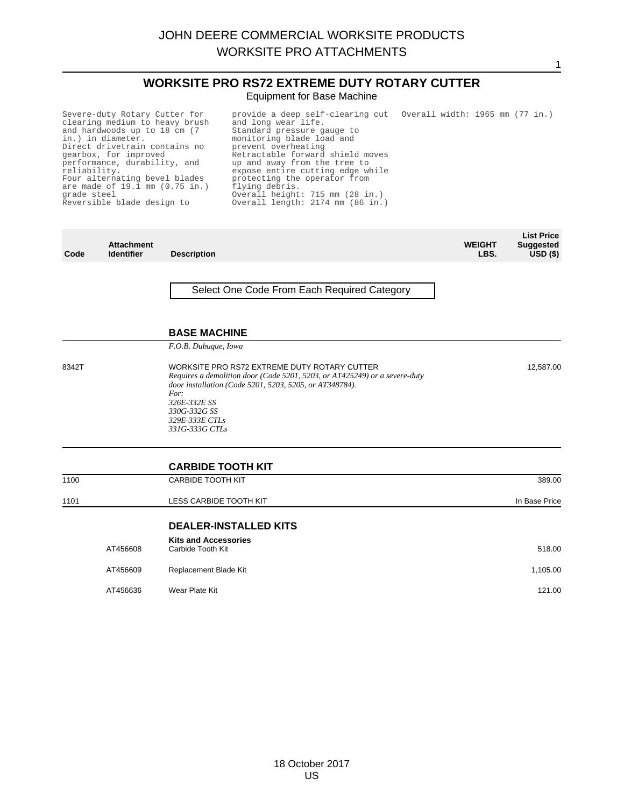#### **WORKSITE PRO RS72 EXTREME DUTY ROTARY CUTTER** Equipment for Base Machine

1

Severe-duty Rotary Cutter for clearing medium to heavy brush and hardwoods up to 18 cm (7 in.) in diameter. Direct drivetrain contains no gearbox, for improved performance, durability, and reliability. Four alternating bevel blades are made of 19.1 mm (0.75 in.) grade steel Reversible blade design to provide a deep self-clearing cut Overall width: 1965 mm (77 in.)<br>and long wear life. Standard pressure gauge to monitoring blade load and prevent overheating Retractable forward shield moves up and away from the tree to expose entire cutting edge while protecting the operator from flying debris. Overall height: 715 mm (28 in.) Overall length: 2174 mm (86 in.)

| Code  | <b>Attachment</b><br><b>Identifier</b> | <b>Description</b>                                                                                                                                                                            | <b>WEIGHT</b><br>LBS. | <b>List Price</b><br><b>Suggested</b><br>$USD($ \$) |
|-------|----------------------------------------|-----------------------------------------------------------------------------------------------------------------------------------------------------------------------------------------------|-----------------------|-----------------------------------------------------|
|       |                                        | Select One Code From Each Required Category                                                                                                                                                   |                       |                                                     |
|       |                                        | <b>BASE MACHINE</b><br>F.O.B. Dubuque, Iowa                                                                                                                                                   |                       |                                                     |
| 8342T |                                        | WORKSITE PRO RS72 EXTREME DUTY ROTARY CUTTER<br>Requires a demolition door (Code 5201, 5203, or AT425249) or a severe-duty<br>door installation (Code 5201, 5203, 5205, or AT348784).<br>For: |                       | 12,587.00                                           |

*326E-332E SS 330G-332G SS 329E-333E CTLs 331G-333G CTLs*

**CARBIDE TOOTH KIT** 1100 CARBIDE TOOTH KIT 389.00 1101 **LESS CARBIDE TOOTH KIT COMPANY CONTRACT CONTRACT AND RESERVE CONTRACT CONTRACT CONTRACT CONTRACT CONTRACT CONTRACT CONTRACT CONTRACT CONTRACT CONTRACT CONTRACT CONTRACT CONTRACT CONTRACT CONTRACT CONTRACT CONTRACT DEALER-INSTALLED KITS Kits and Accessories** AT456608 Carbide Tooth Kit **Carbide Tooth Kit Carbide Tooth Kit Carbide Tooth Kit Carbide Tooth Kit Carbide Tooth Kit Carbide Tooth Kit Carbide Tooth Kit Carbide Tooth Kit Carbide Tooth Kit Carbide Tooth Kit Carbide Tooth** AT456609 Replacement Blade Kit 1,105.00 AT456636 Wear Plate Kit 121.00 Wear Plate Kit 121.00 Wear Plate Kit 121.00 Wear Plate Kit 121.00 Wear Plate Kit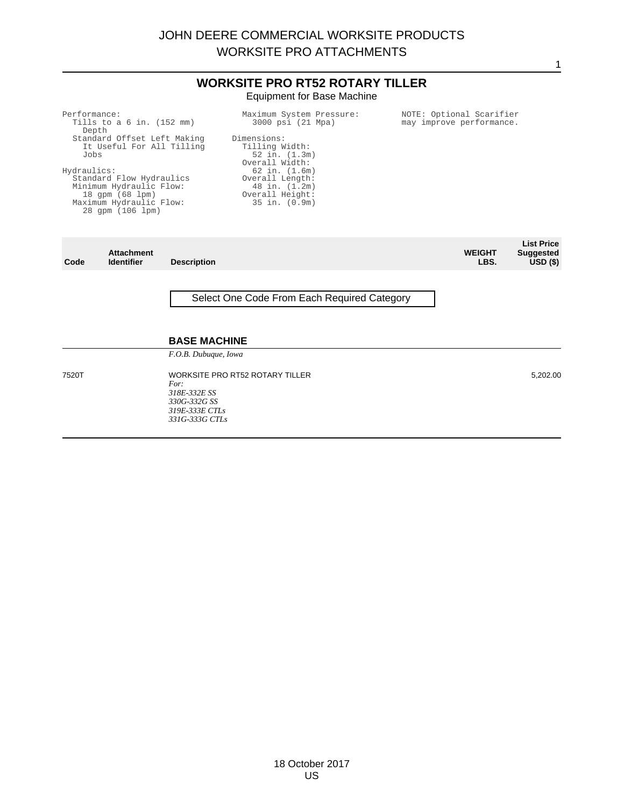#### **WORKSITE PRO RT52 ROTARY TILLER** Equipment for Base Machine

**Identifier Description WEIGHT LBS. List Price sted USD (\$)**

#### Select One Code From Each Required Category

#### **BASE MACHINE**

*F.O.B. Dubuque, Iowa*

7520T WORKSITE PRO RT52 ROTARY TILLER *For: 318E-332E SS 330G-332G SS 319E-333E CTLs 331G-333G CTLs*

5,202.00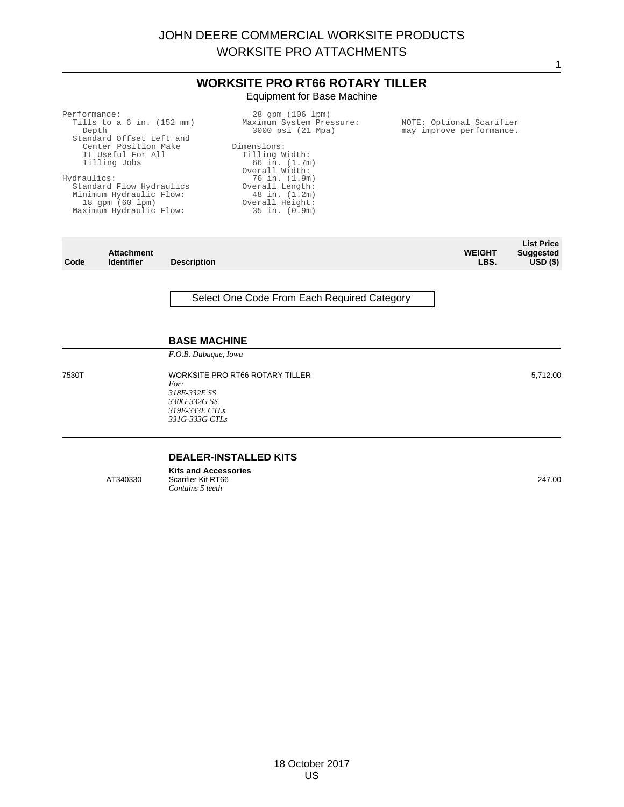#### **WORKSITE PRO RT66 ROTARY TILLER** Equipment for Base Machine

Performance: Tills to a 6 in. (152 mm) Depth Standard Offset Left and Center Position Make It Useful For All Tilling Jobs Hydraulics: Standard Flow Hydraulics Minimum Hydraulic Flow: 18 gpm (60 lpm) Maximum Hydraulic Flow: 28 gpm (106 lpm) Maximum System Pressure: 3000 psi (21 Mpa) Dimensions: Tilling Width: 66 in. (1.7m) Overall Width: 76 in. (1.9m) Overall Length: 48 in. (1.2m) Overall Height: 35 in. (0.9m)

**Code Attachment Description WEIGHT LBS. List Price Suggested USD (\$)**

Select One Code From Each Required Category

#### **BASE MACHINE**

*F.O.B. Dubuque, Iowa*

7530T WORKSITE PRO RT66 ROTARY TILLER *For: 318E-332E SS 330G-332G SS 319E-333E CTLs 331G-333G CTLs*

#### **DEALER-INSTALLED KITS**

**Kits and Accessories** AT340330 Scarifier Kit RT66 *Contains 5 teeth*

NOTE: Optional Scarifier may improve performance.

5,712.00

1

247.00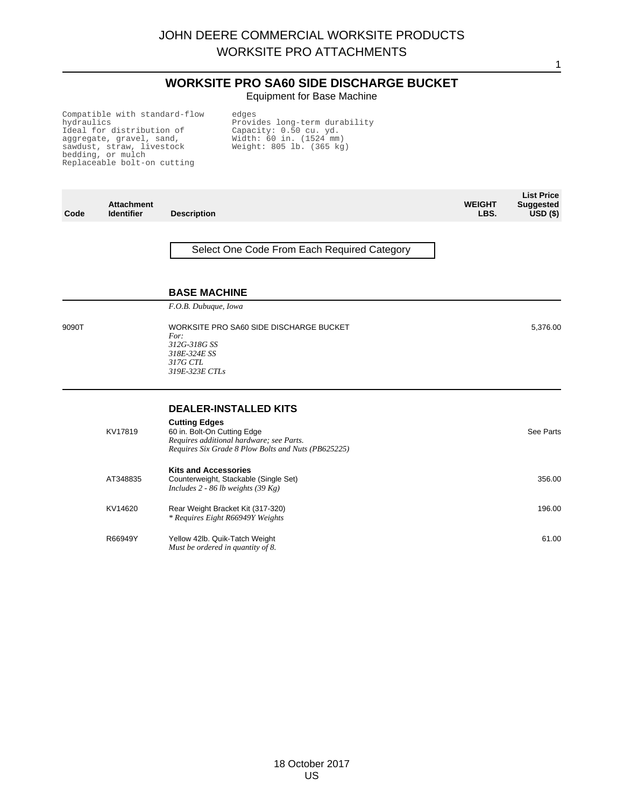#### **WORKSITE PRO SA60 SIDE DISCHARGE BUCKET** Equipment for Base Machine

1

Compatible with standard-flow hydraulics Ideal for distribution of aggregate, gravel, sand, sawdust, straw, livestock bedding, or mulch Replaceable bolt-on cutting

edges Provides long-term durability Capacity: 0.50 cu. yd. Width: 60 in. (1524 mm) Weight: 805 lb. (365 kg)

| Code  | <b>Attachment</b><br><b>Identifier</b> | <b>Description</b>                                                                                                                                                                     | <b>WEIGHT</b><br>LBS. | <b>List Price</b><br><b>Suggested</b><br>USD <sub>(</sub> ) |
|-------|----------------------------------------|----------------------------------------------------------------------------------------------------------------------------------------------------------------------------------------|-----------------------|-------------------------------------------------------------|
|       |                                        | Select One Code From Each Required Category                                                                                                                                            |                       |                                                             |
|       |                                        | <b>BASE MACHINE</b><br>F.O.B. Dubuque, Iowa                                                                                                                                            |                       |                                                             |
| 9090T |                                        | WORKSITE PRO SA60 SIDE DISCHARGE BUCKET<br>For:<br>312G-318G SS<br>318E-324E SS<br>317G CTL<br>319E-323E CTLs                                                                          |                       | 5,376.00                                                    |
|       | KV17819                                | <b>DEALER-INSTALLED KITS</b><br><b>Cutting Edges</b><br>60 in. Bolt-On Cutting Edge<br>Requires additional hardware; see Parts.<br>Requires Six Grade 8 Plow Bolts and Nuts (PB625225) |                       | See Parts                                                   |
|       | AT348835                               | <b>Kits and Accessories</b><br>Counterweight, Stackable (Single Set)<br>Includes 2 - 86 lb weights (39 Kg)                                                                             |                       | 356.00                                                      |
|       | KV14620                                | Rear Weight Bracket Kit (317-320)<br>* Requires Eight R66949Y Weights                                                                                                                  |                       | 196.00                                                      |
|       | R66949Y                                | Yellow 42lb. Quik-Tatch Weight<br>Must be ordered in quantity of 8.                                                                                                                    |                       | 61.00                                                       |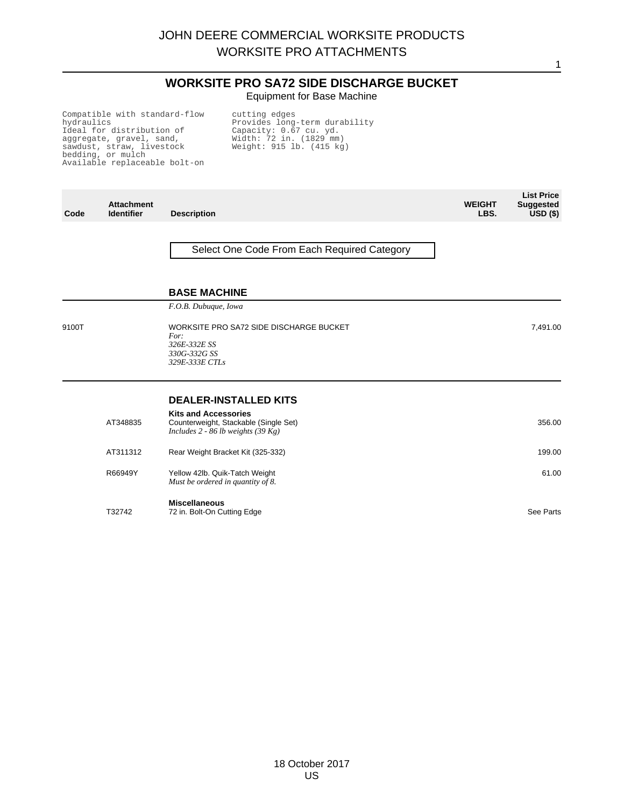#### **WORKSITE PRO SA72 SIDE DISCHARGE BUCKET** Equipment for Base Machine

1

Compatible with standard-flow hydraulics Ideal for distribution of aggregate, gravel, sand, sawdust, straw, livestock bedding, or mulch Available replaceable bolt-on

cutting edges Provides long-term durability Capacity: 0.67 cu. yd. Width: 72 in. (1829 mm) Weight: 915 lb. (415 kg)

| Code  | <b>Attachment</b><br><b>Identifier</b> | <b>Description</b>                                                                                         | <b>WEIGHT</b><br>LBS. | <b>List Price</b><br><b>Suggested</b><br>$USD($ \$) |
|-------|----------------------------------------|------------------------------------------------------------------------------------------------------------|-----------------------|-----------------------------------------------------|
|       |                                        | Select One Code From Each Required Category                                                                |                       |                                                     |
|       |                                        | <b>BASE MACHINE</b>                                                                                        |                       |                                                     |
|       |                                        | F.O.B. Dubuque, Iowa                                                                                       |                       |                                                     |
| 9100T |                                        | WORKSITE PRO SA72 SIDE DISCHARGE BUCKET<br>For:<br>326E-332E SS<br>330G-332G SS<br>329E-333E CTLs          |                       | 7,491.00                                            |
|       |                                        | <b>DEALER-INSTALLED KITS</b>                                                                               |                       |                                                     |
|       | AT348835                               | <b>Kits and Accessories</b><br>Counterweight, Stackable (Single Set)<br>Includes 2 - 86 lb weights (39 Kg) |                       | 356.00                                              |
|       | AT311312                               | Rear Weight Bracket Kit (325-332)                                                                          |                       | 199.00                                              |
|       | R66949Y                                | Yellow 42lb. Quik-Tatch Weight<br>Must be ordered in quantity of 8.                                        |                       | 61.00                                               |
|       | T32742                                 | <b>Miscellaneous</b><br>72 in. Bolt-On Cutting Edge                                                        |                       | See Parts                                           |

18 October 2017 US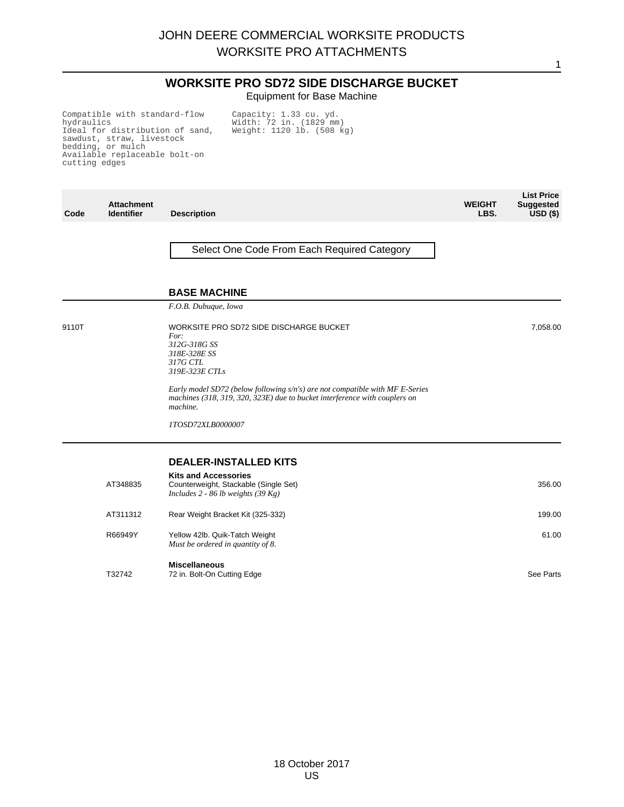1

#### **WORKSITE PRO SD72 SIDE DISCHARGE BUCKET** Equipment for Base Machine

Compatible with standard-flow hydraulics Ideal for distribution of sand, sawdust, straw, livestock bedding, or mulch Available replaceable bolt-on cutting edges

Capacity: 1.33 cu. yd. Width: 72 in. (1829 mm) Weight: 1120 lb. (508 kg)

| Code  | <b>Attachment</b><br><b>Identifier</b> | <b>Description</b>                                                                                                                                                                                                                                                                                              | <b>WEIGHT</b><br>LBS. | <b>List Price</b><br><b>Suggested</b><br>$USD($ \$) |
|-------|----------------------------------------|-----------------------------------------------------------------------------------------------------------------------------------------------------------------------------------------------------------------------------------------------------------------------------------------------------------------|-----------------------|-----------------------------------------------------|
|       |                                        | Select One Code From Each Required Category                                                                                                                                                                                                                                                                     |                       |                                                     |
|       |                                        | <b>BASE MACHINE</b>                                                                                                                                                                                                                                                                                             |                       |                                                     |
|       |                                        | F.O.B. Dubuque, Iowa                                                                                                                                                                                                                                                                                            |                       |                                                     |
| 9110T |                                        | WORKSITE PRO SD72 SIDE DISCHARGE BUCKET<br>For:<br>312G-318G SS<br>318E-328E SS<br>317G CTL<br>319E-323E CTLs<br>Early model SD72 (below following $s/n's$ ) are not compatible with MF E-Series<br>machines (318, 319, 320, 323E) due to bucket interference with couplers on<br>machine.<br>1TOSD72XLB0000007 |                       | 7,058.00                                            |
|       |                                        | <b>DEALER-INSTALLED KITS</b>                                                                                                                                                                                                                                                                                    |                       |                                                     |
|       | AT348835                               | <b>Kits and Accessories</b><br>Counterweight, Stackable (Single Set)<br>Includes 2 - 86 lb weights $(39 \text{ Kg})$                                                                                                                                                                                            |                       | 356.00                                              |
|       | AT311312                               | Rear Weight Bracket Kit (325-332)                                                                                                                                                                                                                                                                               |                       | 199.00                                              |
|       | R66949Y                                | Yellow 42lb. Quik-Tatch Weight<br>Must be ordered in quantity of 8.                                                                                                                                                                                                                                             |                       | 61.00                                               |
|       | T32742                                 | <b>Miscellaneous</b><br>72 in. Bolt-On Cutting Edge                                                                                                                                                                                                                                                             |                       | See Parts                                           |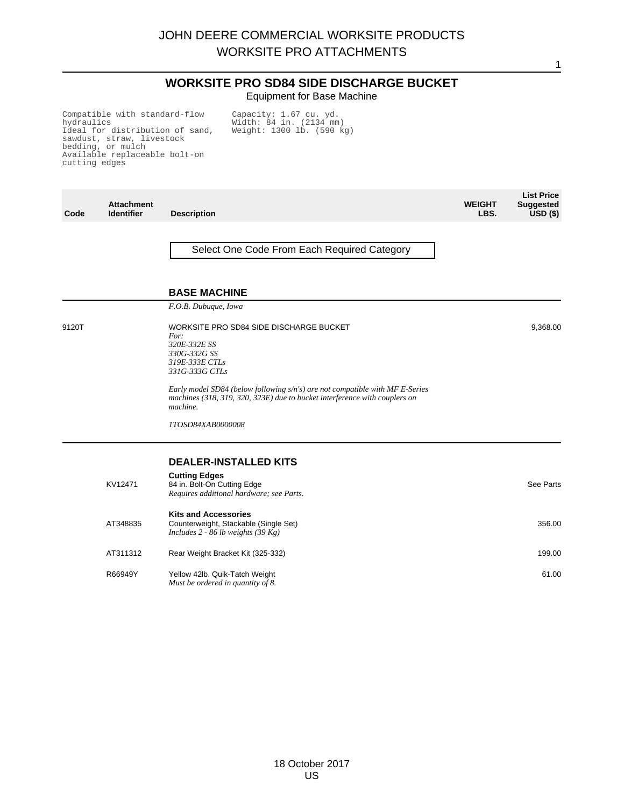1

#### **WORKSITE PRO SD84 SIDE DISCHARGE BUCKET** Equipment for Base Machine

Compatible with standard-flow hydraulics Ideal for distribution of sand, sawdust, straw, livestock bedding, or mulch Available replaceable bolt-on cutting edges

Capacity: 1.67 cu. yd. Width: 84 in. (2134 mm) Weight: 1300 lb. (590 kg)

| Code  | <b>Attachment</b><br><b>Identifier</b> | <b>Description</b>                                                                                                                                                     | <b>WEIGHT</b><br>LBS. | <b>List Price</b><br><b>Suggested</b><br>$USD($ \$) |
|-------|----------------------------------------|------------------------------------------------------------------------------------------------------------------------------------------------------------------------|-----------------------|-----------------------------------------------------|
|       |                                        | Select One Code From Each Required Category                                                                                                                            |                       |                                                     |
|       |                                        | <b>BASE MACHINE</b>                                                                                                                                                    |                       |                                                     |
|       |                                        | F.O.B. Dubuque, Iowa                                                                                                                                                   |                       |                                                     |
| 9120T |                                        | WORKSITE PRO SD84 SIDE DISCHARGE BUCKET<br>For:<br>320E-332E SS<br>330G-332G SS<br>319E-333E CTLs<br>331G-333G CTLs                                                    |                       | 9,368.00                                            |
|       |                                        | Early model SD84 (below following s/n's) are not compatible with MF E-Series<br>machines (318, 319, 320, 323E) due to bucket interference with couplers on<br>machine. |                       |                                                     |
|       |                                        | 1TOSD84XAB0000008                                                                                                                                                      |                       |                                                     |
|       |                                        | <b>DEALER-INSTALLED KITS</b>                                                                                                                                           |                       |                                                     |
|       | KV12471                                | <b>Cutting Edges</b><br>84 in. Bolt-On Cutting Edge<br>Requires additional hardware; see Parts.                                                                        |                       | See Parts                                           |
|       | AT348835                               | <b>Kits and Accessories</b><br>Counterweight, Stackable (Single Set)<br>Includes $2 - 86$ lb weights (39 Kg)                                                           |                       | 356.00                                              |
|       | AT311312                               | Rear Weight Bracket Kit (325-332)                                                                                                                                      |                       | 199.00                                              |
|       | R66949Y                                | Yellow 42lb. Quik-Tatch Weight<br>Must be ordered in quantity of 8.                                                                                                    |                       | 61.00                                               |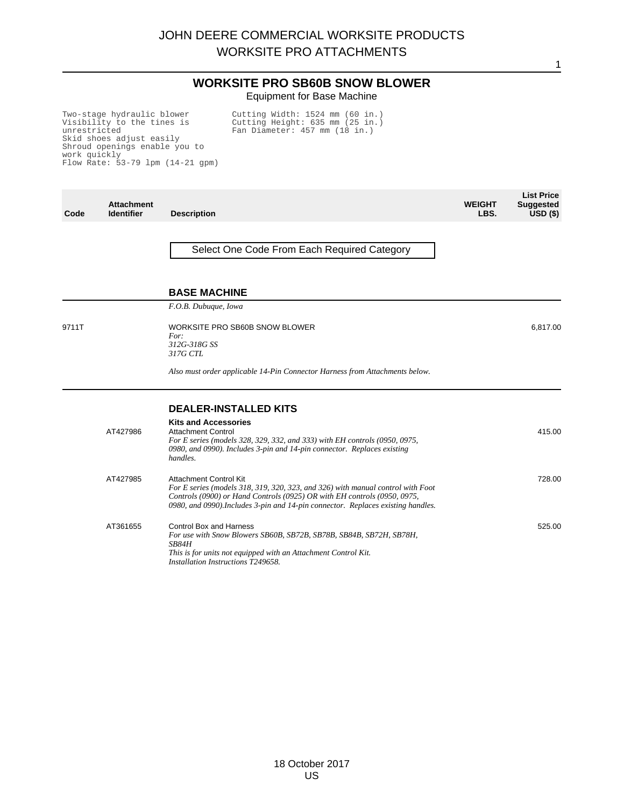#### **WORKSITE PRO SB60B SNOW BLOWER** Equipment for Base Machine

Two-stage hydraulic blower Visibility to the tines is unrestricted Skid shoes adjust easily Shroud openings enable you to work quickly Flow Rate: 53-79 lpm (14-21 gpm) Cutting Width: 1524 mm (60 in.) Cutting Height: 635 mm (25 in.) Fan Diameter: 457 mm (18 in.)

| Code  | <b>Attachment</b><br><b>Identifier</b> | <b>Description</b>                                                                                                                                                                                                                                                               | <b>WEIGHT</b><br>LBS. | <b>List Price</b><br><b>Suggested</b><br>$USD($ \$) |
|-------|----------------------------------------|----------------------------------------------------------------------------------------------------------------------------------------------------------------------------------------------------------------------------------------------------------------------------------|-----------------------|-----------------------------------------------------|
|       |                                        | Select One Code From Each Required Category                                                                                                                                                                                                                                      |                       |                                                     |
|       |                                        | <b>BASE MACHINE</b>                                                                                                                                                                                                                                                              |                       |                                                     |
|       |                                        | F.O.B. Dubuque, Iowa                                                                                                                                                                                                                                                             |                       |                                                     |
| 9711T |                                        | WORKSITE PRO SB60B SNOW BLOWER<br>For:<br>312G-318G SS<br>317G CTL                                                                                                                                                                                                               |                       | 6,817.00                                            |
|       |                                        | Also must order applicable 14-Pin Connector Harness from Attachments below.                                                                                                                                                                                                      |                       |                                                     |
|       |                                        | <b>DEALER-INSTALLED KITS</b>                                                                                                                                                                                                                                                     |                       |                                                     |
|       | AT427986                               | <b>Kits and Accessories</b><br><b>Attachment Control</b><br>For E series (models 328, 329, 332, and 333) with EH controls (0950, 0975,<br>0980, and 0990). Includes 3-pin and 14-pin connector. Replaces existing<br>handles.                                                    |                       | 415.00                                              |
|       | AT427985                               | <b>Attachment Control Kit</b><br>For E series (models 318, 319, 320, 323, and 326) with manual control with Foot<br>Controls (0900) or Hand Controls (0925) OR with EH controls (0950, 0975,<br>0980, and 0990). Includes 3-pin and 14-pin connector. Replaces existing handles. |                       | 728.00                                              |
|       | AT361655                               | <b>Control Box and Harness</b><br>For use with Snow Blowers SB60B, SB72B, SB78B, SB84B, SB72H, SB78H,<br><i>SB84H</i><br>This is for units not equipped with an Attachment Control Kit.<br>Installation Instructions T249658.                                                    |                       | 525.00                                              |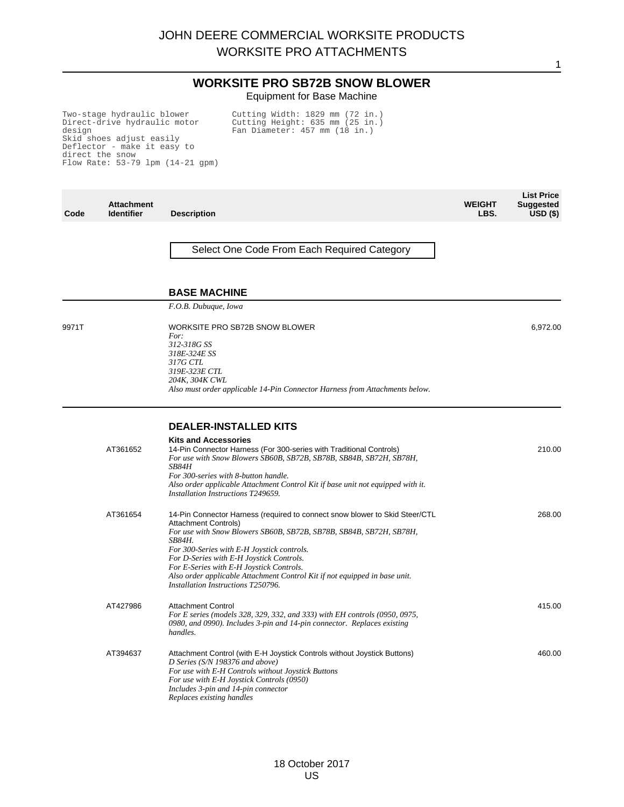#### **WORKSITE PRO SB72B SNOW BLOWER** Equipment for Base Machine

Two-stage hydraulic blower Direct-drive hydraulic motor design Skid shoes adjust easily Deflector - make it easy to direct the snow Flow Rate: 53-79 lpm (14-21 gpm)

Cutting Width: 1829 mm (72 in.) Cutting Height: 635 mm (25 in.) Fan Diameter: 457 mm (18 in.)

| Code  | <b>Attachment</b><br><b>Identifier</b> | <b>Description</b>                                                                                                                                                                                                                                                                                                                                                                                                                                           | <b>WEIGHT</b><br>LBS. | <b>List Price</b><br><b>Suggested</b><br>$USD($ \$) |
|-------|----------------------------------------|--------------------------------------------------------------------------------------------------------------------------------------------------------------------------------------------------------------------------------------------------------------------------------------------------------------------------------------------------------------------------------------------------------------------------------------------------------------|-----------------------|-----------------------------------------------------|
|       |                                        | Select One Code From Each Required Category                                                                                                                                                                                                                                                                                                                                                                                                                  |                       |                                                     |
|       |                                        | <b>BASE MACHINE</b>                                                                                                                                                                                                                                                                                                                                                                                                                                          |                       |                                                     |
|       |                                        | F.O.B. Dubuque, Iowa                                                                                                                                                                                                                                                                                                                                                                                                                                         |                       |                                                     |
| 9971T |                                        | WORKSITE PRO SB72B SNOW BLOWER<br>For:<br>312-318G SS<br>318E-324E SS<br>317G CTL<br>319E-323E CTL<br>204K, 304K CWL<br>Also must order applicable 14-Pin Connector Harness from Attachments below.                                                                                                                                                                                                                                                          |                       | 6,972.00                                            |
|       |                                        | <b>DEALER-INSTALLED KITS</b>                                                                                                                                                                                                                                                                                                                                                                                                                                 |                       |                                                     |
|       | AT361652                               | <b>Kits and Accessories</b><br>14-Pin Connector Harness (For 300-series with Traditional Controls)<br>For use with Snow Blowers SB60B, SB72B, SB78B, SB84B, SB72H, SB78H,<br><i>SB84H</i><br>For 300-series with 8-button handle.<br>Also order applicable Attachment Control Kit if base unit not equipped with it.<br>Installation Instructions T249659.                                                                                                   |                       | 210.00                                              |
|       | AT361654                               | 14-Pin Connector Harness (required to connect snow blower to Skid Steer/CTL<br><b>Attachment Controls)</b><br>For use with Snow Blowers SB60B, SB72B, SB78B, SB84B, SB72H, SB78H,<br><i>SB84H.</i><br>For 300-Series with E-H Joystick controls.<br>For D-Series with E-H Joystick Controls.<br>For E-Series with E-H Joystick Controls.<br>Also order applicable Attachment Control Kit if not equipped in base unit.<br>Installation Instructions T250796. |                       | 268.00                                              |
|       | AT427986                               | <b>Attachment Control</b><br>For E series (models 328, 329, 332, and 333) with EH controls (0950, 0975,<br>0980, and 0990). Includes 3-pin and 14-pin connector. Replaces existing<br>handles.                                                                                                                                                                                                                                                               |                       | 415.00                                              |
|       | AT394637                               | Attachment Control (with E-H Joystick Controls without Joystick Buttons)<br>D Series (S/N 198376 and above)<br>For use with E-H Controls without Joystick Buttons<br>For use with E-H Joystick Controls (0950)<br>Includes 3-pin and 14-pin connector<br>Replaces existing handles                                                                                                                                                                           |                       | 460.00                                              |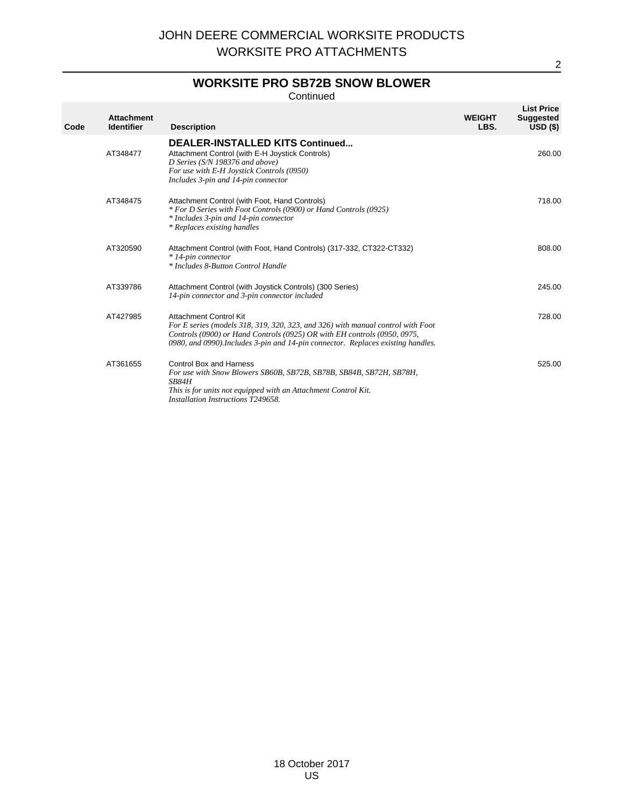### **WORKSITE PRO SB72B SNOW BLOWER**

Continued

| Code | <b>Attachment</b><br><b>Identifier</b> | <b>Description</b>                                                                                                                                                                                                                                                        | <b>WEIGHT</b><br>LBS. | <b>List Price</b><br><b>Suggested</b><br>USD <sub>(</sub> ) |
|------|----------------------------------------|---------------------------------------------------------------------------------------------------------------------------------------------------------------------------------------------------------------------------------------------------------------------------|-----------------------|-------------------------------------------------------------|
|      | AT348477                               | <b>DEALER-INSTALLED KITS Continued</b><br>Attachment Control (with E-H Joystick Controls)<br>D Series (S/N 198376 and above)<br>For use with E-H Joystick Controls (0950)<br>Includes 3-pin and 14-pin connector                                                          |                       | 260.00                                                      |
|      | AT348475                               | Attachment Control (with Foot, Hand Controls)<br>* For D Series with Foot Controls (0900) or Hand Controls (0925)<br>* Includes 3-pin and 14-pin connector<br>* Replaces existing handles                                                                                 |                       | 718.00                                                      |
|      | AT320590                               | Attachment Control (with Foot, Hand Controls) (317-332, CT322-CT332)<br>* 14-pin connector<br>* Includes 8-Button Control Handle                                                                                                                                          |                       | 808.00                                                      |
|      | AT339786                               | Attachment Control (with Joystick Controls) (300 Series)<br>14-pin connector and 3-pin connector included                                                                                                                                                                 |                       | 245.00                                                      |
|      | AT427985                               | Attachment Control Kit<br>For E series (models 318, 319, 320, 323, and 326) with manual control with Foot<br>Controls (0900) or Hand Controls (0925) OR with EH controls (0950, 0975,<br>0980, and 0990). Includes 3-pin and 14-pin connector. Replaces existing handles. |                       | 728.00                                                      |
|      | AT361655                               | <b>Control Box and Harness</b><br>For use with Snow Blowers SB60B, SB72B, SB78B, SB84B, SB72H, SB78H,<br>SB84H<br>This is for units not equipped with an Attachment Control Kit.<br>Installation Instructions T249658.                                                    |                       | 525.00                                                      |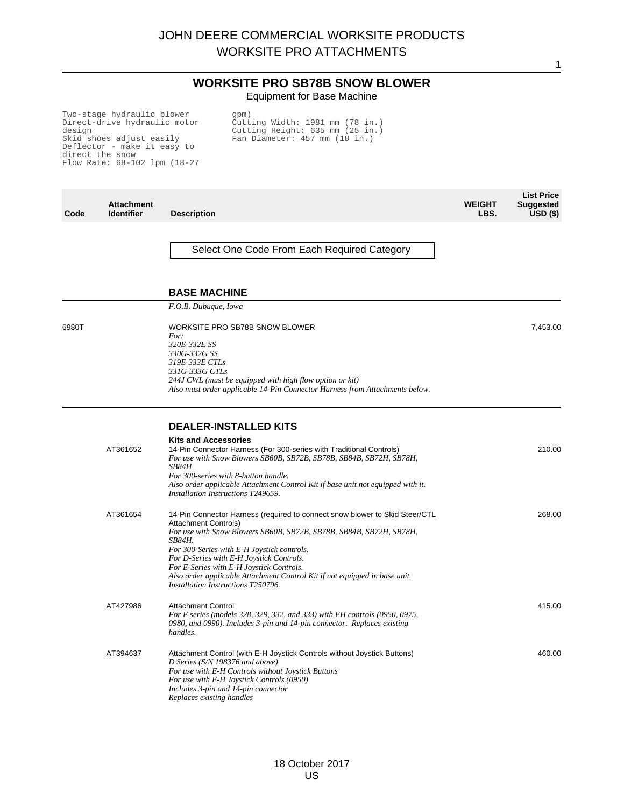#### **WORKSITE PRO SB78B SNOW BLOWER** Equipment for Base Machine

Two-stage hydraulic blower Direct-drive hydraulic motor design Skid shoes adjust easily Deflector - make it easy to direct the snow Flow Rate: 68-102 lpm (18-27 gpm) Cutting Width: 1981 mm (78 in.) Cutting Height: 635 mm (25 in.) Fan Diameter: 457 mm (18 in.)

| Code  | <b>Attachment</b><br><b>Identifier</b> | <b>Description</b>                                                                                                                                                                                                                                                                                                                                                                                                                                           | <b>WEIGHT</b><br>LBS. | <b>List Price</b><br><b>Suggested</b><br>USD(S) |
|-------|----------------------------------------|--------------------------------------------------------------------------------------------------------------------------------------------------------------------------------------------------------------------------------------------------------------------------------------------------------------------------------------------------------------------------------------------------------------------------------------------------------------|-----------------------|-------------------------------------------------|
|       |                                        | Select One Code From Each Required Category                                                                                                                                                                                                                                                                                                                                                                                                                  |                       |                                                 |
|       |                                        | <b>BASE MACHINE</b>                                                                                                                                                                                                                                                                                                                                                                                                                                          |                       |                                                 |
|       |                                        | F.O.B. Dubuque, Iowa                                                                                                                                                                                                                                                                                                                                                                                                                                         |                       |                                                 |
| 6980T |                                        | WORKSITE PRO SB78B SNOW BLOWER<br>For:<br>320E-332E SS<br>330G-332G SS<br>319E-333E CTLs<br>331G-333G CTLs<br>244J CWL (must be equipped with high flow option or kit)<br>Also must order applicable 14-Pin Connector Harness from Attachments below.                                                                                                                                                                                                        |                       | 7,453.00                                        |
|       |                                        |                                                                                                                                                                                                                                                                                                                                                                                                                                                              |                       |                                                 |
|       | AT361652                               | <b>DEALER-INSTALLED KITS</b><br><b>Kits and Accessories</b><br>14-Pin Connector Harness (For 300-series with Traditional Controls)<br>For use with Snow Blowers SB60B, SB72B, SB78B, SB84B, SB72H, SB78H,<br>SB84H<br>For 300-series with 8-button handle.<br>Also order applicable Attachment Control Kit if base unit not equipped with it.<br>Installation Instructions T249659.                                                                          |                       | 210.00                                          |
|       | AT361654                               | 14-Pin Connector Harness (required to connect snow blower to Skid Steer/CTL<br><b>Attachment Controls)</b><br>For use with Snow Blowers SB60B, SB72B, SB78B, SB84B, SB72H, SB78H,<br><b>SB84H.</b><br>For 300-Series with E-H Joystick controls.<br>For D-Series with E-H Joystick Controls.<br>For E-Series with E-H Joystick Controls.<br>Also order applicable Attachment Control Kit if not equipped in base unit.<br>Installation Instructions T250796. |                       | 268.00                                          |
|       | AT427986                               | <b>Attachment Control</b><br>For E series (models 328, 329, 332, and 333) with EH controls (0950, 0975,<br>0980, and 0990). Includes 3-pin and 14-pin connector. Replaces existing<br>handles.                                                                                                                                                                                                                                                               |                       | 415.00                                          |
|       | AT394637                               | Attachment Control (with E-H Joystick Controls without Joystick Buttons)<br>D Series (S/N 198376 and above)<br>For use with E-H Controls without Joystick Buttons<br>For use with E-H Joystick Controls (0950)<br>Includes 3-pin and 14-pin connector<br>Replaces existing handles                                                                                                                                                                           |                       | 460.00                                          |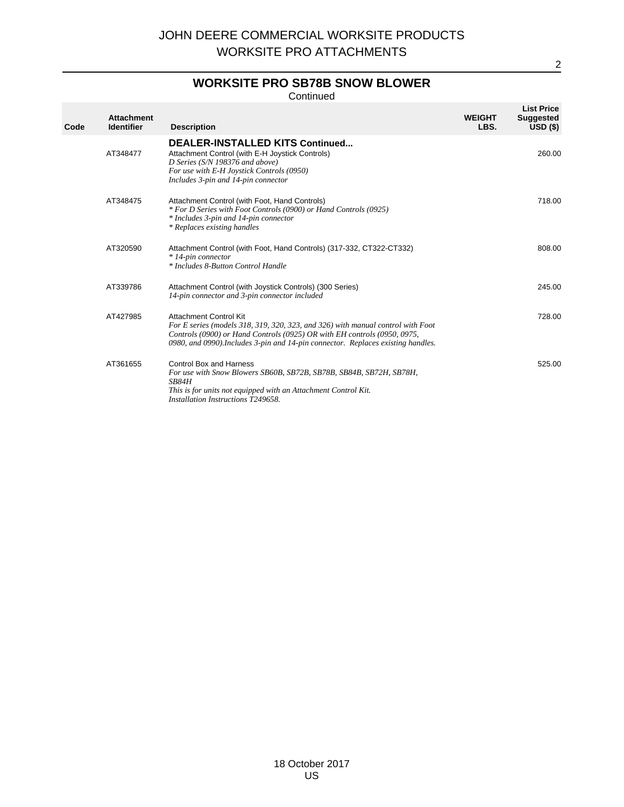### **WORKSITE PRO SB78B SNOW BLOWER**

Continued

| Code | <b>Attachment</b><br><b>Identifier</b> | <b>Description</b>                                                                                                                                                                                                                                                        | <b>WEIGHT</b><br>LBS. | <b>List Price</b><br><b>Suggested</b><br>USD(S) |
|------|----------------------------------------|---------------------------------------------------------------------------------------------------------------------------------------------------------------------------------------------------------------------------------------------------------------------------|-----------------------|-------------------------------------------------|
|      | AT348477                               | <b>DEALER-INSTALLED KITS Continued</b><br>Attachment Control (with E-H Joystick Controls)<br>D Series (S/N 198376 and above)<br>For use with E-H Joystick Controls (0950)<br>Includes 3-pin and 14-pin connector                                                          |                       | 260.00                                          |
|      | AT348475                               | Attachment Control (with Foot, Hand Controls)<br>* For D Series with Foot Controls (0900) or Hand Controls (0925)<br>* Includes 3-pin and 14-pin connector<br>* Replaces existing handles                                                                                 |                       | 718.00                                          |
|      | AT320590                               | Attachment Control (with Foot, Hand Controls) (317-332, CT322-CT332)<br>* 14-pin connector<br>* Includes 8-Button Control Handle                                                                                                                                          |                       | 808.00                                          |
|      | AT339786                               | Attachment Control (with Joystick Controls) (300 Series)<br>14-pin connector and 3-pin connector included                                                                                                                                                                 |                       | 245.00                                          |
|      | AT427985                               | Attachment Control Kit<br>For E series (models 318, 319, 320, 323, and 326) with manual control with Foot<br>Controls (0900) or Hand Controls (0925) OR with EH controls (0950, 0975,<br>0980, and 0990). Includes 3-pin and 14-pin connector. Replaces existing handles. |                       | 728.00                                          |
|      | AT361655                               | Control Box and Harness<br>For use with Snow Blowers SB60B, SB72B, SB78B, SB84B, SB72H, SB78H,<br>SB84H<br>This is for units not equipped with an Attachment Control Kit.<br>Installation Instructions T249658.                                                           |                       | 525.00                                          |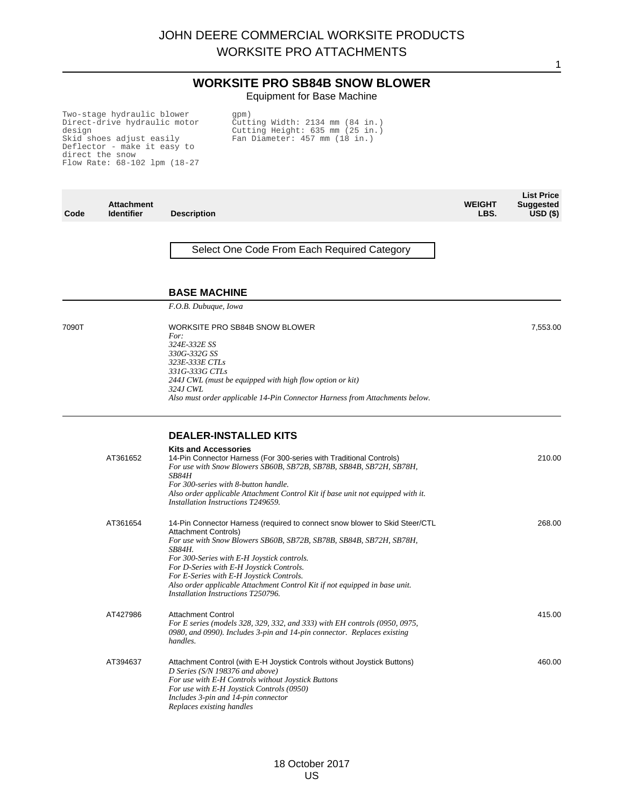1

#### **WORKSITE PRO SB84B SNOW BLOWER** Equipment for Base Machine

Two-stage hydraulic blower Direct-drive hydraulic motor design Skid shoes adjust easily Deflector - make it easy to direct the snow Flow Rate: 68-102 lpm (18-27 gpm) Cutting Width: 2134 mm (84 in.) Cutting Height: 635 mm (25 in.) Fan Diameter: 457 mm (18 in.)

| Code  | <b>Attachment</b><br><b>Identifier</b> | <b>Description</b>                                                                                                                                                                                                                                                                                                                                                                                                                                    | <b>WEIGHT</b><br>LBS. | <b>List Price</b><br><b>Suggested</b><br>$USD($ \$) |
|-------|----------------------------------------|-------------------------------------------------------------------------------------------------------------------------------------------------------------------------------------------------------------------------------------------------------------------------------------------------------------------------------------------------------------------------------------------------------------------------------------------------------|-----------------------|-----------------------------------------------------|
|       |                                        | Select One Code From Each Required Category                                                                                                                                                                                                                                                                                                                                                                                                           |                       |                                                     |
|       |                                        | <b>BASE MACHINE</b>                                                                                                                                                                                                                                                                                                                                                                                                                                   |                       |                                                     |
|       |                                        | F.O.B. Dubuque, Iowa                                                                                                                                                                                                                                                                                                                                                                                                                                  |                       |                                                     |
| 7090T |                                        | WORKSITE PRO SB84B SNOW BLOWER<br>For:<br>324E-332E SS<br>330G-332G SS<br>323E-333E CTLs<br>331G-333G CTLs<br>244J CWL (must be equipped with high flow option or kit)<br>324J CWL<br>Also must order applicable 14-Pin Connector Harness from Attachments below.                                                                                                                                                                                     |                       | 7,553.00                                            |
|       |                                        |                                                                                                                                                                                                                                                                                                                                                                                                                                                       |                       |                                                     |
|       | AT361652                               | <b>DEALER-INSTALLED KITS</b><br><b>Kits and Accessories</b><br>14-Pin Connector Harness (For 300-series with Traditional Controls)<br>For use with Snow Blowers SB60B, SB72B, SB78B, SB84B, SB72H, SB78H,<br>SB84H<br>For 300-series with 8-button handle.<br>Also order applicable Attachment Control Kit if base unit not equipped with it.<br>Installation Instructions T249659.                                                                   |                       | 210.00                                              |
|       | AT361654                               | 14-Pin Connector Harness (required to connect snow blower to Skid Steer/CTL<br>Attachment Controls)<br>For use with Snow Blowers SB60B, SB72B, SB78B, SB84B, SB72H, SB78H,<br><b>SB84H.</b><br>For 300-Series with E-H Joystick controls.<br>For D-Series with E-H Joystick Controls.<br>For E-Series with E-H Joystick Controls.<br>Also order applicable Attachment Control Kit if not equipped in base unit.<br>Installation Instructions T250796. |                       | 268.00                                              |
|       | AT427986                               | <b>Attachment Control</b><br>For E series (models 328, 329, 332, and 333) with EH controls (0950, 0975,<br>0980, and 0990). Includes 3-pin and 14-pin connector. Replaces existing<br>handles.                                                                                                                                                                                                                                                        |                       | 415.00                                              |
|       | AT394637                               | Attachment Control (with E-H Joystick Controls without Joystick Buttons)<br>D Series (S/N 198376 and above)<br>For use with E-H Controls without Joystick Buttons<br>For use with E-H Joystick Controls (0950)<br>Includes 3-pin and 14-pin connector<br>Replaces existing handles                                                                                                                                                                    |                       | 460.00                                              |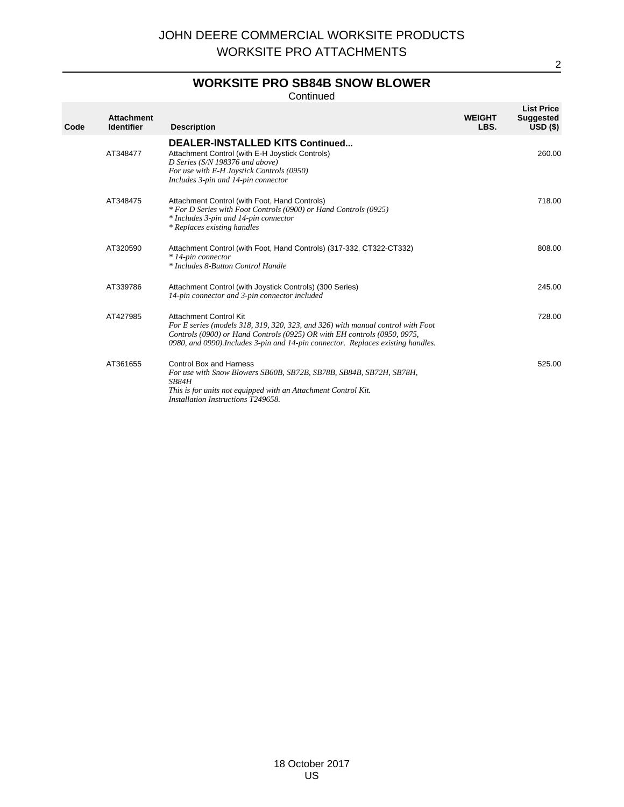### **WORKSITE PRO SB84B SNOW BLOWER**

Continued

| Code | <b>Attachment</b><br><b>Identifier</b> | <b>Description</b>                                                                                                                                                                                                                                                        | <b>WEIGHT</b><br>LBS. | <b>List Price</b><br><b>Suggested</b><br>$USD($ \$) |
|------|----------------------------------------|---------------------------------------------------------------------------------------------------------------------------------------------------------------------------------------------------------------------------------------------------------------------------|-----------------------|-----------------------------------------------------|
|      | AT348477                               | <b>DEALER-INSTALLED KITS Continued</b><br>Attachment Control (with E-H Joystick Controls)<br>D Series (S/N 198376 and above)<br>For use with E-H Joystick Controls (0950)<br>Includes 3-pin and 14-pin connector                                                          |                       | 260.00                                              |
|      | AT348475                               | Attachment Control (with Foot, Hand Controls)<br>* For D Series with Foot Controls (0900) or Hand Controls (0925)<br>* Includes 3-pin and 14-pin connector<br>* Replaces existing handles                                                                                 |                       | 718.00                                              |
|      | AT320590                               | Attachment Control (with Foot, Hand Controls) (317-332, CT322-CT332)<br>* 14-pin connector<br>* Includes 8-Button Control Handle                                                                                                                                          |                       | 808.00                                              |
|      | AT339786                               | Attachment Control (with Joystick Controls) (300 Series)<br>14-pin connector and 3-pin connector included                                                                                                                                                                 |                       | 245.00                                              |
|      | AT427985                               | Attachment Control Kit<br>For E series (models 318, 319, 320, 323, and 326) with manual control with Foot<br>Controls (0900) or Hand Controls (0925) OR with EH controls (0950, 0975,<br>0980, and 0990). Includes 3-pin and 14-pin connector. Replaces existing handles. |                       | 728.00                                              |
|      | AT361655                               | <b>Control Box and Harness</b><br>For use with Snow Blowers SB60B, SB72B, SB78B, SB84B, SB72H, SB78H,<br>SB84H<br>This is for units not equipped with an Attachment Control Kit.<br>Installation Instructions T249658.                                                    |                       | 525.00                                              |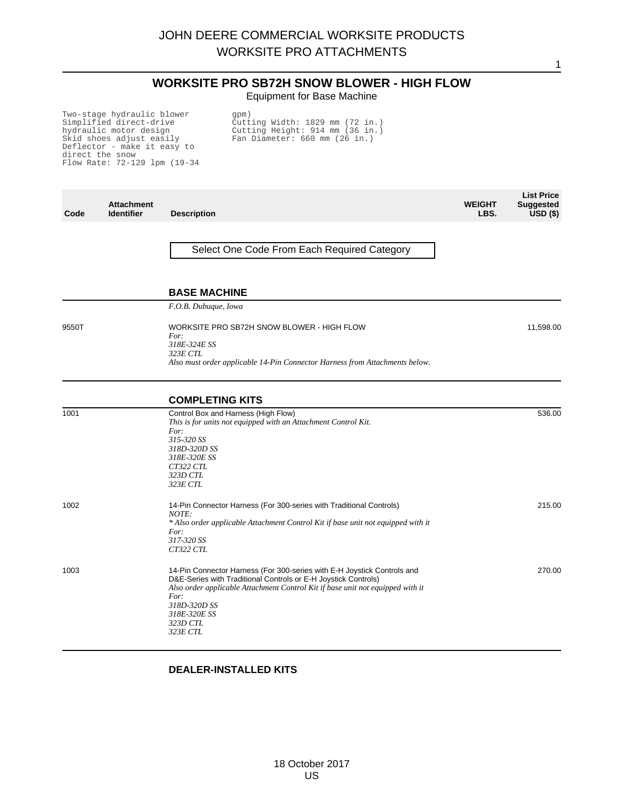# **WORKSITE PRO SB72H SNOW BLOWER - HIGH FLOW**

1

Equipment for Base Machine

Two-stage hydraulic blower Simplified direct-drive hydraulic motor design Skid shoes adjust easily Deflector - make it easy to direct the snow Flow Rate: 72-129 lpm (19-34

gpm) Cutting Width: 1829 mm (72 in.) Cutting Height: 914 mm (36 in.) Fan Diameter: 660 mm (26 in.)

| Code  | <b>Attachment</b><br><b>Identifier</b> | <b>Description</b>                                                                                                                                                                                                                                                                          | <b>WEIGHT</b><br>LBS. | <b>List Price</b><br><b>Suggested</b><br>$USD($ \$) |
|-------|----------------------------------------|---------------------------------------------------------------------------------------------------------------------------------------------------------------------------------------------------------------------------------------------------------------------------------------------|-----------------------|-----------------------------------------------------|
|       |                                        | Select One Code From Each Required Category                                                                                                                                                                                                                                                 |                       |                                                     |
|       |                                        | <b>BASE MACHINE</b>                                                                                                                                                                                                                                                                         |                       |                                                     |
|       |                                        | F.O.B. Dubuque, Iowa                                                                                                                                                                                                                                                                        |                       |                                                     |
| 9550T |                                        | WORKSITE PRO SB72H SNOW BLOWER - HIGH FLOW<br>For:<br>318E-324E SS<br>323E CTL<br>Also must order applicable 14-Pin Connector Harness from Attachments below.                                                                                                                               |                       | 11,598.00                                           |
|       |                                        | <b>COMPLETING KITS</b>                                                                                                                                                                                                                                                                      |                       |                                                     |
| 1001  |                                        | Control Box and Harness (High Flow)<br>This is for units not equipped with an Attachment Control Kit.<br>For:<br>315-320 SS<br>318D-320D SS<br>318E-320E SS<br>CT322 CTL<br>323D CTL<br>323E CTL                                                                                            |                       | 536.00                                              |
| 1002  |                                        | 14-Pin Connector Harness (For 300-series with Traditional Controls)<br>NOTE:<br>* Also order applicable Attachment Control Kit if base unit not equipped with it<br>For:<br>317-320 SS<br>CT322 CTL                                                                                         |                       | 215.00                                              |
| 1003  |                                        | 14-Pin Connector Harness (For 300-series with E-H Joystick Controls and<br>D&E-Series with Traditional Controls or E-H Joystick Controls)<br>Also order applicable Attachment Control Kit if base unit not equipped with it<br>For:<br>318D-320D SS<br>318E-320E SS<br>323D CTL<br>323E CTL |                       | 270.00                                              |

#### **DEALER-INSTALLED KITS**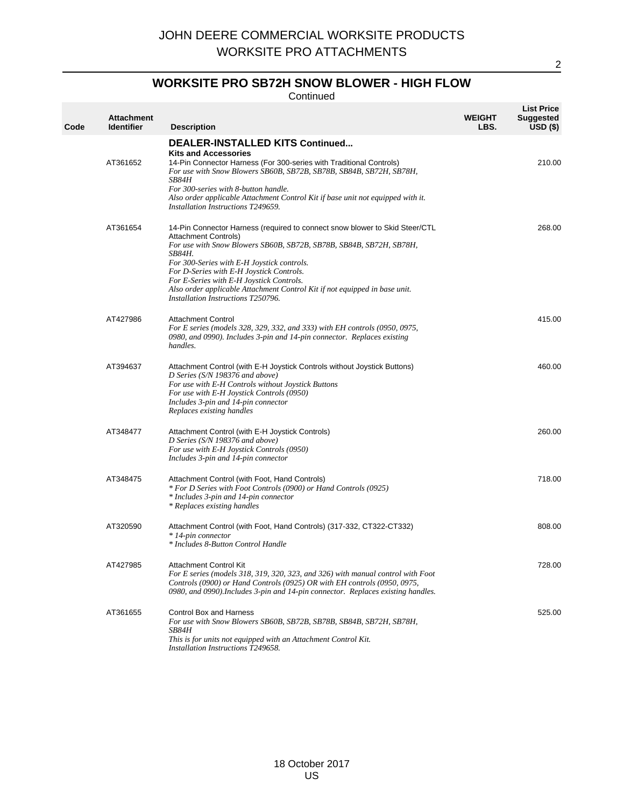## **WORKSITE PRO SB72H SNOW BLOWER - HIGH FLOW**

**Continued** 

| Code | <b>Attachment</b><br><b>Identifier</b> | <b>Description</b>                                                                                                                                                                                                                                                                                                                                                                                                                                            | <b>WEIGHT</b><br>LBS. | <b>List Price</b><br><b>Suggested</b><br>$USD($ \$) |
|------|----------------------------------------|---------------------------------------------------------------------------------------------------------------------------------------------------------------------------------------------------------------------------------------------------------------------------------------------------------------------------------------------------------------------------------------------------------------------------------------------------------------|-----------------------|-----------------------------------------------------|
|      | AT361652                               | <b>DEALER-INSTALLED KITS Continued</b><br><b>Kits and Accessories</b><br>14-Pin Connector Harness (For 300-series with Traditional Controls)<br>For use with Snow Blowers SB60B, SB72B, SB78B, SB84B, SB72H, SB78H,<br><b>SB84H</b><br>For 300-series with 8-button handle.<br>Also order applicable Attachment Control Kit if base unit not equipped with it.<br>Installation Instructions T249659.                                                          |                       | 210.00                                              |
|      | AT361654                               | 14-Pin Connector Harness (required to connect snow blower to Skid Steer/CTL<br><b>Attachment Controls</b> )<br>For use with Snow Blowers SB60B, SB72B, SB78B, SB84B, SB72H, SB78H,<br><i>SB84H.</i><br>For 300-Series with E-H Joystick controls.<br>For D-Series with E-H Joystick Controls.<br>For E-Series with E-H Joystick Controls.<br>Also order applicable Attachment Control Kit if not equipped in base unit.<br>Installation Instructions T250796. |                       | 268.00                                              |
|      | AT427986                               | <b>Attachment Control</b><br>For E series (models 328, 329, 332, and 333) with EH controls (0950, 0975,<br>0980, and 0990). Includes 3-pin and 14-pin connector. Replaces existing<br>handles.                                                                                                                                                                                                                                                                |                       | 415.00                                              |
|      | AT394637                               | Attachment Control (with E-H Joystick Controls without Joystick Buttons)<br>D Series (S/N 198376 and above)<br>For use with E-H Controls without Joystick Buttons<br>For use with E-H Joystick Controls (0950)<br>Includes 3-pin and 14-pin connector<br>Replaces existing handles                                                                                                                                                                            |                       | 460.00                                              |
|      | AT348477                               | Attachment Control (with E-H Joystick Controls)<br>D Series (S/N 198376 and above)<br>For use with E-H Joystick Controls (0950)<br>Includes 3-pin and 14-pin connector                                                                                                                                                                                                                                                                                        |                       | 260.00                                              |
|      | AT348475                               | Attachment Control (with Foot, Hand Controls)<br>* For D Series with Foot Controls (0900) or Hand Controls (0925)<br>* Includes 3-pin and 14-pin connector<br>* Replaces existing handles                                                                                                                                                                                                                                                                     |                       | 718.00                                              |
|      | AT320590                               | Attachment Control (with Foot, Hand Controls) (317-332, CT322-CT332)<br>* 14-pin connector<br>* Includes 8-Button Control Handle                                                                                                                                                                                                                                                                                                                              |                       | 808.00                                              |
|      | AT427985                               | <b>Attachment Control Kit</b><br>For E series (models 318, 319, 320, 323, and 326) with manual control with Foot<br>Controls (0900) or Hand Controls (0925) OR with EH controls (0950, 0975,<br>0980, and 0990). Includes 3-pin and 14-pin connector. Replaces existing handles.                                                                                                                                                                              |                       | 728.00                                              |
|      | AT361655                               | Control Box and Harness<br>For use with Snow Blowers SB60B, SB72B, SB78B, SB84B, SB72H, SB78H,<br>SB84H<br>This is for units not equipped with an Attachment Control Kit.<br>Installation Instructions T249658.                                                                                                                                                                                                                                               |                       | 525.00                                              |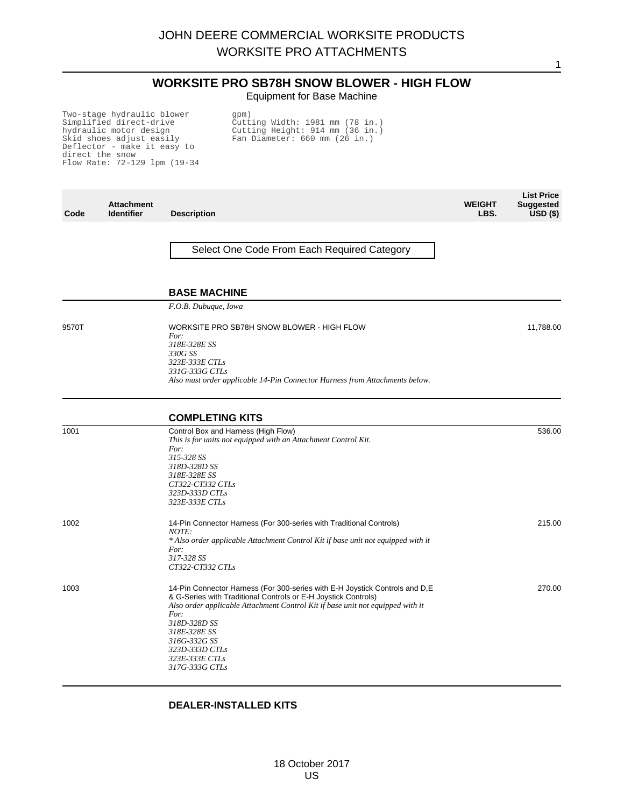# **WORKSITE PRO SB78H SNOW BLOWER - HIGH FLOW**

1

Equipment for Base Machine

Two-stage hydraulic blower Simplified direct-drive hydraulic motor design Skid shoes adjust easily Deflector - make it easy to direct the snow Flow Rate: 72-129 lpm (19-34

gpm) Cutting Width: 1981 mm (78 in.) Cutting Height: 914 mm (36 in.) Fan Diameter: 660 mm (26 in.)

| Code  | <b>Attachment</b><br><b>Identifier</b> | <b>Description</b>                                                                                                                                                                                                                                                                                                                             | <b>WEIGHT</b><br>LBS. | <b>List Price</b><br><b>Suggested</b><br>$USD($ \$) |
|-------|----------------------------------------|------------------------------------------------------------------------------------------------------------------------------------------------------------------------------------------------------------------------------------------------------------------------------------------------------------------------------------------------|-----------------------|-----------------------------------------------------|
|       |                                        | Select One Code From Each Required Category                                                                                                                                                                                                                                                                                                    |                       |                                                     |
|       |                                        | <b>BASE MACHINE</b>                                                                                                                                                                                                                                                                                                                            |                       |                                                     |
|       |                                        | F.O.B. Dubuque, Iowa                                                                                                                                                                                                                                                                                                                           |                       |                                                     |
| 9570T |                                        | WORKSITE PRO SB78H SNOW BLOWER - HIGH FLOW<br>For:<br>318E-328E SS<br>330G SS<br>323E-333E CTLs<br>331G-333G CTLs<br>Also must order applicable 14-Pin Connector Harness from Attachments below.                                                                                                                                               |                       | 11,788.00                                           |
|       |                                        | <b>COMPLETING KITS</b>                                                                                                                                                                                                                                                                                                                         |                       |                                                     |
| 1001  |                                        | Control Box and Harness (High Flow)<br>This is for units not equipped with an Attachment Control Kit.<br>For:<br>315-328 SS<br>318D-328D SS<br>318E-328E SS<br>CT322-CT332 CTLs<br>323D-333D CTLs<br>323E-333E CTLs                                                                                                                            |                       | 536.00                                              |
| 1002  |                                        | 14-Pin Connector Harness (For 300-series with Traditional Controls)<br>NOTE:<br>* Also order applicable Attachment Control Kit if base unit not equipped with it<br>For:<br>317-328 SS<br>CT322-CT332 CTLs                                                                                                                                     |                       | 215.00                                              |
| 1003  |                                        | 14-Pin Connector Harness (For 300-series with E-H Joystick Controls and D, E<br>& G-Series with Traditional Controls or E-H Joystick Controls)<br>Also order applicable Attachment Control Kit if base unit not equipped with it<br>For:<br>318D-328D SS<br>318E-328E SS<br>316G-332G SS<br>323D-333D CTLs<br>323E-333E CTLs<br>317G-333G CTLs |                       | 270.00                                              |

#### **DEALER-INSTALLED KITS**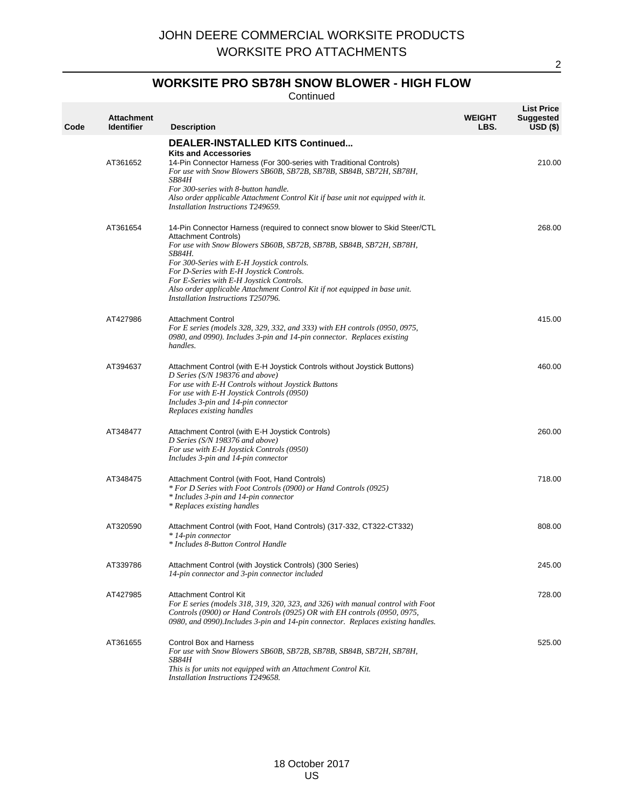## **WORKSITE PRO SB78H SNOW BLOWER - HIGH FLOW**

Continued

| Code | <b>Attachment</b><br><b>Identifier</b> | <b>Description</b>                                                                                                                                                                                                                                                                                                                                                                                                                                           | <b>WEIGHT</b><br>LBS. | <b>List Price</b><br><b>Suggested</b><br>$USD($ \$) |
|------|----------------------------------------|--------------------------------------------------------------------------------------------------------------------------------------------------------------------------------------------------------------------------------------------------------------------------------------------------------------------------------------------------------------------------------------------------------------------------------------------------------------|-----------------------|-----------------------------------------------------|
|      | AT361652                               | <b>DEALER-INSTALLED KITS Continued</b><br><b>Kits and Accessories</b><br>14-Pin Connector Harness (For 300-series with Traditional Controls)<br>For use with Snow Blowers SB60B, SB72B, SB78B, SB84B, SB72H, SB78H,<br>SB84H<br>For 300-series with 8-button handle.<br>Also order applicable Attachment Control Kit if base unit not equipped with it.<br>Installation Instructions T249659.                                                                |                       | 210.00                                              |
|      | AT361654                               | 14-Pin Connector Harness (required to connect snow blower to Skid Steer/CTL<br><b>Attachment Controls)</b><br>For use with Snow Blowers SB60B, SB72B, SB78B, SB84B, SB72H, SB78H,<br><b>SB84H.</b><br>For 300-Series with E-H Joystick controls.<br>For D-Series with E-H Joystick Controls.<br>For E-Series with E-H Joystick Controls.<br>Also order applicable Attachment Control Kit if not equipped in base unit.<br>Installation Instructions T250796. |                       | 268.00                                              |
|      | AT427986                               | <b>Attachment Control</b><br>For E series (models 328, 329, 332, and 333) with EH controls (0950, 0975,<br>0980, and 0990). Includes 3-pin and 14-pin connector. Replaces existing<br>handles.                                                                                                                                                                                                                                                               |                       | 415.00                                              |
|      | AT394637                               | Attachment Control (with E-H Joystick Controls without Joystick Buttons)<br>D Series (S/N 198376 and above)<br>For use with E-H Controls without Joystick Buttons<br>For use with E-H Joystick Controls (0950)<br>Includes 3-pin and 14-pin connector<br>Replaces existing handles                                                                                                                                                                           |                       | 460.00                                              |
|      | AT348477                               | Attachment Control (with E-H Joystick Controls)<br>D Series (S/N 198376 and above)<br>For use with E-H Joystick Controls (0950)<br>Includes 3-pin and 14-pin connector                                                                                                                                                                                                                                                                                       |                       | 260.00                                              |
|      | AT348475                               | Attachment Control (with Foot, Hand Controls)<br>* For D Series with Foot Controls (0900) or Hand Controls (0925)<br>* Includes 3-pin and 14-pin connector<br>* Replaces existing handles                                                                                                                                                                                                                                                                    |                       | 718.00                                              |
|      | AT320590                               | Attachment Control (with Foot, Hand Controls) (317-332, CT322-CT332)<br>* 14-pin connector<br>* Includes 8-Button Control Handle                                                                                                                                                                                                                                                                                                                             |                       | 808.00                                              |
|      | AT339786                               | Attachment Control (with Joystick Controls) (300 Series)<br>14-pin connector and 3-pin connector included                                                                                                                                                                                                                                                                                                                                                    |                       | 245.00                                              |
|      | AT427985                               | <b>Attachment Control Kit</b><br>For E series (models 318, 319, 320, 323, and 326) with manual control with Foot<br>Controls (0900) or Hand Controls (0925) OR with EH controls (0950, 0975,<br>0980, and 0990). Includes 3-pin and 14-pin connector. Replaces existing handles.                                                                                                                                                                             |                       | 728.00                                              |
|      | AT361655                               | <b>Control Box and Harness</b><br>For use with Snow Blowers SB60B, SB72B, SB78B, SB84B, SB72H, SB78H,<br>SB84H<br>This is for units not equipped with an Attachment Control Kit.<br>Installation Instructions T249658.                                                                                                                                                                                                                                       |                       | 525.00                                              |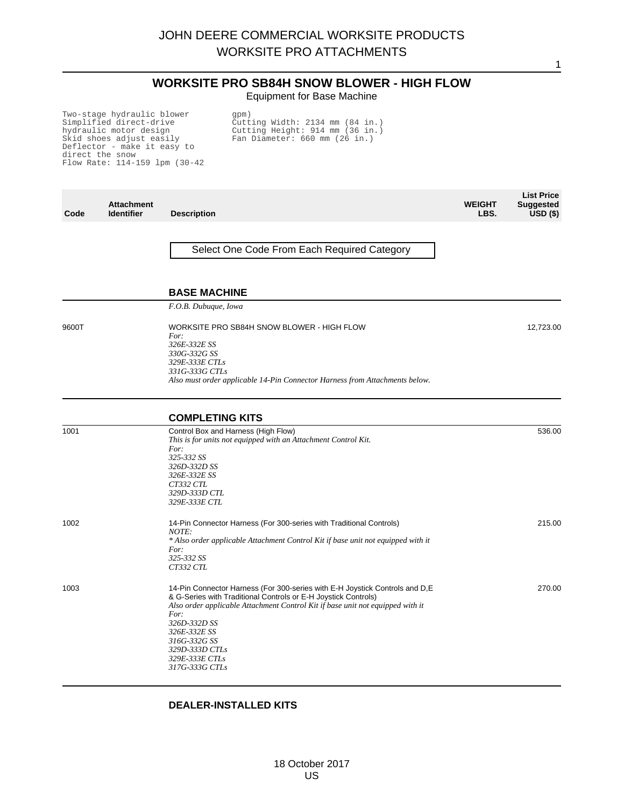# **WORKSITE PRO SB84H SNOW BLOWER - HIGH FLOW**

1

Equipment for Base Machine

Two-stage hydraulic blower Simplified direct-drive hydraulic motor design Skid shoes adjust easily Deflector - make it easy to direct the snow Flow Rate: 114-159 lpm (30-42

gpm) Cutting Width: 2134 mm (84 in.) Cutting Height: 914 mm (36 in.) Fan Diameter: 660 mm (26 in.)

| Code  | <b>Attachment</b><br><b>Identifier</b> | <b>Description</b>                                                                                                                                                                                                                                                                                                                             | <b>WEIGHT</b><br>LBS. | <b>List Price</b><br><b>Suggested</b><br>$USD($ \$) |
|-------|----------------------------------------|------------------------------------------------------------------------------------------------------------------------------------------------------------------------------------------------------------------------------------------------------------------------------------------------------------------------------------------------|-----------------------|-----------------------------------------------------|
|       |                                        | Select One Code From Each Required Category                                                                                                                                                                                                                                                                                                    |                       |                                                     |
|       |                                        | <b>BASE MACHINE</b>                                                                                                                                                                                                                                                                                                                            |                       |                                                     |
|       |                                        | F.O.B. Dubuque, Iowa                                                                                                                                                                                                                                                                                                                           |                       |                                                     |
| 9600T |                                        | WORKSITE PRO SB84H SNOW BLOWER - HIGH FLOW<br>For:<br>326E-332E SS<br>330G-332G SS<br>329E-333E CTLs<br>331G-333G CTLs<br>Also must order applicable 14-Pin Connector Harness from Attachments below.                                                                                                                                          |                       | 12,723.00                                           |
|       |                                        | <b>COMPLETING KITS</b>                                                                                                                                                                                                                                                                                                                         |                       |                                                     |
| 1001  |                                        | Control Box and Harness (High Flow)<br>This is for units not equipped with an Attachment Control Kit.<br>For:<br>325-332 SS<br>326D-332D SS<br>326E-332E SS<br>CT332 CTL<br>329D-333D CTL<br>329E-333E CTL                                                                                                                                     |                       | 536.00                                              |
| 1002  |                                        | 14-Pin Connector Harness (For 300-series with Traditional Controls)<br>NOTE:<br>* Also order applicable Attachment Control Kit if base unit not equipped with it<br>For:<br>325-332 SS<br>CT332 CTL                                                                                                                                            |                       | 215.00                                              |
| 1003  |                                        | 14-Pin Connector Harness (For 300-series with E-H Joystick Controls and D, E<br>& G-Series with Traditional Controls or E-H Joystick Controls)<br>Also order applicable Attachment Control Kit if base unit not equipped with it<br>For:<br>326D-332D SS<br>326E-332E SS<br>316G-332G SS<br>329D-333D CTLs<br>329E-333E CTLs<br>317G-333G CTLs |                       | 270.00                                              |

#### **DEALER-INSTALLED KITS**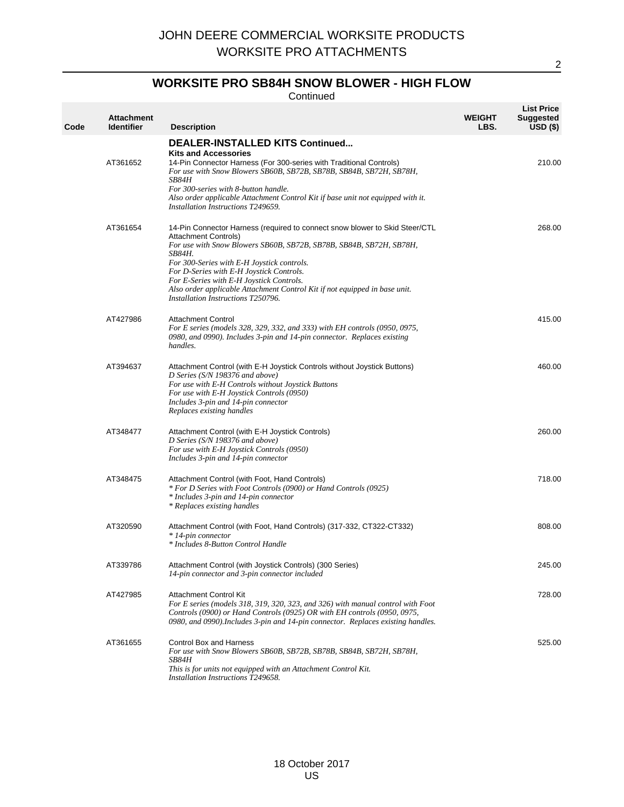## **WORKSITE PRO SB84H SNOW BLOWER - HIGH FLOW**

Continued

| Code | <b>Attachment</b><br><b>Identifier</b> | <b>Description</b>                                                                                                                                                                                                                                                                                                                                                                                                                                    | <b>WEIGHT</b><br>LBS. | <b>List Price</b><br><b>Suggested</b><br>$USD(*)$ |
|------|----------------------------------------|-------------------------------------------------------------------------------------------------------------------------------------------------------------------------------------------------------------------------------------------------------------------------------------------------------------------------------------------------------------------------------------------------------------------------------------------------------|-----------------------|---------------------------------------------------|
|      | AT361652                               | <b>DEALER-INSTALLED KITS Continued</b><br><b>Kits and Accessories</b><br>14-Pin Connector Harness (For 300-series with Traditional Controls)<br>For use with Snow Blowers SB60B, SB72B, SB78B, SB84B, SB72H, SB78H,<br><b>SB84H</b><br>For 300-series with 8-button handle.<br>Also order applicable Attachment Control Kit if base unit not equipped with it.<br>Installation Instructions T249659.                                                  |                       | 210.00                                            |
|      | AT361654                               | 14-Pin Connector Harness (required to connect snow blower to Skid Steer/CTL<br>Attachment Controls)<br>For use with Snow Blowers SB60B, SB72B, SB78B, SB84B, SB72H, SB78H,<br><b>SB84H.</b><br>For 300-Series with E-H Joystick controls.<br>For D-Series with E-H Joystick Controls.<br>For E-Series with E-H Joystick Controls.<br>Also order applicable Attachment Control Kit if not equipped in base unit.<br>Installation Instructions T250796. |                       | 268.00                                            |
|      | AT427986                               | <b>Attachment Control</b><br>For E series (models 328, 329, 332, and 333) with EH controls (0950, 0975,<br>0980, and 0990). Includes 3-pin and 14-pin connector. Replaces existing<br>handles.                                                                                                                                                                                                                                                        |                       | 415.00                                            |
|      | AT394637                               | Attachment Control (with E-H Joystick Controls without Joystick Buttons)<br>D Series (S/N 198376 and above)<br>For use with E-H Controls without Joystick Buttons<br>For use with E-H Joystick Controls (0950)<br>Includes 3-pin and 14-pin connector<br>Replaces existing handles                                                                                                                                                                    |                       | 460.00                                            |
|      | AT348477                               | Attachment Control (with E-H Joystick Controls)<br>D Series (S/N 198376 and above)<br>For use with E-H Joystick Controls (0950)<br>Includes 3-pin and 14-pin connector                                                                                                                                                                                                                                                                                |                       | 260.00                                            |
|      | AT348475                               | Attachment Control (with Foot, Hand Controls)<br>* For D Series with Foot Controls (0900) or Hand Controls (0925)<br>* Includes 3-pin and 14-pin connector<br>* Replaces existing handles                                                                                                                                                                                                                                                             |                       | 718.00                                            |
|      | AT320590                               | Attachment Control (with Foot, Hand Controls) (317-332, CT322-CT332)<br>* 14-pin connector<br>* Includes 8-Button Control Handle                                                                                                                                                                                                                                                                                                                      |                       | 808.00                                            |
|      | AT339786                               | Attachment Control (with Joystick Controls) (300 Series)<br>14-pin connector and 3-pin connector included                                                                                                                                                                                                                                                                                                                                             |                       | 245.00                                            |
|      | AT427985                               | <b>Attachment Control Kit</b><br>For E series (models 318, 319, 320, 323, and 326) with manual control with Foot<br>Controls (0900) or Hand Controls (0925) OR with EH controls (0950, 0975,<br>0980, and 0990). Includes 3-pin and 14-pin connector. Replaces existing handles.                                                                                                                                                                      |                       | 728.00                                            |
|      | AT361655                               | <b>Control Box and Harness</b><br>For use with Snow Blowers SB60B, SB72B, SB78B, SB84B, SB72H, SB78H,<br>SB84H<br>This is for units not equipped with an Attachment Control Kit.<br>Installation Instructions T249658.                                                                                                                                                                                                                                |                       | 525.00                                            |

 $\overline{2}$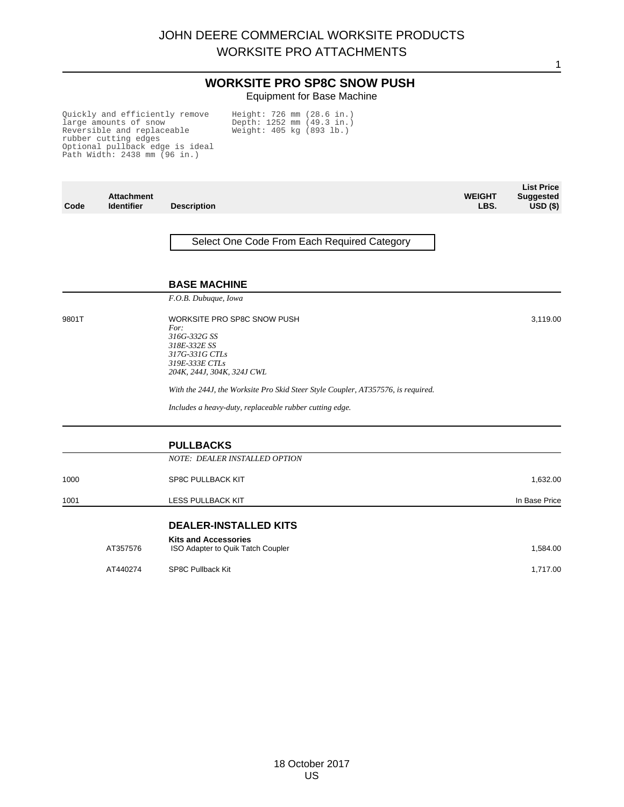1

#### **WORKSITE PRO SP8C SNOW PUSH** Equipment for Base Machine

Quickly and efficiently remove large amounts of snow Reversible and replaceable rubber cutting edges Optional pullback edge is ideal Path Width: 2438 mm (96 in.) Height: 726 mm (28.6 in.) Depth: 1252 mm (49.3 in.) Weight: 405 kg (893 lb.)

| Code  | <b>Attachment</b><br><b>Identifier</b> | <b>Description</b>                                                                                                                          | <b>WEIGHT</b><br>LBS. | <b>List Price</b><br><b>Suggested</b><br>$\overline{USD}$ (\$) |
|-------|----------------------------------------|---------------------------------------------------------------------------------------------------------------------------------------------|-----------------------|----------------------------------------------------------------|
|       |                                        | Select One Code From Each Required Category                                                                                                 |                       |                                                                |
|       |                                        | <b>BASE MACHINE</b>                                                                                                                         |                       |                                                                |
|       |                                        | F.O.B. Dubuque, Iowa                                                                                                                        |                       |                                                                |
| 9801T |                                        | WORKSITE PRO SP8C SNOW PUSH<br>For:<br>316G-332G SS<br>318E-332E SS<br>317G-331G CTLs<br>319E-333E CTLs<br>204K, 244J, 304K, 324J CWL       |                       | 3,119.00                                                       |
|       |                                        | With the 244J, the Worksite Pro Skid Steer Style Coupler, AT357576, is required.<br>Includes a heavy-duty, replaceable rubber cutting edge. |                       |                                                                |
|       |                                        | <b>PULLBACKS</b>                                                                                                                            |                       |                                                                |
|       |                                        | NOTE: DEALER INSTALLED OPTION                                                                                                               |                       |                                                                |
| 1000  |                                        | SP8C PULLBACK KIT                                                                                                                           |                       | 1,632.00                                                       |
| 1001  |                                        | <b>LESS PULLBACK KIT</b>                                                                                                                    |                       | In Base Price                                                  |
|       |                                        | <b>DEALER-INSTALLED KITS</b>                                                                                                                |                       |                                                                |
|       | AT357576                               | <b>Kits and Accessories</b><br>ISO Adapter to Quik Tatch Coupler                                                                            |                       | 1,584.00                                                       |
|       | AT440274                               | <b>SP8C Pullback Kit</b>                                                                                                                    |                       | 1,717.00                                                       |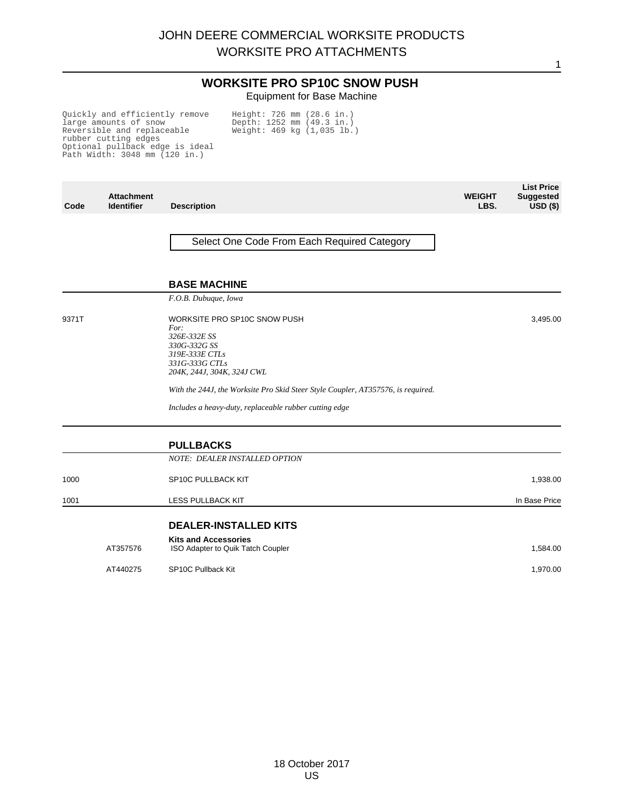1

#### **WORKSITE PRO SP10C SNOW PUSH** Equipment for Base Machine

Quickly and efficiently remove large amounts of snow Reversible and replaceable rubber cutting edges Optional pullback edge is ideal Path Width: 3048 mm (120 in.) Height: 726 mm (28.6 in.) Depth: 1252 mm (49.3 in.) Weight: 469 kg (1,035 lb.)

| Code  | <b>Attachment</b><br><b>Identifier</b> | <b>Description</b>                                                                                                                     | <b>WEIGHT</b><br>LBS. | <b>List Price</b><br><b>Suggested</b><br>$USD($ \$) |
|-------|----------------------------------------|----------------------------------------------------------------------------------------------------------------------------------------|-----------------------|-----------------------------------------------------|
|       |                                        | Select One Code From Each Required Category                                                                                            |                       |                                                     |
|       |                                        | <b>BASE MACHINE</b>                                                                                                                    |                       |                                                     |
|       |                                        | F.O.B. Dubuque, Iowa                                                                                                                   |                       |                                                     |
| 9371T |                                        | WORKSITE PRO SP10C SNOW PUSH<br>For:<br>326E-332E SS<br>330G-332G SS<br>319E-333E CTLs<br>331G-333G CTLs<br>204K, 244J, 304K, 324J CWL |                       | 3,495.00                                            |
|       |                                        | With the 244J, the Worksite Pro Skid Steer Style Coupler, AT357576, is required.                                                       |                       |                                                     |
|       |                                        | Includes a heavy-duty, replaceable rubber cutting edge                                                                                 |                       |                                                     |
|       |                                        | <b>PULLBACKS</b>                                                                                                                       |                       |                                                     |
|       |                                        | NOTE: DEALER INSTALLED OPTION                                                                                                          |                       |                                                     |
| 1000  |                                        | SP10C PULLBACK KIT                                                                                                                     |                       | 1,938.00                                            |
| 1001  |                                        | <b>LESS PULLBACK KIT</b>                                                                                                               |                       | In Base Price                                       |
|       |                                        | <b>DEALER-INSTALLED KITS</b>                                                                                                           |                       |                                                     |
|       | AT357576                               | <b>Kits and Accessories</b><br>ISO Adapter to Quik Tatch Coupler                                                                       |                       | 1,584.00                                            |
|       | AT440275                               | SP10C Pullback Kit                                                                                                                     |                       | 1,970.00                                            |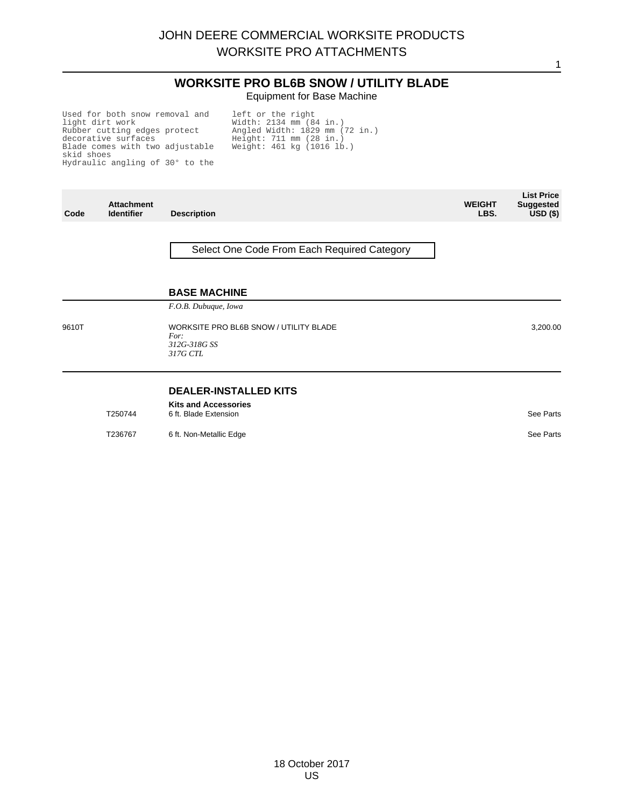#### **WORKSITE PRO BL6B SNOW / UTILITY BLADE** Equipment for Base Machine

Used for both snow removal and light dirt work Rubber cutting edges protect decorative surfaces Blade comes with two adjustable skid shoes Hydraulic angling of 30° to the

left or the right Width: 2134 mm (84 in.) Angled Width: 1829 mm (72 in.) Height: 711 mm (28 in.) Weight: 461 kg (1016 lb.)

| Code  | <b>Attachment</b><br><b>Identifier</b> | <b>Description</b>                                                         | <b>WEIGHT</b><br>LBS. | <b>List Price</b><br><b>Suggested</b><br>$USD($ \$) |
|-------|----------------------------------------|----------------------------------------------------------------------------|-----------------------|-----------------------------------------------------|
|       |                                        | Select One Code From Each Required Category                                |                       |                                                     |
|       |                                        | <b>BASE MACHINE</b><br>F.O.B. Dubuque, Iowa                                |                       |                                                     |
| 9610T |                                        | WORKSITE PRO BL6B SNOW / UTILITY BLADE<br>For:<br>312G-318G SS<br>317G CTL |                       | 3,200.00                                            |

#### **DEALER-INSTALLED KITS**

| T250744 | <b>Kits and Accessories</b> |           |  |
|---------|-----------------------------|-----------|--|
|         | 6 ft. Blade Extension       | See Parts |  |

T236767 6 ft. Non-Metallic Edge See Parts See Parts See Parts See Parts See Parts See Parts See Parts See Parts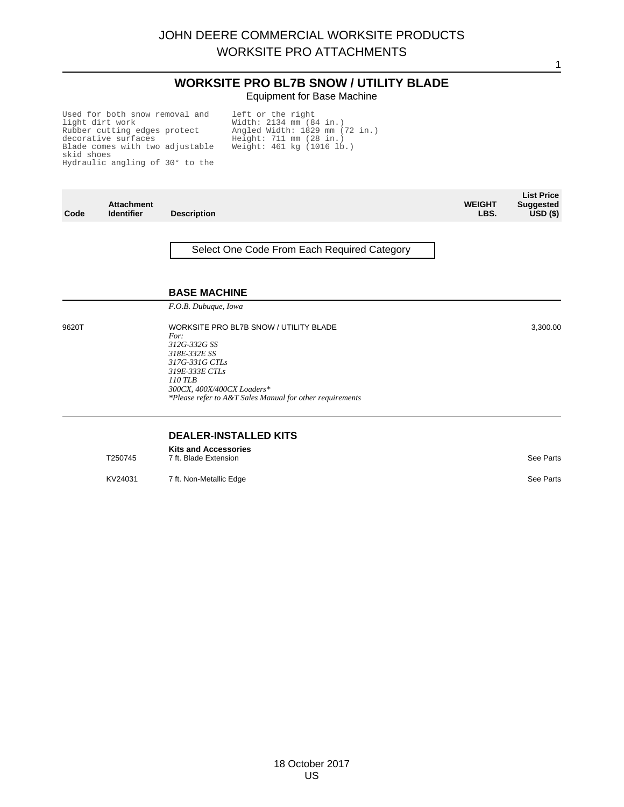# **WORKSITE PRO BL7B SNOW / UTILITY BLADE** Equipment for Base Machine

Used for both snow removal and light dirt work Rubber cutting edges protect decorative surfaces Blade comes with two adjustable skid shoes Hydraulic angling of 30° to the

left or the right Width: 2134 mm (84 in.) Angled Width: 1829 mm (72 in.) Height: 711 mm (28 in.) Weight: 461 kg (1016 lb.)

| Code  | <b>Attachment</b><br><b>Identifier</b> | <b>Description</b>                                                                                                                                                                                                      | <b>WEIGHT</b><br>LBS. | <b>List Price</b><br><b>Suggested</b><br>USD <sub>(</sub> ) |
|-------|----------------------------------------|-------------------------------------------------------------------------------------------------------------------------------------------------------------------------------------------------------------------------|-----------------------|-------------------------------------------------------------|
|       |                                        | Select One Code From Each Required Category                                                                                                                                                                             |                       |                                                             |
|       |                                        | <b>BASE MACHINE</b><br>F.O.B. Dubuque, Iowa                                                                                                                                                                             |                       |                                                             |
|       |                                        |                                                                                                                                                                                                                         |                       |                                                             |
| 9620T |                                        | WORKSITE PRO BL7B SNOW / UTILITY BLADE<br>For:<br>312G-332G SS<br>318E-332E SS<br>317G-331G CTLs<br>319E-333E CTLs<br>110 TLB<br>300CX, 400X/400CX Loaders*<br>*Please refer to A&T Sales Manual for other requirements |                       | 3,300.00                                                    |
|       |                                        | <b>DEALED INCTALLED VITE</b>                                                                                                                                                                                            |                       |                                                             |

#### **DEALER-INSTALLED KITS**

|         | <b>Kits and Accessories</b> |           |
|---------|-----------------------------|-----------|
| T250745 | 7 ft. Blade Extension       | See Parts |

KV24031 7 ft. Non-Metallic Edge See Parts See Parts See Parts See Parts See Parts See Parts See Parts See Parts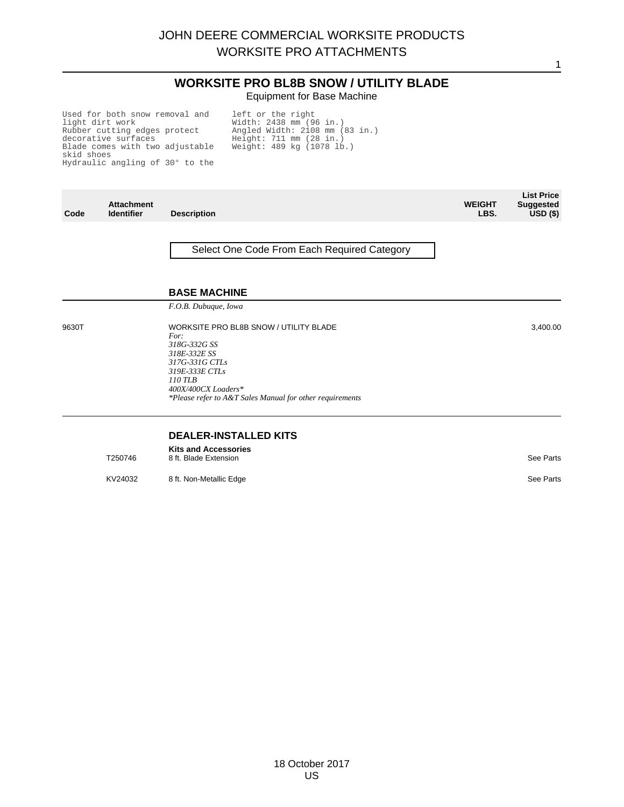# **WORKSITE PRO BL8B SNOW / UTILITY BLADE** Equipment for Base Machine

Used for both snow removal and light dirt work Rubber cutting edges protect decorative surfaces Blade comes with two adjustable skid shoes Hydraulic angling of 30° to the

left or the right Width: 2438 mm (96 in.) Angled Width: 2108 mm (83 in.) Height: 711 mm (28 in.) Weight: 489 kg (1078 lb.)

| Code  | <b>Attachment</b><br><b>Identifier</b> | <b>Description</b>                                                                                                                                                                                                        | <b>WEIGHT</b><br>LBS. | <b>List Price</b><br><b>Suggested</b><br>$USD($ \$) |
|-------|----------------------------------------|---------------------------------------------------------------------------------------------------------------------------------------------------------------------------------------------------------------------------|-----------------------|-----------------------------------------------------|
|       |                                        | Select One Code From Each Required Category                                                                                                                                                                               |                       |                                                     |
|       |                                        | <b>BASE MACHINE</b><br>F.O.B. Dubuque, Iowa                                                                                                                                                                               |                       |                                                     |
| 9630T |                                        | <b>WORKSITE PRO BL8B SNOW / UTILITY BLADE</b><br>For:<br>318G-332G SS<br>318E-332E SS<br>317G-331G CTLs<br>319E-333E CTLs<br>$110$ TLB<br>400X/400CX Loaders*<br>*Please refer to A&T Sales Manual for other requirements |                       | 3,400.00                                            |
|       |                                        | <b>DEALER-INSTALLED KITS</b>                                                                                                                                                                                              |                       |                                                     |

# **DEALER-INSTALLED KITS**

**Kits and Accessories** T250746 8 ft. Blade Extension See Parts 3 and 200 and 200 and 200 and 200 and 200 and 200 and 200 and 200 and 200 and 200 and 200 and 200 and 200 and 200 and 200 and 200 and 200 and 200 and 200 and 200 and 200 and 200 and

KV24032 8 ft. Non-Metallic Edge See Parts

18 October 2017 US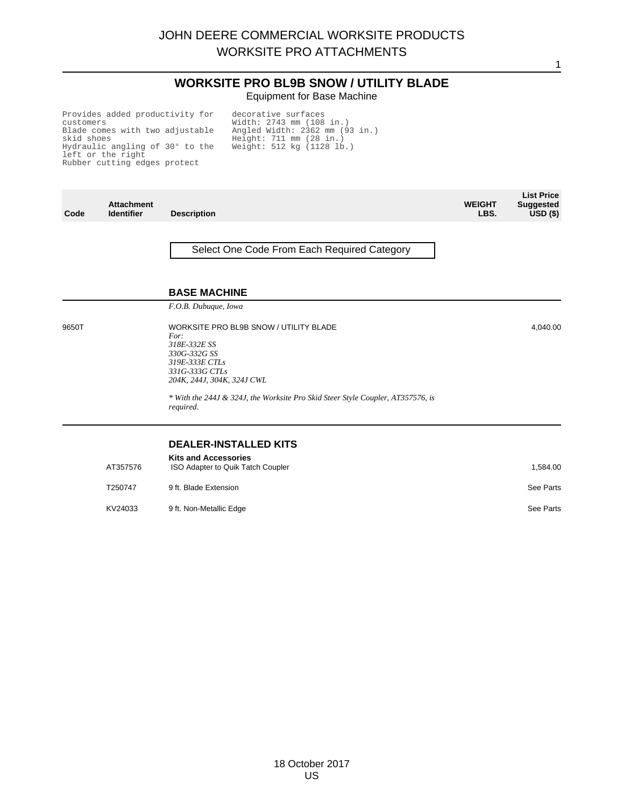# **WORKSITE PRO BL9B SNOW / UTILITY BLADE** Equipment for Base Machine

1

Provides added productivity for customers Blade comes with two adjustable skid shoes Hydraulic angling of 30° to the left or the right Rubber cutting edges protect

decorative surfaces Width: 2743 mm (108 in.) Angled Width: 2362 mm (93 in.) Height: 711 mm (28 in.) Weight: 512 kg (1128 lb.)

| Code  | <b>Attachment</b><br><b>Identifier</b> | <b>Description</b>                                                                                                                               | <b>WEIGHT</b><br>LBS. | <b>List Price</b><br><b>Suggested</b><br>USD <sub>(</sub> ) |
|-------|----------------------------------------|--------------------------------------------------------------------------------------------------------------------------------------------------|-----------------------|-------------------------------------------------------------|
|       |                                        | Select One Code From Each Required Category                                                                                                      |                       |                                                             |
|       |                                        | <b>BASE MACHINE</b><br>F.O.B. Dubuque, Iowa                                                                                                      |                       |                                                             |
|       |                                        |                                                                                                                                                  |                       |                                                             |
| 9650T |                                        | WORKSITE PRO BL9B SNOW / UTILITY BLADE<br>For:<br>318E-332E SS<br>330G-332G SS<br>319E-333E CTLs<br>331G-333G CTLs<br>204K, 244J, 304K, 324J CWL |                       | 4,040.00                                                    |
|       |                                        | * With the 244J & 324J, the Worksite Pro Skid Steer Style Coupler, AT357576, is<br>required.                                                     |                       |                                                             |
|       |                                        | <b>DEALER-INSTALLED KITS</b>                                                                                                                     |                       |                                                             |
|       | AT357576                               | <b>Kits and Accessories</b><br>ISO Adapter to Quik Tatch Coupler                                                                                 |                       | 1,584.00                                                    |
|       | T250747                                | 9 ft. Blade Extension                                                                                                                            |                       | See Parts                                                   |

KV24033 9ft. Non-Metallic Edge See Parts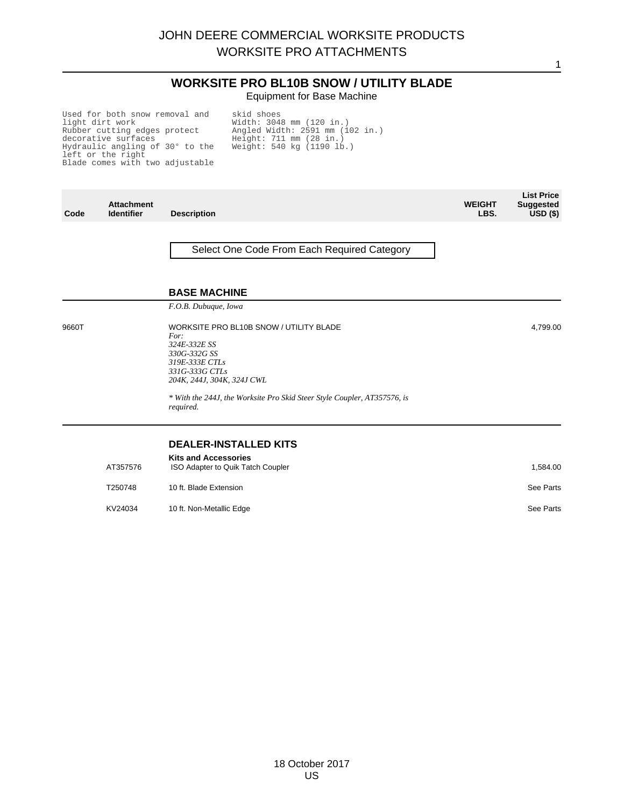## **WORKSITE PRO BL10B SNOW / UTILITY BLADE** Equipment for Base Machine

1

Used for both snow removal and light dirt work Rubber cutting edges protect decorative surfaces Hydraulic angling of 30° to the left or the right Blade comes with two adjustable

skid shoes Width: 3048 mm (120 in.) Angled Width: 2591 mm (102 in.) Height: 711 mm (28 in.) Weight: 540 kg (1190 lb.)

| Code  | <b>Attachment</b><br><b>Identifier</b> | <b>Description</b>                                                                                                                                                                                                                         | <b>WEIGHT</b><br>LBS. | <b>List Price</b><br><b>Suggested</b><br>$USD($ \$) |
|-------|----------------------------------------|--------------------------------------------------------------------------------------------------------------------------------------------------------------------------------------------------------------------------------------------|-----------------------|-----------------------------------------------------|
|       |                                        | Select One Code From Each Required Category                                                                                                                                                                                                |                       |                                                     |
|       |                                        | <b>BASE MACHINE</b>                                                                                                                                                                                                                        |                       |                                                     |
|       |                                        | F.O.B. Dubuque, Iowa                                                                                                                                                                                                                       |                       |                                                     |
| 9660T |                                        | WORKSITE PRO BL10B SNOW / UTILITY BLADE<br>For:<br>324E-332E SS<br>330G-332G SS<br>319E-333E CTLs<br>331G-333G CTLs<br>204K, 244J, 304K, 324J CWL<br>* With the 244J, the Worksite Pro Skid Steer Style Coupler, AT357576, is<br>required. |                       | 4,799.00                                            |
|       |                                        |                                                                                                                                                                                                                                            |                       |                                                     |
|       |                                        | <b>DEALER-INSTALLED KITS</b>                                                                                                                                                                                                               |                       |                                                     |
|       | AT357576                               | <b>Kits and Accessories</b><br>ISO Adapter to Quik Tatch Coupler                                                                                                                                                                           |                       | 1,584.00                                            |
|       | T250748                                | 10 ft. Blade Extension                                                                                                                                                                                                                     |                       | See Parts                                           |
|       | KV24034                                | 10 ft. Non-Metallic Edge                                                                                                                                                                                                                   |                       | See Parts                                           |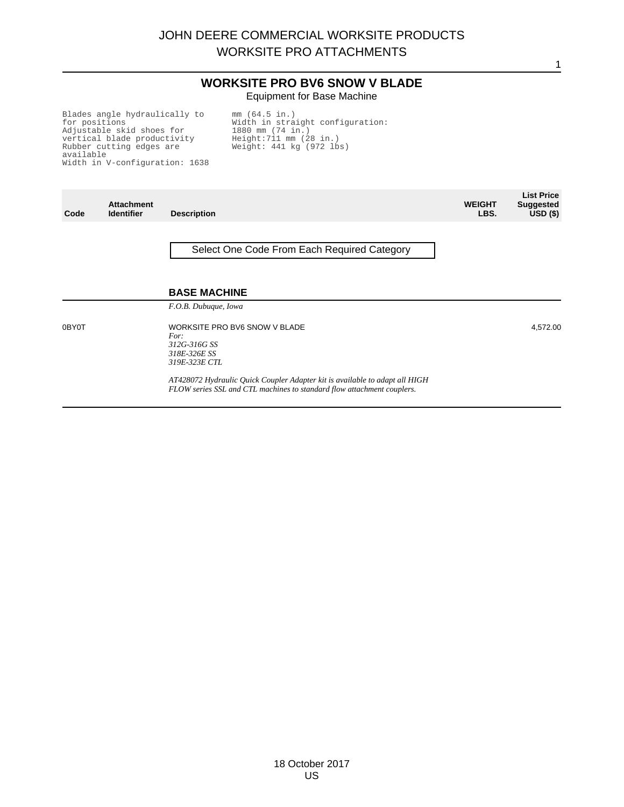# **WORKSITE PRO BV6 SNOW V BLADE** Equipment for Base Machine

Blades angle hydraulically to for positions Adjustable skid shoes for vertical blade productivity Rubber cutting edges are available Width in V-configuration: 1638 mm (64.5 in.) Width in straight configuration: 1880 mm (74 in.) Height:711 mm (28 in.) Weight: 441 kg (972 lbs)

| Code  | <b>Attachment</b><br><b>Identifier</b> | <b>Description</b>                                                                                                                                    | <b>WEIGHT</b><br>LBS. | <b>List Price</b><br><b>Suggested</b><br>USD <sub>(</sub> ) |
|-------|----------------------------------------|-------------------------------------------------------------------------------------------------------------------------------------------------------|-----------------------|-------------------------------------------------------------|
|       |                                        | Select One Code From Each Required Category                                                                                                           |                       |                                                             |
|       |                                        | <b>BASE MACHINE</b><br>F.O.B. Dubuque, Iowa                                                                                                           |                       |                                                             |
| 0BY0T |                                        | WORKSITE PRO BV6 SNOW V BLADE<br>For:<br>312G-316G SS<br>318E-326E SS<br><i>319E-323E CTL</i>                                                         |                       | 4,572.00                                                    |
|       |                                        | AT428072 Hydraulic Quick Coupler Adapter kit is available to adapt all HIGH<br>FLOW series SSL and CTL machines to standard flow attachment couplers. |                       |                                                             |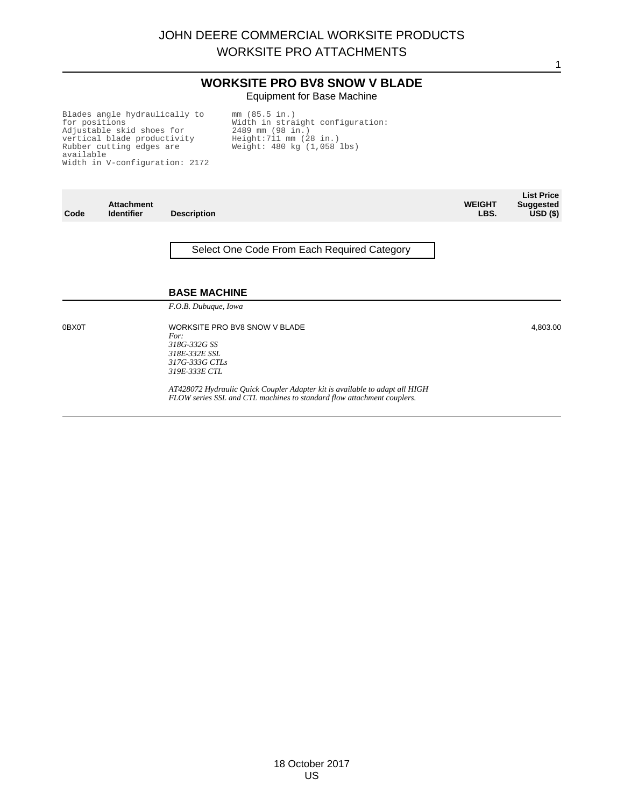# **WORKSITE PRO BV8 SNOW V BLADE** Equipment for Base Machine

1

Blades angle hydraulically to for positions Adjustable skid shoes for vertical blade productivity Rubber cutting edges are available Width in V-configuration: 2172 mm (85.5 in.) Width in straight configuration: 2489 mm (98 in.) Height:711 mm (28 in.) Weight: 480 kg (1,058 lbs)

| Code  | <b>Attachment</b><br><b>Identifier</b> | <b>Description</b>                                                                                                                                    | <b>WEIGHT</b><br>LBS. | <b>List Price</b><br><b>Suggested</b><br>USD <sub>(</sub> ) |
|-------|----------------------------------------|-------------------------------------------------------------------------------------------------------------------------------------------------------|-----------------------|-------------------------------------------------------------|
|       |                                        | Select One Code From Each Required Category                                                                                                           |                       |                                                             |
|       |                                        | <b>BASE MACHINE</b><br>F.O.B. Dubuque, Iowa                                                                                                           |                       |                                                             |
| 0BX0T |                                        | WORKSITE PRO BV8 SNOW V BLADE<br>For:<br>318G-332G SS<br>318E-332E SSL<br>317G-333G CTLs<br>319E-333E CTL                                             |                       | 4,803.00                                                    |
|       |                                        | AT428072 Hydraulic Quick Coupler Adapter kit is available to adapt all HIGH<br>FLOW series SSL and CTL machines to standard flow attachment couplers. |                       |                                                             |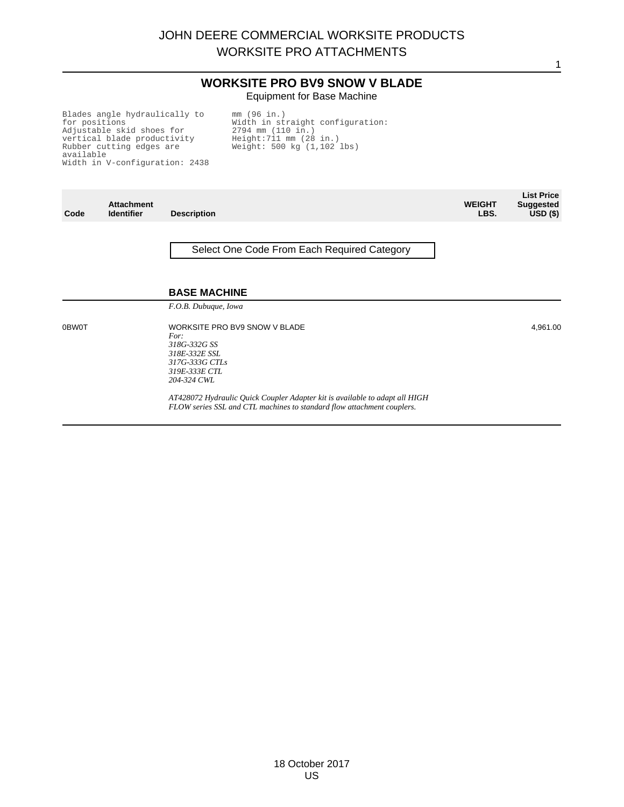# **WORKSITE PRO BV9 SNOW V BLADE** Equipment for Base Machine

1

Blades angle hydraulically to for positions Adjustable skid shoes for vertical blade productivity Rubber cutting edges are available Width in V-configuration: 2438 mm (96 in.) Width in straight configuration: 2794 mm (110 in.) Height:711 mm (28 in.) Weight: 500 kg (1,102 lbs)

| Code         | <b>Attachment</b><br><b>Identifier</b> | <b>Description</b>                                                                                                                                    | <b>WEIGHT</b><br>LBS. | <b>List Price</b><br><b>Suggested</b><br>$USD($ \$) |
|--------------|----------------------------------------|-------------------------------------------------------------------------------------------------------------------------------------------------------|-----------------------|-----------------------------------------------------|
|              |                                        | Select One Code From Each Required Category                                                                                                           |                       |                                                     |
|              |                                        | <b>BASE MACHINE</b><br>F.O.B. Dubuque, Iowa                                                                                                           |                       |                                                     |
| <b>OBWOT</b> |                                        | WORKSITE PRO BV9 SNOW V BLADE<br>For:<br>318G-332G SS<br>318E-332E SSL<br>317G-333G CTLs<br>319E-333E CTL<br>204-324 CWL                              |                       | 4,961.00                                            |
|              |                                        | AT428072 Hydraulic Quick Coupler Adapter kit is available to adapt all HIGH<br>FLOW series SSL and CTL machines to standard flow attachment couplers. |                       |                                                     |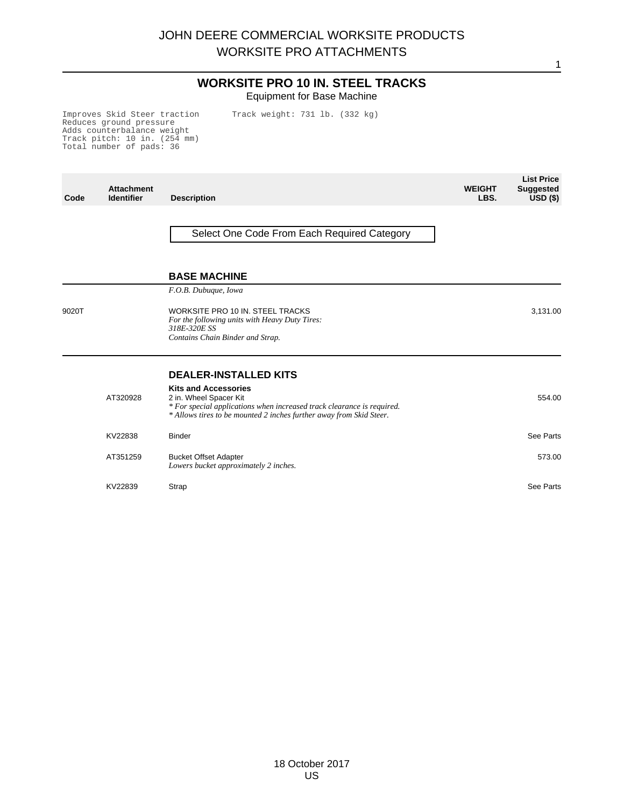# **WORKSITE PRO 10 IN. STEEL TRACKS** Equipment for Base Machine

Track weight: 731 lb. (332 kg)

Improves Skid Steer traction Reduces ground pressure Adds counterbalance weight Track pitch: 10 in. (254 mm) Total number of pads: 36

**Code Attachment Identifier Description WEIGHT LBS. List Price Suggested USD (\$)** Select One Code From Each Required Category **BASE MACHINE** *F.O.B. Dubuque, Iowa* 9020T WORKSITE PRO 10 IN. STEEL TRACKS *For the following units with Heavy Duty Tires: 318E-320E SS Contains Chain Binder and Strap.* 3,131.00 **DEALER-INSTALLED KITS Kits and Accessories** AT320928 2 in. Wheel Spacer Kit *\* For special applications when increased track clearance is required. \* Allows tires to be mounted 2 inches further away from Skid Steer.* 554.00 KV22838 Binder See Parts AT351259 Bucket Offset Adapter *Lowers bucket approximately 2 inches.* 573.00 KV22839 Strap See Parts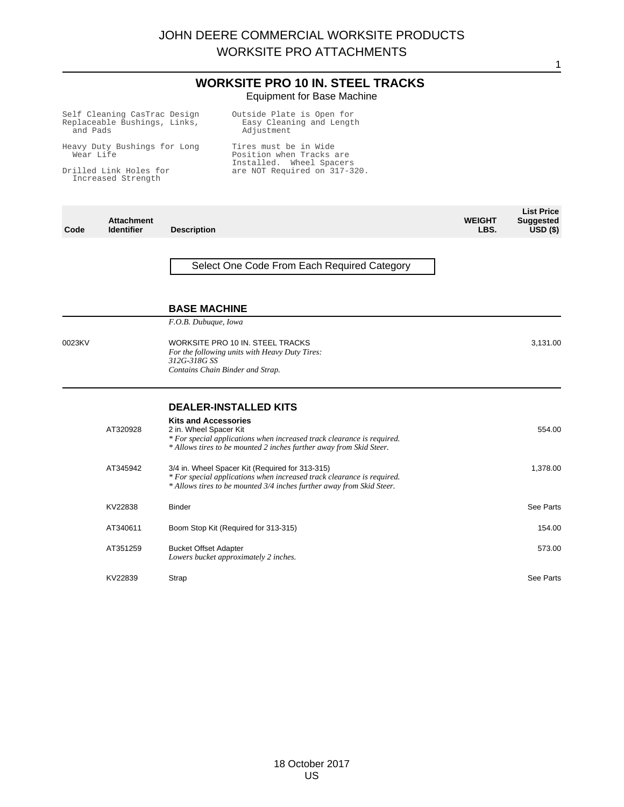# **WORKSITE PRO 10 IN. STEEL TRACKS** Equipment for Base Machine

| and Pads  | Self Cleaning CasTrac Design<br>Replaceable Bushings, Links, |                                                       | Outside Plate is Open for<br>Easy Cleaning and Length<br>Adjustment                                                                                                                                |                       |                                                     |
|-----------|--------------------------------------------------------------|-------------------------------------------------------|----------------------------------------------------------------------------------------------------------------------------------------------------------------------------------------------------|-----------------------|-----------------------------------------------------|
| Wear Life | Heavy Duty Bushings for Long                                 |                                                       | Tires must be in Wide<br>Position when Tracks are                                                                                                                                                  |                       |                                                     |
|           | Drilled Link Holes for<br>Increased Strength                 |                                                       | Installed. Wheel Spacers<br>are NOT Required on 317-320.                                                                                                                                           |                       |                                                     |
| Code      | <b>Attachment</b><br><b>Identifier</b>                       | <b>Description</b>                                    |                                                                                                                                                                                                    | <b>WEIGHT</b><br>LBS. | <b>List Price</b><br><b>Suggested</b><br>$USD($ \$) |
|           |                                                              | <b>BASE MACHINE</b>                                   | Select One Code From Each Required Category                                                                                                                                                        |                       |                                                     |
|           |                                                              | F.O.B. Dubuque, Iowa                                  |                                                                                                                                                                                                    |                       |                                                     |
| 0023KV    |                                                              | 312G-318G SS                                          | WORKSITE PRO 10 IN. STEEL TRACKS<br>For the following units with Heavy Duty Tires:<br>Contains Chain Binder and Strap.                                                                             |                       | 3,131.00                                            |
|           |                                                              |                                                       | <b>DEALER-INSTALLED KITS</b>                                                                                                                                                                       |                       |                                                     |
|           | AT320928                                                     | <b>Kits and Accessories</b><br>2 in. Wheel Spacer Kit | * For special applications when increased track clearance is required.<br>* Allows tires to be mounted 2 inches further away from Skid Steer.                                                      |                       | 554.00                                              |
|           | AT345942                                                     |                                                       | 3/4 in. Wheel Spacer Kit (Required for 313-315)<br>* For special applications when increased track clearance is required.<br>* Allows tires to be mounted 3/4 inches further away from Skid Steer. |                       | 1,378.00                                            |
|           | KV22838                                                      | <b>Binder</b>                                         |                                                                                                                                                                                                    |                       | See Parts                                           |
|           | AT340611                                                     |                                                       | Boom Stop Kit (Required for 313-315)                                                                                                                                                               |                       | 154.00                                              |
|           | AT351259                                                     | <b>Bucket Offset Adapter</b>                          | Lowers bucket approximately 2 inches.                                                                                                                                                              |                       | 573.00                                              |
|           | KV22839                                                      | Strap                                                 |                                                                                                                                                                                                    |                       | See Parts                                           |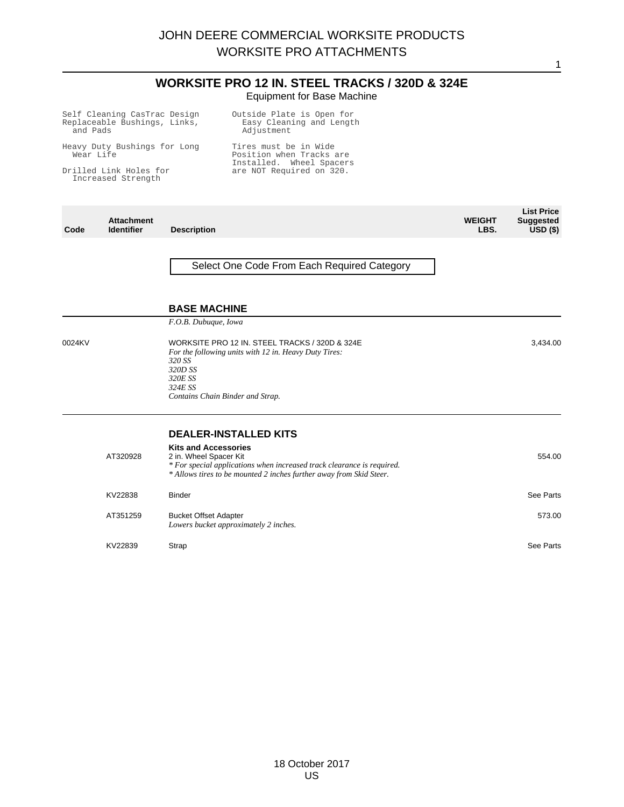## **WORKSITE PRO 12 IN. STEEL TRACKS / 320D & 324E** Equipment for Base Machine

Self Cleaning CasTrac Design Replaceable Bushings, Links, and Pads Heavy Duty Bushings for Long Wear Life Drilled Link Holes for Increased Strength Outside Plate is Open for Easy Cleaning and Length Adjustment Tires must be in Wide Position when Tracks are Installed. Wheel Spacers are NOT Required on 320. **List Price**

**WEIGHT LBS.**

**Suggested USD (\$)**

1

3,434.00

**Code Attachment**

**Description** 

Select One Code From Each Required Category

#### **BASE MACHINE**

*F.O.B. Dubuque, Iowa*

0024KV WORKSITE PRO 12 IN. STEEL TRACKS / 320D & 324E *For the following units with 12 in. Heavy Duty Tires: 320 SS 320D SS 320E SS 324E SS Contains Chain Binder and Strap.*

#### **DEALER-INSTALLED KITS**

| AT320928 | <b>Kits and Accessories</b><br>2 in. Wheel Spacer Kit<br>* For special applications when increased track clearance is required.<br>* Allows tires to be mounted 2 inches further away from Skid Steer. | 554.00    |
|----------|--------------------------------------------------------------------------------------------------------------------------------------------------------------------------------------------------------|-----------|
| KV22838  | <b>Binder</b>                                                                                                                                                                                          | See Parts |
| AT351259 | <b>Bucket Offset Adapter</b><br>Lowers bucket approximately 2 inches.                                                                                                                                  | 573.00    |
| KV22839  | Strap                                                                                                                                                                                                  | See Parts |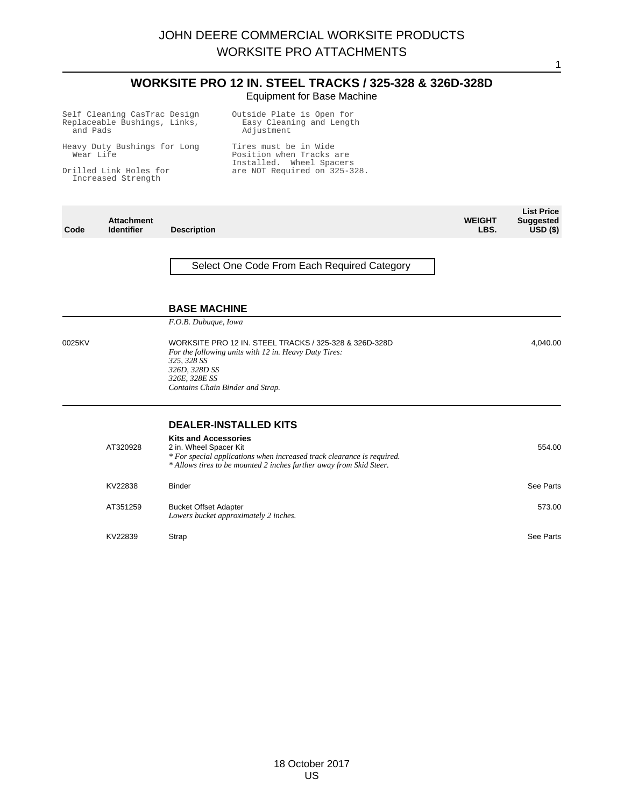|                                                                          |                                              |                                                                                                           | <b>WORKSITE PRO 12 IN. STEEL TRACKS / 325-328 &amp; 326D-328D</b><br><b>Equipment for Base Machine</b>                                                                        |                       |                                                     |
|--------------------------------------------------------------------------|----------------------------------------------|-----------------------------------------------------------------------------------------------------------|-------------------------------------------------------------------------------------------------------------------------------------------------------------------------------|-----------------------|-----------------------------------------------------|
| Self Cleaning CasTrac Design<br>Replaceable Bushings, Links,<br>and Pads |                                              |                                                                                                           | Outside Plate is Open for<br>Easy Cleaning and Length<br>Adjustment                                                                                                           |                       |                                                     |
| Wear Life                                                                | Heavy Duty Bushings for Long                 |                                                                                                           | Tires must be in Wide<br>Position when Tracks are<br>Installed. Wheel Spacers                                                                                                 |                       |                                                     |
|                                                                          | Drilled Link Holes for<br>Increased Strength |                                                                                                           | are NOT Required on 325-328.                                                                                                                                                  |                       |                                                     |
| Code                                                                     | <b>Attachment</b><br><b>Identifier</b>       | <b>Description</b>                                                                                        |                                                                                                                                                                               | <b>WEIGHT</b><br>LBS. | <b>List Price</b><br><b>Suggested</b><br>$USD($ \$) |
|                                                                          |                                              | <b>BASE MACHINE</b>                                                                                       | Select One Code From Each Required Category                                                                                                                                   |                       |                                                     |
| 0025KV                                                                   |                                              | F.O.B. Dubuque, Iowa<br>325, 328 SS<br>326D, 328D SS<br>326E, 328E SS<br>Contains Chain Binder and Strap. | WORKSITE PRO 12 IN. STEEL TRACKS / 325-328 & 326D-328D<br>For the following units with 12 in. Heavy Duty Tires:                                                               |                       | 4,040.00                                            |
|                                                                          | AT320928                                     | <b>Kits and Accessories</b><br>2 in. Wheel Spacer Kit                                                     | <b>DEALER-INSTALLED KITS</b><br>* For special applications when increased track clearance is required.<br>* Allows tires to be mounted 2 inches further away from Skid Steer. |                       | 554.00                                              |
|                                                                          | KV22838                                      | <b>Binder</b>                                                                                             |                                                                                                                                                                               |                       | See Parts                                           |
|                                                                          | AT351259                                     | <b>Bucket Offset Adapter</b>                                                                              | Lowers bucket approximately 2 inches.                                                                                                                                         |                       | 573.00                                              |
|                                                                          | KV22839                                      | Strap                                                                                                     |                                                                                                                                                                               |                       | See Parts                                           |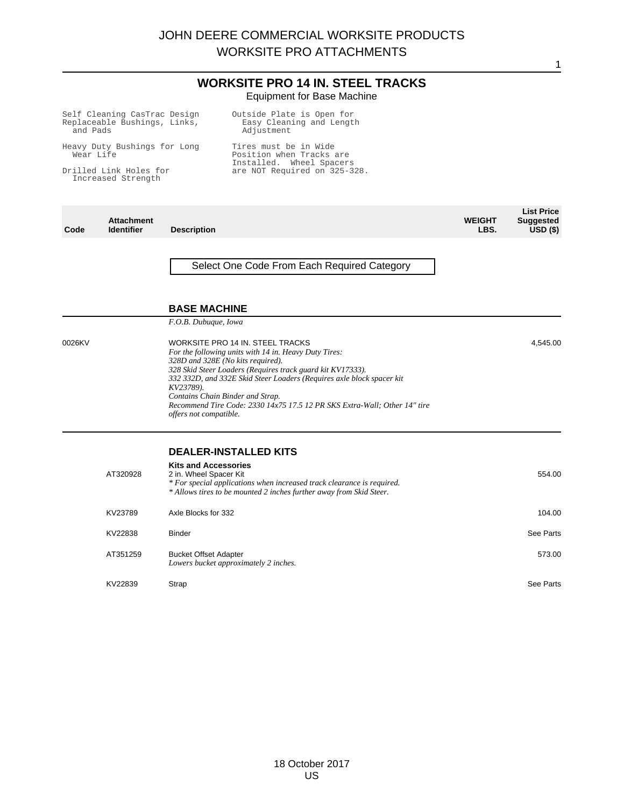# **WORKSITE PRO 14 IN. STEEL TRACKS** Equipment for Base Machine

| Self Cleaning CasTrac Design<br>Replaceable Bushings, Links,<br>and Pads |                                              |                                                             | Outside Plate is Open for<br>Easy Cleaning and Length<br>Adjustment                                                                                                                                                                                                                                                                                                                    |                       |                                                 |
|--------------------------------------------------------------------------|----------------------------------------------|-------------------------------------------------------------|----------------------------------------------------------------------------------------------------------------------------------------------------------------------------------------------------------------------------------------------------------------------------------------------------------------------------------------------------------------------------------------|-----------------------|-------------------------------------------------|
| Heavy Duty Bushings for Long<br>Wear Life                                |                                              |                                                             | Tires must be in Wide<br>Position when Tracks are<br>Installed. Wheel Spacers                                                                                                                                                                                                                                                                                                          |                       |                                                 |
|                                                                          | Drilled Link Holes for<br>Increased Strength |                                                             | are NOT Required on 325-328.                                                                                                                                                                                                                                                                                                                                                           |                       |                                                 |
| Code                                                                     | <b>Attachment</b><br><b>Identifier</b>       | <b>Description</b>                                          |                                                                                                                                                                                                                                                                                                                                                                                        | <b>WEIGHT</b><br>LBS. | <b>List Price</b><br><b>Suggested</b><br>USD(S) |
|                                                                          |                                              | <b>BASE MACHINE</b>                                         | Select One Code From Each Required Category                                                                                                                                                                                                                                                                                                                                            |                       |                                                 |
| 0026KV                                                                   |                                              | F.O.B. Dubuque, Iowa<br>KV23789).<br>offers not compatible. | WORKSITE PRO 14 IN. STEEL TRACKS<br>For the following units with 14 in. Heavy Duty Tires:<br>328D and 328E (No kits required).<br>328 Skid Steer Loaders (Requires track guard kit KV17333).<br>332 332D, and 332E Skid Steer Loaders (Requires axle block spacer kit<br>Contains Chain Binder and Strap.<br>Recommend Tire Code: 2330 14x75 17.5 12 PR SKS Extra-Wall; Other 14" tire |                       | 4,545.00                                        |
|                                                                          | AT320928                                     | <b>Kits and Accessories</b><br>2 in. Wheel Spacer Kit       | <b>DEALER-INSTALLED KITS</b><br>* For special applications when increased track clearance is required.<br>* Allows tires to be mounted 2 inches further away from Skid Steer.                                                                                                                                                                                                          |                       | 554.00                                          |
|                                                                          | KV23789                                      | Axle Blocks for 332                                         |                                                                                                                                                                                                                                                                                                                                                                                        |                       | 104.00                                          |
|                                                                          | KV22838                                      | <b>Binder</b>                                               |                                                                                                                                                                                                                                                                                                                                                                                        |                       | See Parts                                       |
|                                                                          | AT351259                                     | <b>Bucket Offset Adapter</b>                                | Lowers bucket approximately 2 inches.                                                                                                                                                                                                                                                                                                                                                  |                       | 573.00                                          |
|                                                                          | KV22839                                      | Strap                                                       |                                                                                                                                                                                                                                                                                                                                                                                        |                       | See Parts                                       |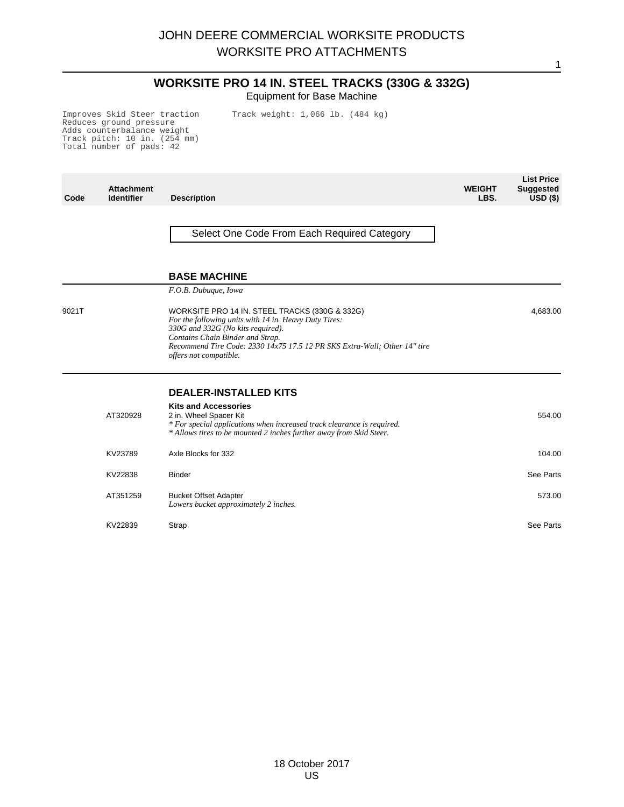# **WORKSITE PRO 14 IN. STEEL TRACKS (330G & 332G)** Equipment for Base Machine

1

Track weight: 1,066 lb. (484 kg)

Improves Skid Steer traction Reduces ground pressure Adds counterbalance weight Track pitch: 10 in. (254 mm) Total number of pads: 42

**Code Attachment Identifier Description WEIGHT LBS. List Price Suggested USD (\$)** Select One Code From Each Required Category **BASE MACHINE** *F.O.B. Dubuque, Iowa* 9021T WORKSITE PRO 14 IN. STEEL TRACKS (330G & 332G) *For the following units with 14 in. Heavy Duty Tires: 330G and 332G (No kits required). Contains Chain Binder and Strap. Recommend Tire Code: 2330 14x75 17.5 12 PR SKS Extra-Wall; Other 14" tire offers not compatible.* 4,683.00 **DEALER-INSTALLED KITS Kits and Accessories** AT320928 2 in. Wheel Spacer Kit *\* For special applications when increased track clearance is required. \* Allows tires to be mounted 2 inches further away from Skid Steer.* 554.00 KV23789 Axle Blocks for 332 2001 104.00 KV22838 Binder See Parts AT351259 Bucket Offset Adapter *Lowers bucket approximately 2 inches.* 573.00 KV22839 Strap See Parts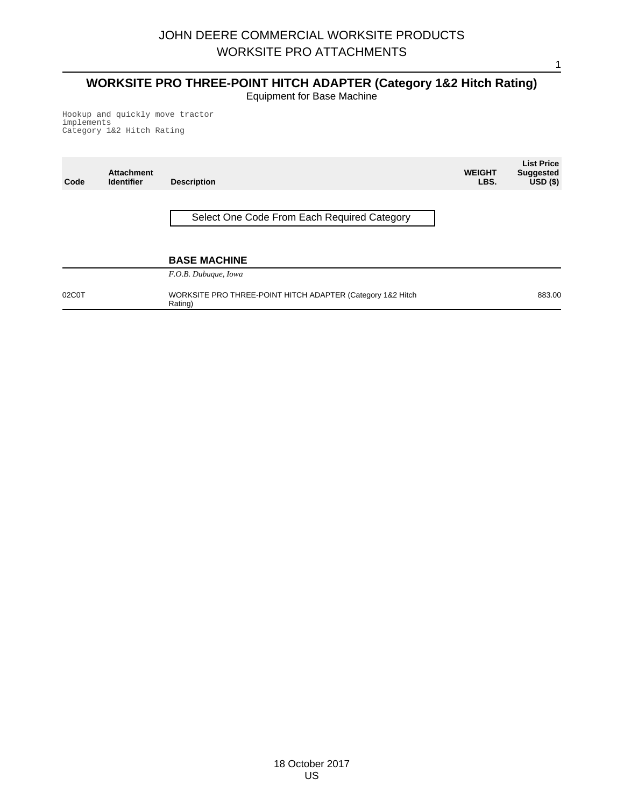# **WORKSITE PRO THREE-POINT HITCH ADAPTER (Category 1&2 Hitch Rating)** Equipment for Base Machine

Hookup and quickly move tractor implements Category 1&2 Hitch Rating

| Code  | <b>Attachment</b><br><b>Identifier</b> | <b>Description</b>                                                    | <b>WEIGHT</b><br>LBS. | <b>List Price</b><br><b>Suggested</b><br>$\overline{USD}$ (\$) |
|-------|----------------------------------------|-----------------------------------------------------------------------|-----------------------|----------------------------------------------------------------|
|       |                                        | Select One Code From Each Required Category                           |                       |                                                                |
|       |                                        |                                                                       |                       |                                                                |
|       |                                        | <b>BASE MACHINE</b>                                                   |                       |                                                                |
|       |                                        | F.O.B. Dubuque, Iowa                                                  |                       |                                                                |
| 02C0T |                                        | WORKSITE PRO THREE-POINT HITCH ADAPTER (Category 1&2 Hitch<br>Rating) |                       | 883.00                                                         |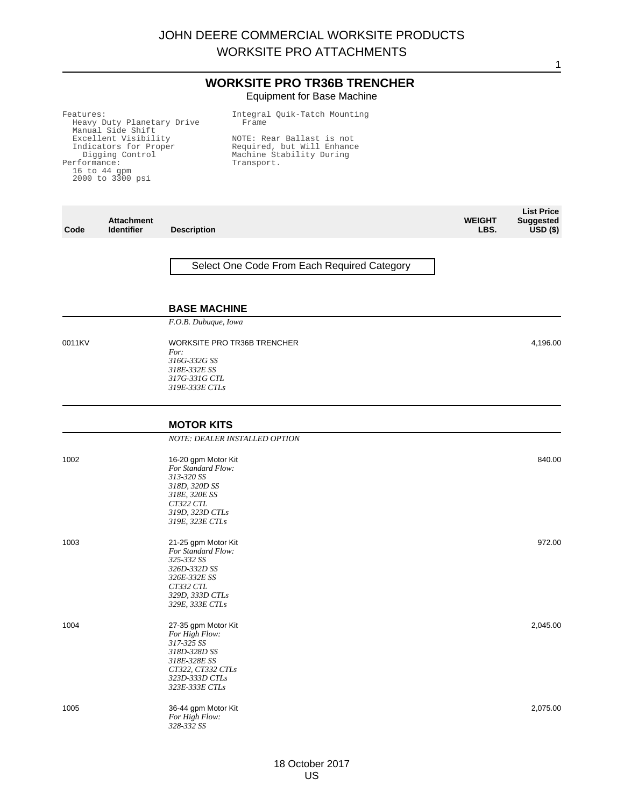## **WORKSITE PRO TR36B TRENCHER** Equipment for Base Machine

| <b>Attachment</b><br><b>Identifier</b><br><b>Description</b><br>Code                                                                          | <b>WEIGHT</b><br>LBS.                                                                             |
|-----------------------------------------------------------------------------------------------------------------------------------------------|---------------------------------------------------------------------------------------------------|
| Manual Side Shift<br>Excellent Visibility<br>Indicators for Proper<br>Digging Control<br>Performance:<br>$16$ to $44$ qpm<br>2000 to 3300 psi | NOTE: Rear Ballast is not<br>Required, but Will Enhance<br>Machine Stability During<br>Transport. |
| Features:<br>Heavy Duty Planetary Drive                                                                                                       | Integral Quik-Tatch Mounting<br>Frame                                                             |

Select One Code From Each Required Category

**List Price Suggested USD (\$)**

1

4,196.00

#### **BASE MACHINE**

*F.O.B. Dubuque, Iowa*

0011KV WORKSITE PRO TR36B TRENCHER *For: 316G-332G SS 318E-332E SS 317G-331G CTL 319E-333E CTLs*

#### **MOTOR KITS** *NOTE: DEALER INSTALLED OPTION* 1002 16-20 gpm Motor Kit *For Standard Flow: 313-320 SS 318D, 320D SS 318E, 320E SS CT322 CTL 319D, 323D CTLs 319E, 323E CTLs* 840.00 1003 21-25 gpm Motor Kit *For Standard Flow: 325-332 SS 326D-332D SS 326E-332E SS CT332 CTL 329D, 333D CTLs 329E, 333E CTLs* 972.00 1004 27-35 gpm Motor Kit *For High Flow: 317-325 SS 318D-328D SS 318E-328E SS CT322, CT332 CTLs 323D-333D CTLs 323E-333E CTLs* 2,045.00 1005 36-44 gpm Motor Kit *For High Flow: 328-332 SS* 2,075.00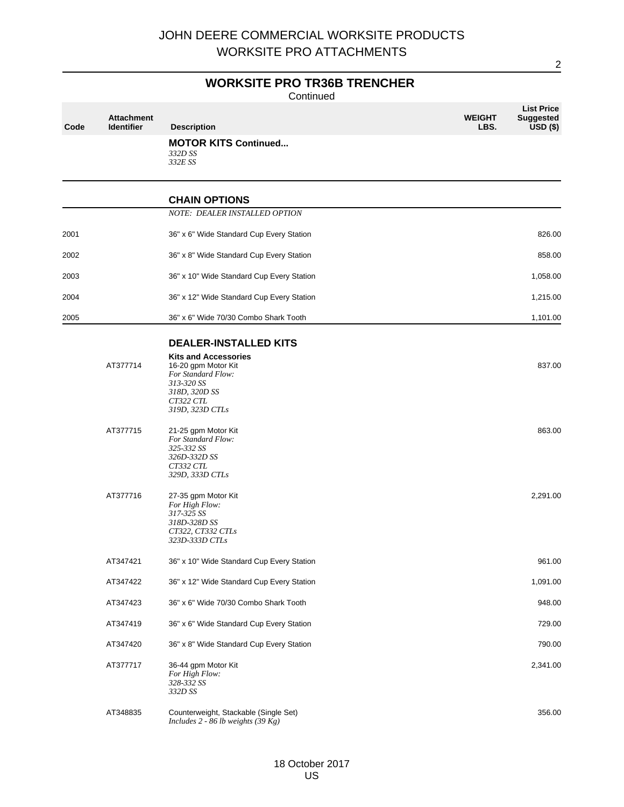# **WORKSITE PRO TR36B TRENCHER**

Continued

| Code | <b>Attachment</b><br><b>Identifier</b> | <b>Description</b>                                                                                                                      | <b>WEIGHT</b><br>LBS. | <b>List Price</b><br><b>Suggested</b><br>$USD($ \$) |
|------|----------------------------------------|-----------------------------------------------------------------------------------------------------------------------------------------|-----------------------|-----------------------------------------------------|
|      |                                        | <b>MOTOR KITS Continued</b><br>332D SS<br>332E SS                                                                                       |                       |                                                     |
|      |                                        | <b>CHAIN OPTIONS</b>                                                                                                                    |                       |                                                     |
|      |                                        | NOTE: DEALER INSTALLED OPTION                                                                                                           |                       |                                                     |
| 2001 |                                        | 36" x 6" Wide Standard Cup Every Station                                                                                                |                       | 826.00                                              |
| 2002 |                                        | 36" x 8" Wide Standard Cup Every Station                                                                                                |                       | 858.00                                              |
| 2003 |                                        | 36" x 10" Wide Standard Cup Every Station                                                                                               |                       | 1,058.00                                            |
| 2004 |                                        | 36" x 12" Wide Standard Cup Every Station                                                                                               |                       | 1,215.00                                            |
| 2005 |                                        | 36" x 6" Wide 70/30 Combo Shark Tooth                                                                                                   |                       | 1,101.00                                            |
|      |                                        | <b>DEALER-INSTALLED KITS</b>                                                                                                            |                       |                                                     |
|      | AT377714                               | <b>Kits and Accessories</b><br>16-20 gpm Motor Kit<br>For Standard Flow:<br>313-320 SS<br>318D, 320D SS<br>CT322 CTL<br>319D, 323D CTLs |                       | 837.00                                              |
|      | AT377715                               | 21-25 gpm Motor Kit<br>For Standard Flow:<br>325-332 SS<br>326D-332D SS<br>CT332 CTL<br>329D, 333D CTLs                                 |                       | 863.00                                              |
|      | AT377716                               | 27-35 gpm Motor Kit<br>For High Flow:<br>317-325 SS<br>318D-328D SS<br>CT322, CT332 CTLs<br>323D-333D CTLs                              |                       | 2,291.00                                            |
|      | AT347421                               | 36" x 10" Wide Standard Cup Every Station                                                                                               |                       | 961.00                                              |
|      | AT347422                               | 36" x 12" Wide Standard Cup Every Station                                                                                               |                       | 1,091.00                                            |
|      | AT347423                               | 36" x 6" Wide 70/30 Combo Shark Tooth                                                                                                   |                       | 948.00                                              |
|      | AT347419                               | 36" x 6" Wide Standard Cup Every Station                                                                                                |                       | 729.00                                              |
|      | AT347420                               | 36" x 8" Wide Standard Cup Every Station                                                                                                |                       | 790.00                                              |
|      | AT377717                               | 36-44 gpm Motor Kit<br>For High Flow:<br>328-332 SS<br>332D SS                                                                          |                       | 2,341.00                                            |
|      | AT348835                               | Counterweight, Stackable (Single Set)<br>Includes $2 - 86$ lb weights (39 Kg)                                                           |                       | 356.00                                              |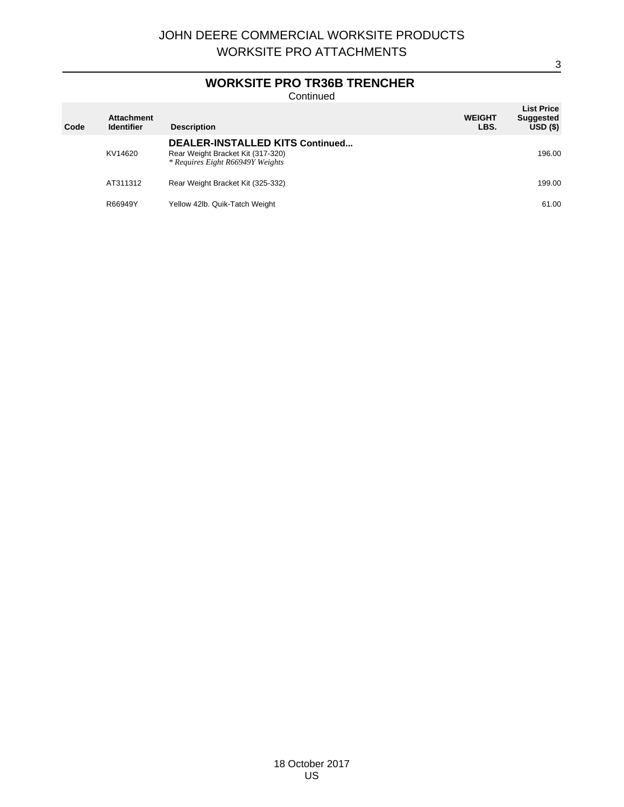# **WORKSITE PRO TR36B TRENCHER**

**Continued** 

| Code | <b>Attachment</b><br><b>Identifier</b> | <b>Description</b>                                                                                       | <b>WEIGHT</b><br>LBS. | <b>List Price</b><br><b>Suggested</b><br>USD(S) |
|------|----------------------------------------|----------------------------------------------------------------------------------------------------------|-----------------------|-------------------------------------------------|
|      | KV14620                                | DEALER-INSTALLED KITS Continued<br>Rear Weight Bracket Kit (317-320)<br>* Requires Eight R66949Y Weights |                       | 196.00                                          |
|      | AT311312                               | Rear Weight Bracket Kit (325-332)                                                                        |                       | 199.00                                          |
|      | R66949Y                                | Yellow 42lb. Quik-Tatch Weight                                                                           |                       | 61.00                                           |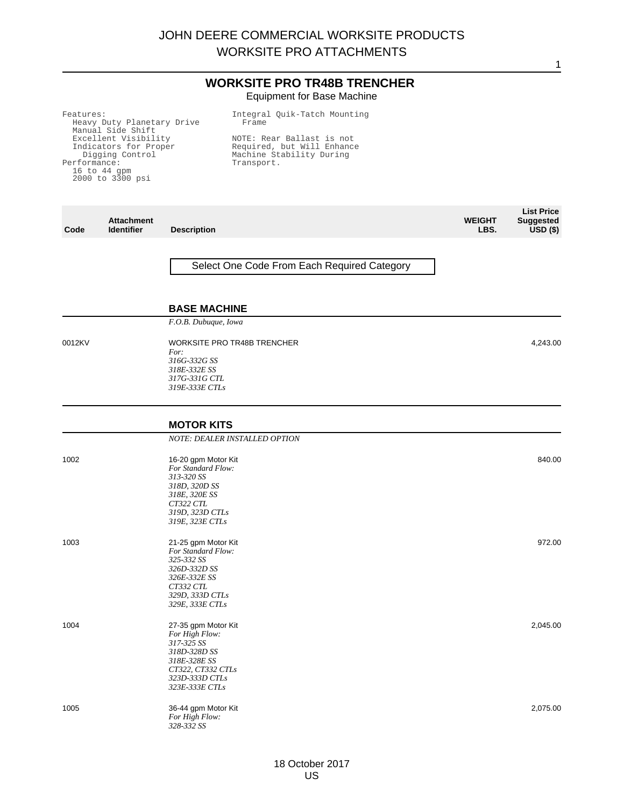## **WORKSITE PRO TR48B TRENCHER** Equipment for Base Machine

| Features:                  | Integral Quik-Tatch Mounting |
|----------------------------|------------------------------|
| Heavy Duty Planetary Drive | Frame                        |
| Manual Side Shift          |                              |
| Excellent Visibility       | NOTE: Rear Ballast is not    |
| Indicators for Proper      | Required, but Will Enhance   |
| Digging Control            | Machine Stability During     |
| Performance:               | Transport.                   |
| $16$ to $44$ qpm           |                              |
| 2000 to 3300 psi           |                              |
|                            |                              |

**Code Attachment Description WEIGHT LBS. List Price Suggested USD (\$)** Select One Code From Each Required Category **BASE MACHINE** *F.O.B. Dubuque, Iowa* 0012KV WORKSITE PRO TR48B TRENCHER *For: 316G-332G SS 318E-332E SS 317G-331G CTL 319E-333E CTLs* 4,243.00 **MOTOR KITS** *NOTE: DEALER INSTALLED OPTION* 1002 16-20 gpm Motor Kit *For Standard Flow: 313-320 SS 318D, 320D SS 318E, 320E SS CT322 CTL 319D, 323D CTLs 319E, 323E CTLs* 840.00 1003 21-25 gpm Motor Kit *For Standard Flow: 325-332 SS 326D-332D SS 326E-332E SS CT332 CTL 329D, 333D CTLs 329E, 333E CTLs* 972.00 1004 27-35 gpm Motor Kit *For High Flow: 317-325 SS 318D-328D SS 318E-328E SS CT322, CT332 CTLs 323D-333D CTLs 323E-333E CTLs* 2,045.00 1005 36-44 gpm Motor Kit *For High Flow: 328-332 SS* 2,075.00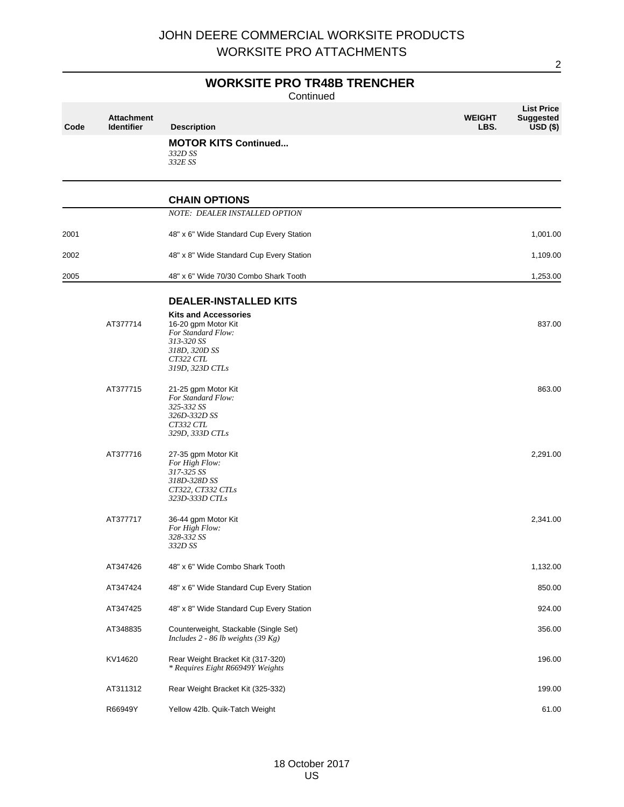# **WORKSITE PRO TR48B TRENCHER**

**Continued** 

| Code | <b>Attachment</b><br><b>Identifier</b> | <b>Description</b>                                                                                                                      | <b>List Price</b><br><b>WEIGHT</b><br><b>Suggested</b><br>LBS.<br>$USD($ \$) |
|------|----------------------------------------|-----------------------------------------------------------------------------------------------------------------------------------------|------------------------------------------------------------------------------|
|      |                                        | <b>MOTOR KITS Continued</b><br>332D SS<br>332E SS                                                                                       |                                                                              |
|      |                                        | <b>CHAIN OPTIONS</b>                                                                                                                    |                                                                              |
|      |                                        | NOTE: DEALER INSTALLED OPTION                                                                                                           |                                                                              |
| 2001 |                                        | 48" x 6" Wide Standard Cup Every Station                                                                                                | 1,001.00                                                                     |
| 2002 |                                        | 48" x 8" Wide Standard Cup Every Station                                                                                                | 1,109.00                                                                     |
| 2005 |                                        | 48" x 6" Wide 70/30 Combo Shark Tooth                                                                                                   | 1,253.00                                                                     |
|      |                                        | <b>DEALER-INSTALLED KITS</b>                                                                                                            |                                                                              |
|      | AT377714                               | <b>Kits and Accessories</b><br>16-20 gpm Motor Kit<br>For Standard Flow:<br>313-320 SS<br>318D, 320D SS<br>CT322 CTL<br>319D, 323D CTLs | 837.00                                                                       |
|      | AT377715                               | 21-25 gpm Motor Kit<br>For Standard Flow:<br>325-332 SS<br>326D-332D SS<br>CT332 CTL<br>329D, 333D CTLs                                 | 863.00                                                                       |
|      | AT377716                               | 27-35 gpm Motor Kit<br>For High Flow:<br>317-325 SS<br>318D-328D SS<br>CT322, CT332 CTLs<br>323D-333D CTLs                              | 2,291.00                                                                     |
|      | AT377717                               | 36-44 gpm Motor Kit<br>For High Flow:<br>328-332 SS<br>332D SS                                                                          | 2,341.00                                                                     |
|      | AT347426                               | 48" x 6" Wide Combo Shark Tooth                                                                                                         | 1,132.00                                                                     |
|      | AT347424                               | 48" x 6" Wide Standard Cup Every Station                                                                                                | 850.00                                                                       |
|      | AT347425                               | 48" x 8" Wide Standard Cup Every Station                                                                                                | 924.00                                                                       |
|      | AT348835                               | Counterweight, Stackable (Single Set)<br>Includes 2 - 86 lb weights (39 $Kg$ )                                                          | 356.00                                                                       |
|      | KV14620                                | Rear Weight Bracket Kit (317-320)<br>* Requires Eight R66949Y Weights                                                                   | 196.00                                                                       |
|      | AT311312                               | Rear Weight Bracket Kit (325-332)                                                                                                       | 199.00                                                                       |
|      | R66949Y                                | Yellow 42lb. Quik-Tatch Weight                                                                                                          | 61.00                                                                        |

 $\overline{2}$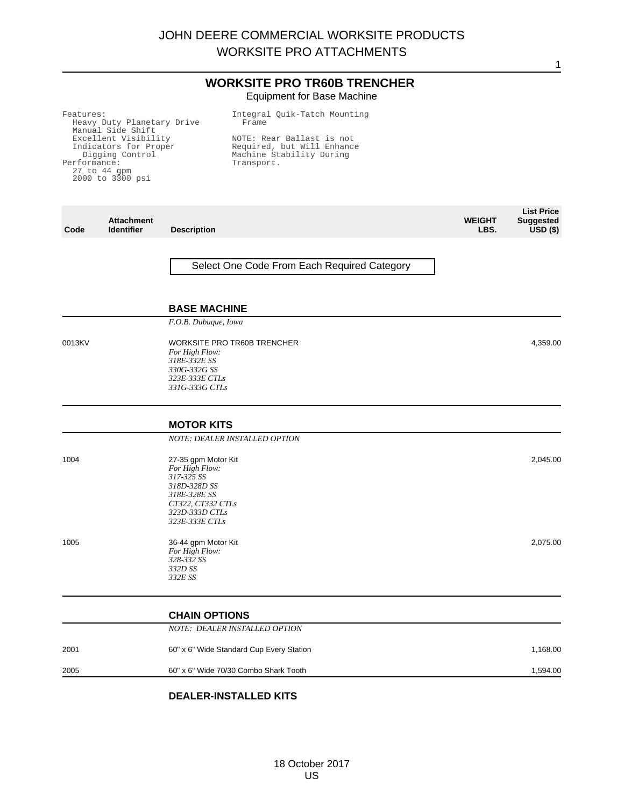# **WORKSITE PRO TR60B TRENCHER** Equipment for Base Machine

| Features:<br>Heavy Duty Planetary Drive<br>Manual Side Shift<br>Excellent Visibility<br>Indicators for Proper<br>Digging Control<br>Performance:<br>27 to 44 gpm<br>2000 to 3300 psi |                                        |                                                                                                                                              | Integral Quik-Tatch Mounting<br>Frame<br>NOTE: Rear Ballast is not<br>Required, but Will Enhance<br>Machine Stability During<br>Transport. |                       |                                                     |
|--------------------------------------------------------------------------------------------------------------------------------------------------------------------------------------|----------------------------------------|----------------------------------------------------------------------------------------------------------------------------------------------|--------------------------------------------------------------------------------------------------------------------------------------------|-----------------------|-----------------------------------------------------|
| Code                                                                                                                                                                                 | <b>Attachment</b><br><b>Identifier</b> | <b>Description</b>                                                                                                                           |                                                                                                                                            | <b>WEIGHT</b><br>LBS. | <b>List Price</b><br><b>Suggested</b><br>$USD($ \$) |
|                                                                                                                                                                                      |                                        | <b>BASE MACHINE</b>                                                                                                                          | Select One Code From Each Required Category                                                                                                |                       |                                                     |
| 0013KV                                                                                                                                                                               |                                        | F.O.B. Dubuque, Iowa<br><b>WORKSITE PRO TR60B TRENCHER</b><br>For High Flow:<br>318E-332E SS<br>330G-332G SS                                 |                                                                                                                                            |                       | 4,359.00                                            |
|                                                                                                                                                                                      |                                        | 323E-333E CTLs<br>331G-333G CTLs<br><b>MOTOR KITS</b><br>NOTE: DEALER INSTALLED OPTION                                                       |                                                                                                                                            |                       |                                                     |
| 1004                                                                                                                                                                                 |                                        | 27-35 gpm Motor Kit<br>For High Flow:<br>317-325 SS<br>318D-328D SS<br>318E-328E SS<br>CT322, CT332 CTLs<br>323D-333D CTLs<br>323E-333E CTLs |                                                                                                                                            |                       | 2,045.00                                            |
| 1005                                                                                                                                                                                 |                                        | 36-44 gpm Motor Kit<br>For High Flow:<br>328-332 SS<br>332D SS<br>332E SS                                                                    |                                                                                                                                            |                       | 2,075.00                                            |
|                                                                                                                                                                                      |                                        | <b>CHAIN OPTIONS</b><br>NOTE: DEALER INSTALLED OPTION                                                                                        |                                                                                                                                            |                       |                                                     |
| 2001                                                                                                                                                                                 |                                        | 60" x 6" Wide Standard Cup Every Station                                                                                                     |                                                                                                                                            |                       | 1,168.00                                            |
| 2005                                                                                                                                                                                 |                                        | 60" x 6" Wide 70/30 Combo Shark Tooth                                                                                                        |                                                                                                                                            |                       | 1,594.00                                            |

# **DEALER-INSTALLED KITS**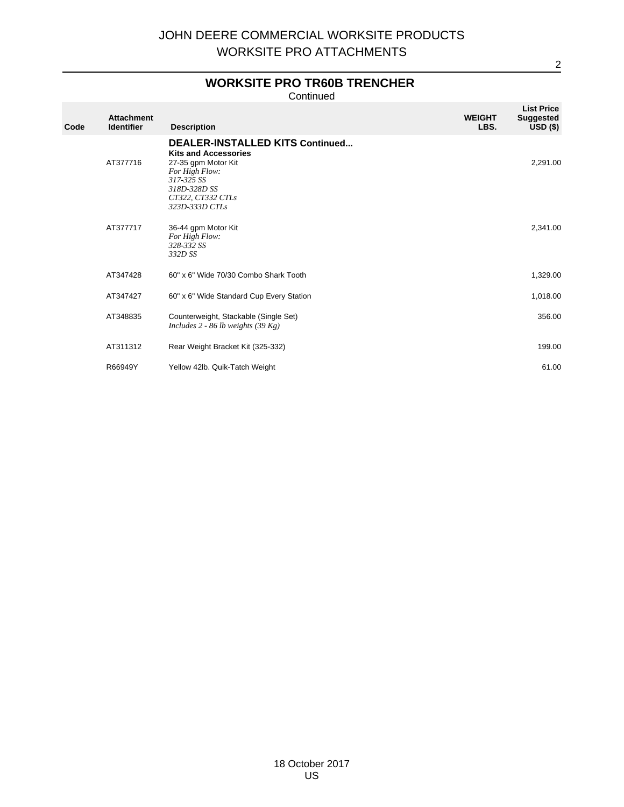# **WORKSITE PRO TR60B TRENCHER**

Continued

| Code | <b>Attachment</b><br><b>Identifier</b> | <b>Description</b>                                                                                                                                                                  | <b>WEIGHT</b><br>LBS. | <b>List Price</b><br><b>Suggested</b><br>$USD($ \$) |
|------|----------------------------------------|-------------------------------------------------------------------------------------------------------------------------------------------------------------------------------------|-----------------------|-----------------------------------------------------|
|      | AT377716                               | <b>DEALER-INSTALLED KITS Continued</b><br><b>Kits and Accessories</b><br>27-35 gpm Motor Kit<br>For High Flow:<br>317-325 SS<br>318D-328D SS<br>CT322, CT332 CTLs<br>323D-333D CTLs |                       | 2,291.00                                            |
|      | AT377717                               | 36-44 gpm Motor Kit<br>For High Flow:<br>328-332 SS<br>332D SS                                                                                                                      |                       | 2,341.00                                            |
|      | AT347428                               | 60" x 6" Wide 70/30 Combo Shark Tooth                                                                                                                                               |                       | 1,329.00                                            |
|      | AT347427                               | 60" x 6" Wide Standard Cup Every Station                                                                                                                                            |                       | 1,018.00                                            |
|      | AT348835                               | Counterweight, Stackable (Single Set)<br>Includes 2 - 86 lb weights $(39 \text{ Kg})$                                                                                               |                       | 356.00                                              |
|      | AT311312                               | Rear Weight Bracket Kit (325-332)                                                                                                                                                   |                       | 199.00                                              |
|      | R66949Y                                | Yellow 42lb. Quik-Tatch Weight                                                                                                                                                      |                       | 61.00                                               |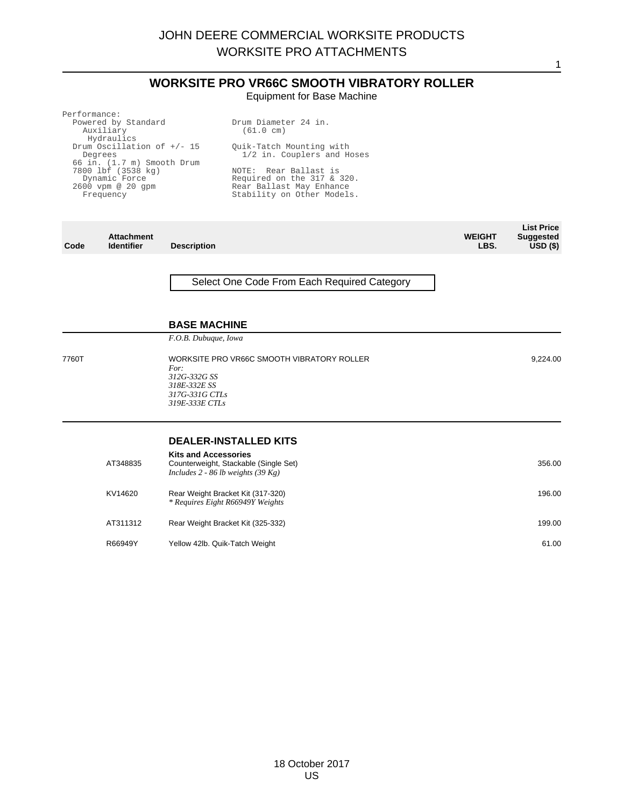# **WORKSITE PRO VR66C SMOOTH VIBRATORY ROLLER**

Equipment for Base Machine

| Performance:                  |                                 |
|-------------------------------|---------------------------------|
| Powered by Standard           | Drum Diameter 24 in.            |
| Auxiliary                     | (61.0 cm)                       |
| Hydraulics                    |                                 |
| Drum Oscillation of $+/$ - 15 | Ouik-Tatch Mounting with        |
| Degrees                       | 1/2 in. Couplers and Hoses      |
| 66 in. (1.7 m) Smooth Drum    |                                 |
| 7800 lbf (3538 kg)            | NOTE: Rear Ballast is           |
| Dynamic Force                 | Required on the $317$ & $320$ . |
| $2600$ vpm $@$ $20$ qpm       | Rear Ballast May Enhance        |
| Frequency                     | Stability on Other Models.      |
|                               |                                 |
|                               |                                 |
|                               |                                 |

**List Price**

1

**Code Attachment Description WEIGHT LBS. Suggested USD (\$)** Select One Code From Each Required Category **BASE MACHINE** *F.O.B. Dubuque, Iowa* 7760T WORKSITE PRO VR66C SMOOTH VIBRATORY ROLLER *For: 312G-332G SS 318E-332E SS 317G-331G CTLs 319E-333E CTLs* 9,224.00 **DEALER-INSTALLED KITS Kits and Accessories** AT348835 Counterweight, Stackable (Single Set) *Includes 2 - 86 lb weights (39 Kg)* 356.00 KV14620 Rear Weight Bracket Kit (317-320) *\* Requires Eight R66949Y Weights* 196.00 AT311312 Rear Weight Bracket Kit (325-332) 199.00 R66949Y Yellow 42lb. Quik-Tatch Weight 61.00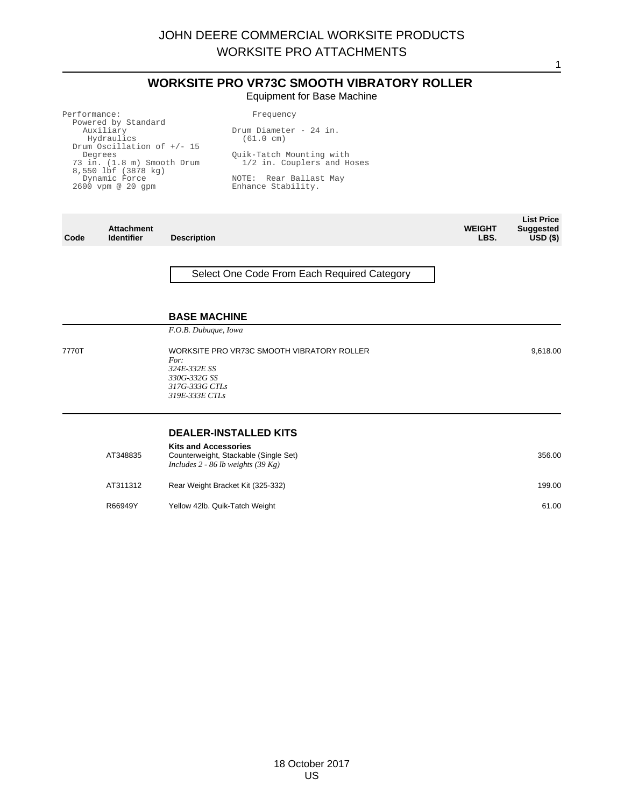# **WORKSITE PRO VR73C SMOOTH VIBRATORY ROLLER** Equipment for Base Machine

| Performance:                                      | Frequency                                     |             |
|---------------------------------------------------|-----------------------------------------------|-------------|
| Powered by Standard<br>Auxiliary<br>Hydraulics    | Drum Diameter - 24 in.<br>$(61.0 \text{ cm})$ |             |
| Drum Oscillation of $+/- 15$                      |                                               |             |
| Degrees                                           | Ouik-Tatch Mounting with                      |             |
| 73 in. (1.8 m) Smooth Drum<br>8,550 lbf (3878 kg) | 1/2 in. Couplers and Hoses                    |             |
| Dynamic Force                                     | NOTE: Rear Ballast May                        |             |
| $2600$ vpm @ $20$ qpm                             | Enhance Stability.                            |             |
|                                                   |                                               |             |
|                                                   |                                               | l iet Price |

| Code  | <b>Attachment</b><br><b>Identifier</b> | <b>Description</b>                                                                                                     | <b>WEIGHT</b><br>LBS. | <b>LISL FILLE</b><br><b>Suggested</b><br>USD <sub>(</sub> ) |
|-------|----------------------------------------|------------------------------------------------------------------------------------------------------------------------|-----------------------|-------------------------------------------------------------|
|       |                                        | Select One Code From Each Required Category                                                                            |                       |                                                             |
|       |                                        | <b>BASE MACHINE</b>                                                                                                    |                       |                                                             |
|       |                                        | F.O.B. Dubuque, Iowa                                                                                                   |                       |                                                             |
| 7770T |                                        | WORKSITE PRO VR73C SMOOTH VIBRATORY ROLLER<br>For:<br>324E-332E SS<br>330G-332G SS<br>317G-333G CTLs<br>319E-333E CTLs |                       | 9,618.00                                                    |
|       |                                        | <b>DEALER-INSTALLED KITS</b>                                                                                           |                       |                                                             |
|       | AT348835                               | <b>Kits and Accessories</b><br>Counterweight, Stackable (Single Set)<br>Includes 2 - 86 lb weights (39 Kg)             |                       | 356.00                                                      |
|       | AT311312                               | Rear Weight Bracket Kit (325-332)                                                                                      |                       | 199.00                                                      |
|       | R66949Y                                | Yellow 42lb. Quik-Tatch Weight                                                                                         |                       | 61.00                                                       |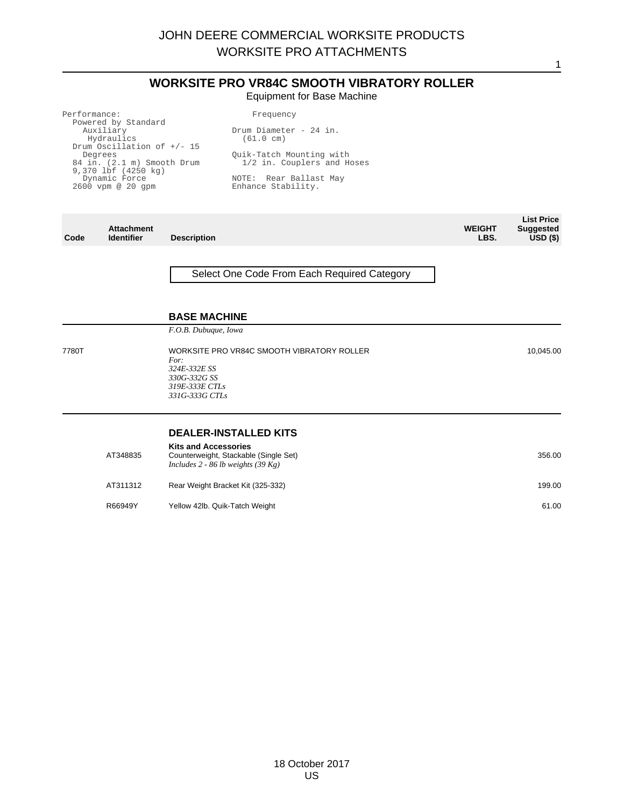# **WORKSITE PRO VR84C SMOOTH VIBRATORY ROLLER**

Equipment for Base Machine

| Performance:                    | Frequency                  |             |
|---------------------------------|----------------------------|-------------|
| Powered by Standard             |                            |             |
| Auxiliary                       | Drum Diameter - 24 in.     |             |
| Hydraulics                      | (61.0 cm)                  |             |
| Drum Oscillation of $+/- 15$    |                            |             |
| Degrees                         | Ouik-Tatch Mounting with   |             |
| 84 in. (2.1 m) Smooth Drum      | 1/2 in. Couplers and Hoses |             |
| $9,370$ lbf $(4250 \text{ kg})$ |                            |             |
| Dynamic Force                   | NOTE: Rear Ballast May     |             |
| $2600$ vpm @ $20$ qpm           | Enhance Stability.         |             |
|                                 |                            |             |
|                                 |                            |             |
|                                 |                            |             |
|                                 |                            | l iet Price |

| Code  | <b>Attachment</b><br><b>Identifier</b> | <b>Description</b>                                                                                                     | <b>WEIGHT</b><br>LBS. | <b>LISL FILLE</b><br><b>Suggested</b><br>USD <sub>(</sub> |
|-------|----------------------------------------|------------------------------------------------------------------------------------------------------------------------|-----------------------|-----------------------------------------------------------|
|       |                                        | Select One Code From Each Required Category                                                                            |                       |                                                           |
|       |                                        | <b>BASE MACHINE</b>                                                                                                    |                       |                                                           |
|       |                                        | F.O.B. Dubuque, Iowa                                                                                                   |                       |                                                           |
| 7780T |                                        | WORKSITE PRO VR84C SMOOTH VIBRATORY ROLLER<br>For:<br>324E-332E SS<br>330G-332G SS<br>319E-333E CTLs<br>331G-333G CTLs |                       | 10,045.00                                                 |
|       |                                        | <b>DEALER-INSTALLED KITS</b>                                                                                           |                       |                                                           |
|       | AT348835                               | <b>Kits and Accessories</b><br>Counterweight, Stackable (Single Set)<br>Includes 2 - 86 lb weights (39 Kg)             |                       | 356.00                                                    |
|       | AT311312                               | Rear Weight Bracket Kit (325-332)                                                                                      |                       | 199.00                                                    |
|       | R66949Y                                | Yellow 42lb. Quik-Tatch Weight                                                                                         |                       | 61.00                                                     |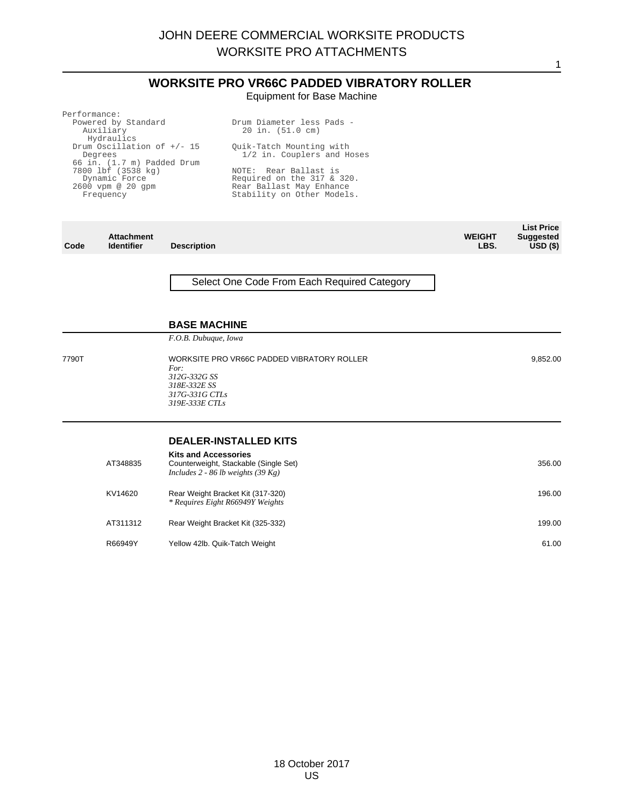# **WORKSITE PRO VR66C PADDED VIBRATORY ROLLER** Equipment for Base Machine

| Performance:                 |                            |
|------------------------------|----------------------------|
| Powered by Standard          | Drum Diameter less Pads -  |
| Auxiliary                    | 20 in. (51.0 cm)           |
| Hydraulics                   |                            |
| Drum Oscillation of $+/- 15$ | Ouik-Tatch Mounting with   |
| Degrees                      | 1/2 in. Couplers and Hoses |
| 66 in. (1.7 m) Padded Drum   |                            |
| 7800 lbf (3538 kg)           | NOTE: Rear Ballast is      |
| Dynamic Force                | Required on the 317 & 320. |
| $2600$ vpm $@$ $20$ qpm      | Rear Ballast May Enhance   |
| Frequency                    | Stability on Other Models. |
|                              |                            |
|                              |                            |
|                              |                            |

**List Price**

1

**Code Attachment Description WEIGHT LBS. Suggested USD (\$)** Select One Code From Each Required Category **BASE MACHINE** *F.O.B. Dubuque, Iowa* 7790T WORKSITE PRO VR66C PADDED VIBRATORY ROLLER *For: 312G-332G SS 318E-332E SS 317G-331G CTLs 319E-333E CTLs* 9,852.00 **DEALER-INSTALLED KITS Kits and Accessories** AT348835 Counterweight, Stackable (Single Set) *Includes 2 - 86 lb weights (39 Kg)* 356.00 KV14620 Rear Weight Bracket Kit (317-320) *\* Requires Eight R66949Y Weights* 196.00 AT311312 Rear Weight Bracket Kit (325-332) 199.00 R66949Y Yellow 42lb. Quik-Tatch Weight 61.00